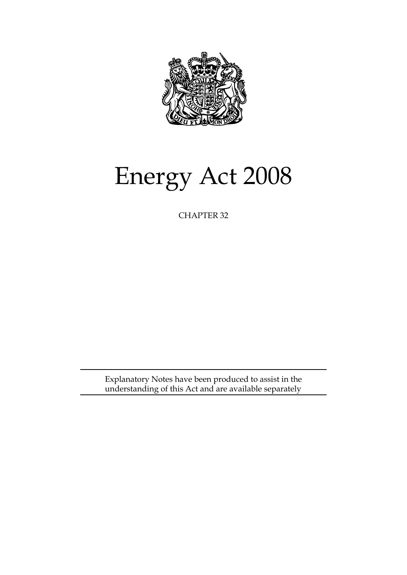

# Energy Act 2008

CHAPTER 32

Explanatory Notes have been produced to assist in the understanding of this Act and are available separately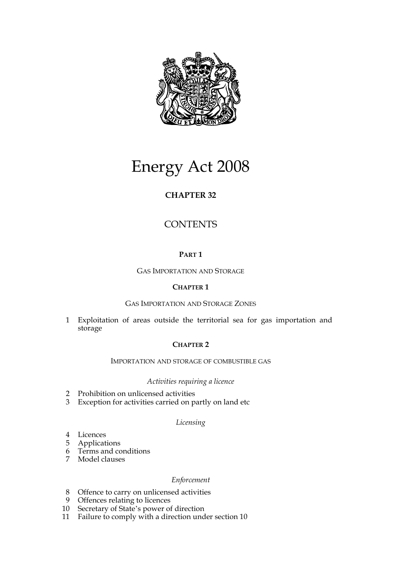

# Energy Act 2008

# **CHAPTER 32**

# **CONTENTS**

# **PART 1**

# GAS IMPORTATION AND STORAGE

# **CHAPTER 1**

# GAS IMPORTATION AND STORAGE ZONES

1 Exploitation of areas outside the territorial sea for gas importation and storage

# **CHAPTER 2**

# IMPORTATION AND STORAGE OF COMBUSTIBLE GAS

# *Activities requiring a licence*

- 2 Prohibition on unlicensed activities
- 3 Exception for activities carried on partly on land etc

# *Licensing*

- 4 Licences
- 5 Applications
- 6 Terms and conditions
- 7 Model clauses

# *Enforcement*

- 8 Offence to carry on unlicensed activities
- 9 Offences relating to licences
- 10 Secretary of State's power of direction
- 11 Failure to comply with a direction under section 10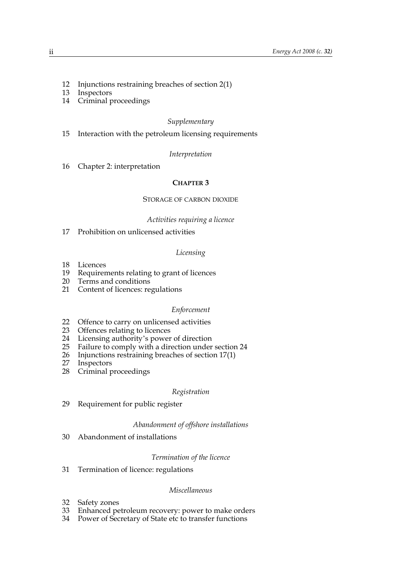- 12 Injunctions restraining breaches of section 2(1)
- 13 Inspectors
- 14 Criminal proceedings

#### *Supplementary*

15 Interaction with the petroleum licensing requirements

#### *Interpretation*

16 Chapter 2: interpretation

# **CHAPTER 3**

# STORAGE OF CARBON DIOXIDE

# *Activities requiring a licence*

17 Prohibition on unlicensed activities

#### *Licensing*

- 18 Licences
- 19 Requirements relating to grant of licences
- 20 Terms and conditions
- 21 Content of licences: regulations

#### *Enforcement*

- 22 Offence to carry on unlicensed activities
- 23 Offences relating to licences
- 24 Licensing authority's power of direction
- 25 Failure to comply with a direction under section 24
- 26 Injunctions restraining breaches of section 17(1)<br>27 Inspectors
- **Inspectors**
- 28 Criminal proceedings

#### *Registration*

29 Requirement for public register

# *Abandonment of offshore installations*

30 Abandonment of installations

#### *Termination of the licence*

31 Termination of licence: regulations

#### *Miscellaneous*

- 32 Safety zones
- 33 Enhanced petroleum recovery: power to make orders
- 34 Power of Secretary of State etc to transfer functions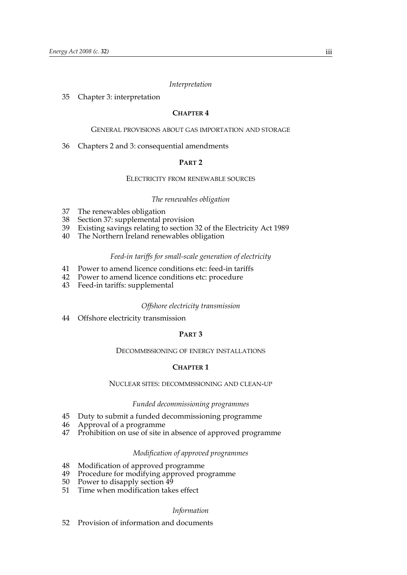#### *Interpretation*

#### 35 Chapter 3: interpretation

#### **CHAPTER 4**

#### GENERAL PROVISIONS ABOUT GAS IMPORTATION AND STORAGE

#### 36 Chapters 2 and 3: consequential amendments

#### **PART 2**

#### ELECTRICITY FROM RENEWABLE SOURCES

#### *The renewables obligation*

- 37 The renewables obligation
- 38 Section 37: supplemental provision
- 39 Existing savings relating to section 32 of the Electricity Act 1989
- 40 The Northern Ireland renewables obligation

#### *Feed-in tariffs for small-scale generation of electricity*

- 41 Power to amend licence conditions etc: feed-in tariffs
- 42 Power to amend licence conditions etc: procedure
- 43 Feed-in tariffs: supplemental

#### *Offshore electricity transmission*

44 Offshore electricity transmission

#### **PART 3**

#### DECOMMISSIONING OF ENERGY INSTALLATIONS

#### **CHAPTER 1**

#### NUCLEAR SITES: DECOMMISSIONING AND CLEAN-UP

#### *Funded decommissioning programmes*

- 45 Duty to submit a funded decommissioning programme
- 46 Approval of a programme
- 47 Prohibition on use of site in absence of approved programme

#### *Modification of approved programmes*

- 48 Modification of approved programme
- 49 Procedure for modifying approved programme
- 50 Power to disapply section 49
- 51 Time when modification takes effect

#### *Information*

52 Provision of information and documents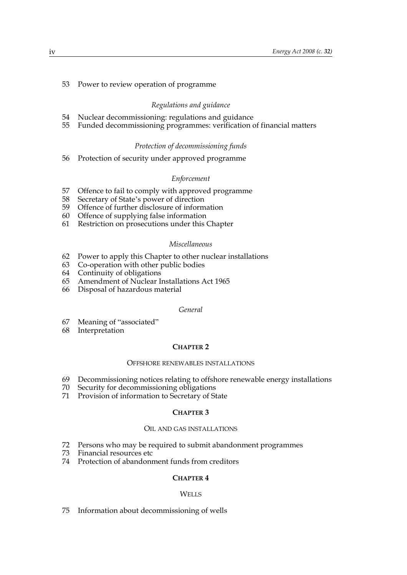#### 53 Power to review operation of programme

#### *Regulations and guidance*

- 54 Nuclear decommissioning: regulations and guidance
- 55 Funded decommissioning programmes: verification of financial matters

#### *Protection of decommissioning funds*

56 Protection of security under approved programme

#### *Enforcement*

- 57 Offence to fail to comply with approved programme<br>58 Secretary of State's power of direction
- Secretary of State's power of direction
- 59 Offence of further disclosure of information
- 60 Offence of supplying false information
- 61 Restriction on prosecutions under this Chapter

#### *Miscellaneous*

- 62 Power to apply this Chapter to other nuclear installations<br>63 Co-operation with other public bodies
- 63 Co-operation with other public bodies
- Continuity of obligations
- 65 Amendment of Nuclear Installations Act 1965
- 66 Disposal of hazardous material

#### *General*

- 67 Meaning of "associated"
- 68 Interpretation

#### **CHAPTER 2**

#### OFFSHORE RENEWABLES INSTALLATIONS

- 69 Decommissioning notices relating to offshore renewable energy installations
- 70 Security for decommissioning obligations
- 71 Provision of information to Secretary of State

#### **CHAPTER 3**

# OIL AND GAS INSTALLATIONS

- 72 Persons who may be required to submit abandonment programmes
- 73 Financial resources etc
- 74 Protection of abandonment funds from creditors

# **CHAPTER 4**

#### **WELLS**

#### 75 Information about decommissioning of wells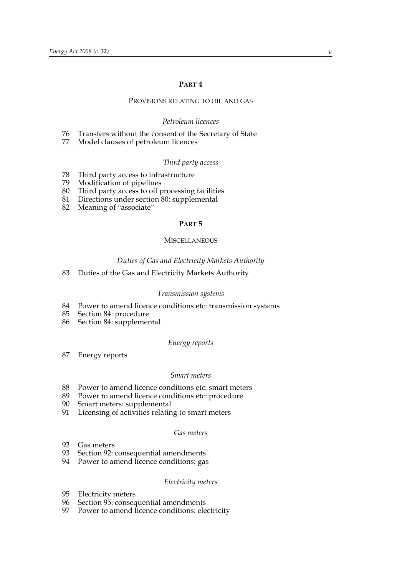#### **PART 4**

#### PROVISIONS RELATING TO OIL AND GAS

#### *Petroleum licences*

- 76 Transfers without the consent of the Secretary of State
- 77 Model clauses of petroleum licences

#### *Third party access*

- 78 Third party access to infrastructure
- 79 Modification of pipelines
- 80 Third party access to oil processing facilities
- 81 Directions under section 80: supplemental
- 82 Meaning of "associate"

#### **PART 5**

#### **MISCELLANEOUS**

#### *Duties of Gas and Electricity Markets Authority*

83 Duties of the Gas and Electricity Markets Authority

#### *Transmission systems*

- 84 Power to amend licence conditions etc: transmission systems
- 85 Section 84: procedure
- 86 Section 84: supplemental

#### *Energy reports*

87 Energy reports

#### *Smart meters*

- 88 Power to amend licence conditions etc: smart meters
- 89 Power to amend licence conditions etc: procedure
- 90 Smart meters: supplemental
- 91 Licensing of activities relating to smart meters

#### *Gas meters*

- 92 Gas meters
- 93 Section 92: consequential amendments
- 94 Power to amend licence conditions: gas

#### *Electricity meters*

- 95 Electricity meters
- 96 Section 95: consequential amendments
- 97 Power to amend licence conditions: electricity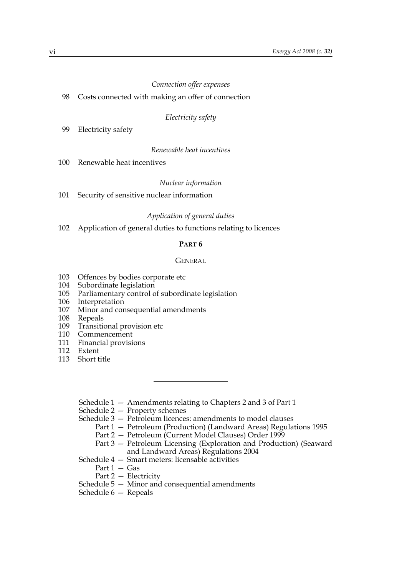#### *Connection offer expenses*

#### 98 Costs connected with making an offer of connection

# *Electricity safety*

99 Electricity safety

#### *Renewable heat incentives*

100 Renewable heat incentives

#### *Nuclear information*

101 Security of sensitive nuclear information

#### *Application of general duties*

102 Application of general duties to functions relating to licences

#### **PART 6**

#### GENERAL

- 103 Offences by bodies corporate etc
- 104 Subordinate legislation
- 105 Parliamentary control of subordinate legislation
- 106 Interpretation
- Minor and consequential amendments
- 108 Repeals
- 109 Transitional provision etc
- 110 Commencement
- 111 Financial provisions
- 112 Extent
- 113 Short title
	- Schedule 1 Amendments relating to Chapters 2 and 3 of Part 1
	- Schedule 2 Property schemes
	- Schedule 3 Petroleum licences: amendments to model clauses
		- Part 1 Petroleum (Production) (Landward Areas) Regulations 1995
		- Part 2 Petroleum (Current Model Clauses) Order 1999
		- Part 3 Petroleum Licensing (Exploration and Production) (Seaward and Landward Areas) Regulations 2004
	- Schedule 4 Smart meters: licensable activities
		- Part 1 Gas
		- Part 2 Electricity
	- Schedule 5 Minor and consequential amendments
	- Schedule 6 Repeals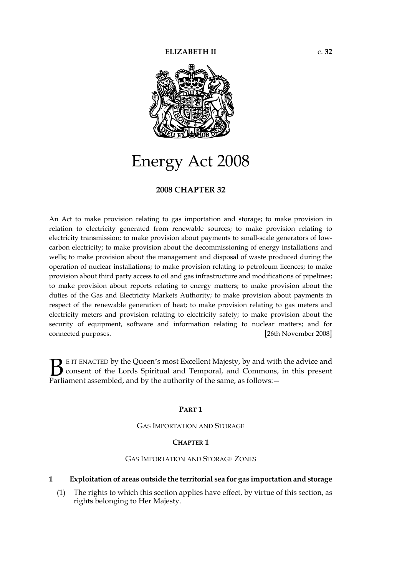

# Energy Act 2008

# **2008 CHAPTER 32**

An Act to make provision relating to gas importation and storage; to make provision in relation to electricity generated from renewable sources; to make provision relating to electricity transmission; to make provision about payments to small-scale generators of lowcarbon electricity; to make provision about the decommissioning of energy installations and wells; to make provision about the management and disposal of waste produced during the operation of nuclear installations; to make provision relating to petroleum licences; to make provision about third party access to oil and gas infrastructure and modifications of pipelines; to make provision about reports relating to energy matters; to make provision about the duties of the Gas and Electricity Markets Authority; to make provision about payments in respect of the renewable generation of heat; to make provision relating to gas meters and electricity meters and provision relating to electricity safety; to make provision about the security of equipment, software and information relating to nuclear matters; and for connected purposes. [26th November 2008]

E IT ENACTED by the Queen's most Excellent Majesty, by and with the advice and consent of the Lords Spiritual and Temporal, and Commons, in this present **B** E IT ENACTED by the Queen's most Excellent Majesty, by and with consent of the Lords Spiritual and Temporal, and Commons, Parliament assembled, and by the authority of the same, as follows:

#### **PART 1**

#### GAS IMPORTATION AND STORAGE

#### **CHAPTER 1**

# GAS IMPORTATION AND STORAGE ZONES

#### **1 Exploitation of areas outside the territorial sea for gas importation and storage**

(1) The rights to which this section applies have effect, by virtue of this section, as rights belonging to Her Majesty.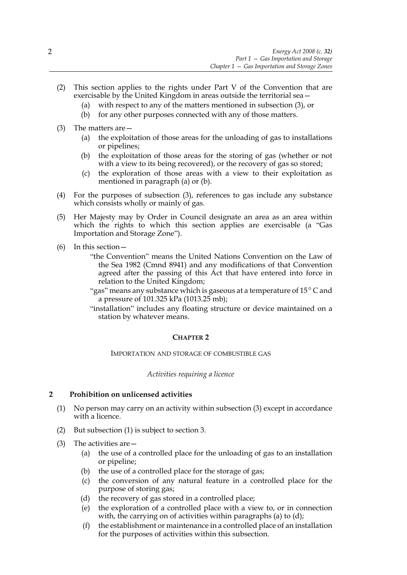- (2) This section applies to the rights under Part V of the Convention that are exercisable by the United Kingdom in areas outside the territorial sea—
	- (a) with respect to any of the matters mentioned in subsection (3), or
	- (b) for any other purposes connected with any of those matters.
- (3) The matters are—
	- (a) the exploitation of those areas for the unloading of gas to installations or pipelines;
	- (b) the exploitation of those areas for the storing of gas (whether or not with a view to its being recovered), or the recovery of gas so stored;
	- (c) the exploration of those areas with a view to their exploitation as mentioned in paragraph (a) or (b).
- (4) For the purposes of subsection (3), references to gas include any substance which consists wholly or mainly of gas.
- (5) Her Majesty may by Order in Council designate an area as an area within which the rights to which this section applies are exercisable (a "Gas Importation and Storage Zone").
- (6) In this section—
	- "the Convention" means the United Nations Convention on the Law of the Sea 1982 (Cmnd 8941) and any modifications of that Convention agreed after the passing of this Act that have entered into force in relation to the United Kingdom;
	- "gas" means any substance which is gaseous at a temperature of 15  $^{\circ}$  C and a pressure of 101.325 kPa (1013.25 mb);
	- "installation" includes any floating structure or device maintained on a station by whatever means.

# **CHAPTER 2**

#### IMPORTATION AND STORAGE OF COMBUSTIBLE GAS

#### *Activities requiring a licence*

# **2 Prohibition on unlicensed activities**

- (1) No person may carry on an activity within subsection (3) except in accordance with a licence.
- (2) But subsection (1) is subject to section 3.
- (3) The activities are—
	- (a) the use of a controlled place for the unloading of gas to an installation or pipeline;
	- (b) the use of a controlled place for the storage of gas;
	- (c) the conversion of any natural feature in a controlled place for the purpose of storing gas;
	- (d) the recovery of gas stored in a controlled place;
	- (e) the exploration of a controlled place with a view to, or in connection with, the carrying on of activities within paragraphs (a) to (d);
	- (f) the establishment or maintenance in a controlled place of an installation for the purposes of activities within this subsection.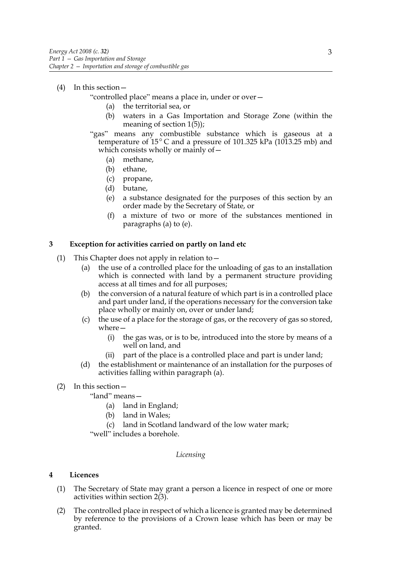# (4) In this section—

# "controlled place" means a place in, under or over—

- (a) the territorial sea, or
- (b) waters in a Gas Importation and Storage Zone (within the meaning of section  $1(5)$ ;

"gas" means any combustible substance which is gaseous at a temperature of  $15^{\circ}$ C and a pressure of 101.325 kPa (1013.25 mb) and which consists wholly or mainly of—

- (a) methane,
- (b) ethane,
- (c) propane,
- (d) butane,
- (e) a substance designated for the purposes of this section by an order made by the Secretary of State, or
- (f) a mixture of two or more of the substances mentioned in paragraphs (a) to (e).

# **3 Exception for activities carried on partly on land etc**

- (1) This Chapter does not apply in relation to—
	- (a) the use of a controlled place for the unloading of gas to an installation which is connected with land by a permanent structure providing access at all times and for all purposes;
	- (b) the conversion of a natural feature of which part is in a controlled place and part under land, if the operations necessary for the conversion take place wholly or mainly on, over or under land;
	- (c) the use of a place for the storage of gas, or the recovery of gas so stored, where—
		- (i) the gas was, or is to be, introduced into the store by means of a well on land, and
		- (ii) part of the place is a controlled place and part is under land;
	- (d) the establishment or maintenance of an installation for the purposes of activities falling within paragraph (a).
- (2) In this section—
	- "land" means—
		- (a) land in England;
		- (b) land in Wales;
		- (c) land in Scotland landward of the low water mark;

"well" includes a borehole.

#### *Licensing*

#### **4 Licences**

- (1) The Secretary of State may grant a person a licence in respect of one or more activities within section 2(3).
- (2) The controlled place in respect of which a licence is granted may be determined by reference to the provisions of a Crown lease which has been or may be granted.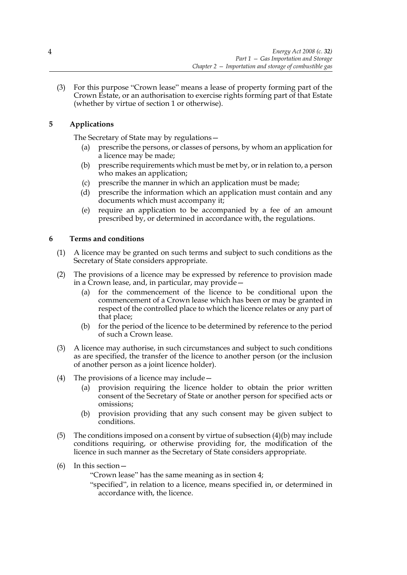(3) For this purpose "Crown lease" means a lease of property forming part of the Crown Estate, or an authorisation to exercise rights forming part of that Estate (whether by virtue of section 1 or otherwise).

# **5 Applications**

The Secretary of State may by regulations—

- (a) prescribe the persons, or classes of persons, by whom an application for a licence may be made;
- (b) prescribe requirements which must be met by, or in relation to, a person who makes an application;
- (c) prescribe the manner in which an application must be made;
- (d) prescribe the information which an application must contain and any documents which must accompany it;
- (e) require an application to be accompanied by a fee of an amount prescribed by, or determined in accordance with, the regulations.

# **6 Terms and conditions**

- (1) A licence may be granted on such terms and subject to such conditions as the Secretary of State considers appropriate.
- (2) The provisions of a licence may be expressed by reference to provision made in a Crown lease, and, in particular, may provide—
	- (a) for the commencement of the licence to be conditional upon the commencement of a Crown lease which has been or may be granted in respect of the controlled place to which the licence relates or any part of that place;
	- (b) for the period of the licence to be determined by reference to the period of such a Crown lease.
- (3) A licence may authorise, in such circumstances and subject to such conditions as are specified, the transfer of the licence to another person (or the inclusion of another person as a joint licence holder).
- (4) The provisions of a licence may include—
	- (a) provision requiring the licence holder to obtain the prior written consent of the Secretary of State or another person for specified acts or omissions;
	- (b) provision providing that any such consent may be given subject to conditions.
- (5) The conditions imposed on a consent by virtue of subsection (4)(b) may include conditions requiring, or otherwise providing for, the modification of the licence in such manner as the Secretary of State considers appropriate.
- (6) In this section—

"Crown lease" has the same meaning as in section 4;

"specified", in relation to a licence, means specified in, or determined in accordance with, the licence.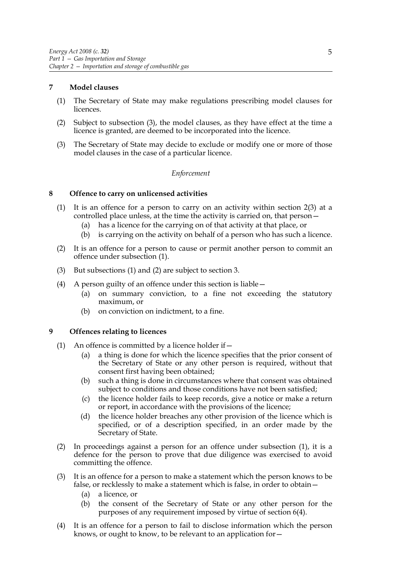# **7 Model clauses**

- (1) The Secretary of State may make regulations prescribing model clauses for licences.
- (2) Subject to subsection (3), the model clauses, as they have effect at the time a licence is granted, are deemed to be incorporated into the licence.
- (3) The Secretary of State may decide to exclude or modify one or more of those model clauses in the case of a particular licence.

#### *Enforcement*

#### **8 Offence to carry on unlicensed activities**

- (1) It is an offence for a person to carry on an activity within section 2(3) at a controlled place unless, at the time the activity is carried on, that person—
	- (a) has a licence for the carrying on of that activity at that place, or
	- (b) is carrying on the activity on behalf of a person who has such a licence.
- (2) It is an offence for a person to cause or permit another person to commit an offence under subsection (1).
- (3) But subsections (1) and (2) are subject to section 3.
- (4) A person guilty of an offence under this section is liable—
	- (a) on summary conviction, to a fine not exceeding the statutory maximum, or
	- (b) on conviction on indictment, to a fine.

# **9 Offences relating to licences**

- (1) An offence is committed by a licence holder if  $-$ 
	- (a) a thing is done for which the licence specifies that the prior consent of the Secretary of State or any other person is required, without that consent first having been obtained;
	- (b) such a thing is done in circumstances where that consent was obtained subject to conditions and those conditions have not been satisfied;
	- (c) the licence holder fails to keep records, give a notice or make a return or report, in accordance with the provisions of the licence;
	- (d) the licence holder breaches any other provision of the licence which is specified, or of a description specified, in an order made by the Secretary of State.
- (2) In proceedings against a person for an offence under subsection (1), it is a defence for the person to prove that due diligence was exercised to avoid committing the offence.
- (3) It is an offence for a person to make a statement which the person knows to be false, or recklessly to make a statement which is false, in order to obtain—
	- (a) a licence, or
	- (b) the consent of the Secretary of State or any other person for the purposes of any requirement imposed by virtue of section 6(4).
- (4) It is an offence for a person to fail to disclose information which the person knows, or ought to know, to be relevant to an application for—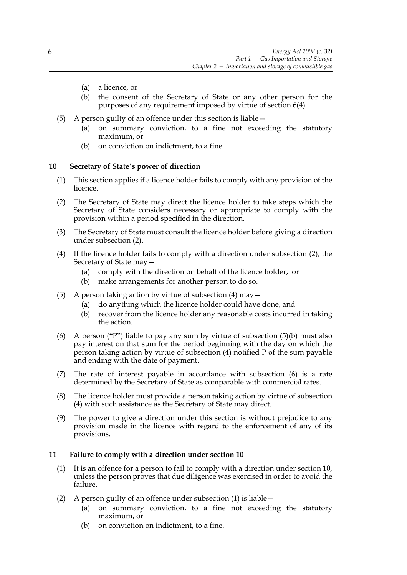- (a) a licence, or
- (b) the consent of the Secretary of State or any other person for the purposes of any requirement imposed by virtue of section 6(4).
- (5) A person guilty of an offence under this section is liable—
	- (a) on summary conviction, to a fine not exceeding the statutory maximum, or
	- (b) on conviction on indictment, to a fine.

# **10 Secretary of State's power of direction**

- (1) This section applies if a licence holder fails to comply with any provision of the licence.
- (2) The Secretary of State may direct the licence holder to take steps which the Secretary of State considers necessary or appropriate to comply with the provision within a period specified in the direction.
- (3) The Secretary of State must consult the licence holder before giving a direction under subsection (2).
- (4) If the licence holder fails to comply with a direction under subsection (2), the Secretary of State may—
	- (a) comply with the direction on behalf of the licence holder, or
	- (b) make arrangements for another person to do so.
- (5) A person taking action by virtue of subsection (4) may—
	- (a) do anything which the licence holder could have done, and
	- (b) recover from the licence holder any reasonable costs incurred in taking the action.
- (6) A person ("P") liable to pay any sum by virtue of subsection  $(5)(b)$  must also pay interest on that sum for the period beginning with the day on which the person taking action by virtue of subsection (4) notified P of the sum payable and ending with the date of payment.
- (7) The rate of interest payable in accordance with subsection (6) is a rate determined by the Secretary of State as comparable with commercial rates.
- (8) The licence holder must provide a person taking action by virtue of subsection (4) with such assistance as the Secretary of State may direct.
- (9) The power to give a direction under this section is without prejudice to any provision made in the licence with regard to the enforcement of any of its provisions.

# **11 Failure to comply with a direction under section 10**

- (1) It is an offence for a person to fail to comply with a direction under section 10, unless the person proves that due diligence was exercised in order to avoid the failure.
- (2) A person guilty of an offence under subsection (1) is liable—
	- (a) on summary conviction, to a fine not exceeding the statutory maximum, or
	- (b) on conviction on indictment, to a fine.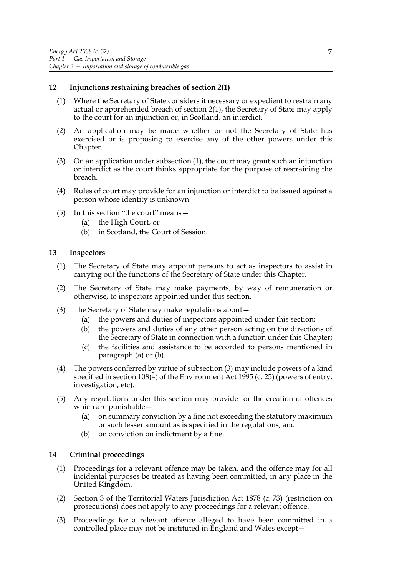# **12 Injunctions restraining breaches of section 2(1)**

- (1) Where the Secretary of State considers it necessary or expedient to restrain any actual or apprehended breach of section 2(1), the Secretary of State may apply to the court for an injunction or, in Scotland, an interdict.
- (2) An application may be made whether or not the Secretary of State has exercised or is proposing to exercise any of the other powers under this Chapter.
- (3) On an application under subsection (1), the court may grant such an injunction or interdict as the court thinks appropriate for the purpose of restraining the breach.
- (4) Rules of court may provide for an injunction or interdict to be issued against a person whose identity is unknown.
- (5) In this section "the court" means—
	- (a) the High Court, or
	- (b) in Scotland, the Court of Session.

#### **13 Inspectors**

- (1) The Secretary of State may appoint persons to act as inspectors to assist in carrying out the functions of the Secretary of State under this Chapter.
- (2) The Secretary of State may make payments, by way of remuneration or otherwise, to inspectors appointed under this section.
- (3) The Secretary of State may make regulations about—
	- (a) the powers and duties of inspectors appointed under this section;
	- (b) the powers and duties of any other person acting on the directions of the Secretary of State in connection with a function under this Chapter;
	- (c) the facilities and assistance to be accorded to persons mentioned in paragraph (a) or (b).
- (4) The powers conferred by virtue of subsection (3) may include powers of a kind specified in section 108(4) of the Environment Act 1995 (c. 25) (powers of entry, investigation, etc).
- (5) Any regulations under this section may provide for the creation of offences which are punishable—
	- (a) on summary conviction by a fine not exceeding the statutory maximum or such lesser amount as is specified in the regulations, and
	- (b) on conviction on indictment by a fine.

#### **14 Criminal proceedings**

- (1) Proceedings for a relevant offence may be taken, and the offence may for all incidental purposes be treated as having been committed, in any place in the United Kingdom.
- (2) Section 3 of the Territorial Waters Jurisdiction Act 1878 (c. 73) (restriction on prosecutions) does not apply to any proceedings for a relevant offence.
- (3) Proceedings for a relevant offence alleged to have been committed in a controlled place may not be instituted in England and Wales except—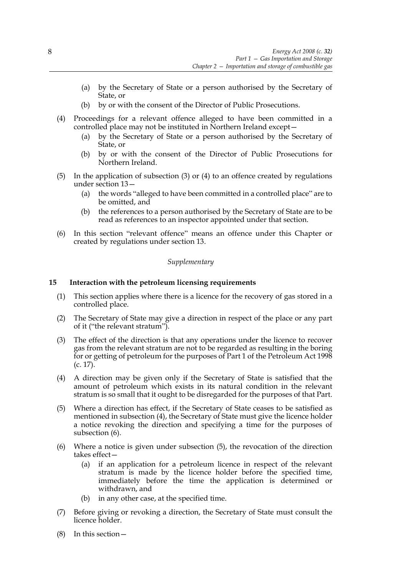- (a) by the Secretary of State or a person authorised by the Secretary of State, or
- (b) by or with the consent of the Director of Public Prosecutions.
- (4) Proceedings for a relevant offence alleged to have been committed in a controlled place may not be instituted in Northern Ireland except—
	- (a) by the Secretary of State or a person authorised by the Secretary of State, or
	- (b) by or with the consent of the Director of Public Prosecutions for Northern Ireland.
- (5) In the application of subsection (3) or (4) to an offence created by regulations under section 13—
	- (a) the words "alleged to have been committed in a controlled place" are to be omitted, and
	- (b) the references to a person authorised by the Secretary of State are to be read as references to an inspector appointed under that section.
- (6) In this section "relevant offence" means an offence under this Chapter or created by regulations under section 13.

# *Supplementary*

# **15 Interaction with the petroleum licensing requirements**

- (1) This section applies where there is a licence for the recovery of gas stored in a controlled place.
- (2) The Secretary of State may give a direction in respect of the place or any part of it ("the relevant stratum").
- (3) The effect of the direction is that any operations under the licence to recover gas from the relevant stratum are not to be regarded as resulting in the boring for or getting of petroleum for the purposes of Part 1 of the Petroleum Act 1998 (c. 17).
- (4) A direction may be given only if the Secretary of State is satisfied that the amount of petroleum which exists in its natural condition in the relevant stratum is so small that it ought to be disregarded for the purposes of that Part.
- (5) Where a direction has effect, if the Secretary of State ceases to be satisfied as mentioned in subsection (4), the Secretary of State must give the licence holder a notice revoking the direction and specifying a time for the purposes of subsection (6).
- (6) Where a notice is given under subsection (5), the revocation of the direction takes effect—
	- (a) if an application for a petroleum licence in respect of the relevant stratum is made by the licence holder before the specified time, immediately before the time the application is determined or withdrawn, and
	- (b) in any other case, at the specified time.
- (7) Before giving or revoking a direction, the Secretary of State must consult the licence holder.
- (8) In this section—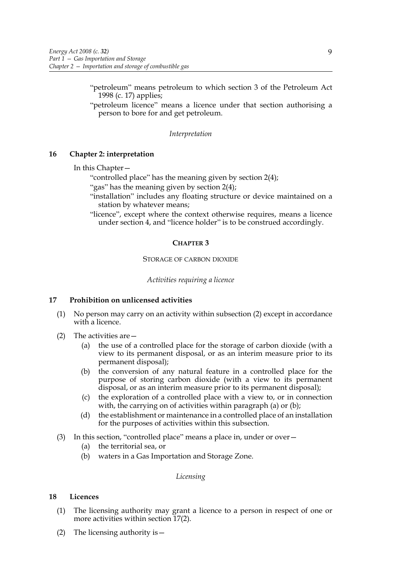"petroleum" means petroleum to which section 3 of the Petroleum Act 1998 (c. 17) applies;

"petroleum licence" means a licence under that section authorising a person to bore for and get petroleum.

#### *Interpretation*

# **16 Chapter 2: interpretation**

In this Chapter—

"controlled place" has the meaning given by section 2(4);

"gas" has the meaning given by section 2(4);

"installation" includes any floating structure or device maintained on a station by whatever means;

"licence", except where the context otherwise requires, means a licence under section 4, and "licence holder" is to be construed accordingly.

#### **CHAPTER 3**

#### STORAGE OF CARBON DIOXIDE

#### *Activities requiring a licence*

#### **17 Prohibition on unlicensed activities**

- (1) No person may carry on an activity within subsection (2) except in accordance with a licence.
- (2) The activities are—
	- (a) the use of a controlled place for the storage of carbon dioxide (with a view to its permanent disposal, or as an interim measure prior to its permanent disposal);
	- (b) the conversion of any natural feature in a controlled place for the purpose of storing carbon dioxide (with a view to its permanent disposal, or as an interim measure prior to its permanent disposal);
	- (c) the exploration of a controlled place with a view to, or in connection with, the carrying on of activities within paragraph (a) or (b);
	- (d) the establishment or maintenance in a controlled place of an installation for the purposes of activities within this subsection.
- (3) In this section, "controlled place" means a place in, under or over—
	- (a) the territorial sea, or
	- (b) waters in a Gas Importation and Storage Zone.

*Licensing*

# **18 Licences**

- (1) The licensing authority may grant a licence to a person in respect of one or more activities within section 17(2).
- (2) The licensing authority is  $-$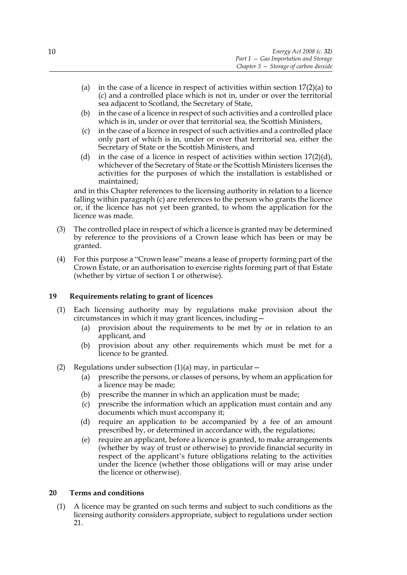- (a) in the case of a licence in respect of activities within section 17(2)(a) to (c) and a controlled place which is not in, under or over the territorial sea adjacent to Scotland, the Secretary of State,
- (b) in the case of a licence in respect of such activities and a controlled place which is in, under or over that territorial sea, the Scottish Ministers,
- (c) in the case of a licence in respect of such activities and a controlled place only part of which is in, under or over that territorial sea, either the Secretary of State or the Scottish Ministers, and
- (d) in the case of a licence in respect of activities within section  $17(2)(d)$ , whichever of the Secretary of State or the Scottish Ministers licenses the activities for the purposes of which the installation is established or maintained;

and in this Chapter references to the licensing authority in relation to a licence falling within paragraph (c) are references to the person who grants the licence or, if the licence has not yet been granted, to whom the application for the licence was made.

- (3) The controlled place in respect of which a licence is granted may be determined by reference to the provisions of a Crown lease which has been or may be granted.
- (4) For this purpose a "Crown lease" means a lease of property forming part of the Crown Estate, or an authorisation to exercise rights forming part of that Estate (whether by virtue of section 1 or otherwise).

# **19 Requirements relating to grant of licences**

- (1) Each licensing authority may by regulations make provision about the circumstances in which it may grant licences, including—
	- (a) provision about the requirements to be met by or in relation to an applicant, and
	- (b) provision about any other requirements which must be met for a licence to be granted.
- (2) Regulations under subsection  $(1)(a)$  may, in particular  $-$ 
	- (a) prescribe the persons, or classes of persons, by whom an application for a licence may be made;
	- (b) prescribe the manner in which an application must be made;
	- (c) prescribe the information which an application must contain and any documents which must accompany it;
	- (d) require an application to be accompanied by a fee of an amount prescribed by, or determined in accordance with, the regulations;
	- (e) require an applicant, before a licence is granted, to make arrangements (whether by way of trust or otherwise) to provide financial security in respect of the applicant's future obligations relating to the activities under the licence (whether those obligations will or may arise under the licence or otherwise).

# **20 Terms and conditions**

(1) A licence may be granted on such terms and subject to such conditions as the licensing authority considers appropriate, subject to regulations under section 21.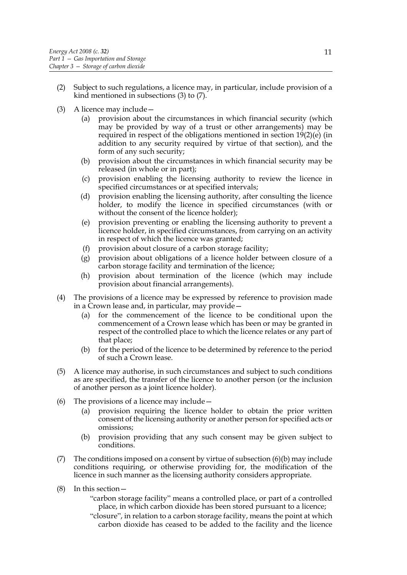- (2) Subject to such regulations, a licence may, in particular, include provision of a kind mentioned in subsections (3) to (7).
- (3) A licence may include—
	- (a) provision about the circumstances in which financial security (which may be provided by way of a trust or other arrangements) may be required in respect of the obligations mentioned in section 19(2)(e) (in addition to any security required by virtue of that section), and the form of any such security;
	- (b) provision about the circumstances in which financial security may be released (in whole or in part);
	- (c) provision enabling the licensing authority to review the licence in specified circumstances or at specified intervals;
	- (d) provision enabling the licensing authority, after consulting the licence holder, to modify the licence in specified circumstances (with or without the consent of the licence holder);
	- (e) provision preventing or enabling the licensing authority to prevent a licence holder, in specified circumstances, from carrying on an activity in respect of which the licence was granted;
	- (f) provision about closure of a carbon storage facility;
	- (g) provision about obligations of a licence holder between closure of a carbon storage facility and termination of the licence;
	- (h) provision about termination of the licence (which may include provision about financial arrangements).
- (4) The provisions of a licence may be expressed by reference to provision made in a Crown lease and, in particular, may provide—
	- (a) for the commencement of the licence to be conditional upon the commencement of a Crown lease which has been or may be granted in respect of the controlled place to which the licence relates or any part of that place;
	- (b) for the period of the licence to be determined by reference to the period of such a Crown lease.
- (5) A licence may authorise, in such circumstances and subject to such conditions as are specified, the transfer of the licence to another person (or the inclusion of another person as a joint licence holder).
- (6) The provisions of a licence may include—
	- (a) provision requiring the licence holder to obtain the prior written consent of the licensing authority or another person for specified acts or omissions;
	- (b) provision providing that any such consent may be given subject to conditions.
- (7) The conditions imposed on a consent by virtue of subsection  $(6)(b)$  may include conditions requiring, or otherwise providing for, the modification of the licence in such manner as the licensing authority considers appropriate.
- (8) In this section—
	- "carbon storage facility" means a controlled place, or part of a controlled place, in which carbon dioxide has been stored pursuant to a licence;
	- "closure", in relation to a carbon storage facility, means the point at which carbon dioxide has ceased to be added to the facility and the licence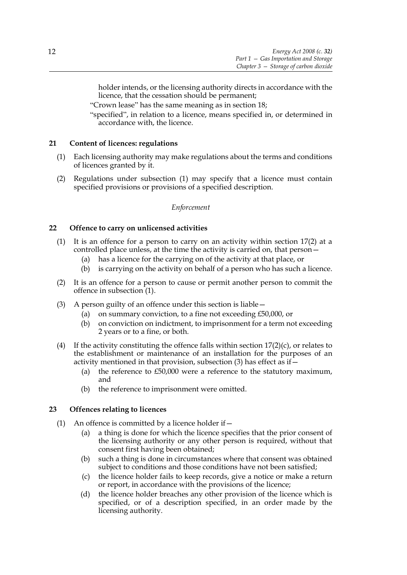holder intends, or the licensing authority directs in accordance with the licence, that the cessation should be permanent;

"Crown lease" has the same meaning as in section 18;

"specified", in relation to a licence, means specified in, or determined in accordance with, the licence.

# **21 Content of licences: regulations**

- (1) Each licensing authority may make regulations about the terms and conditions of licences granted by it.
- (2) Regulations under subsection (1) may specify that a licence must contain specified provisions or provisions of a specified description.

#### *Enforcement*

# **22 Offence to carry on unlicensed activities**

- (1) It is an offence for a person to carry on an activity within section 17(2) at a controlled place unless, at the time the activity is carried on, that person—
	- (a) has a licence for the carrying on of the activity at that place, or
	- (b) is carrying on the activity on behalf of a person who has such a licence.
- (2) It is an offence for a person to cause or permit another person to commit the offence in subsection (1).
- (3) A person guilty of an offence under this section is liable—
	- (a) on summary conviction, to a fine not exceeding £50,000, or
	- (b) on conviction on indictment, to imprisonment for a term not exceeding 2 years or to a fine, or both.
- (4) If the activity constituting the offence falls within section  $17(2)(c)$ , or relates to the establishment or maintenance of an installation for the purposes of an activity mentioned in that provision, subsection (3) has effect as if—
	- (a) the reference to £50,000 were a reference to the statutory maximum, and
	- (b) the reference to imprisonment were omitted.

#### **23 Offences relating to licences**

- (1) An offence is committed by a licence holder if  $-$ 
	- (a) a thing is done for which the licence specifies that the prior consent of the licensing authority or any other person is required, without that consent first having been obtained;
	- (b) such a thing is done in circumstances where that consent was obtained subject to conditions and those conditions have not been satisfied;
	- (c) the licence holder fails to keep records, give a notice or make a return or report, in accordance with the provisions of the licence;
	- (d) the licence holder breaches any other provision of the licence which is specified, or of a description specified, in an order made by the licensing authority.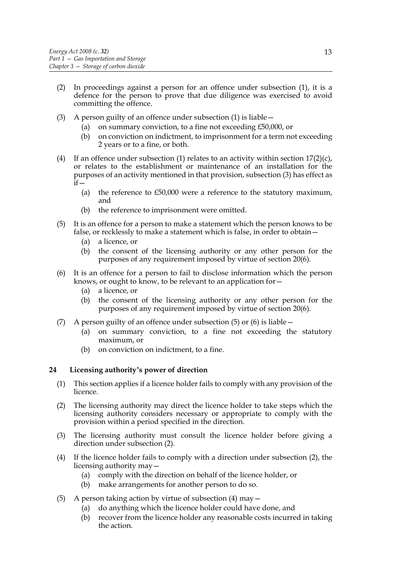- (2) In proceedings against a person for an offence under subsection (1), it is a defence for the person to prove that due diligence was exercised to avoid committing the offence.
- (3) A person guilty of an offence under subsection (1) is liable—
	- (a) on summary conviction, to a fine not exceeding £50,000, or
	- (b) on conviction on indictment, to imprisonment for a term not exceeding 2 years or to a fine, or both.
- (4) If an offence under subsection (1) relates to an activity within section  $17(2)(c)$ , or relates to the establishment or maintenance of an installation for the purposes of an activity mentioned in that provision, subsection (3) has effect as  $\overline{\mathrm{if}}$  —
	- (a) the reference to £50,000 were a reference to the statutory maximum, and
	- (b) the reference to imprisonment were omitted.
- (5) It is an offence for a person to make a statement which the person knows to be false, or recklessly to make a statement which is false, in order to obtain—
	- (a) a licence, or
	- (b) the consent of the licensing authority or any other person for the purposes of any requirement imposed by virtue of section 20(6).
- (6) It is an offence for a person to fail to disclose information which the person knows, or ought to know, to be relevant to an application for—
	- (a) a licence, or
	- (b) the consent of the licensing authority or any other person for the purposes of any requirement imposed by virtue of section 20(6).
- (7) A person guilty of an offence under subsection (5) or (6) is liable—
	- (a) on summary conviction, to a fine not exceeding the statutory maximum, or
	- (b) on conviction on indictment, to a fine.

# **24 Licensing authority's power of direction**

- (1) This section applies if a licence holder fails to comply with any provision of the licence.
- (2) The licensing authority may direct the licence holder to take steps which the licensing authority considers necessary or appropriate to comply with the provision within a period specified in the direction.
- (3) The licensing authority must consult the licence holder before giving a direction under subsection (2).
- (4) If the licence holder fails to comply with a direction under subsection (2), the licensing authority may—
	- (a) comply with the direction on behalf of the licence holder, or
	- (b) make arrangements for another person to do so.
- (5) A person taking action by virtue of subsection (4) may—
	- (a) do anything which the licence holder could have done, and
	- (b) recover from the licence holder any reasonable costs incurred in taking the action.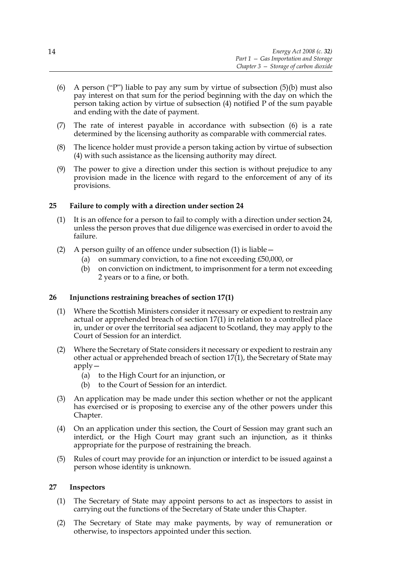- (6) A person ("P") liable to pay any sum by virtue of subsection (5)(b) must also pay interest on that sum for the period beginning with the day on which the person taking action by virtue of subsection (4) notified P of the sum payable and ending with the date of payment.
- (7) The rate of interest payable in accordance with subsection (6) is a rate determined by the licensing authority as comparable with commercial rates.
- (8) The licence holder must provide a person taking action by virtue of subsection (4) with such assistance as the licensing authority may direct.
- (9) The power to give a direction under this section is without prejudice to any provision made in the licence with regard to the enforcement of any of its provisions.

# **25 Failure to comply with a direction under section 24**

- (1) It is an offence for a person to fail to comply with a direction under section 24, unless the person proves that due diligence was exercised in order to avoid the failure.
- (2) A person guilty of an offence under subsection (1) is liable—
	- (a) on summary conviction, to a fine not exceeding £50,000, or
	- (b) on conviction on indictment, to imprisonment for a term not exceeding 2 years or to a fine, or both.

# **26 Injunctions restraining breaches of section 17(1)**

- (1) Where the Scottish Ministers consider it necessary or expedient to restrain any actual or apprehended breach of section 17(1) in relation to a controlled place in, under or over the territorial sea adjacent to Scotland, they may apply to the Court of Session for an interdict.
- (2) Where the Secretary of State considers it necessary or expedient to restrain any other actual or apprehended breach of section  $17(1)$ , the Secretary of State may apply—
	- (a) to the High Court for an injunction, or
	- (b) to the Court of Session for an interdict.
- (3) An application may be made under this section whether or not the applicant has exercised or is proposing to exercise any of the other powers under this Chapter.
- (4) On an application under this section, the Court of Session may grant such an interdict, or the High Court may grant such an injunction, as it thinks appropriate for the purpose of restraining the breach.
- (5) Rules of court may provide for an injunction or interdict to be issued against a person whose identity is unknown.

#### **27 Inspectors**

- (1) The Secretary of State may appoint persons to act as inspectors to assist in carrying out the functions of the Secretary of State under this Chapter.
- (2) The Secretary of State may make payments, by way of remuneration or otherwise, to inspectors appointed under this section.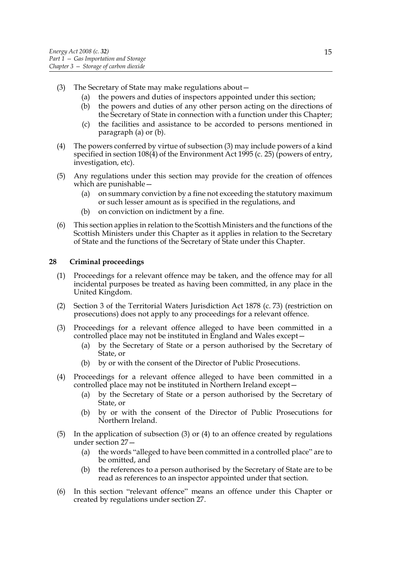- (3) The Secretary of State may make regulations about—
	- (a) the powers and duties of inspectors appointed under this section;
	- (b) the powers and duties of any other person acting on the directions of the Secretary of State in connection with a function under this Chapter;
	- (c) the facilities and assistance to be accorded to persons mentioned in paragraph (a) or (b).
- (4) The powers conferred by virtue of subsection (3) may include powers of a kind specified in section 108(4) of the Environment Act 1995 (c. 25) (powers of entry, investigation, etc).
- (5) Any regulations under this section may provide for the creation of offences which are punishable—
	- (a) on summary conviction by a fine not exceeding the statutory maximum or such lesser amount as is specified in the regulations, and
	- (b) on conviction on indictment by a fine.
- (6) This section applies in relation to the Scottish Ministers and the functions of the Scottish Ministers under this Chapter as it applies in relation to the Secretary of State and the functions of the Secretary of State under this Chapter.

# **28 Criminal proceedings**

- (1) Proceedings for a relevant offence may be taken, and the offence may for all incidental purposes be treated as having been committed, in any place in the United Kingdom.
- (2) Section 3 of the Territorial Waters Jurisdiction Act 1878 (c. 73) (restriction on prosecutions) does not apply to any proceedings for a relevant offence.
- (3) Proceedings for a relevant offence alleged to have been committed in a controlled place may not be instituted in England and Wales except—
	- (a) by the Secretary of State or a person authorised by the Secretary of State, or
	- (b) by or with the consent of the Director of Public Prosecutions.
- (4) Proceedings for a relevant offence alleged to have been committed in a controlled place may not be instituted in Northern Ireland except—
	- (a) by the Secretary of State or a person authorised by the Secretary of State, or
	- (b) by or with the consent of the Director of Public Prosecutions for Northern Ireland.
- (5) In the application of subsection (3) or (4) to an offence created by regulations under section 27—
	- (a) the words "alleged to have been committed in a controlled place" are to be omitted, and
	- (b) the references to a person authorised by the Secretary of State are to be read as references to an inspector appointed under that section.
- (6) In this section "relevant offence" means an offence under this Chapter or created by regulations under section 27.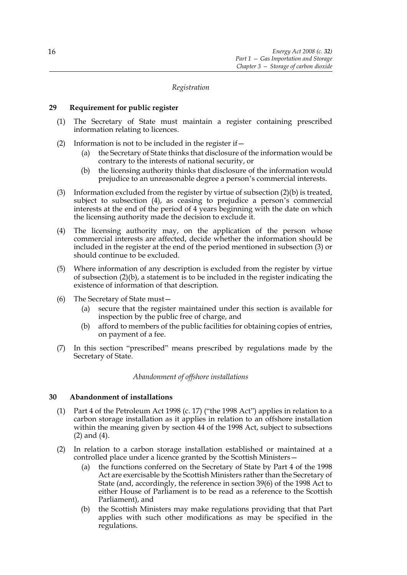# *Registration*

# **29 Requirement for public register**

- (1) The Secretary of State must maintain a register containing prescribed information relating to licences.
- (2) Information is not to be included in the register if  $-$ 
	- (a) the Secretary of State thinks that disclosure of the information would be contrary to the interests of national security, or
	- (b) the licensing authority thinks that disclosure of the information would prejudice to an unreasonable degree a person's commercial interests.
- (3) Information excluded from the register by virtue of subsection (2)(b) is treated, subject to subsection (4), as ceasing to prejudice a person's commercial interests at the end of the period of 4 years beginning with the date on which the licensing authority made the decision to exclude it.
- (4) The licensing authority may, on the application of the person whose commercial interests are affected, decide whether the information should be included in the register at the end of the period mentioned in subsection (3) or should continue to be excluded.
- (5) Where information of any description is excluded from the register by virtue of subsection  $(2)(b)$ , a statement is to be included in the register indicating the existence of information of that description.
- (6) The Secretary of State must—
	- (a) secure that the register maintained under this section is available for inspection by the public free of charge, and
	- (b) afford to members of the public facilities for obtaining copies of entries, on payment of a fee.
- (7) In this section "prescribed" means prescribed by regulations made by the Secretary of State.

#### *Abandonment of offshore installations*

#### **30 Abandonment of installations**

- (1) Part 4 of the Petroleum Act 1998 (c. 17) ("the 1998 Act") applies in relation to a carbon storage installation as it applies in relation to an offshore installation within the meaning given by section 44 of the 1998 Act, subject to subsections (2) and (4).
- (2) In relation to a carbon storage installation established or maintained at a controlled place under a licence granted by the Scottish Ministers—
	- (a) the functions conferred on the Secretary of State by Part 4 of the 1998 Act are exercisable by the Scottish Ministers rather than the Secretary of State (and, accordingly, the reference in section 39(6) of the 1998 Act to either House of Parliament is to be read as a reference to the Scottish Parliament), and
	- (b) the Scottish Ministers may make regulations providing that that Part applies with such other modifications as may be specified in the regulations.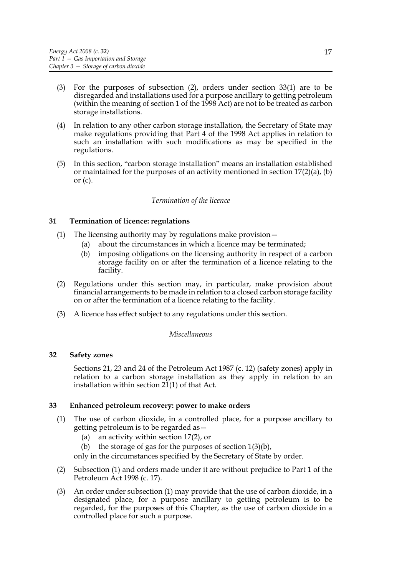- (3) For the purposes of subsection (2), orders under section 33(1) are to be disregarded and installations used for a purpose ancillary to getting petroleum (within the meaning of section 1 of the 1998 Act) are not to be treated as carbon storage installations.
- (4) In relation to any other carbon storage installation, the Secretary of State may make regulations providing that Part 4 of the 1998 Act applies in relation to such an installation with such modifications as may be specified in the regulations.
- (5) In this section, "carbon storage installation" means an installation established or maintained for the purposes of an activity mentioned in section  $17(2)(a)$ , (b) or  $(c)$ .

# *Termination of the licence*

# **31 Termination of licence: regulations**

- (1) The licensing authority may by regulations make provision—
	- (a) about the circumstances in which a licence may be terminated;
	- (b) imposing obligations on the licensing authority in respect of a carbon storage facility on or after the termination of a licence relating to the facility.
- (2) Regulations under this section may, in particular, make provision about financial arrangements to be made in relation to a closed carbon storage facility on or after the termination of a licence relating to the facility.
- (3) A licence has effect subject to any regulations under this section.

# *Miscellaneous*

# **32 Safety zones**

Sections 21, 23 and 24 of the Petroleum Act 1987 (c. 12) (safety zones) apply in relation to a carbon storage installation as they apply in relation to an installation within section 21(1) of that Act.

# **33 Enhanced petroleum recovery: power to make orders**

- (1) The use of carbon dioxide, in a controlled place, for a purpose ancillary to getting petroleum is to be regarded as—
	- (a) an activity within section 17(2), or
	- (b) the storage of gas for the purposes of section 1(3)(b),

only in the circumstances specified by the Secretary of State by order.

- (2) Subsection (1) and orders made under it are without prejudice to Part 1 of the Petroleum Act 1998 (c. 17).
- (3) An order under subsection (1) may provide that the use of carbon dioxide, in a designated place, for a purpose ancillary to getting petroleum is to be regarded, for the purposes of this Chapter, as the use of carbon dioxide in a controlled place for such a purpose.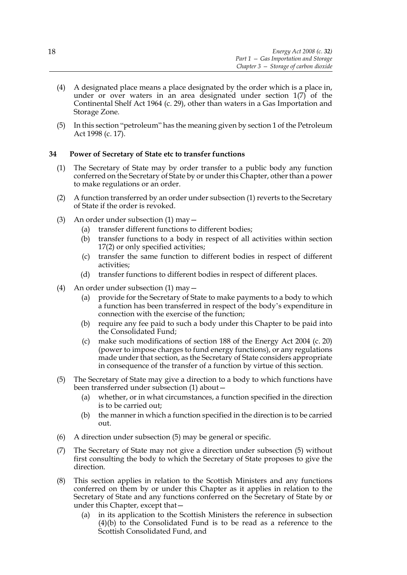- (4) A designated place means a place designated by the order which is a place in, under or over waters in an area designated under section 1(7) of the Continental Shelf Act 1964 (c. 29), other than waters in a Gas Importation and Storage Zone.
- (5) In this section "petroleum" has the meaning given by section 1 of the Petroleum Act 1998 (c. 17).

# **34 Power of Secretary of State etc to transfer functions**

- (1) The Secretary of State may by order transfer to a public body any function conferred on the Secretary of State by or under this Chapter, other than a power to make regulations or an order.
- (2) A function transferred by an order under subsection (1) reverts to the Secretary of State if the order is revoked.
- (3) An order under subsection (1) may—
	- (a) transfer different functions to different bodies;
	- (b) transfer functions to a body in respect of all activities within section 17(2) or only specified activities;
	- (c) transfer the same function to different bodies in respect of different activities;
	- (d) transfer functions to different bodies in respect of different places.
- (4) An order under subsection (1) may—
	- (a) provide for the Secretary of State to make payments to a body to which a function has been transferred in respect of the body's expenditure in connection with the exercise of the function;
	- (b) require any fee paid to such a body under this Chapter to be paid into the Consolidated Fund;
	- (c) make such modifications of section 188 of the Energy Act 2004 (c. 20) (power to impose charges to fund energy functions), or any regulations made under that section, as the Secretary of State considers appropriate in consequence of the transfer of a function by virtue of this section.
- (5) The Secretary of State may give a direction to a body to which functions have been transferred under subsection (1) about—
	- (a) whether, or in what circumstances, a function specified in the direction is to be carried out;
	- (b) the manner in which a function specified in the direction is to be carried out.
- (6) A direction under subsection (5) may be general or specific.
- (7) The Secretary of State may not give a direction under subsection (5) without first consulting the body to which the Secretary of State proposes to give the direction.
- (8) This section applies in relation to the Scottish Ministers and any functions conferred on them by or under this Chapter as it applies in relation to the Secretary of State and any functions conferred on the Secretary of State by or under this Chapter, except that—
	- (a) in its application to the Scottish Ministers the reference in subsection (4)(b) to the Consolidated Fund is to be read as a reference to the Scottish Consolidated Fund, and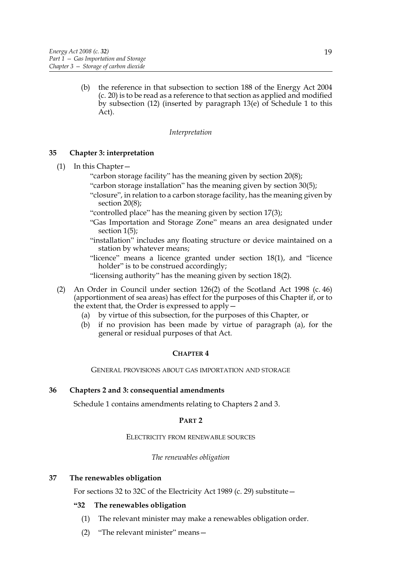(b) the reference in that subsection to section 188 of the Energy Act 2004 (c. 20) is to be read as a reference to that section as applied and modified by subsection (12) (inserted by paragraph 13(e) of Schedule 1 to this Act).

# *Interpretation*

# **35 Chapter 3: interpretation**

- (1) In this Chapter—
	- "carbon storage facility" has the meaning given by section 20(8);
	- "carbon storage installation" has the meaning given by section 30(5);
	- "closure", in relation to a carbon storage facility, has the meaning given by section 20(8);
	- "controlled place" has the meaning given by section 17(3);
	- "Gas Importation and Storage Zone" means an area designated under section  $1(5)$ :
	- "installation" includes any floating structure or device maintained on a station by whatever means;
	- "licence" means a licence granted under section 18(1), and "licence holder" is to be construed accordingly;
	- "licensing authority" has the meaning given by section 18(2).
- (2) An Order in Council under section 126(2) of the Scotland Act 1998 (c. 46) (apportionment of sea areas) has effect for the purposes of this Chapter if, or to the extent that, the Order is expressed to apply  $-$ 
	- (a) by virtue of this subsection, for the purposes of this Chapter, or
	- (b) if no provision has been made by virtue of paragraph (a), for the general or residual purposes of that Act.

#### **CHAPTER 4**

GENERAL PROVISIONS ABOUT GAS IMPORTATION AND STORAGE

# **36 Chapters 2 and 3: consequential amendments**

Schedule 1 contains amendments relating to Chapters 2 and 3.

#### **PART 2**

# ELECTRICITY FROM RENEWABLE SOURCES

*The renewables obligation*

#### **37 The renewables obligation**

For sections 32 to 32C of the Electricity Act 1989 (c. 29) substitute—

#### **"32 The renewables obligation**

- (1) The relevant minister may make a renewables obligation order.
- (2) "The relevant minister" means—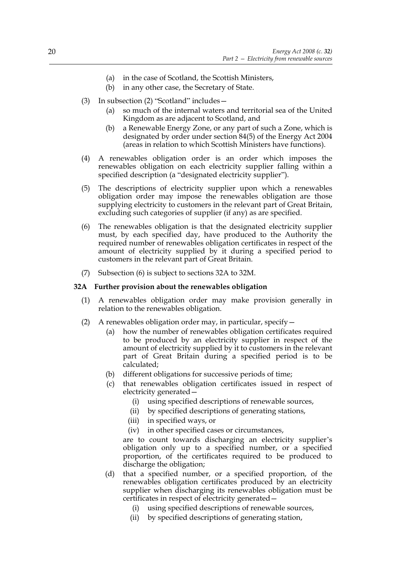- (a) in the case of Scotland, the Scottish Ministers,
- (b) in any other case, the Secretary of State.
- (3) In subsection (2) "Scotland" includes—
	- (a) so much of the internal waters and territorial sea of the United Kingdom as are adjacent to Scotland, and
	- (b) a Renewable Energy Zone, or any part of such a Zone, which is designated by order under section 84(5) of the Energy Act 2004 (areas in relation to which Scottish Ministers have functions).
- (4) A renewables obligation order is an order which imposes the renewables obligation on each electricity supplier falling within a specified description (a "designated electricity supplier").
- (5) The descriptions of electricity supplier upon which a renewables obligation order may impose the renewables obligation are those supplying electricity to customers in the relevant part of Great Britain, excluding such categories of supplier (if any) as are specified.
- (6) The renewables obligation is that the designated electricity supplier must, by each specified day, have produced to the Authority the required number of renewables obligation certificates in respect of the amount of electricity supplied by it during a specified period to customers in the relevant part of Great Britain.
- (7) Subsection (6) is subject to sections 32A to 32M.

# **32A Further provision about the renewables obligation**

- (1) A renewables obligation order may make provision generally in relation to the renewables obligation.
- (2) A renewables obligation order may, in particular, specify—
	- (a) how the number of renewables obligation certificates required to be produced by an electricity supplier in respect of the amount of electricity supplied by it to customers in the relevant part of Great Britain during a specified period is to be calculated;
	- (b) different obligations for successive periods of time;
	- (c) that renewables obligation certificates issued in respect of electricity generated—
		- (i) using specified descriptions of renewable sources,
		- (ii) by specified descriptions of generating stations,
		- (iii) in specified ways, or
		- (iv) in other specified cases or circumstances,

are to count towards discharging an electricity supplier's obligation only up to a specified number, or a specified proportion, of the certificates required to be produced to discharge the obligation;

- (d) that a specified number, or a specified proportion, of the renewables obligation certificates produced by an electricity supplier when discharging its renewables obligation must be certificates in respect of electricity generated—
	- (i) using specified descriptions of renewable sources,
	- (ii) by specified descriptions of generating station,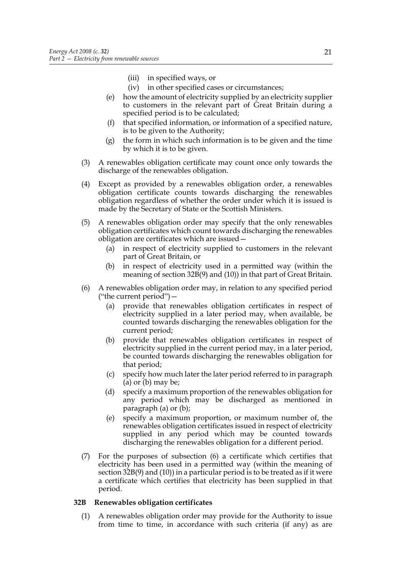- (iii) in specified ways, or
- (iv) in other specified cases or circumstances;
- (e) how the amount of electricity supplied by an electricity supplier to customers in the relevant part of Great Britain during a specified period is to be calculated;
- (f) that specified information, or information of a specified nature, is to be given to the Authority;
- (g) the form in which such information is to be given and the time by which it is to be given.
- (3) A renewables obligation certificate may count once only towards the discharge of the renewables obligation.
- (4) Except as provided by a renewables obligation order, a renewables obligation certificate counts towards discharging the renewables obligation regardless of whether the order under which it is issued is made by the Secretary of State or the Scottish Ministers.
- (5) A renewables obligation order may specify that the only renewables obligation certificates which count towards discharging the renewables obligation are certificates which are issued—
	- (a) in respect of electricity supplied to customers in the relevant part of Great Britain, or
	- (b) in respect of electricity used in a permitted way (within the meaning of section 32B(9) and (10)) in that part of Great Britain.
- (6) A renewables obligation order may, in relation to any specified period ("the current period")—
	- (a) provide that renewables obligation certificates in respect of electricity supplied in a later period may, when available, be counted towards discharging the renewables obligation for the current period;
	- (b) provide that renewables obligation certificates in respect of electricity supplied in the current period may, in a later period, be counted towards discharging the renewables obligation for that period;
	- (c) specify how much later the later period referred to in paragraph (a) or (b) may be;
	- (d) specify a maximum proportion of the renewables obligation for any period which may be discharged as mentioned in paragraph (a) or (b);
	- (e) specify a maximum proportion, or maximum number of, the renewables obligation certificates issued in respect of electricity supplied in any period which may be counted towards discharging the renewables obligation for a different period.
- (7) For the purposes of subsection (6) a certificate which certifies that electricity has been used in a permitted way (within the meaning of section 32B(9) and (10)) in a particular period is to be treated as if it were a certificate which certifies that electricity has been supplied in that period.

# **32B Renewables obligation certificates**

(1) A renewables obligation order may provide for the Authority to issue from time to time, in accordance with such criteria (if any) as are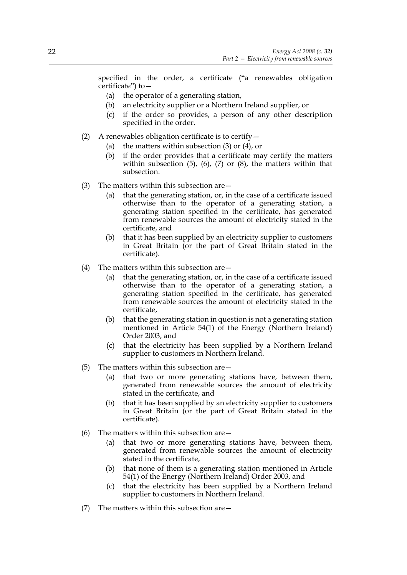specified in the order, a certificate ("a renewables obligation certificate") to—

- (a) the operator of a generating station,
- (b) an electricity supplier or a Northern Ireland supplier, or
- (c) if the order so provides, a person of any other description specified in the order.
- (2) A renewables obligation certificate is to certify  $-$ 
	- (a) the matters within subsection (3) or (4), or
	- (b) if the order provides that a certificate may certify the matters within subsection  $(5)$ ,  $(6)$ ,  $(7)$  or  $(8)$ , the matters within that subsection.
- (3) The matters within this subsection are—
	- (a) that the generating station, or, in the case of a certificate issued otherwise than to the operator of a generating station, a generating station specified in the certificate, has generated from renewable sources the amount of electricity stated in the certificate, and
	- (b) that it has been supplied by an electricity supplier to customers in Great Britain (or the part of Great Britain stated in the certificate).
- (4) The matters within this subsection are—
	- (a) that the generating station, or, in the case of a certificate issued otherwise than to the operator of a generating station, a generating station specified in the certificate, has generated from renewable sources the amount of electricity stated in the certificate,
	- (b) that the generating station in question is not a generating station mentioned in Article 54(1) of the Energy (Northern Ireland) Order 2003, and
	- (c) that the electricity has been supplied by a Northern Ireland supplier to customers in Northern Ireland.
- (5) The matters within this subsection are—
	- (a) that two or more generating stations have, between them, generated from renewable sources the amount of electricity stated in the certificate, and
	- (b) that it has been supplied by an electricity supplier to customers in Great Britain (or the part of Great Britain stated in the certificate).
- (6) The matters within this subsection are  $-$ 
	- (a) that two or more generating stations have, between them, generated from renewable sources the amount of electricity stated in the certificate,
	- (b) that none of them is a generating station mentioned in Article 54(1) of the Energy (Northern Ireland) Order 2003, and
	- (c) that the electricity has been supplied by a Northern Ireland supplier to customers in Northern Ireland.
- (7) The matters within this subsection are  $-$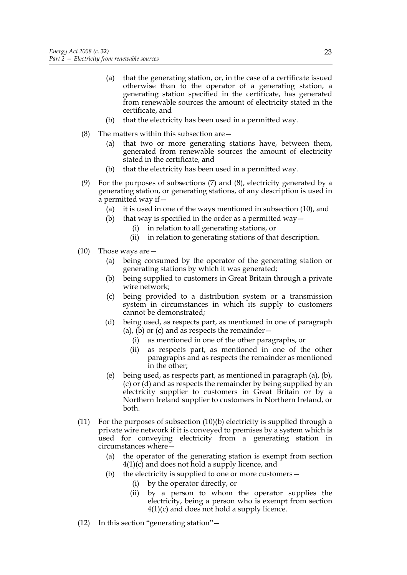- (a) that the generating station, or, in the case of a certificate issued otherwise than to the operator of a generating station, a generating station specified in the certificate, has generated from renewable sources the amount of electricity stated in the certificate, and
- (b) that the electricity has been used in a permitted way.
- (8) The matters within this subsection are—
	- (a) that two or more generating stations have, between them, generated from renewable sources the amount of electricity stated in the certificate, and
	- (b) that the electricity has been used in a permitted way.
- (9) For the purposes of subsections (7) and (8), electricity generated by a generating station, or generating stations, of any description is used in a permitted way if—
	- (a) it is used in one of the ways mentioned in subsection (10), and
	- (b) that way is specified in the order as a permitted way  $-$ 
		- (i) in relation to all generating stations, or
		- (ii) in relation to generating stations of that description.
- (10) Those ways are—
	- (a) being consumed by the operator of the generating station or generating stations by which it was generated;
	- (b) being supplied to customers in Great Britain through a private wire network;
	- (c) being provided to a distribution system or a transmission system in circumstances in which its supply to customers cannot be demonstrated;
	- (d) being used, as respects part, as mentioned in one of paragraph (a), (b) or (c) and as respects the remainder  $-$ 
		- (i) as mentioned in one of the other paragraphs, or
		- (ii) as respects part, as mentioned in one of the other paragraphs and as respects the remainder as mentioned in the other;
	- (e) being used, as respects part, as mentioned in paragraph (a), (b), (c) or (d) and as respects the remainder by being supplied by an electricity supplier to customers in Great Britain or by a Northern Ireland supplier to customers in Northern Ireland, or both.
- (11) For the purposes of subsection (10)(b) electricity is supplied through a private wire network if it is conveyed to premises by a system which is used for conveying electricity from a generating station in circumstances where—
	- (a) the operator of the generating station is exempt from section  $4(1)(c)$  and does not hold a supply licence, and
	- (b) the electricity is supplied to one or more customers—
		- (i) by the operator directly, or
		- (ii) by a person to whom the operator supplies the electricity, being a person who is exempt from section  $4(1)(c)$  and does not hold a supply licence.
- (12) In this section "generating station"—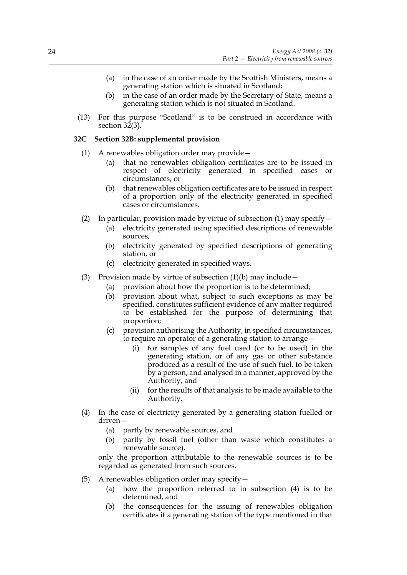- (a) in the case of an order made by the Scottish Ministers, means a generating station which is situated in Scotland;
- (b) in the case of an order made by the Secretary of State, means a generating station which is not situated in Scotland.
- (13) For this purpose "Scotland" is to be construed in accordance with section  $32(3)$ .

# **32C Section 32B: supplemental provision**

- (1) A renewables obligation order may provide
	- that no renewables obligation certificates are to be issued in respect of electricity generated in specified cases or circumstances, or
	- (b) that renewables obligation certificates are to be issued in respect of a proportion only of the electricity generated in specified cases or circumstances.
- (2) In particular, provision made by virtue of subsection (1) may specify  $-$ 
	- (a) electricity generated using specified descriptions of renewable sources,
	- (b) electricity generated by specified descriptions of generating station, or
	- (c) electricity generated in specified ways.
- (3) Provision made by virtue of subsection  $(1)(b)$  may include
	- (a) provision about how the proportion is to be determined;
	- (b) provision about what, subject to such exceptions as may be specified, constitutes sufficient evidence of any matter required to be established for the purpose of determining that proportion;
	- (c) provision authorising the Authority, in specified circumstances, to require an operator of a generating station to arrange—
		- (i) for samples of any fuel used (or to be used) in the generating station, or of any gas or other substance produced as a result of the use of such fuel, to be taken by a person, and analysed in a manner, approved by the Authority, and
		- (ii) for the results of that analysis to be made available to the Authority.
- (4) In the case of electricity generated by a generating station fuelled or driven—
	- (a) partly by renewable sources, and
	- (b) partly by fossil fuel (other than waste which constitutes a renewable source),

only the proportion attributable to the renewable sources is to be regarded as generated from such sources.

- (5) A renewables obligation order may specify—
	- (a) how the proportion referred to in subsection (4) is to be determined, and
	- (b) the consequences for the issuing of renewables obligation certificates if a generating station of the type mentioned in that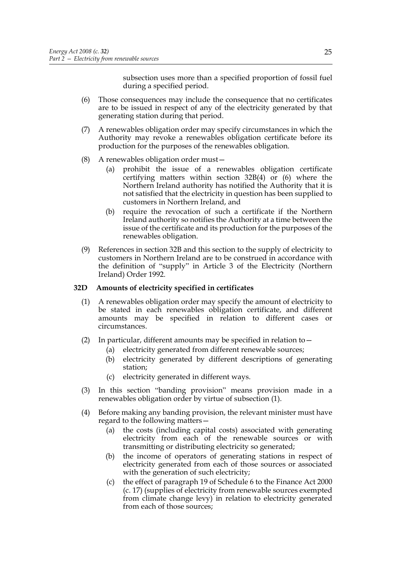subsection uses more than a specified proportion of fossil fuel during a specified period.

- (6) Those consequences may include the consequence that no certificates are to be issued in respect of any of the electricity generated by that generating station during that period.
- (7) A renewables obligation order may specify circumstances in which the Authority may revoke a renewables obligation certificate before its production for the purposes of the renewables obligation.
- (8) A renewables obligation order must—
	- (a) prohibit the issue of a renewables obligation certificate certifying matters within section 32B(4) or (6) where the Northern Ireland authority has notified the Authority that it is not satisfied that the electricity in question has been supplied to customers in Northern Ireland, and
	- (b) require the revocation of such a certificate if the Northern Ireland authority so notifies the Authority at a time between the issue of the certificate and its production for the purposes of the renewables obligation.
- (9) References in section 32B and this section to the supply of electricity to customers in Northern Ireland are to be construed in accordance with the definition of "supply" in Article 3 of the Electricity (Northern Ireland) Order 1992.

# **32D Amounts of electricity specified in certificates**

- (1) A renewables obligation order may specify the amount of electricity to be stated in each renewables obligation certificate, and different amounts may be specified in relation to different cases or circumstances.
- (2) In particular, different amounts may be specified in relation to  $-$ 
	- (a) electricity generated from different renewable sources;
	- (b) electricity generated by different descriptions of generating station;
	- (c) electricity generated in different ways.
- (3) In this section "banding provision" means provision made in a renewables obligation order by virtue of subsection (1).
- (4) Before making any banding provision, the relevant minister must have regard to the following matters—
	- (a) the costs (including capital costs) associated with generating electricity from each of the renewable sources or with transmitting or distributing electricity so generated;
	- (b) the income of operators of generating stations in respect of electricity generated from each of those sources or associated with the generation of such electricity;
	- (c) the effect of paragraph 19 of Schedule 6 to the Finance Act 2000 (c. 17) (supplies of electricity from renewable sources exempted from climate change levy) in relation to electricity generated from each of those sources;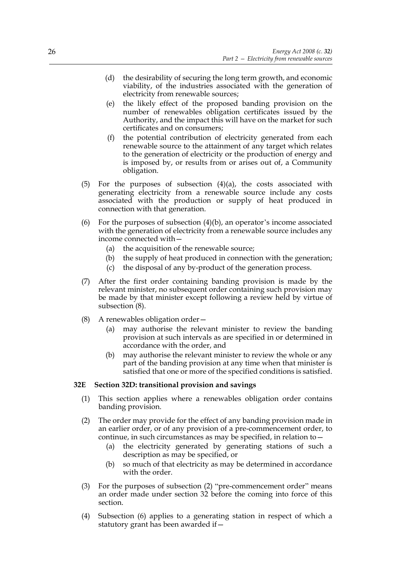- (d) the desirability of securing the long term growth, and economic viability, of the industries associated with the generation of electricity from renewable sources;
- (e) the likely effect of the proposed banding provision on the number of renewables obligation certificates issued by the Authority, and the impact this will have on the market for such certificates and on consumers;
- (f) the potential contribution of electricity generated from each renewable source to the attainment of any target which relates to the generation of electricity or the production of energy and is imposed by, or results from or arises out of, a Community obligation.
- (5) For the purposes of subsection (4)(a), the costs associated with generating electricity from a renewable source include any costs associated with the production or supply of heat produced in connection with that generation.
- (6) For the purposes of subsection (4)(b), an operator's income associated with the generation of electricity from a renewable source includes any income connected with—
	- (a) the acquisition of the renewable source;
	- (b) the supply of heat produced in connection with the generation;
	- (c) the disposal of any by-product of the generation process.
- (7) After the first order containing banding provision is made by the relevant minister, no subsequent order containing such provision may be made by that minister except following a review held by virtue of subsection (8).
- (8) A renewables obligation order—
	- (a) may authorise the relevant minister to review the banding provision at such intervals as are specified in or determined in accordance with the order, and
	- (b) may authorise the relevant minister to review the whole or any part of the banding provision at any time when that minister is satisfied that one or more of the specified conditions is satisfied.

# **32E Section 32D: transitional provision and savings**

- (1) This section applies where a renewables obligation order contains banding provision.
- (2) The order may provide for the effect of any banding provision made in an earlier order, or of any provision of a pre-commencement order, to continue, in such circumstances as may be specified, in relation to—
	- (a) the electricity generated by generating stations of such a description as may be specified, or
	- (b) so much of that electricity as may be determined in accordance with the order.
- (3) For the purposes of subsection (2) "pre-commencement order" means an order made under section 32 before the coming into force of this section.
- (4) Subsection (6) applies to a generating station in respect of which a statutory grant has been awarded if—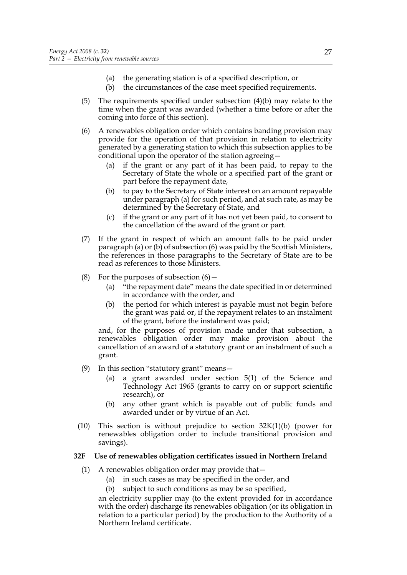- (a) the generating station is of a specified description, or
- (b) the circumstances of the case meet specified requirements.
- (5) The requirements specified under subsection (4)(b) may relate to the time when the grant was awarded (whether a time before or after the coming into force of this section).
- (6) A renewables obligation order which contains banding provision may provide for the operation of that provision in relation to electricity generated by a generating station to which this subsection applies to be conditional upon the operator of the station agreeing—
	- (a) if the grant or any part of it has been paid, to repay to the Secretary of State the whole or a specified part of the grant or part before the repayment date,
	- (b) to pay to the Secretary of State interest on an amount repayable under paragraph (a) for such period, and at such rate, as may be determined by the Secretary of State, and
	- (c) if the grant or any part of it has not yet been paid, to consent to the cancellation of the award of the grant or part.
- (7) If the grant in respect of which an amount falls to be paid under paragraph (a) or (b) of subsection (6) was paid by the Scottish Ministers, the references in those paragraphs to the Secretary of State are to be read as references to those Ministers.
- (8) For the purposes of subsection  $(6)$ 
	- (a) "the repayment date" means the date specified in or determined in accordance with the order, and
	- (b) the period for which interest is payable must not begin before the grant was paid or, if the repayment relates to an instalment of the grant, before the instalment was paid;

and, for the purposes of provision made under that subsection, a renewables obligation order may make provision about the cancellation of an award of a statutory grant or an instalment of such a grant.

- (9) In this section "statutory grant" means—
	- (a) a grant awarded under section 5(1) of the Science and Technology Act 1965 (grants to carry on or support scientific research), or
	- (b) any other grant which is payable out of public funds and awarded under or by virtue of an Act.
- (10) This section is without prejudice to section 32K(1)(b) (power for renewables obligation order to include transitional provision and savings).

# **32F Use of renewables obligation certificates issued in Northern Ireland**

- (1) A renewables obligation order may provide that—
	- (a) in such cases as may be specified in the order, and
	- (b) subject to such conditions as may be so specified,

an electricity supplier may (to the extent provided for in accordance with the order) discharge its renewables obligation (or its obligation in relation to a particular period) by the production to the Authority of a Northern Ireland certificate.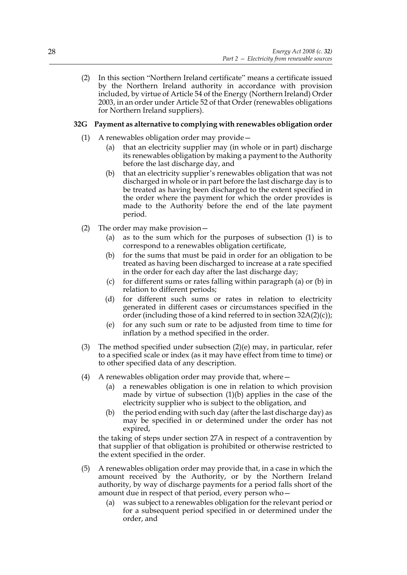(2) In this section "Northern Ireland certificate" means a certificate issued by the Northern Ireland authority in accordance with provision included, by virtue of Article 54 of the Energy (Northern Ireland) Order 2003, in an order under Article 52 of that Order (renewables obligations for Northern Ireland suppliers).

# **32G Payment as alternative to complying with renewables obligation order**

- (1) A renewables obligation order may provide—
	- (a) that an electricity supplier may (in whole or in part) discharge its renewables obligation by making a payment to the Authority before the last discharge day, and
	- (b) that an electricity supplier's renewables obligation that was not discharged in whole or in part before the last discharge day is to be treated as having been discharged to the extent specified in the order where the payment for which the order provides is made to the Authority before the end of the late payment period.
- (2) The order may make provision—
	- (a) as to the sum which for the purposes of subsection (1) is to correspond to a renewables obligation certificate,
	- (b) for the sums that must be paid in order for an obligation to be treated as having been discharged to increase at a rate specified in the order for each day after the last discharge day;
	- (c) for different sums or rates falling within paragraph (a) or (b) in relation to different periods;
	- (d) for different such sums or rates in relation to electricity generated in different cases or circumstances specified in the order (including those of a kind referred to in section  $32A(2)(c)$ );
	- (e) for any such sum or rate to be adjusted from time to time for inflation by a method specified in the order.
- (3) The method specified under subsection (2)(e) may, in particular, refer to a specified scale or index (as it may have effect from time to time) or to other specified data of any description.
- (4) A renewables obligation order may provide that, where—
	- (a) a renewables obligation is one in relation to which provision made by virtue of subsection  $(1)(b)$  applies in the case of the electricity supplier who is subject to the obligation, and
	- (b) the period ending with such day (after the last discharge day) as may be specified in or determined under the order has not expired,

the taking of steps under section 27A in respect of a contravention by that supplier of that obligation is prohibited or otherwise restricted to the extent specified in the order.

- (5) A renewables obligation order may provide that, in a case in which the amount received by the Authority, or by the Northern Ireland authority, by way of discharge payments for a period falls short of the amount due in respect of that period, every person who—
	- (a) was subject to a renewables obligation for the relevant period or for a subsequent period specified in or determined under the order, and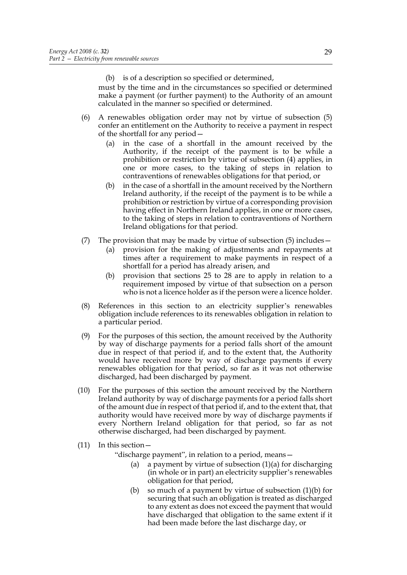(b) is of a description so specified or determined,

must by the time and in the circumstances so specified or determined make a payment (or further payment) to the Authority of an amount calculated in the manner so specified or determined.

- (6) A renewables obligation order may not by virtue of subsection (5) confer an entitlement on the Authority to receive a payment in respect of the shortfall for any period—
	- (a) in the case of a shortfall in the amount received by the Authority, if the receipt of the payment is to be while a prohibition or restriction by virtue of subsection (4) applies, in one or more cases, to the taking of steps in relation to contraventions of renewables obligations for that period, or
	- (b) in the case of a shortfall in the amount received by the Northern Ireland authority, if the receipt of the payment is to be while a prohibition or restriction by virtue of a corresponding provision having effect in Northern Ireland applies, in one or more cases, to the taking of steps in relation to contraventions of Northern Ireland obligations for that period.
- (7) The provision that may be made by virtue of subsection  $(5)$  includes  $-$ 
	- (a) provision for the making of adjustments and repayments at times after a requirement to make payments in respect of a shortfall for a period has already arisen, and
	- (b) provision that sections 25 to 28 are to apply in relation to a requirement imposed by virtue of that subsection on a person who is not a licence holder as if the person were a licence holder.
- (8) References in this section to an electricity supplier's renewables obligation include references to its renewables obligation in relation to a particular period.
- (9) For the purposes of this section, the amount received by the Authority by way of discharge payments for a period falls short of the amount due in respect of that period if, and to the extent that, the Authority would have received more by way of discharge payments if every renewables obligation for that period, so far as it was not otherwise discharged, had been discharged by payment.
- (10) For the purposes of this section the amount received by the Northern Ireland authority by way of discharge payments for a period falls short of the amount due in respect of that period if, and to the extent that, that authority would have received more by way of discharge payments if every Northern Ireland obligation for that period, so far as not otherwise discharged, had been discharged by payment.
- (11) In this section—

"discharge payment", in relation to a period, means—

- (a) a payment by virtue of subsection  $(1)(a)$  for discharging (in whole or in part) an electricity supplier's renewables obligation for that period,
- (b) so much of a payment by virtue of subsection  $(1)(b)$  for securing that such an obligation is treated as discharged to any extent as does not exceed the payment that would have discharged that obligation to the same extent if it had been made before the last discharge day, or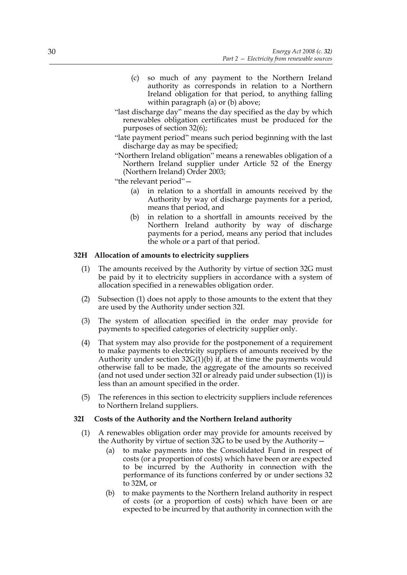- (c) so much of any payment to the Northern Ireland authority as corresponds in relation to a Northern Ireland obligation for that period, to anything falling within paragraph (a) or (b) above;
- "last discharge day" means the day specified as the day by which renewables obligation certificates must be produced for the purposes of section 32(6);
- "late payment period" means such period beginning with the last discharge day as may be specified;
- "Northern Ireland obligation" means a renewables obligation of a Northern Ireland supplier under Article 52 of the Energy (Northern Ireland) Order 2003;

"the relevant period"—

- (a) in relation to a shortfall in amounts received by the Authority by way of discharge payments for a period, means that period, and
- (b) in relation to a shortfall in amounts received by the Northern Ireland authority by way of discharge payments for a period, means any period that includes the whole or a part of that period.

#### **32H Allocation of amounts to electricity suppliers**

- (1) The amounts received by the Authority by virtue of section 32G must be paid by it to electricity suppliers in accordance with a system of allocation specified in a renewables obligation order.
- (2) Subsection (1) does not apply to those amounts to the extent that they are used by the Authority under section 32I.
- (3) The system of allocation specified in the order may provide for payments to specified categories of electricity supplier only.
- (4) That system may also provide for the postponement of a requirement to make payments to electricity suppliers of amounts received by the Authority under section  $32G(1)(b)$  if, at the time the payments would otherwise fall to be made, the aggregate of the amounts so received (and not used under section 32I or already paid under subsection (1)) is less than an amount specified in the order.
- (5) The references in this section to electricity suppliers include references to Northern Ireland suppliers.

#### **32I Costs of the Authority and the Northern Ireland authority**

- (1) A renewables obligation order may provide for amounts received by the Authority by virtue of section 32G to be used by the Authority—
	- (a) to make payments into the Consolidated Fund in respect of costs (or a proportion of costs) which have been or are expected to be incurred by the Authority in connection with the performance of its functions conferred by or under sections 32 to 32M, or
	- (b) to make payments to the Northern Ireland authority in respect of costs (or a proportion of costs) which have been or are expected to be incurred by that authority in connection with the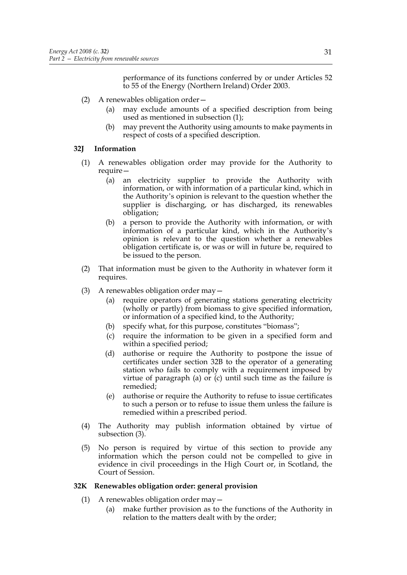performance of its functions conferred by or under Articles 52 to 55 of the Energy (Northern Ireland) Order 2003.

- (2) A renewables obligation order—
	- (a) may exclude amounts of a specified description from being used as mentioned in subsection (1);
	- (b) may prevent the Authority using amounts to make payments in respect of costs of a specified description.

## **32J Information**

- (1) A renewables obligation order may provide for the Authority to require—
	- (a) an electricity supplier to provide the Authority with information, or with information of a particular kind, which in the Authority's opinion is relevant to the question whether the supplier is discharging, or has discharged, its renewables obligation;
	- (b) a person to provide the Authority with information, or with information of a particular kind, which in the Authority's opinion is relevant to the question whether a renewables obligation certificate is, or was or will in future be, required to be issued to the person.
- (2) That information must be given to the Authority in whatever form it requires.
- (3) A renewables obligation order may—
	- (a) require operators of generating stations generating electricity (wholly or partly) from biomass to give specified information, or information of a specified kind, to the Authority;
	- (b) specify what, for this purpose, constitutes "biomass";
	- (c) require the information to be given in a specified form and within a specified period;
	- (d) authorise or require the Authority to postpone the issue of certificates under section 32B to the operator of a generating station who fails to comply with a requirement imposed by virtue of paragraph (a) or (c) until such time as the failure is remedied;
	- (e) authorise or require the Authority to refuse to issue certificates to such a person or to refuse to issue them unless the failure is remedied within a prescribed period.
- (4) The Authority may publish information obtained by virtue of subsection (3).
- (5) No person is required by virtue of this section to provide any information which the person could not be compelled to give in evidence in civil proceedings in the High Court or, in Scotland, the Court of Session.

## **32K Renewables obligation order: general provision**

- (1) A renewables obligation order may—
	- (a) make further provision as to the functions of the Authority in relation to the matters dealt with by the order;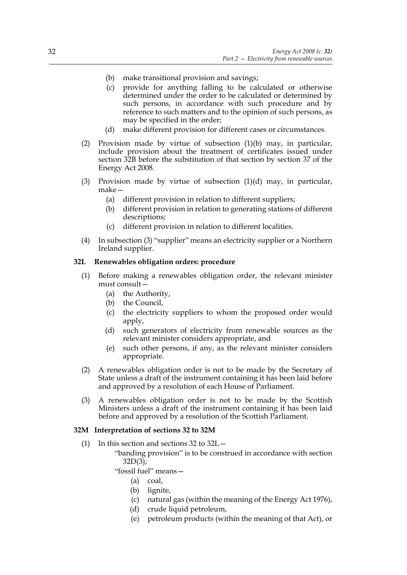- (b) make transitional provision and savings;
- (c) provide for anything falling to be calculated or otherwise determined under the order to be calculated or determined by such persons, in accordance with such procedure and by reference to such matters and to the opinion of such persons, as may be specified in the order;
- (d) make different provision for different cases or circumstances.
- (2) Provision made by virtue of subsection (1)(b) may, in particular, include provision about the treatment of certificates issued under section 32B before the substitution of that section by section 37 of the Energy Act 2008.
- (3) Provision made by virtue of subsection (1)(d) may, in particular, make—
	- (a) different provision in relation to different suppliers;
	- (b) different provision in relation to generating stations of different descriptions;
	- (c) different provision in relation to different localities.
- (4) In subsection (3) "supplier" means an electricity supplier or a Northern Ireland supplier.

#### **32L Renewables obligation orders: procedure**

- (1) Before making a renewables obligation order, the relevant minister must consult—
	- (a) the Authority,
	- (b) the Council,
	- (c) the electricity suppliers to whom the proposed order would apply,
	- (d) such generators of electricity from renewable sources as the relevant minister considers appropriate, and
	- (e) such other persons, if any, as the relevant minister considers appropriate.
- (2) A renewables obligation order is not to be made by the Secretary of State unless a draft of the instrument containing it has been laid before and approved by a resolution of each House of Parliament.
- (3) A renewables obligation order is not to be made by the Scottish Ministers unless a draft of the instrument containing it has been laid before and approved by a resolution of the Scottish Parliament.

#### **32M Interpretation of sections 32 to 32M**

- (1) In this section and sections 32 to 32L—
	- "banding provision" is to be construed in accordance with section 32D(3);

"fossil fuel" means—

- (a) coal,
- (b) lignite,
- (c) natural gas (within the meaning of the Energy Act 1976),
- (d) crude liquid petroleum,
- (e) petroleum products (within the meaning of that Act), or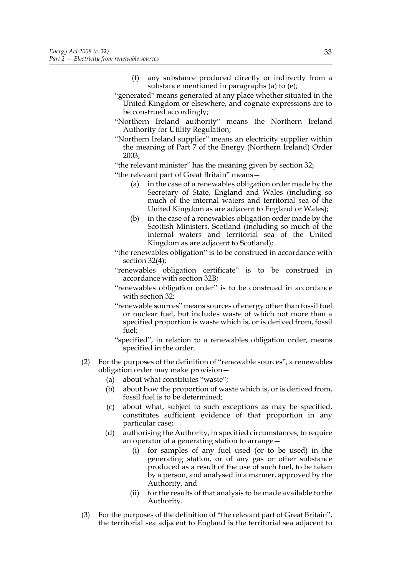- (f) any substance produced directly or indirectly from a substance mentioned in paragraphs (a) to (e);
- "generated" means generated at any place whether situated in the United Kingdom or elsewhere, and cognate expressions are to be construed accordingly;
- "Northern Ireland authority" means the Northern Ireland Authority for Utility Regulation;
- "Northern Ireland supplier" means an electricity supplier within the meaning of Part 7 of the Energy (Northern Ireland) Order 2003;
- "the relevant minister" has the meaning given by section 32;

"the relevant part of Great Britain" means—

- (a) in the case of a renewables obligation order made by the Secretary of State, England and Wales (including so much of the internal waters and territorial sea of the United Kingdom as are adjacent to England or Wales);
- (b) in the case of a renewables obligation order made by the Scottish Ministers, Scotland (including so much of the internal waters and territorial sea of the United Kingdom as are adjacent to Scotland);
- "the renewables obligation" is to be construed in accordance with section 32(4);
- "renewables obligation certificate" is to be construed in accordance with section 32B;
- "renewables obligation order" is to be construed in accordance with section 32.
- "renewable sources" means sources of energy other than fossil fuel or nuclear fuel, but includes waste of which not more than a specified proportion is waste which is, or is derived from, fossil fuel;
- "specified", in relation to a renewables obligation order, means specified in the order.
- (2) For the purposes of the definition of "renewable sources", a renewables obligation order may make provision—
	- (a) about what constitutes "waste";
	- (b) about how the proportion of waste which is, or is derived from, fossil fuel is to be determined;
	- (c) about what, subject to such exceptions as may be specified, constitutes sufficient evidence of that proportion in any particular case;
	- (d) authorising the Authority, in specified circumstances, to require an operator of a generating station to arrange—
		- (i) for samples of any fuel used (or to be used) in the generating station, or of any gas or other substance produced as a result of the use of such fuel, to be taken by a person, and analysed in a manner, approved by the Authority, and
		- (ii) for the results of that analysis to be made available to the Authority.
- (3) For the purposes of the definition of "the relevant part of Great Britain", the territorial sea adjacent to England is the territorial sea adjacent to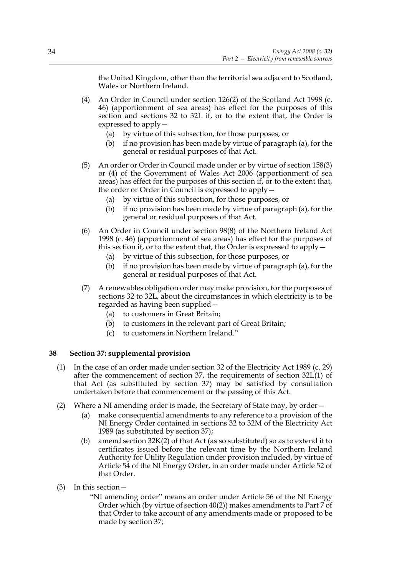the United Kingdom, other than the territorial sea adjacent to Scotland, Wales or Northern Ireland.

- (4) An Order in Council under section 126(2) of the Scotland Act 1998 (c. 46) (apportionment of sea areas) has effect for the purposes of this section and sections 32 to 32L if, or to the extent that, the Order is expressed to apply—
	- (a) by virtue of this subsection, for those purposes, or
	- (b) if no provision has been made by virtue of paragraph (a), for the general or residual purposes of that Act.
- (5) An order or Order in Council made under or by virtue of section 158(3) or (4) of the Government of Wales Act 2006 (apportionment of sea areas) has effect for the purposes of this section if, or to the extent that, the order or Order in Council is expressed to apply—
	- (a) by virtue of this subsection, for those purposes, or
	- (b) if no provision has been made by virtue of paragraph (a), for the general or residual purposes of that Act.
- (6) An Order in Council under section 98(8) of the Northern Ireland Act 1998 (c. 46) (apportionment of sea areas) has effect for the purposes of this section if, or to the extent that, the Order is expressed to apply—
	- (a) by virtue of this subsection, for those purposes, or
	- (b) if no provision has been made by virtue of paragraph (a), for the general or residual purposes of that Act.
- (7) A renewables obligation order may make provision, for the purposes of sections 32 to 32L, about the circumstances in which electricity is to be regarded as having been supplied—
	- (a) to customers in Great Britain;
	- (b) to customers in the relevant part of Great Britain;
	- (c) to customers in Northern Ireland."

#### **38 Section 37: supplemental provision**

- (1) In the case of an order made under section 32 of the Electricity Act 1989 (c. 29) after the commencement of section 37, the requirements of section 32L(1) of that Act (as substituted by section 37) may be satisfied by consultation undertaken before that commencement or the passing of this Act.
- (2) Where a NI amending order is made, the Secretary of State may, by order—
	- (a) make consequential amendments to any reference to a provision of the NI Energy Order contained in sections 32 to 32M of the Electricity Act 1989 (as substituted by section 37);
	- (b) amend section 32K(2) of that Act (as so substituted) so as to extend it to certificates issued before the relevant time by the Northern Ireland Authority for Utility Regulation under provision included, by virtue of Article 54 of the NI Energy Order, in an order made under Article 52 of that Order.
- (3) In this section—
	- "NI amending order" means an order under Article 56 of the NI Energy Order which (by virtue of section 40(2)) makes amendments to Part 7 of that Order to take account of any amendments made or proposed to be made by section 37;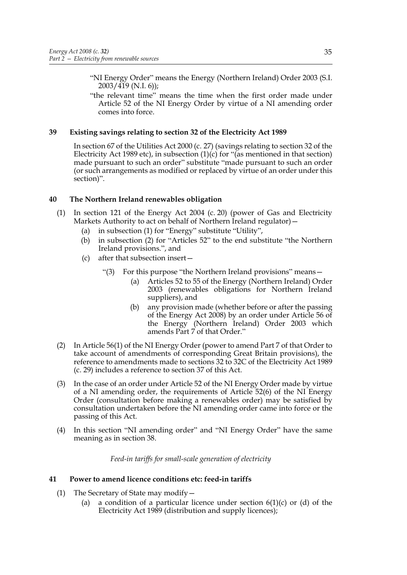- "NI Energy Order" means the Energy (Northern Ireland) Order 2003 (S.I.  $2003/419$  (N.I. 6));
- "the relevant time" means the time when the first order made under Article 52 of the NI Energy Order by virtue of a NI amending order comes into force.

# **39 Existing savings relating to section 32 of the Electricity Act 1989**

In section 67 of the Utilities Act 2000 (c. 27) (savings relating to section 32 of the Electricity Act 1989 etc), in subsection  $(1)(c)$  for "(as mentioned in that section) made pursuant to such an order" substitute "made pursuant to such an order (or such arrangements as modified or replaced by virtue of an order under this section)".

# **40 The Northern Ireland renewables obligation**

- (1) In section 121 of the Energy Act 2004 (c. 20) (power of Gas and Electricity Markets Authority to act on behalf of Northern Ireland regulator) -
	- (a) in subsection (1) for "Energy" substitute "Utility",
	- (b) in subsection (2) for "Articles 52" to the end substitute "the Northern Ireland provisions.", and
	- (c) after that subsection insert—
		- "(3) For this purpose "the Northern Ireland provisions" means—
			- (a) Articles 52 to 55 of the Energy (Northern Ireland) Order 2003 (renewables obligations for Northern Ireland suppliers), and
			- (b) any provision made (whether before or after the passing of the Energy Act 2008) by an order under Article 56 of the Energy (Northern Ireland) Order 2003 which amends Part 7 of that Order."
- (2) In Article 56(1) of the NI Energy Order (power to amend Part 7 of that Order to take account of amendments of corresponding Great Britain provisions), the reference to amendments made to sections 32 to 32C of the Electricity Act 1989 (c. 29) includes a reference to section 37 of this Act.
- (3) In the case of an order under Article 52 of the NI Energy Order made by virtue of a NI amending order, the requirements of Article 52(6) of the NI Energy Order (consultation before making a renewables order) may be satisfied by consultation undertaken before the NI amending order came into force or the passing of this Act.
- (4) In this section "NI amending order" and "NI Energy Order" have the same meaning as in section 38.

*Feed-in tariffs for small-scale generation of electricity*

## **41 Power to amend licence conditions etc: feed-in tariffs**

- (1) The Secretary of State may modify—
	- (a) a condition of a particular licence under section  $6(1)(c)$  or (d) of the Electricity Act 1989 (distribution and supply licences);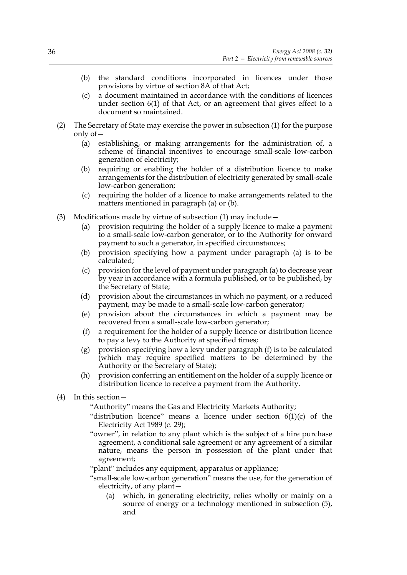- (b) the standard conditions incorporated in licences under those provisions by virtue of section 8A of that Act;
- (c) a document maintained in accordance with the conditions of licences under section 6(1) of that Act, or an agreement that gives effect to a document so maintained.
- (2) The Secretary of State may exercise the power in subsection (1) for the purpose only of—
	- (a) establishing, or making arrangements for the administration of, a scheme of financial incentives to encourage small-scale low-carbon generation of electricity;
	- (b) requiring or enabling the holder of a distribution licence to make arrangements for the distribution of electricity generated by small-scale low-carbon generation;
	- (c) requiring the holder of a licence to make arrangements related to the matters mentioned in paragraph (a) or (b).
- (3) Modifications made by virtue of subsection (1) may include—
	- (a) provision requiring the holder of a supply licence to make a payment to a small-scale low-carbon generator, or to the Authority for onward payment to such a generator, in specified circumstances;
	- (b) provision specifying how a payment under paragraph (a) is to be calculated;
	- (c) provision for the level of payment under paragraph (a) to decrease year by year in accordance with a formula published, or to be published, by the Secretary of State;
	- (d) provision about the circumstances in which no payment, or a reduced payment, may be made to a small-scale low-carbon generator;
	- (e) provision about the circumstances in which a payment may be recovered from a small-scale low-carbon generator;
	- (f) a requirement for the holder of a supply licence or distribution licence to pay a levy to the Authority at specified times;
	- (g) provision specifying how a levy under paragraph (f) is to be calculated (which may require specified matters to be determined by the Authority or the Secretary of State);
	- (h) provision conferring an entitlement on the holder of a supply licence or distribution licence to receive a payment from the Authority.
- (4) In this section—
	- "Authority" means the Gas and Electricity Markets Authority;
	- "distribution licence" means a licence under section  $6(1)(c)$  of the Electricity Act 1989 (c. 29);
	- "owner", in relation to any plant which is the subject of a hire purchase agreement, a conditional sale agreement or any agreement of a similar nature, means the person in possession of the plant under that agreement;
	- "plant" includes any equipment, apparatus or appliance;
	- "small-scale low-carbon generation" means the use, for the generation of electricity, of any plant—
		- (a) which, in generating electricity, relies wholly or mainly on a source of energy or a technology mentioned in subsection (5), and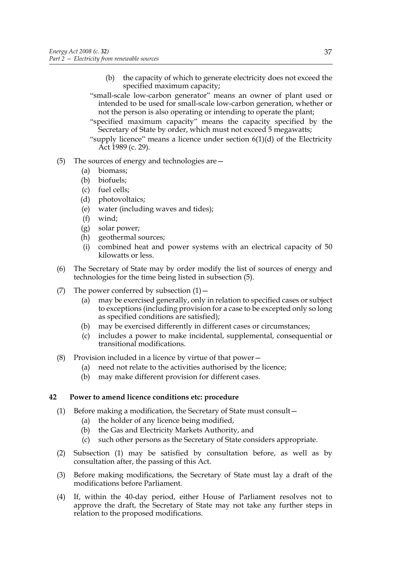- (b) the capacity of which to generate electricity does not exceed the specified maximum capacity;
- "small-scale low-carbon generator" means an owner of plant used or intended to be used for small-scale low-carbon generation, whether or not the person is also operating or intending to operate the plant;
- "specified maximum capacity" means the capacity specified by the Secretary of State by order, which must not exceed 5 megawatts;
- "supply licence" means a licence under section  $6(1)(d)$  of the Electricity Act 1989 (c. 29).
- (5) The sources of energy and technologies are—
	- (a) biomass;
	- (b) biofuels;
	- (c) fuel cells;
	- (d) photovoltaics;
	- (e) water (including waves and tides);
	- (f) wind;
	- (g) solar power;
	- (h) geothermal sources;
	- (i) combined heat and power systems with an electrical capacity of 50 kilowatts or less.
- (6) The Secretary of State may by order modify the list of sources of energy and technologies for the time being listed in subsection (5).
- (7) The power conferred by subsection  $(1)$ 
	- (a) may be exercised generally, only in relation to specified cases or subject to exceptions (including provision for a case to be excepted only so long as specified conditions are satisfied);
	- (b) may be exercised differently in different cases or circumstances;
	- (c) includes a power to make incidental, supplemental, consequential or transitional modifications.
- (8) Provision included in a licence by virtue of that power—
	- (a) need not relate to the activities authorised by the licence;
	- (b) may make different provision for different cases.

## **42 Power to amend licence conditions etc: procedure**

- (1) Before making a modification, the Secretary of State must consult—
	- (a) the holder of any licence being modified,
	- (b) the Gas and Electricity Markets Authority, and
	- (c) such other persons as the Secretary of State considers appropriate.
- (2) Subsection (1) may be satisfied by consultation before, as well as by consultation after, the passing of this Act.
- (3) Before making modifications, the Secretary of State must lay a draft of the modifications before Parliament.
- (4) If, within the 40-day period, either House of Parliament resolves not to approve the draft, the Secretary of State may not take any further steps in relation to the proposed modifications.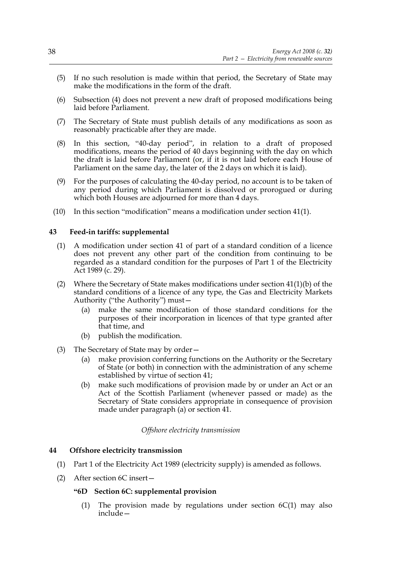- (5) If no such resolution is made within that period, the Secretary of State may make the modifications in the form of the draft.
- (6) Subsection (4) does not prevent a new draft of proposed modifications being laid before Parliament.
- (7) The Secretary of State must publish details of any modifications as soon as reasonably practicable after they are made.
- (8) In this section, "40-day period", in relation to a draft of proposed modifications, means the period of 40 days beginning with the day on which the draft is laid before Parliament (or, if it is not laid before each House of Parliament on the same day, the later of the 2 days on which it is laid).
- (9) For the purposes of calculating the 40-day period, no account is to be taken of any period during which Parliament is dissolved or prorogued or during which both Houses are adjourned for more than 4 days.
- (10) In this section "modification" means a modification under section 41(1).

#### **43 Feed-in tariffs: supplemental**

- (1) A modification under section 41 of part of a standard condition of a licence does not prevent any other part of the condition from continuing to be regarded as a standard condition for the purposes of Part 1 of the Electricity Act 1989 (c. 29).
- (2) Where the Secretary of State makes modifications under section 41(1)(b) of the standard conditions of a licence of any type, the Gas and Electricity Markets Authority ("the Authority") must
	- make the same modification of those standard conditions for the purposes of their incorporation in licences of that type granted after that time, and
	- (b) publish the modification.
- (3) The Secretary of State may by order—
	- (a) make provision conferring functions on the Authority or the Secretary of State (or both) in connection with the administration of any scheme established by virtue of section 41;
	- (b) make such modifications of provision made by or under an Act or an Act of the Scottish Parliament (whenever passed or made) as the Secretary of State considers appropriate in consequence of provision made under paragraph (a) or section 41.

#### *Offshore electricity transmission*

#### **44 Offshore electricity transmission**

- (1) Part 1 of the Electricity Act 1989 (electricity supply) is amended as follows.
- (2) After section 6C insert—

## **"6D Section 6C: supplemental provision**

(1) The provision made by regulations under section  $6C(1)$  may also  $in$ clu $de$ —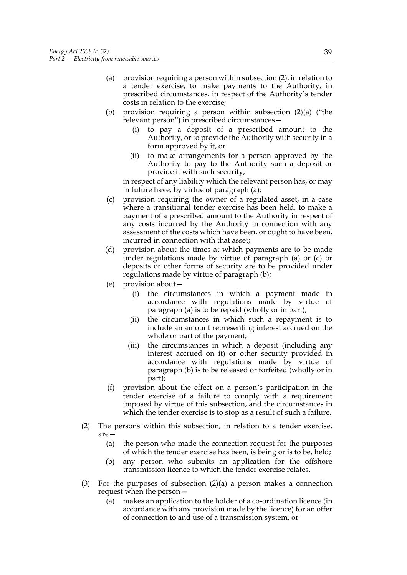- (a) provision requiring a person within subsection (2), in relation to a tender exercise, to make payments to the Authority, in prescribed circumstances, in respect of the Authority's tender costs in relation to the exercise;
- (b) provision requiring a person within subsection (2)(a) ("the relevant person") in prescribed circumstances—
	- (i) to pay a deposit of a prescribed amount to the Authority, or to provide the Authority with security in a form approved by it, or
	- (ii) to make arrangements for a person approved by the Authority to pay to the Authority such a deposit or provide it with such security,

in respect of any liability which the relevant person has, or may in future have, by virtue of paragraph (a);

- (c) provision requiring the owner of a regulated asset, in a case where a transitional tender exercise has been held, to make a payment of a prescribed amount to the Authority in respect of any costs incurred by the Authority in connection with any assessment of the costs which have been, or ought to have been, incurred in connection with that asset;
- (d) provision about the times at which payments are to be made under regulations made by virtue of paragraph (a) or (c) or deposits or other forms of security are to be provided under regulations made by virtue of paragraph (b);
- (e) provision about—
	- (i) the circumstances in which a payment made in accordance with regulations made by virtue of paragraph (a) is to be repaid (wholly or in part);
	- (ii) the circumstances in which such a repayment is to include an amount representing interest accrued on the whole or part of the payment;
	- (iii) the circumstances in which a deposit (including any interest accrued on it) or other security provided in accordance with regulations made by virtue of paragraph (b) is to be released or forfeited (wholly or in part);
- (f) provision about the effect on a person's participation in the tender exercise of a failure to comply with a requirement imposed by virtue of this subsection, and the circumstances in which the tender exercise is to stop as a result of such a failure.
- (2) The persons within this subsection, in relation to a tender exercise, are—
	- (a) the person who made the connection request for the purposes of which the tender exercise has been, is being or is to be, held;
	- (b) any person who submits an application for the offshore transmission licence to which the tender exercise relates.
- (3) For the purposes of subsection  $(2)(a)$  a person makes a connection request when the person—
	- (a) makes an application to the holder of a co-ordination licence (in accordance with any provision made by the licence) for an offer of connection to and use of a transmission system, or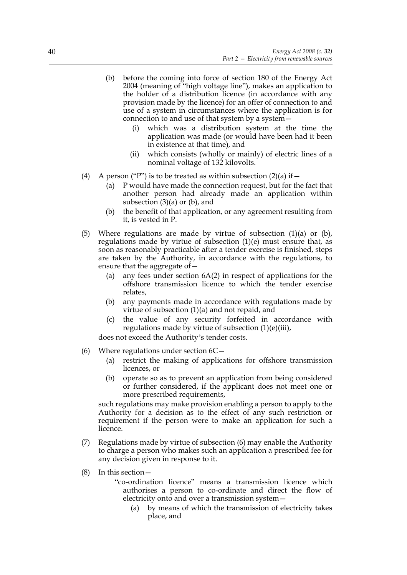- (b) before the coming into force of section 180 of the Energy Act 2004 (meaning of "high voltage line"), makes an application to the holder of a distribution licence (in accordance with any provision made by the licence) for an offer of connection to and use of a system in circumstances where the application is for connection to and use of that system by a system
	- which was a distribution system at the time the application was made (or would have been had it been in existence at that time), and
	- (ii) which consists (wholly or mainly) of electric lines of a nominal voltage of 132 kilovolts.
- (4) A person ("P") is to be treated as within subsection  $(2)(a)$  if  $-$ 
	- P would have made the connection request, but for the fact that another person had already made an application within subsection (3)(a) or (b), and
	- (b) the benefit of that application, or any agreement resulting from it, is vested in P.
- (5) Where regulations are made by virtue of subsection  $(1)(a)$  or  $(b)$ , regulations made by virtue of subsection (1)(e) must ensure that, as soon as reasonably practicable after a tender exercise is finished, steps are taken by the Authority, in accordance with the regulations, to ensure that the aggregate of—
	- (a) any fees under section 6A(2) in respect of applications for the offshore transmission licence to which the tender exercise relates,
	- (b) any payments made in accordance with regulations made by virtue of subsection (1)(a) and not repaid, and
	- (c) the value of any security forfeited in accordance with regulations made by virtue of subsection  $(1)(e)(iii)$ ,

does not exceed the Authority's tender costs.

- (6) Where regulations under section 6C—
	- (a) restrict the making of applications for offshore transmission licences, or
	- (b) operate so as to prevent an application from being considered or further considered, if the applicant does not meet one or more prescribed requirements,

such regulations may make provision enabling a person to apply to the Authority for a decision as to the effect of any such restriction or requirement if the person were to make an application for such a licence.

- (7) Regulations made by virtue of subsection (6) may enable the Authority to charge a person who makes such an application a prescribed fee for any decision given in response to it.
- (8) In this section—

"co-ordination licence" means a transmission licence which authorises a person to co-ordinate and direct the flow of electricity onto and over a transmission system—

(a) by means of which the transmission of electricity takes place, and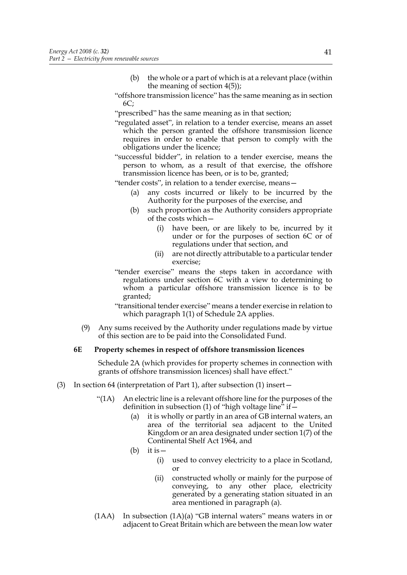- (b) the whole or a part of which is at a relevant place (within the meaning of section 4(5));
- "offshore transmission licence" has the same meaning as in section 6C;
- "prescribed" has the same meaning as in that section;
- "regulated asset", in relation to a tender exercise, means an asset which the person granted the offshore transmission licence requires in order to enable that person to comply with the obligations under the licence;
- "successful bidder", in relation to a tender exercise, means the person to whom, as a result of that exercise, the offshore transmission licence has been, or is to be, granted;
- "tender costs", in relation to a tender exercise, means—
	- (a) any costs incurred or likely to be incurred by the Authority for the purposes of the exercise, and
	- (b) such proportion as the Authority considers appropriate of the costs which—
		- (i) have been, or are likely to be, incurred by it under or for the purposes of section 6C or of regulations under that section, and
		- (ii) are not directly attributable to a particular tender exercise;
- "tender exercise" means the steps taken in accordance with regulations under section 6C with a view to determining to whom a particular offshore transmission licence is to be granted;
- "transitional tender exercise" means a tender exercise in relation to which paragraph 1(1) of Schedule 2A applies.
- (9) Any sums received by the Authority under regulations made by virtue of this section are to be paid into the Consolidated Fund.

#### **6E Property schemes in respect of offshore transmission licences**

Schedule 2A (which provides for property schemes in connection with grants of offshore transmission licences) shall have effect."

- (3) In section 64 (interpretation of Part 1), after subsection (1) insert—
	- "(1A) An electric line is a relevant offshore line for the purposes of the definition in subsection (1) of "high voltage line" if  $\tilde{-}$ 
		- (a) it is wholly or partly in an area of GB internal waters, an area of the territorial sea adjacent to the United Kingdom or an area designated under section 1(7) of the Continental Shelf Act 1964, and
		- (b) it is  $-$ 
			- (i) used to convey electricity to a place in Scotland, or
			- (ii) constructed wholly or mainly for the purpose of conveying, to any other place, electricity generated by a generating station situated in an area mentioned in paragraph (a).
	- (1AA) In subsection (1A)(a) "GB internal waters" means waters in or adjacent to Great Britain which are between the mean low water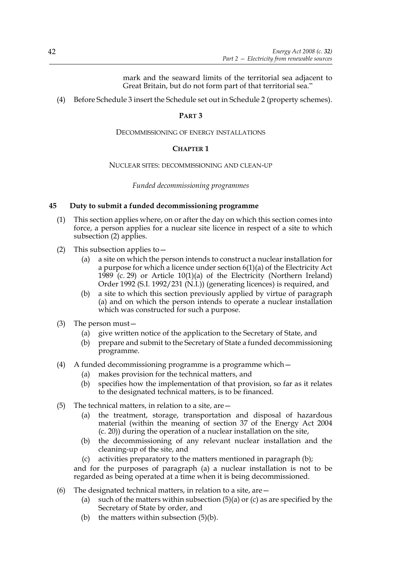mark and the seaward limits of the territorial sea adjacent to Great Britain, but do not form part of that territorial sea."

(4) Before Schedule 3 insert the Schedule set out in Schedule 2 (property schemes).

# **PART 3**

DECOMMISSIONING OF ENERGY INSTALLATIONS

# **CHAPTER 1**

#### NUCLEAR SITES: DECOMMISSIONING AND CLEAN-UP

#### *Funded decommissioning programmes*

## **45 Duty to submit a funded decommissioning programme**

- (1) This section applies where, on or after the day on which this section comes into force, a person applies for a nuclear site licence in respect of a site to which subsection (2) applies.
- (2) This subsection applies to  $-$ 
	- (a) a site on which the person intends to construct a nuclear installation for a purpose for which a licence under section 6(1)(a) of the Electricity Act 1989 (c. 29) or Article 10(1)(a) of the Electricity (Northern Ireland) Order 1992 (S.I. 1992/231 (N.I.)) (generating licences) is required, and
	- (b) a site to which this section previously applied by virtue of paragraph (a) and on which the person intends to operate a nuclear installation which was constructed for such a purpose.
- (3) The person must—
	- (a) give written notice of the application to the Secretary of State, and
	- (b) prepare and submit to the Secretary of State a funded decommissioning programme.
- (4) A funded decommissioning programme is a programme which—
	- (a) makes provision for the technical matters, and
	- (b) specifies how the implementation of that provision, so far as it relates to the designated technical matters, is to be financed.
- (5) The technical matters, in relation to a site, are  $-$ 
	- (a) the treatment, storage, transportation and disposal of hazardous material (within the meaning of section 37 of the Energy Act 2004 (c. 20)) during the operation of a nuclear installation on the site,
	- (b) the decommissioning of any relevant nuclear installation and the cleaning-up of the site, and
	- (c) activities preparatory to the matters mentioned in paragraph (b);

and for the purposes of paragraph (a) a nuclear installation is not to be regarded as being operated at a time when it is being decommissioned.

- (6) The designated technical matters, in relation to a site, are  $-$ 
	- (a) such of the matters within subsection  $(5)(a)$  or  $(c)$  as are specified by the Secretary of State by order, and
	- (b) the matters within subsection  $(5)(b)$ .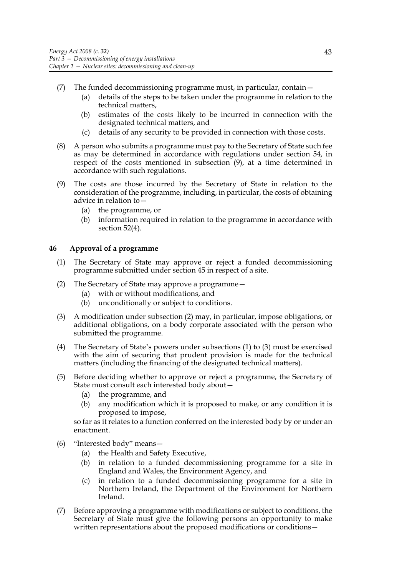- (7) The funded decommissioning programme must, in particular, contain—
	- (a) details of the steps to be taken under the programme in relation to the technical matters,
	- (b) estimates of the costs likely to be incurred in connection with the designated technical matters, and
	- (c) details of any security to be provided in connection with those costs.
- (8) A person who submits a programme must pay to the Secretary of State such fee as may be determined in accordance with regulations under section 54, in respect of the costs mentioned in subsection (9), at a time determined in accordance with such regulations.
- (9) The costs are those incurred by the Secretary of State in relation to the consideration of the programme, including, in particular, the costs of obtaining advice in relation to—
	- (a) the programme, or
	- (b) information required in relation to the programme in accordance with section 52(4).

# **46 Approval of a programme**

- (1) The Secretary of State may approve or reject a funded decommissioning programme submitted under section 45 in respect of a site.
- (2) The Secretary of State may approve a programme—
	- (a) with or without modifications, and
	- (b) unconditionally or subject to conditions.
- (3) A modification under subsection (2) may, in particular, impose obligations, or additional obligations, on a body corporate associated with the person who submitted the programme.
- (4) The Secretary of State's powers under subsections (1) to (3) must be exercised with the aim of securing that prudent provision is made for the technical matters (including the financing of the designated technical matters).
- (5) Before deciding whether to approve or reject a programme, the Secretary of State must consult each interested body about—
	- (a) the programme, and
	- (b) any modification which it is proposed to make, or any condition it is proposed to impose,

so far as it relates to a function conferred on the interested body by or under an enactment.

- (6) "Interested body" means—
	- (a) the Health and Safety Executive,
	- (b) in relation to a funded decommissioning programme for a site in England and Wales, the Environment Agency, and
	- (c) in relation to a funded decommissioning programme for a site in Northern Ireland, the Department of the Environment for Northern Ireland.
- (7) Before approving a programme with modifications or subject to conditions, the Secretary of State must give the following persons an opportunity to make written representations about the proposed modifications or conditions—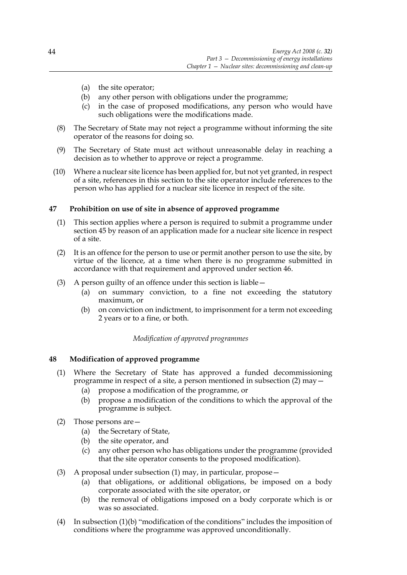- (a) the site operator;
- (b) any other person with obligations under the programme;
- (c) in the case of proposed modifications, any person who would have such obligations were the modifications made.
- (8) The Secretary of State may not reject a programme without informing the site operator of the reasons for doing so.
- (9) The Secretary of State must act without unreasonable delay in reaching a decision as to whether to approve or reject a programme.
- (10) Where a nuclear site licence has been applied for, but not yet granted, in respect of a site, references in this section to the site operator include references to the person who has applied for a nuclear site licence in respect of the site.

# **47 Prohibition on use of site in absence of approved programme**

- (1) This section applies where a person is required to submit a programme under section 45 by reason of an application made for a nuclear site licence in respect of a site.
- (2) It is an offence for the person to use or permit another person to use the site, by virtue of the licence, at a time when there is no programme submitted in accordance with that requirement and approved under section 46.
- (3) A person guilty of an offence under this section is liable—
	- (a) on summary conviction, to a fine not exceeding the statutory maximum, or
	- (b) on conviction on indictment, to imprisonment for a term not exceeding 2 years or to a fine, or both.

*Modification of approved programmes*

## **48 Modification of approved programme**

- (1) Where the Secretary of State has approved a funded decommissioning programme in respect of a site, a person mentioned in subsection (2) may—
	- (a) propose a modification of the programme, or
	- (b) propose a modification of the conditions to which the approval of the programme is subject.
- (2) Those persons are—
	- (a) the Secretary of State,
	- (b) the site operator, and
	- (c) any other person who has obligations under the programme (provided that the site operator consents to the proposed modification).
- (3) A proposal under subsection (1) may, in particular, propose—
	- (a) that obligations, or additional obligations, be imposed on a body corporate associated with the site operator, or
	- (b) the removal of obligations imposed on a body corporate which is or was so associated.
- (4) In subsection (1)(b) "modification of the conditions" includes the imposition of conditions where the programme was approved unconditionally.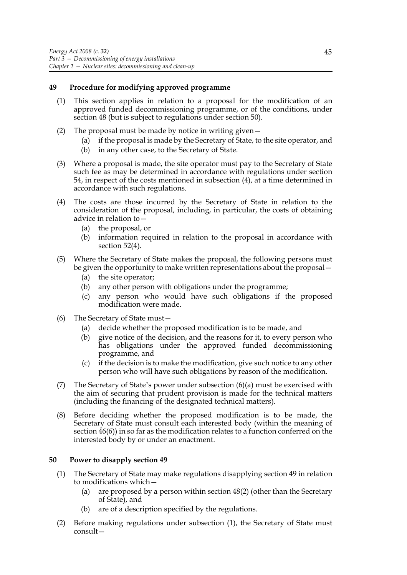#### **49 Procedure for modifying approved programme**

- (1) This section applies in relation to a proposal for the modification of an approved funded decommissioning programme, or of the conditions, under section 48 (but is subject to regulations under section 50).
- (2) The proposal must be made by notice in writing given—
	- (a) if the proposal is made by the Secretary of State, to the site operator, and (b) in any other case, to the Secretary of State.
- (3) Where a proposal is made, the site operator must pay to the Secretary of State such fee as may be determined in accordance with regulations under section 54, in respect of the costs mentioned in subsection (4), at a time determined in accordance with such regulations.
- (4) The costs are those incurred by the Secretary of State in relation to the consideration of the proposal, including, in particular, the costs of obtaining advice in relation to—
	- (a) the proposal, or
	- (b) information required in relation to the proposal in accordance with section 52(4).
- (5) Where the Secretary of State makes the proposal, the following persons must be given the opportunity to make written representations about the proposal—
	- (a) the site operator;
	- (b) any other person with obligations under the programme;
	- (c) any person who would have such obligations if the proposed modification were made.
- (6) The Secretary of State must—
	- (a) decide whether the proposed modification is to be made, and
	- (b) give notice of the decision, and the reasons for it, to every person who has obligations under the approved funded decommissioning programme, and
	- (c) if the decision is to make the modification, give such notice to any other person who will have such obligations by reason of the modification.
- (7) The Secretary of State's power under subsection (6)(a) must be exercised with the aim of securing that prudent provision is made for the technical matters (including the financing of the designated technical matters).
- (8) Before deciding whether the proposed modification is to be made, the Secretary of State must consult each interested body (within the meaning of section  $46(6)$ ) in so far as the modification relates to a function conferred on the interested body by or under an enactment.

#### **50 Power to disapply section 49**

- (1) The Secretary of State may make regulations disapplying section 49 in relation to modifications which—
	- (a) are proposed by a person within section 48(2) (other than the Secretary of State), and
	- (b) are of a description specified by the regulations.
- (2) Before making regulations under subsection (1), the Secretary of State must consult—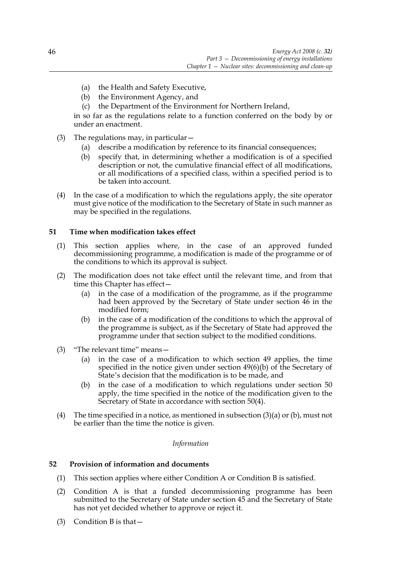- (a) the Health and Safety Executive,
- (b) the Environment Agency, and
- (c) the Department of the Environment for Northern Ireland,

in so far as the regulations relate to a function conferred on the body by or under an enactment.

- (3) The regulations may, in particular—
	- (a) describe a modification by reference to its financial consequences;
	- (b) specify that, in determining whether a modification is of a specified description or not, the cumulative financial effect of all modifications, or all modifications of a specified class, within a specified period is to be taken into account.
- (4) In the case of a modification to which the regulations apply, the site operator must give notice of the modification to the Secretary of State in such manner as may be specified in the regulations.

# **51 Time when modification takes effect**

- (1) This section applies where, in the case of an approved funded decommissioning programme, a modification is made of the programme or of the conditions to which its approval is subject.
- (2) The modification does not take effect until the relevant time, and from that time this Chapter has effect—
	- (a) in the case of a modification of the programme, as if the programme had been approved by the Secretary of State under section 46 in the modified form;
	- (b) in the case of a modification of the conditions to which the approval of the programme is subject, as if the Secretary of State had approved the programme under that section subject to the modified conditions.
- (3) "The relevant time" means—
	- (a) in the case of a modification to which section 49 applies, the time specified in the notice given under section 49(6)(b) of the Secretary of State's decision that the modification is to be made, and
	- (b) in the case of a modification to which regulations under section 50 apply, the time specified in the notice of the modification given to the Secretary of State in accordance with section 50(4).
- (4) The time specified in a notice, as mentioned in subsection  $(3)(a)$  or  $(b)$ , must not be earlier than the time the notice is given.

#### *Information*

## **52 Provision of information and documents**

- (1) This section applies where either Condition A or Condition B is satisfied.
- (2) Condition A is that a funded decommissioning programme has been submitted to the Secretary of State under section 45 and the Secretary of State has not yet decided whether to approve or reject it.
- (3) Condition B is that—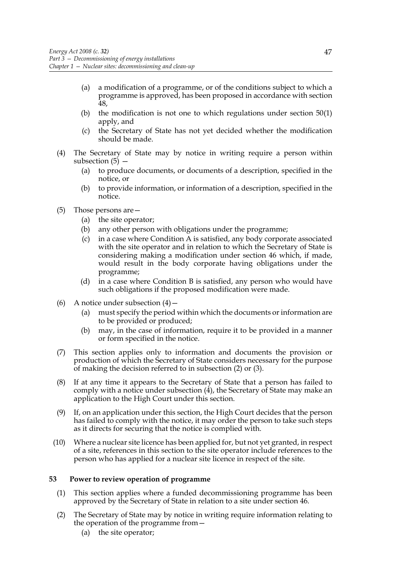- (a) a modification of a programme, or of the conditions subject to which a programme is approved, has been proposed in accordance with section 48,
- (b) the modification is not one to which regulations under section 50(1) apply, and
- (c) the Secretary of State has not yet decided whether the modification should be made.
- (4) The Secretary of State may by notice in writing require a person within subsection  $(5)$  –
	- (a) to produce documents, or documents of a description, specified in the notice, or
	- (b) to provide information, or information of a description, specified in the notice.
- (5) Those persons are—
	- (a) the site operator;
	- (b) any other person with obligations under the programme;
	- (c) in a case where Condition A is satisfied, any body corporate associated with the site operator and in relation to which the Secretary of State is considering making a modification under section 46 which, if made, would result in the body corporate having obligations under the programme;
	- (d) in a case where Condition B is satisfied, any person who would have such obligations if the proposed modification were made.
- (6) A notice under subsection  $(4)$ 
	- (a) must specify the period within which the documents or information are to be provided or produced;
	- (b) may, in the case of information, require it to be provided in a manner or form specified in the notice.
- (7) This section applies only to information and documents the provision or production of which the Secretary of State considers necessary for the purpose of making the decision referred to in subsection (2) or (3).
- (8) If at any time it appears to the Secretary of State that a person has failed to comply with a notice under subsection (4), the Secretary of State may make an application to the High Court under this section.
- (9) If, on an application under this section, the High Court decides that the person has failed to comply with the notice, it may order the person to take such steps as it directs for securing that the notice is complied with.
- (10) Where a nuclear site licence has been applied for, but not yet granted, in respect of a site, references in this section to the site operator include references to the person who has applied for a nuclear site licence in respect of the site.

#### **53 Power to review operation of programme**

- (1) This section applies where a funded decommissioning programme has been approved by the Secretary of State in relation to a site under section 46.
- (2) The Secretary of State may by notice in writing require information relating to the operation of the programme from—
	- (a) the site operator;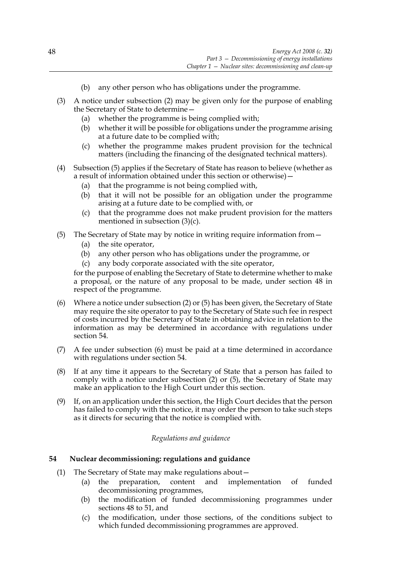- (b) any other person who has obligations under the programme.
- (3) A notice under subsection (2) may be given only for the purpose of enabling the Secretary of State to determine—
	- (a) whether the programme is being complied with;
	- (b) whether it will be possible for obligations under the programme arising at a future date to be complied with;
	- (c) whether the programme makes prudent provision for the technical matters (including the financing of the designated technical matters).
- (4) Subsection (5) applies if the Secretary of State has reason to believe (whether as a result of information obtained under this section or otherwise)—
	- (a) that the programme is not being complied with,
	- (b) that it will not be possible for an obligation under the programme arising at a future date to be complied with, or
	- (c) that the programme does not make prudent provision for the matters mentioned in subsection (3)(c).
- (5) The Secretary of State may by notice in writing require information from—
	- (a) the site operator,
	- (b) any other person who has obligations under the programme, or
	- (c) any body corporate associated with the site operator,

for the purpose of enabling the Secretary of State to determine whether to make a proposal, or the nature of any proposal to be made, under section 48 in respect of the programme.

- (6) Where a notice under subsection (2) or (5) has been given, the Secretary of State may require the site operator to pay to the Secretary of State such fee in respect of costs incurred by the Secretary of State in obtaining advice in relation to the information as may be determined in accordance with regulations under section 54.
- (7) A fee under subsection (6) must be paid at a time determined in accordance with regulations under section 54.
- (8) If at any time it appears to the Secretary of State that a person has failed to comply with a notice under subsection (2) or (5), the Secretary of State may make an application to the High Court under this section.
- (9) If, on an application under this section, the High Court decides that the person has failed to comply with the notice, it may order the person to take such steps as it directs for securing that the notice is complied with.

#### *Regulations and guidance*

#### **54 Nuclear decommissioning: regulations and guidance**

- (1) The Secretary of State may make regulations about—
	- (a) the preparation, content and implementation of funded decommissioning programmes,
	- (b) the modification of funded decommissioning programmes under sections 48 to 51, and
	- (c) the modification, under those sections, of the conditions subject to which funded decommissioning programmes are approved.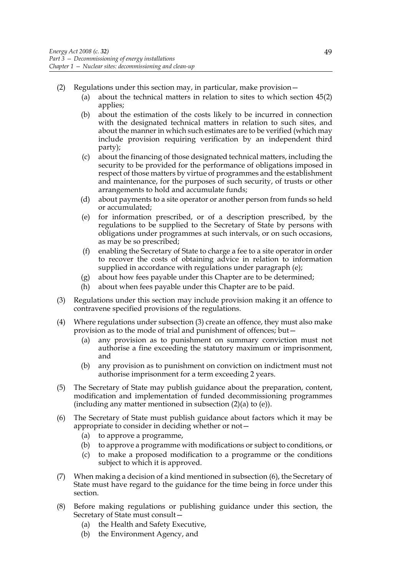- (2) Regulations under this section may, in particular, make provision—
	- (a) about the technical matters in relation to sites to which section 45(2) applies;
	- (b) about the estimation of the costs likely to be incurred in connection with the designated technical matters in relation to such sites, and about the manner in which such estimates are to be verified (which may include provision requiring verification by an independent third party);
	- (c) about the financing of those designated technical matters, including the security to be provided for the performance of obligations imposed in respect of those matters by virtue of programmes and the establishment and maintenance, for the purposes of such security, of trusts or other arrangements to hold and accumulate funds;
	- (d) about payments to a site operator or another person from funds so held or accumulated;
	- (e) for information prescribed, or of a description prescribed, by the regulations to be supplied to the Secretary of State by persons with obligations under programmes at such intervals, or on such occasions, as may be so prescribed;
	- (f) enabling the Secretary of State to charge a fee to a site operator in order to recover the costs of obtaining advice in relation to information supplied in accordance with regulations under paragraph (e);
	- (g) about how fees payable under this Chapter are to be determined;
	- (h) about when fees payable under this Chapter are to be paid.
- (3) Regulations under this section may include provision making it an offence to contravene specified provisions of the regulations.
- (4) Where regulations under subsection (3) create an offence, they must also make provision as to the mode of trial and punishment of offences; but
	- any provision as to punishment on summary conviction must not authorise a fine exceeding the statutory maximum or imprisonment, and
	- (b) any provision as to punishment on conviction on indictment must not authorise imprisonment for a term exceeding 2 years.
- (5) The Secretary of State may publish guidance about the preparation, content, modification and implementation of funded decommissioning programmes (including any matter mentioned in subsection (2)(a) to (e)).
- (6) The Secretary of State must publish guidance about factors which it may be appropriate to consider in deciding whether or not—
	- (a) to approve a programme,
	- (b) to approve a programme with modifications or subject to conditions, or
	- (c) to make a proposed modification to a programme or the conditions subject to which it is approved.
- (7) When making a decision of a kind mentioned in subsection (6), the Secretary of State must have regard to the guidance for the time being in force under this section.
- (8) Before making regulations or publishing guidance under this section, the Secretary of State must consult—
	- (a) the Health and Safety Executive,
	- (b) the Environment Agency, and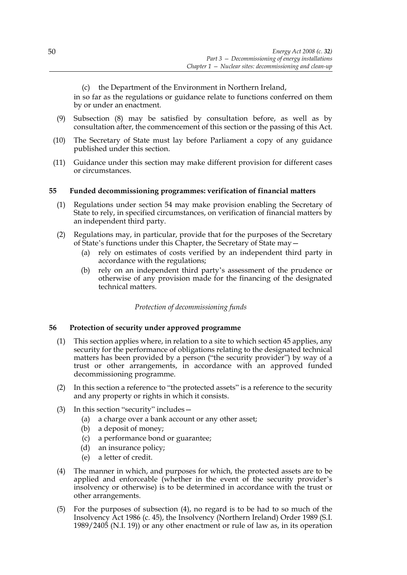(c) the Department of the Environment in Northern Ireland,

in so far as the regulations or guidance relate to functions conferred on them by or under an enactment.

- (9) Subsection (8) may be satisfied by consultation before, as well as by consultation after, the commencement of this section or the passing of this Act.
- (10) The Secretary of State must lay before Parliament a copy of any guidance published under this section.
- (11) Guidance under this section may make different provision for different cases or circumstances.

## **55 Funded decommissioning programmes: verification of financial matters**

- (1) Regulations under section 54 may make provision enabling the Secretary of State to rely, in specified circumstances, on verification of financial matters by an independent third party.
- (2) Regulations may, in particular, provide that for the purposes of the Secretary of State's functions under this Chapter, the Secretary of State may—
	- (a) rely on estimates of costs verified by an independent third party in accordance with the regulations;
	- (b) rely on an independent third party's assessment of the prudence or otherwise of any provision made for the financing of the designated technical matters.

## *Protection of decommissioning funds*

## **56 Protection of security under approved programme**

- (1) This section applies where, in relation to a site to which section 45 applies, any security for the performance of obligations relating to the designated technical matters has been provided by a person ("the security provider") by way of a trust or other arrangements, in accordance with an approved funded decommissioning programme.
- (2) In this section a reference to "the protected assets" is a reference to the security and any property or rights in which it consists.
- (3) In this section "security" includes—
	- (a) a charge over a bank account or any other asset;
	- (b) a deposit of money;
	- (c) a performance bond or guarantee;
	- (d) an insurance policy;
	- (e) a letter of credit.
- (4) The manner in which, and purposes for which, the protected assets are to be applied and enforceable (whether in the event of the security provider's insolvency or otherwise) is to be determined in accordance with the trust or other arrangements.
- (5) For the purposes of subsection (4), no regard is to be had to so much of the Insolvency Act 1986 (c. 45), the Insolvency (Northern Ireland) Order 1989 (S.I. 1989/2405 (N.I. 19)) or any other enactment or rule of law as, in its operation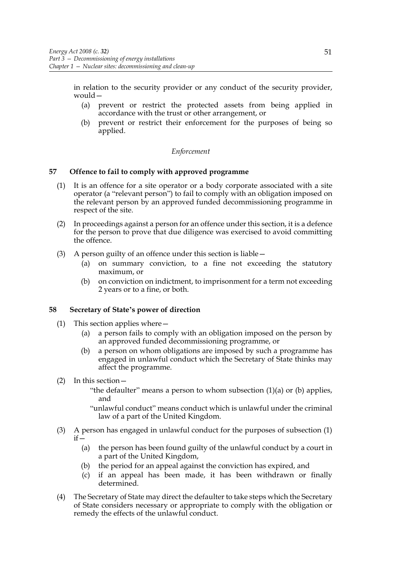in relation to the security provider or any conduct of the security provider, would—

- (a) prevent or restrict the protected assets from being applied in accordance with the trust or other arrangement, or
- (b) prevent or restrict their enforcement for the purposes of being so applied.

## *Enforcement*

# **57 Offence to fail to comply with approved programme**

- (1) It is an offence for a site operator or a body corporate associated with a site operator (a "relevant person") to fail to comply with an obligation imposed on the relevant person by an approved funded decommissioning programme in respect of the site.
- (2) In proceedings against a person for an offence under this section, it is a defence for the person to prove that due diligence was exercised to avoid committing the offence.
- (3) A person guilty of an offence under this section is liable—
	- (a) on summary conviction, to a fine not exceeding the statutory maximum, or
	- (b) on conviction on indictment, to imprisonment for a term not exceeding 2 years or to a fine, or both.

## **58 Secretary of State's power of direction**

- (1) This section applies where—
	- (a) a person fails to comply with an obligation imposed on the person by an approved funded decommissioning programme, or
	- (b) a person on whom obligations are imposed by such a programme has engaged in unlawful conduct which the Secretary of State thinks may affect the programme.
- (2) In this section—
	- "the defaulter" means a person to whom subsection  $(1)(a)$  or  $(b)$  applies, and
	- "unlawful conduct" means conduct which is unlawful under the criminal law of a part of the United Kingdom.
- (3) A person has engaged in unlawful conduct for the purposes of subsection (1)  $if -$ 
	- (a) the person has been found guilty of the unlawful conduct by a court in a part of the United Kingdom,
	- (b) the period for an appeal against the conviction has expired, and
	- (c) if an appeal has been made, it has been withdrawn or finally determined.
- (4) The Secretary of State may direct the defaulter to take steps which the Secretary of State considers necessary or appropriate to comply with the obligation or remedy the effects of the unlawful conduct.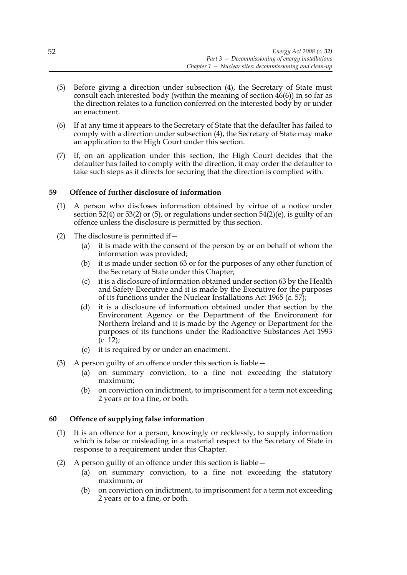- (5) Before giving a direction under subsection (4), the Secretary of State must consult each interested body (within the meaning of section 46(6)) in so far as the direction relates to a function conferred on the interested body by or under an enactment.
- (6) If at any time it appears to the Secretary of State that the defaulter has failed to comply with a direction under subsection (4), the Secretary of State may make an application to the High Court under this section.
- (7) If, on an application under this section, the High Court decides that the defaulter has failed to comply with the direction, it may order the defaulter to take such steps as it directs for securing that the direction is complied with.

# **59 Offence of further disclosure of information**

- (1) A person who discloses information obtained by virtue of a notice under section 52(4) or 53(2) or (5), or regulations under section 54(2)(e), is guilty of an offence unless the disclosure is permitted by this section.
- (2) The disclosure is permitted if  $-$ 
	- (a) it is made with the consent of the person by or on behalf of whom the information was provided;
	- (b) it is made under section 63 or for the purposes of any other function of the Secretary of State under this Chapter;
	- (c) it is a disclosure of information obtained under section 63 by the Health and Safety Executive and it is made by the Executive for the purposes of its functions under the Nuclear Installations Act 1965 (c. 57);
	- (d) it is a disclosure of information obtained under that section by the Environment Agency or the Department of the Environment for Northern Ireland and it is made by the Agency or Department for the purposes of its functions under the Radioactive Substances Act 1993 (c. 12);
	- (e) it is required by or under an enactment.
- (3) A person guilty of an offence under this section is liable—
	- (a) on summary conviction, to a fine not exceeding the statutory maximum;
	- (b) on conviction on indictment, to imprisonment for a term not exceeding 2 years or to a fine, or both.

# **60 Offence of supplying false information**

- (1) It is an offence for a person, knowingly or recklessly, to supply information which is false or misleading in a material respect to the Secretary of State in response to a requirement under this Chapter.
- (2) A person guilty of an offence under this section is liable—
	- (a) on summary conviction, to a fine not exceeding the statutory maximum, or
	- (b) on conviction on indictment, to imprisonment for a term not exceeding 2 years or to a fine, or both.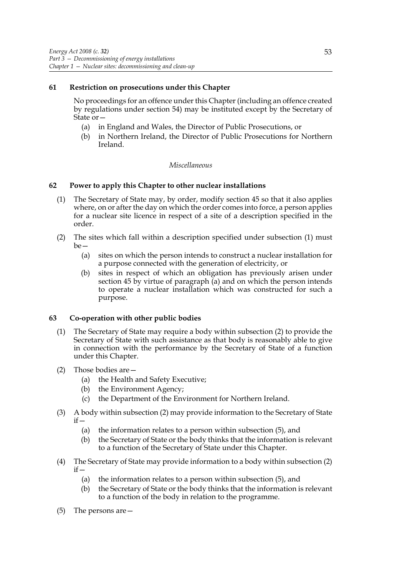## **61 Restriction on prosecutions under this Chapter**

No proceedings for an offence under this Chapter (including an offence created by regulations under section 54) may be instituted except by the Secretary of State or—

- (a) in England and Wales, the Director of Public Prosecutions, or
- (b) in Northern Ireland, the Director of Public Prosecutions for Northern Ireland.

## *Miscellaneous*

## **62 Power to apply this Chapter to other nuclear installations**

- (1) The Secretary of State may, by order, modify section 45 so that it also applies where, on or after the day on which the order comes into force, a person applies for a nuclear site licence in respect of a site of a description specified in the order.
- (2) The sites which fall within a description specified under subsection (1) must  $he$ —
	- (a) sites on which the person intends to construct a nuclear installation for a purpose connected with the generation of electricity, or
	- (b) sites in respect of which an obligation has previously arisen under section 45 by virtue of paragraph (a) and on which the person intends to operate a nuclear installation which was constructed for such a purpose.

## **63 Co-operation with other public bodies**

- (1) The Secretary of State may require a body within subsection (2) to provide the Secretary of State with such assistance as that body is reasonably able to give in connection with the performance by the Secretary of State of a function under this Chapter.
- (2) Those bodies are—
	- (a) the Health and Safety Executive;
	- (b) the Environment Agency;
	- (c) the Department of the Environment for Northern Ireland.
- (3) A body within subsection (2) may provide information to the Secretary of State  $if -$ 
	- (a) the information relates to a person within subsection (5), and
	- (b) the Secretary of State or the body thinks that the information is relevant to a function of the Secretary of State under this Chapter.
- (4) The Secretary of State may provide information to a body within subsection (2)  $if =$ 
	- (a) the information relates to a person within subsection (5), and
	- (b) the Secretary of State or the body thinks that the information is relevant to a function of the body in relation to the programme.
- (5) The persons are—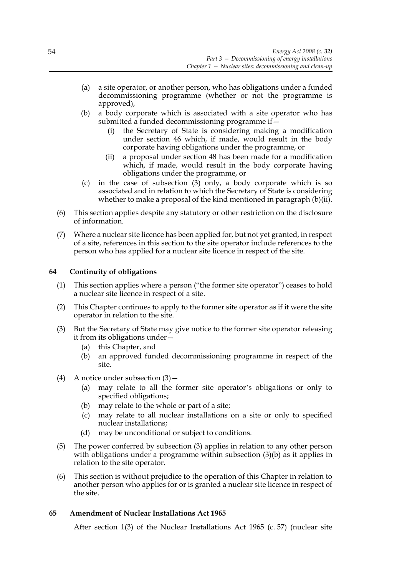- (a) a site operator, or another person, who has obligations under a funded decommissioning programme (whether or not the programme is approved),
- (b) a body corporate which is associated with a site operator who has submitted a funded decommissioning programme if
	- the Secretary of State is considering making a modification under section 46 which, if made, would result in the body corporate having obligations under the programme, or
	- (ii) a proposal under section 48 has been made for a modification which, if made, would result in the body corporate having obligations under the programme, or
- (c) in the case of subsection (3) only, a body corporate which is so associated and in relation to which the Secretary of State is considering whether to make a proposal of the kind mentioned in paragraph (b)(ii).
- (6) This section applies despite any statutory or other restriction on the disclosure of information.
- (7) Where a nuclear site licence has been applied for, but not yet granted, in respect of a site, references in this section to the site operator include references to the person who has applied for a nuclear site licence in respect of the site.

# **64 Continuity of obligations**

- (1) This section applies where a person ("the former site operator") ceases to hold a nuclear site licence in respect of a site.
- (2) This Chapter continues to apply to the former site operator as if it were the site operator in relation to the site.
- (3) But the Secretary of State may give notice to the former site operator releasing it from its obligations under—
	- (a) this Chapter, and
	- (b) an approved funded decommissioning programme in respect of the site.
- (4) A notice under subsection  $(3)$ 
	- (a) may relate to all the former site operator's obligations or only to specified obligations;
	- (b) may relate to the whole or part of a site;
	- (c) may relate to all nuclear installations on a site or only to specified nuclear installations;
	- (d) may be unconditional or subject to conditions.
- (5) The power conferred by subsection (3) applies in relation to any other person with obligations under a programme within subsection (3)(b) as it applies in relation to the site operator.
- (6) This section is without prejudice to the operation of this Chapter in relation to another person who applies for or is granted a nuclear site licence in respect of the site.

## **65 Amendment of Nuclear Installations Act 1965**

After section 1(3) of the Nuclear Installations Act 1965 (c. 57) (nuclear site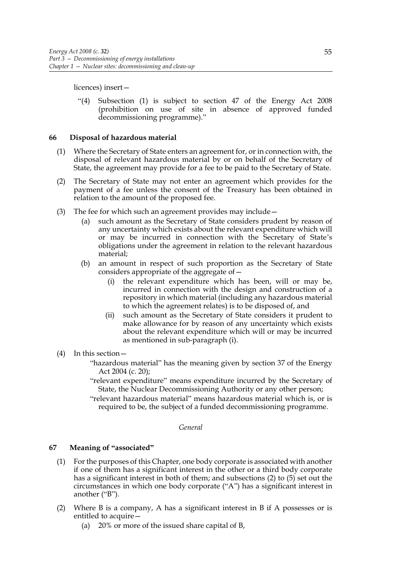licences) insert—

Subsection (1) is subject to section 47 of the Energy Act 2008 (prohibition on use of site in absence of approved funded decommissioning programme)."

## **66 Disposal of hazardous material**

- (1) Where the Secretary of State enters an agreement for, or in connection with, the disposal of relevant hazardous material by or on behalf of the Secretary of State, the agreement may provide for a fee to be paid to the Secretary of State.
- (2) The Secretary of State may not enter an agreement which provides for the payment of a fee unless the consent of the Treasury has been obtained in relation to the amount of the proposed fee.
- (3) The fee for which such an agreement provides may include—
	- (a) such amount as the Secretary of State considers prudent by reason of any uncertainty which exists about the relevant expenditure which will or may be incurred in connection with the Secretary of State's obligations under the agreement in relation to the relevant hazardous material;
	- (b) an amount in respect of such proportion as the Secretary of State considers appropriate of the aggregate of
		- the relevant expenditure which has been, will or may be, incurred in connection with the design and construction of a repository in which material (including any hazardous material to which the agreement relates) is to be disposed of, and
		- (ii) such amount as the Secretary of State considers it prudent to make allowance for by reason of any uncertainty which exists about the relevant expenditure which will or may be incurred as mentioned in sub-paragraph (i).
- (4) In this section—

"hazardous material" has the meaning given by section 37 of the Energy Act 2004 (c. 20);

"relevant expenditure" means expenditure incurred by the Secretary of State, the Nuclear Decommissioning Authority or any other person;

"relevant hazardous material" means hazardous material which is, or is required to be, the subject of a funded decommissioning programme.

#### *General*

## **67 Meaning of "associated"**

- (1) For the purposes of this Chapter, one body corporate is associated with another if one of them has a significant interest in the other or a third body corporate has a significant interest in both of them; and subsections (2) to (5) set out the circumstances in which one body corporate ("A") has a significant interest in another ("B").
- (2) Where B is a company, A has a significant interest in B if A possesses or is entitled to acquire—
	- (a) 20% or more of the issued share capital of B,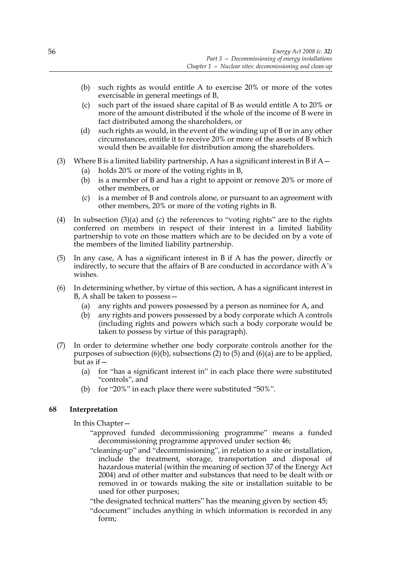- (b) such rights as would entitle A to exercise 20% or more of the votes exercisable in general meetings of B,
- (c) such part of the issued share capital of B as would entitle A to 20% or more of the amount distributed if the whole of the income of B were in fact distributed among the shareholders, or
- (d) such rights as would, in the event of the winding up of B or in any other circumstances, entitle it to receive 20% or more of the assets of B which would then be available for distribution among the shareholders.
- (3) Where B is a limited liability partnership, A has a significant interest in B if  $A-$ 
	- (a) holds 20% or more of the voting rights in B,
	- (b) is a member of B and has a right to appoint or remove 20% or more of other members, or
	- (c) is a member of B and controls alone, or pursuant to an agreement with other members, 20% or more of the voting rights in B.
- (4) In subsection (3)(a) and (c) the references to "voting rights" are to the rights conferred on members in respect of their interest in a limited liability partnership to vote on those matters which are to be decided on by a vote of the members of the limited liability partnership.
- (5) In any case, A has a significant interest in B if A has the power, directly or indirectly, to secure that the affairs of B are conducted in accordance with A's wishes.
- (6) In determining whether, by virtue of this section, A has a significant interest in B, A shall be taken to possess—
	- (a) any rights and powers possessed by a person as nominee for A, and
	- (b) any rights and powers possessed by a body corporate which A controls (including rights and powers which such a body corporate would be taken to possess by virtue of this paragraph).
- (7) In order to determine whether one body corporate controls another for the purposes of subsection (6)(b), subsections (2) to (5) and (6)(a) are to be applied,  $but$  as if  $-$ 
	- (a) for "has a significant interest in" in each place there were substituted "controls", and
	- (b) for "20%" in each place there were substituted "50%".

## **68 Interpretation**

In this Chapter—

- "approved funded decommissioning programme" means a funded decommissioning programme approved under section 46;
- "cleaning-up" and "decommissioning", in relation to a site or installation, include the treatment, storage, transportation and disposal of hazardous material (within the meaning of section 37 of the Energy Act 2004) and of other matter and substances that need to be dealt with or removed in or towards making the site or installation suitable to be used for other purposes;
- "the designated technical matters" has the meaning given by section 45;
- "document" includes anything in which information is recorded in any form;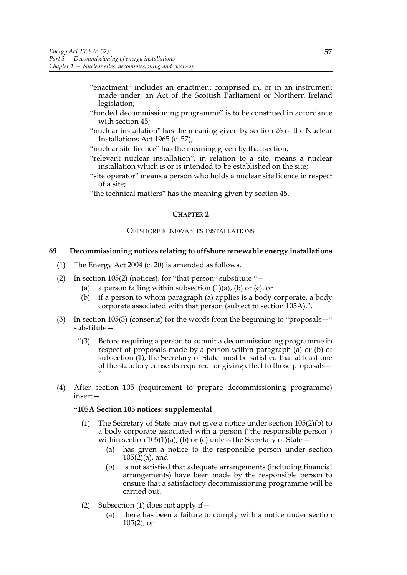- "enactment" includes an enactment comprised in, or in an instrument made under, an Act of the Scottish Parliament or Northern Ireland legislation;
- "funded decommissioning programme" is to be construed in accordance with section 45;
- "nuclear installation" has the meaning given by section 26 of the Nuclear Installations Act 1965 (c. 57);
- "nuclear site licence" has the meaning given by that section;
- "relevant nuclear installation", in relation to a site, means a nuclear installation which is or is intended to be established on the site;
- "site operator" means a person who holds a nuclear site licence in respect of a site;

"the technical matters" has the meaning given by section 45.

#### **CHAPTER 2**

#### OFFSHORE RENEWABLES INSTALLATIONS

## **69 Decommissioning notices relating to offshore renewable energy installations**

- (1) The Energy Act 2004 (c. 20) is amended as follows.
- (2) In section 105(2) (notices), for "that person" substitute "—
	- (a) a person falling within subsection  $(1)(a)$ ,  $(b)$  or  $(c)$ , or
	- (b) if a person to whom paragraph (a) applies is a body corporate, a body corporate associated with that person (subject to section 105A),".
- (3) In section 105(3) (consents) for the words from the beginning to "proposals—" substitute—
	- "(3) Before requiring a person to submit a decommissioning programme in respect of proposals made by a person within paragraph (a) or (b) of subsection (1), the Secretary of State must be satisfied that at least one of the statutory consents required for giving effect to those proposals— ".
- (4) After section 105 (requirement to prepare decommissioning programme) insert—

#### **"105A Section 105 notices: supplemental**

- The Secretary of State may not give a notice under section 105(2)(b) to a body corporate associated with a person ("the responsible person") within section 105(1)(a), (b) or (c) unless the Secretary of State—
	- (a) has given a notice to the responsible person under section 105(2)(a), and
	- (b) is not satisfied that adequate arrangements (including financial arrangements) have been made by the responsible person to ensure that a satisfactory decommissioning programme will be carried out.
- (2) Subsection (1) does not apply if  $-$ 
	- (a) there has been a failure to comply with a notice under section 105(2), or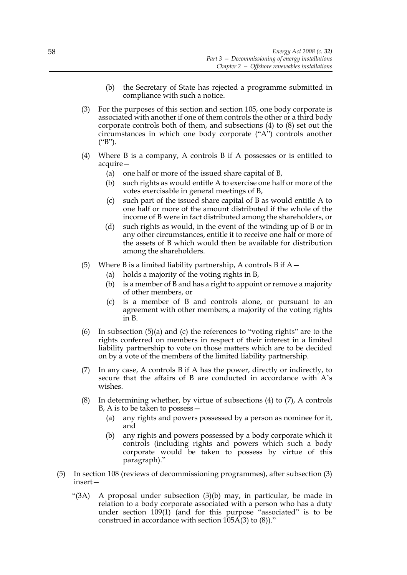- (b) the Secretary of State has rejected a programme submitted in compliance with such a notice.
- (3) For the purposes of this section and section 105, one body corporate is associated with another if one of them controls the other or a third body corporate controls both of them, and subsections (4) to (8) set out the circumstances in which one body corporate ("A") controls another ("B").
- (4) Where B is a company, A controls B if A possesses or is entitled to acquire—
	- (a) one half or more of the issued share capital of B,
	- (b) such rights as would entitle A to exercise one half or more of the votes exercisable in general meetings of B,
	- (c) such part of the issued share capital of B as would entitle A to one half or more of the amount distributed if the whole of the income of B were in fact distributed among the shareholders, or
	- (d) such rights as would, in the event of the winding up of B or in any other circumstances, entitle it to receive one half or more of the assets of B which would then be available for distribution among the shareholders.
- (5) Where B is a limited liability partnership, A controls B if  $A-$ 
	- (a) holds a majority of the voting rights in B,
	- (b) is a member of B and has a right to appoint or remove a majority of other members, or
	- (c) is a member of B and controls alone, or pursuant to an agreement with other members, a majority of the voting rights in B.
- (6) In subsection (5)(a) and (c) the references to "voting rights" are to the rights conferred on members in respect of their interest in a limited liability partnership to vote on those matters which are to be decided on by a vote of the members of the limited liability partnership.
- (7) In any case, A controls B if A has the power, directly or indirectly, to secure that the affairs of B are conducted in accordance with A's wishes.
- (8) In determining whether, by virtue of subsections (4) to (7), A controls B, A is to be taken to possess—
	- (a) any rights and powers possessed by a person as nominee for it, and
	- (b) any rights and powers possessed by a body corporate which it controls (including rights and powers which such a body corporate would be taken to possess by virtue of this paragraph)."
- (5) In section 108 (reviews of decommissioning programmes), after subsection (3) insert—
	- "(3A) A proposal under subsection (3)(b) may, in particular, be made in relation to a body corporate associated with a person who has a duty under section 109(1) (and for this purpose "associated" is to be construed in accordance with section 105A(3) to (8))."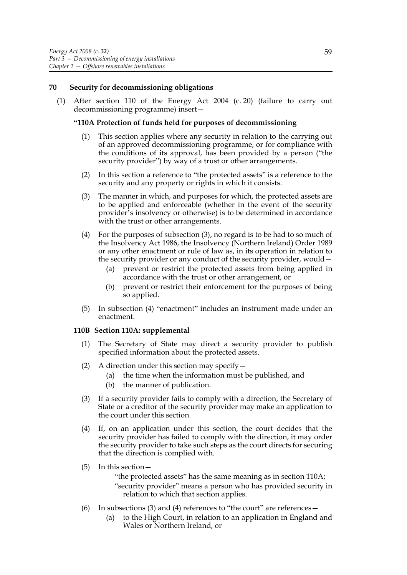#### **70 Security for decommissioning obligations**

(1) After section 110 of the Energy Act 2004 (c. 20) (failure to carry out decommissioning programme) insert—

# **"110A Protection of funds held for purposes of decommissioning**

- (1) This section applies where any security in relation to the carrying out of an approved decommissioning programme, or for compliance with the conditions of its approval, has been provided by a person ("the security provider") by way of a trust or other arrangements.
- (2) In this section a reference to "the protected assets" is a reference to the security and any property or rights in which it consists.
- (3) The manner in which, and purposes for which, the protected assets are to be applied and enforceable (whether in the event of the security provider's insolvency or otherwise) is to be determined in accordance with the trust or other arrangements.
- (4) For the purposes of subsection (3), no regard is to be had to so much of the Insolvency Act 1986, the Insolvency (Northern Ireland) Order 1989 or any other enactment or rule of law as, in its operation in relation to the security provider or any conduct of the security provider, would—
	- (a) prevent or restrict the protected assets from being applied in accordance with the trust or other arrangement, or
	- (b) prevent or restrict their enforcement for the purposes of being so applied.
- (5) In subsection (4) "enactment" includes an instrument made under an enactment.

#### **110B Section 110A: supplemental**

- (1) The Secretary of State may direct a security provider to publish specified information about the protected assets.
- (2) A direction under this section may specify—
	- (a) the time when the information must be published, and
	- (b) the manner of publication.
- (3) If a security provider fails to comply with a direction, the Secretary of State or a creditor of the security provider may make an application to the court under this section.
- (4) If, on an application under this section, the court decides that the security provider has failed to comply with the direction, it may order the security provider to take such steps as the court directs for securing that the direction is complied with.
- (5) In this section—

"the protected assets" has the same meaning as in section 110A; "security provider" means a person who has provided security in relation to which that section applies.

- (6) In subsections (3) and (4) references to "the court" are references—
	- (a) to the High Court, in relation to an application in England and Wales or Northern Ireland, or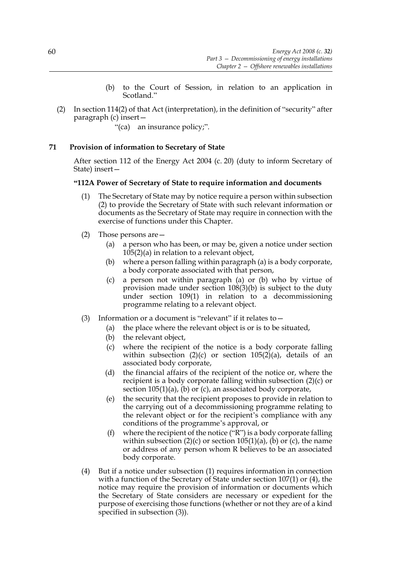- (b) to the Court of Session, in relation to an application in Scotland."
- (2) In section 114(2) of that Act (interpretation), in the definition of "security" after paragraph (c) insert—

"(ca) an insurance policy;".

# **71 Provision of information to Secretary of State**

After section 112 of the Energy Act 2004 (c. 20) (duty to inform Secretary of State) insert—

#### **"112A Power of Secretary of State to require information and documents**

- (1) The Secretary of State may by notice require a person within subsection (2) to provide the Secretary of State with such relevant information or documents as the Secretary of State may require in connection with the exercise of functions under this Chapter.
- (2) Those persons are—
	- (a) a person who has been, or may be, given a notice under section 105(2)(a) in relation to a relevant object,
	- (b) where a person falling within paragraph (a) is a body corporate, a body corporate associated with that person,
	- (c) a person not within paragraph (a) or (b) who by virtue of provision made under section 108(3)(b) is subject to the duty under section 109(1) in relation to a decommissioning programme relating to a relevant object.
- (3) Information or a document is "relevant" if it relates to  $-$ 
	- (a) the place where the relevant object is or is to be situated,
	- (b) the relevant object,
	- (c) where the recipient of the notice is a body corporate falling within subsection  $(2)(c)$  or section  $105(2)(a)$ , details of an associated body corporate,
	- (d) the financial affairs of the recipient of the notice or, where the recipient is a body corporate falling within subsection (2)(c) or section  $105(1)(a)$ , (b) or (c), an associated body corporate,
	- (e) the security that the recipient proposes to provide in relation to the carrying out of a decommissioning programme relating to the relevant object or for the recipient's compliance with any conditions of the programme's approval, or
	- (f) where the recipient of the notice ("R") is a body corporate falling within subsection  $(2)(c)$  or section  $105(1)(a)$ , (b) or (c), the name or address of any person whom R believes to be an associated body corporate.
- (4) But if a notice under subsection (1) requires information in connection with a function of the Secretary of State under section 107(1) or (4), the notice may require the provision of information or documents which the Secretary of State considers are necessary or expedient for the purpose of exercising those functions (whether or not they are of a kind specified in subsection (3)).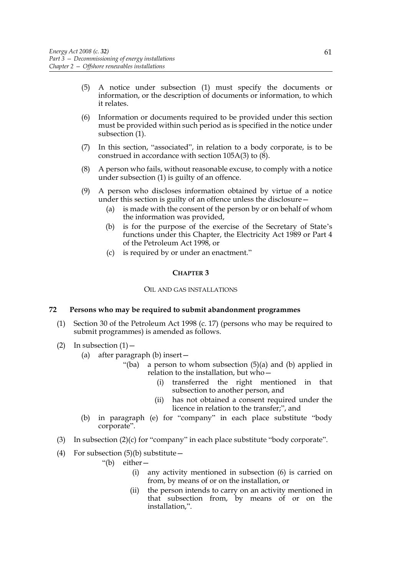- (5) A notice under subsection (1) must specify the documents or information, or the description of documents or information, to which it relates.
- (6) Information or documents required to be provided under this section must be provided within such period as is specified in the notice under subsection (1).
- (7) In this section, "associated", in relation to a body corporate, is to be construed in accordance with section 105A(3) to (8).
- (8) A person who fails, without reasonable excuse, to comply with a notice under subsection (1) is guilty of an offence.
- (9) A person who discloses information obtained by virtue of a notice under this section is guilty of an offence unless the disclosure—
	- (a) is made with the consent of the person by or on behalf of whom the information was provided,
	- (b) is for the purpose of the exercise of the Secretary of State's functions under this Chapter, the Electricity Act 1989 or Part 4 of the Petroleum Act 1998, or
	- (c) is required by or under an enactment."

#### **CHAPTER 3**

#### OIL AND GAS INSTALLATIONS

## **72 Persons who may be required to submit abandonment programmes**

- (1) Section 30 of the Petroleum Act 1998 (c. 17) (persons who may be required to submit programmes) is amended as follows.
- (2) In subsection  $(1)$ 
	- (a) after paragraph (b) insert—
		- "(ba) a person to whom subsection  $(5)(a)$  and  $(b)$  applied in relation to the installation, but who—
			- (i) transferred the right mentioned in that subsection to another person, and
			- (ii) has not obtained a consent required under the licence in relation to the transfer;", and
	- (b) in paragraph (e) for "company" in each place substitute "body corporate".
- (3) In subsection  $(2)(c)$  for "company" in each place substitute "body corporate".
- (4) For subsection  $(5)(b)$  substitute
	- "(b) either—
		- (i) any activity mentioned in subsection (6) is carried on from, by means of or on the installation, or
		- (ii) the person intends to carry on an activity mentioned in that subsection from, by means of or on the installation,".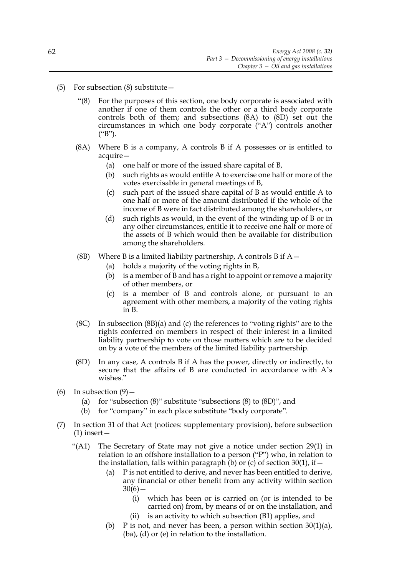- (5) For subsection (8) substitute—
	- "(8) For the purposes of this section, one body corporate is associated with another if one of them controls the other or a third body corporate controls both of them; and subsections (8A) to (8D) set out the circumstances in which one body corporate ("A") controls another ("B").
	- (8A) Where B is a company, A controls B if A possesses or is entitled to acquire—
		- (a) one half or more of the issued share capital of B,
		- (b) such rights as would entitle A to exercise one half or more of the votes exercisable in general meetings of B,
		- (c) such part of the issued share capital of B as would entitle A to one half or more of the amount distributed if the whole of the income of B were in fact distributed among the shareholders, or
		- (d) such rights as would, in the event of the winding up of B or in any other circumstances, entitle it to receive one half or more of the assets of B which would then be available for distribution among the shareholders.
	- (8B) Where B is a limited liability partnership, A controls B if  $A-$ 
		- (a) holds a majority of the voting rights in B,
		- (b) is a member of B and has a right to appoint or remove a majority of other members, or
		- (c) is a member of B and controls alone, or pursuant to an agreement with other members, a majority of the voting rights in B.
	- (8C) In subsection (8B)(a) and (c) the references to "voting rights" are to the rights conferred on members in respect of their interest in a limited liability partnership to vote on those matters which are to be decided on by a vote of the members of the limited liability partnership.
	- (8D) In any case, A controls B if A has the power, directly or indirectly, to secure that the affairs of B are conducted in accordance with A's wishes."
- (6) In subsection  $(9)$ 
	- (a) for "subsection  $(8)$ " substitute "subsections  $(8)$  to  $(8D)$ ", and
	- (b) for "company" in each place substitute "body corporate".
- (7) In section 31 of that Act (notices: supplementary provision), before subsection  $(1)$  insert –
	- "(A1) The Secretary of State may not give a notice under section 29(1) in relation to an offshore installation to a person ("P") who, in relation to the installation, falls within paragraph (b) or (c) of section 30(1), if  $-$ 
		- (a) P is not entitled to derive, and never has been entitled to derive, any financial or other benefit from any activity within section  $30(6)$  —
			- (i) which has been or is carried on (or is intended to be carried on) from, by means of or on the installation, and
			- (ii) is an activity to which subsection (B1) applies, and
		- (b) P is not, and never has been, a person within section  $30(1)(a)$ , (ba), (d) or (e) in relation to the installation.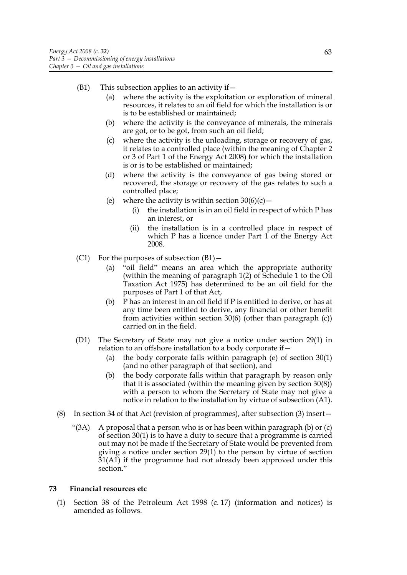- (B1) This subsection applies to an activity if  $-$ 
	- (a) where the activity is the exploitation or exploration of mineral resources, it relates to an oil field for which the installation is or is to be established or maintained;
	- (b) where the activity is the conveyance of minerals, the minerals are got, or to be got, from such an oil field;
	- (c) where the activity is the unloading, storage or recovery of gas, it relates to a controlled place (within the meaning of Chapter 2 or 3 of Part 1 of the Energy Act 2008) for which the installation is or is to be established or maintained;
	- (d) where the activity is the conveyance of gas being stored or recovered, the storage or recovery of the gas relates to such a controlled place;
	- (e) where the activity is within section  $30(6)(c)$  -
		- (i) the installation is in an oil field in respect of which P has an interest, or
		- (ii) the installation is in a controlled place in respect of which P has a licence under Part  $\overline{1}$  of the Energy Act 2008.
- (C1) For the purposes of subsection  $(B1)$ 
	- (a) "oil field" means an area which the appropriate authority (within the meaning of paragraph 1(2) of Schedule 1 to the Oil Taxation Act 1975) has determined to be an oil field for the purposes of Part 1 of that Act,
	- (b) P has an interest in an oil field if P is entitled to derive, or has at any time been entitled to derive, any financial or other benefit from activities within section 30(6) (other than paragraph (c)) carried on in the field.
- (D1) The Secretary of State may not give a notice under section 29(1) in relation to an offshore installation to a body corporate if—
	- (a) the body corporate falls within paragraph (e) of section 30(1) (and no other paragraph of that section), and
	- (b) the body corporate falls within that paragraph by reason only that it is associated (within the meaning given by section 30(8)) with a person to whom the Secretary of State may not give a notice in relation to the installation by virtue of subsection (A1).
- (8) In section 34 of that Act (revision of programmes), after subsection (3) insert—
	- "(3A) A proposal that a person who is or has been within paragraph (b) or (c) of section 30(1) is to have a duty to secure that a programme is carried out may not be made if the Secretary of State would be prevented from giving a notice under section 29(1) to the person by virtue of section  $31(A1)$  if the programme had not already been approved under this section."

#### **73 Financial resources etc**

(1) Section 38 of the Petroleum Act 1998 (c. 17) (information and notices) is amended as follows.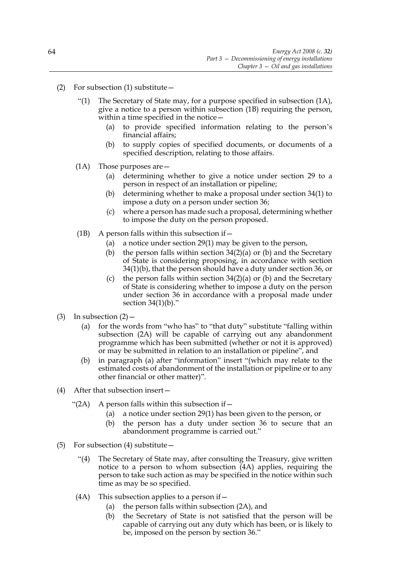- (2) For subsection (1) substitute—
	- "(1) The Secretary of State may, for a purpose specified in subsection (1A), give a notice to a person within subsection (1B) requiring the person, within a time specified in the notice—
		- (a) to provide specified information relating to the person's financial affairs;
		- (b) to supply copies of specified documents, or documents of a specified description, relating to those affairs.
	- (1A) Those purposes are—
		- (a) determining whether to give a notice under section 29 to a person in respect of an installation or pipeline;
		- (b) determining whether to make a proposal under section 34(1) to impose a duty on a person under section 36;
		- (c) where a person has made such a proposal, determining whether to impose the duty on the person proposed.
	- (1B) A person falls within this subsection if  $-$ 
		- (a) a notice under section 29(1) may be given to the person,
		- (b) the person falls within section  $34(2)(a)$  or (b) and the Secretary of State is considering proposing, in accordance with section 34(1)(b), that the person should have a duty under section 36, or
		- (c) the person falls within section  $34(2)(a)$  or (b) and the Secretary of State is considering whether to impose a duty on the person under section 36 in accordance with a proposal made under section  $34(1)(b)$ ."
- (3) In subsection  $(2)$ 
	- (a) for the words from "who has" to "that duty" substitute "falling within subsection (2A) will be capable of carrying out any abandonment programme which has been submitted (whether or not it is approved) or may be submitted in relation to an installation or pipeline", and
	- (b) in paragraph (a) after "information" insert "(which may relate to the estimated costs of abandonment of the installation or pipeline or to any other financial or other matter)".
- (4) After that subsection insert—
	- "(2A) A person falls within this subsection if  $-$ 
		- (a) a notice under section 29(1) has been given to the person, or
		- (b) the person has a duty under section 36 to secure that an abandonment programme is carried out."
- (5) For subsection (4) substitute—
	- "(4) The Secretary of State may, after consulting the Treasury, give written notice to a person to whom subsection (4A) applies, requiring the person to take such action as may be specified in the notice within such time as may be so specified.
	- (4A) This subsection applies to a person if  $-$ 
		- (a) the person falls within subsection (2A), and
		- (b) the Secretary of State is not satisfied that the person will be capable of carrying out any duty which has been, or is likely to be, imposed on the person by section 36."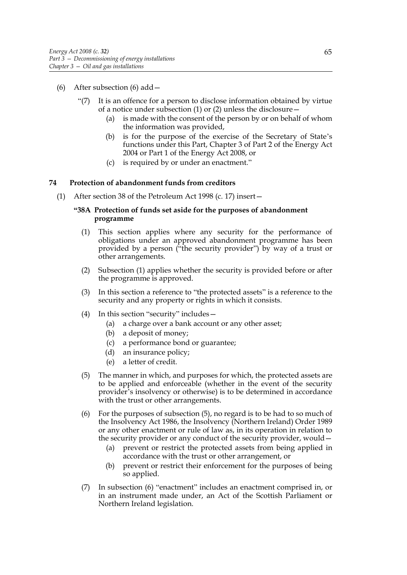- (6) After subsection (6) add—
	- "(7) It is an offence for a person to disclose information obtained by virtue of a notice under subsection (1) or (2) unless the disclosure—
		- (a) is made with the consent of the person by or on behalf of whom the information was provided,
		- (b) is for the purpose of the exercise of the Secretary of State's functions under this Part, Chapter 3 of Part 2 of the Energy Act 2004 or Part 1 of the Energy Act 2008, or
		- (c) is required by or under an enactment."

#### **74 Protection of abandonment funds from creditors**

(1) After section 38 of the Petroleum Act 1998 (c. 17) insert—

#### **"38A Protection of funds set aside for the purposes of abandonment programme**

- (1) This section applies where any security for the performance of obligations under an approved abandonment programme has been provided by a person ("the security provider") by way of a trust or other arrangements.
- (2) Subsection (1) applies whether the security is provided before or after the programme is approved.
- (3) In this section a reference to "the protected assets" is a reference to the security and any property or rights in which it consists.
- (4) In this section "security" includes—
	- (a) a charge over a bank account or any other asset;
	- (b) a deposit of money;
	- (c) a performance bond or guarantee;
	- (d) an insurance policy;
	- (e) a letter of credit.
- (5) The manner in which, and purposes for which, the protected assets are to be applied and enforceable (whether in the event of the security provider's insolvency or otherwise) is to be determined in accordance with the trust or other arrangements.
- (6) For the purposes of subsection (5), no regard is to be had to so much of the Insolvency Act 1986, the Insolvency (Northern Ireland) Order 1989 or any other enactment or rule of law as, in its operation in relation to the security provider or any conduct of the security provider, would—
	- (a) prevent or restrict the protected assets from being applied in accordance with the trust or other arrangement, or
	- (b) prevent or restrict their enforcement for the purposes of being so applied.
- (7) In subsection (6) "enactment" includes an enactment comprised in, or in an instrument made under, an Act of the Scottish Parliament or Northern Ireland legislation.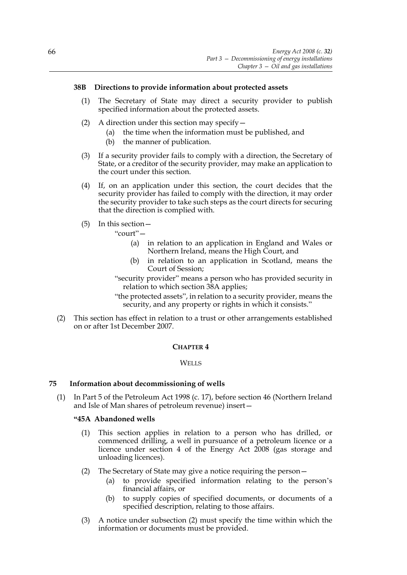## **38B Directions to provide information about protected assets**

- (1) The Secretary of State may direct a security provider to publish specified information about the protected assets.
- (2) A direction under this section may specify—
	- (a) the time when the information must be published, and
	- (b) the manner of publication.
- (3) If a security provider fails to comply with a direction, the Secretary of State, or a creditor of the security provider, may make an application to the court under this section.
- (4) If, on an application under this section, the court decides that the security provider has failed to comply with the direction, it may order the security provider to take such steps as the court directs for securing that the direction is complied with.
- (5) In this section—

"court"—

- (a) in relation to an application in England and Wales or Northern Ireland, means the High Court, and
- (b) in relation to an application in Scotland, means the Court of Session;

"security provider" means a person who has provided security in relation to which section 38A applies;

- "the protected assets", in relation to a security provider, means the security, and any property or rights in which it consists."
- (2) This section has effect in relation to a trust or other arrangements established on or after 1st December 2007.

#### **CHAPTER 4**

## **WELLS**

#### **75 Information about decommissioning of wells**

(1) In Part 5 of the Petroleum Act 1998 (c. 17), before section 46 (Northern Ireland and Isle of Man shares of petroleum revenue) insert—

#### **"45A Abandoned wells**

- (1) This section applies in relation to a person who has drilled, or commenced drilling, a well in pursuance of a petroleum licence or a licence under section 4 of the Energy Act 2008 (gas storage and unloading licences).
- (2) The Secretary of State may give a notice requiring the person
	- to provide specified information relating to the person's financial affairs, or
	- (b) to supply copies of specified documents, or documents of a specified description, relating to those affairs.
- (3) A notice under subsection (2) must specify the time within which the information or documents must be provided.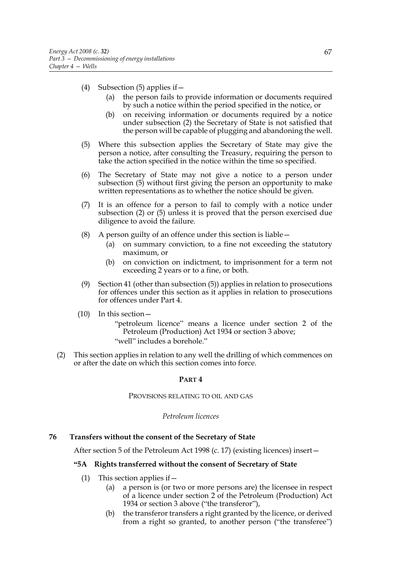- (4) Subsection  $(5)$  applies if  $-$ 
	- (a) the person fails to provide information or documents required by such a notice within the period specified in the notice, or
	- (b) on receiving information or documents required by a notice under subsection (2) the Secretary of State is not satisfied that the person will be capable of plugging and abandoning the well.
- (5) Where this subsection applies the Secretary of State may give the person a notice, after consulting the Treasury, requiring the person to take the action specified in the notice within the time so specified.
- (6) The Secretary of State may not give a notice to a person under subsection (5) without first giving the person an opportunity to make written representations as to whether the notice should be given.
- (7) It is an offence for a person to fail to comply with a notice under subsection (2) or (5) unless it is proved that the person exercised due diligence to avoid the failure.
- (8) A person guilty of an offence under this section is liable—
	- (a) on summary conviction, to a fine not exceeding the statutory maximum, or
	- (b) on conviction on indictment, to imprisonment for a term not exceeding 2 years or to a fine, or both.
- (9) Section 41 (other than subsection (5)) applies in relation to prosecutions for offences under this section as it applies in relation to prosecutions for offences under Part 4.
- (10) In this section—

"petroleum licence" means a licence under section 2 of the Petroleum (Production) Act 1934 or section 3 above; "well" includes a borehole."

(2) This section applies in relation to any well the drilling of which commences on or after the date on which this section comes into force.

#### **PART 4**

PROVISIONS RELATING TO OIL AND GAS

*Petroleum licences*

#### **76 Transfers without the consent of the Secretary of State**

After section 5 of the Petroleum Act 1998 (c. 17) (existing licences) insert—

#### **"5A Rights transferred without the consent of Secretary of State**

- (1) This section applies if  $-$ 
	- (a) a person is (or two or more persons are) the licensee in respect of a licence under section 2 of the Petroleum (Production) Act 1934 or section 3 above ("the transferor"),
	- (b) the transferor transfers a right granted by the licence, or derived from a right so granted, to another person ("the transferee")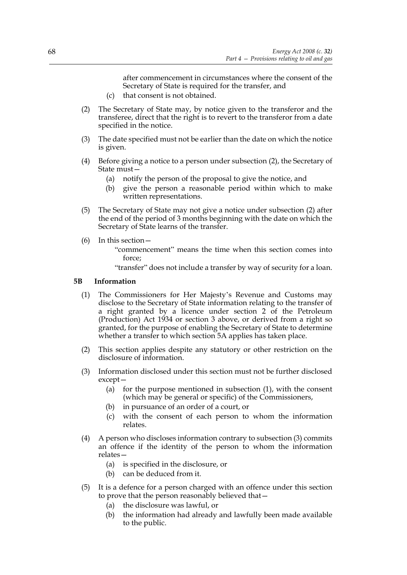after commencement in circumstances where the consent of the Secretary of State is required for the transfer, and

- (c) that consent is not obtained.
- (2) The Secretary of State may, by notice given to the transferor and the transferee, direct that the right is to revert to the transferor from a date specified in the notice.
- (3) The date specified must not be earlier than the date on which the notice is given.
- (4) Before giving a notice to a person under subsection (2), the Secretary of State must—
	- (a) notify the person of the proposal to give the notice, and
	- (b) give the person a reasonable period within which to make written representations.
- (5) The Secretary of State may not give a notice under subsection (2) after the end of the period of 3 months beginning with the date on which the Secretary of State learns of the transfer.
- (6) In this section—
	- "commencement" means the time when this section comes into force;
	- "transfer" does not include a transfer by way of security for a loan.

#### **5B Information**

- (1) The Commissioners for Her Majesty's Revenue and Customs may disclose to the Secretary of State information relating to the transfer of a right granted by a licence under section 2 of the Petroleum (Production) Act 1934 or section 3 above, or derived from a right so granted, for the purpose of enabling the Secretary of State to determine whether a transfer to which section 5A applies has taken place.
- (2) This section applies despite any statutory or other restriction on the disclosure of information.
- (3) Information disclosed under this section must not be further disclosed except—
	- (a) for the purpose mentioned in subsection (1), with the consent (which may be general or specific) of the Commissioners,
	- (b) in pursuance of an order of a court, or
	- (c) with the consent of each person to whom the information relates.
- (4) A person who discloses information contrary to subsection (3) commits an offence if the identity of the person to whom the information relates—
	- (a) is specified in the disclosure, or
	- (b) can be deduced from it.
- (5) It is a defence for a person charged with an offence under this section to prove that the person reasonably believed that—
	- (a) the disclosure was lawful, or
	- (b) the information had already and lawfully been made available to the public.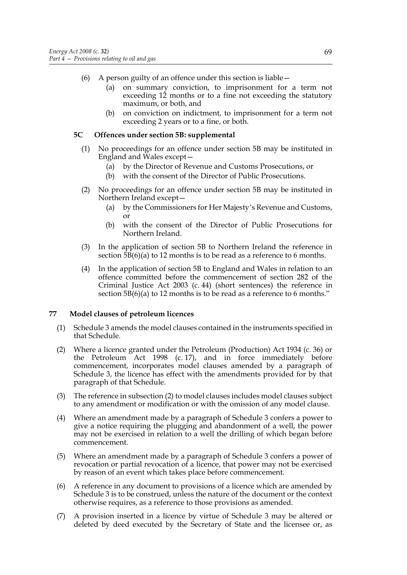- (6) A person guilty of an offence under this section is liable—
	- (a) on summary conviction, to imprisonment for a term not exceeding 12 months or to a fine not exceeding the statutory maximum, or both, and
	- (b) on conviction on indictment, to imprisonment for a term not exceeding 2 years or to a fine, or both.

## **5C Offences under section 5B: supplemental**

- (1) No proceedings for an offence under section 5B may be instituted in England and Wales except—
	- (a) by the Director of Revenue and Customs Prosecutions, or
	- (b) with the consent of the Director of Public Prosecutions.
- (2) No proceedings for an offence under section 5B may be instituted in Northern Ireland except—
	- (a) by the Commissioners for Her Majesty's Revenue and Customs, or
	- (b) with the consent of the Director of Public Prosecutions for Northern Ireland.
- (3) In the application of section 5B to Northern Ireland the reference in section 5B(6)(a) to 12 months is to be read as a reference to 6 months.
- (4) In the application of section 5B to England and Wales in relation to an offence committed before the commencement of section 282 of the Criminal Justice Act 2003 (c. 44) (short sentences) the reference in section 5B(6)(a) to 12 months is to be read as a reference to 6 months."

## **77 Model clauses of petroleum licences**

- (1) Schedule 3 amends the model clauses contained in the instruments specified in that Schedule.
- (2) Where a licence granted under the Petroleum (Production) Act 1934 (c. 36) or the Petroleum Act 1998 (c. 17), and in force immediately before commencement, incorporates model clauses amended by a paragraph of Schedule 3, the licence has effect with the amendments provided for by that paragraph of that Schedule.
- (3) The reference in subsection (2) to model clauses includes model clauses subject to any amendment or modification or with the omission of any model clause.
- (4) Where an amendment made by a paragraph of Schedule 3 confers a power to give a notice requiring the plugging and abandonment of a well, the power may not be exercised in relation to a well the drilling of which began before commencement.
- (5) Where an amendment made by a paragraph of Schedule 3 confers a power of revocation or partial revocation of a licence, that power may not be exercised by reason of an event which takes place before commencement.
- (6) A reference in any document to provisions of a licence which are amended by Schedule 3 is to be construed, unless the nature of the document or the context otherwise requires, as a reference to those provisions as amended.
- (7) A provision inserted in a licence by virtue of Schedule 3 may be altered or deleted by deed executed by the Secretary of State and the licensee or, as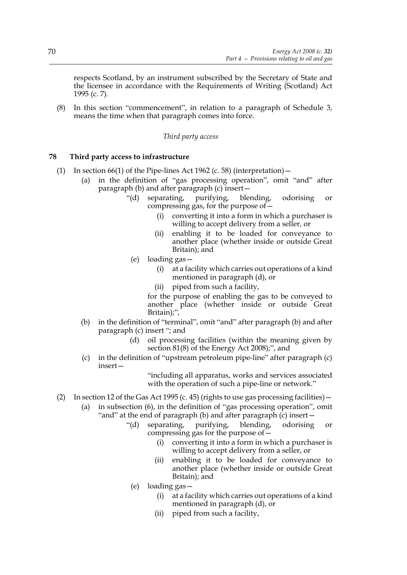respects Scotland, by an instrument subscribed by the Secretary of State and the licensee in accordance with the Requirements of Writing (Scotland) Act 1995 (c. 7).

(8) In this section "commencement", in relation to a paragraph of Schedule 3, means the time when that paragraph comes into force.

#### *Third party access*

## **78 Third party access to infrastructure**

- (1) In section  $66(1)$  of the Pipe-lines Act 1962 (c. 58) (interpretation)
	- (a) in the definition of "gas processing operation", omit "and" after paragraph (b) and after paragraph (c) insert—
		- "(d) separating, purifying, blending, odorising or compressing gas, for the purpose of—
			- (i) converting it into a form in which a purchaser is willing to accept delivery from a seller, or
			- (ii) enabling it to be loaded for conveyance to another place (whether inside or outside Great Britain); and
		- (e) loading gas—
			- (i) at a facility which carries out operations of a kind mentioned in paragraph (d), or
			- (ii) piped from such a facility,

for the purpose of enabling the gas to be conveyed to another place (whether inside or outside Great Britain);",

- (b) in the definition of "terminal", omit "and" after paragraph (b) and after paragraph (c) insert "; and
	- (d) oil processing facilities (within the meaning given by section 81(8) of the Energy Act 2008);", and
- (c) in the definition of "upstream petroleum pipe-line" after paragraph (c) insert—

"including all apparatus, works and services associated with the operation of such a pipe-line or network."

- (2) In section 12 of the Gas Act 1995 (c. 45) (rights to use gas processing facilities)—
	- (a) in subsection (6), in the definition of "gas processing operation", omit "and" at the end of paragraph (b) and after paragraph  $(c)$  insert –
		- "(d) separating, purifying, blending, odorising or compressing gas for the purpose of—
			- (i) converting it into a form in which a purchaser is willing to accept delivery from a seller, or
			- (ii) enabling it to be loaded for conveyance to another place (whether inside or outside Great Britain); and
		- (e) loading gas—
			- (i) at a facility which carries out operations of a kind mentioned in paragraph (d), or
			- (ii) piped from such a facility,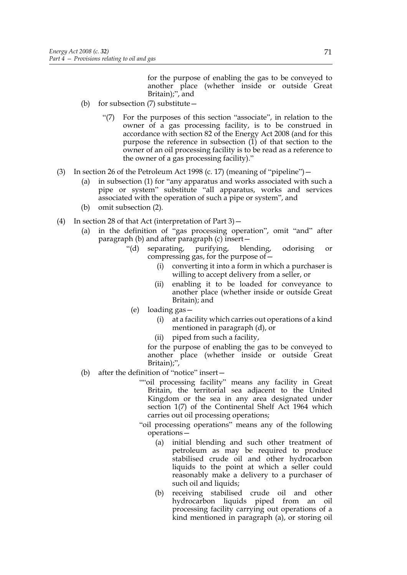for the purpose of enabling the gas to be conveyed to another place (whether inside or outside Great Britain);", and

- (b) for subsection (7) substitute—
	- "(7) For the purposes of this section "associate", in relation to the owner of a gas processing facility, is to be construed in accordance with section 82 of the Energy Act 2008 (and for this purpose the reference in subsection  $(1)$  of that section to the owner of an oil processing facility is to be read as a reference to the owner of a gas processing facility)."
- (3) In section 26 of the Petroleum Act 1998 (c. 17) (meaning of "pipeline")—
	- (a) in subsection (1) for "any apparatus and works associated with such a pipe or system" substitute "all apparatus, works and services associated with the operation of such a pipe or system", and
	- (b) omit subsection (2).
- (4) In section 28 of that Act (interpretation of Part 3)—
	- (a) in the definition of "gas processing operation", omit "and" after paragraph (b) and after paragraph (c) insert—
		- "(d) separating, purifying, blending, odorising or compressing gas, for the purpose of—
			- (i) converting it into a form in which a purchaser is willing to accept delivery from a seller, or
			- (ii) enabling it to be loaded for conveyance to another place (whether inside or outside Great Britain); and
		- (e) loading gas—
			- (i) at a facility which carries out operations of a kind mentioned in paragraph (d), or
			- (ii) piped from such a facility,

for the purpose of enabling the gas to be conveyed to another place (whether inside or outside Great Britain);",

- (b) after the definition of "notice" insert—
	- ""oil processing facility" means any facility in Great Britain, the territorial sea adjacent to the United Kingdom or the sea in any area designated under section 1(7) of the Continental Shelf Act 1964 which carries out oil processing operations;
	- "oil processing operations" means any of the following operations—
		- (a) initial blending and such other treatment of petroleum as may be required to produce stabilised crude oil and other hydrocarbon liquids to the point at which a seller could reasonably make a delivery to a purchaser of such oil and liquids;
		- (b) receiving stabilised crude oil and other hydrocarbon liquids piped from an oil processing facility carrying out operations of a kind mentioned in paragraph (a), or storing oil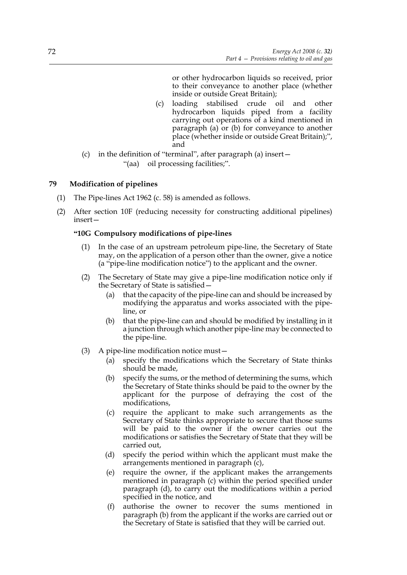or other hydrocarbon liquids so received, prior to their conveyance to another place (whether inside or outside Great Britain);

- (c) loading stabilised crude oil and other hydrocarbon liquids piped from a facility carrying out operations of a kind mentioned in paragraph (a) or (b) for conveyance to another place (whether inside or outside Great Britain);", and
- (c) in the definition of "terminal", after paragraph (a) insert— "(aa) oil processing facilities;".

## **79 Modification of pipelines**

- (1) The Pipe-lines Act 1962 (c. 58) is amended as follows.
- (2) After section 10F (reducing necessity for constructing additional pipelines) insert—

## **"10G Compulsory modifications of pipe-lines**

- (1) In the case of an upstream petroleum pipe-line, the Secretary of State may, on the application of a person other than the owner, give a notice (a "pipe-line modification notice") to the applicant and the owner.
- (2) The Secretary of State may give a pipe-line modification notice only if the Secretary of State is satisfied—
	- (a) that the capacity of the pipe-line can and should be increased by modifying the apparatus and works associated with the pipeline, or
	- (b) that the pipe-line can and should be modified by installing in it a junction through which another pipe-line may be connected to the pipe-line.
- (3) A pipe-line modification notice must—
	- (a) specify the modifications which the Secretary of State thinks should be made,
	- (b) specify the sums, or the method of determining the sums, which the Secretary of State thinks should be paid to the owner by the applicant for the purpose of defraying the cost of the modifications,
	- (c) require the applicant to make such arrangements as the Secretary of State thinks appropriate to secure that those sums will be paid to the owner if the owner carries out the modifications or satisfies the Secretary of State that they will be carried out,
	- (d) specify the period within which the applicant must make the arrangements mentioned in paragraph (c),
	- (e) require the owner, if the applicant makes the arrangements mentioned in paragraph (c) within the period specified under paragraph (d), to carry out the modifications within a period specified in the notice, and
	- (f) authorise the owner to recover the sums mentioned in paragraph (b) from the applicant if the works are carried out or the Secretary of State is satisfied that they will be carried out.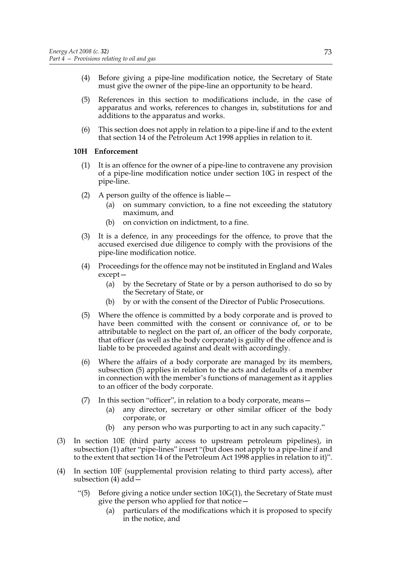- (4) Before giving a pipe-line modification notice, the Secretary of State must give the owner of the pipe-line an opportunity to be heard.
- (5) References in this section to modifications include, in the case of apparatus and works, references to changes in, substitutions for and additions to the apparatus and works.
- (6) This section does not apply in relation to a pipe-line if and to the extent that section 14 of the Petroleum Act 1998 applies in relation to it.

## **10H Enforcement**

- (1) It is an offence for the owner of a pipe-line to contravene any provision of a pipe-line modification notice under section 10G in respect of the pipe-line.
- (2) A person guilty of the offence is liable
	- on summary conviction, to a fine not exceeding the statutory maximum, and
	- (b) on conviction on indictment, to a fine.
- (3) It is a defence, in any proceedings for the offence, to prove that the accused exercised due diligence to comply with the provisions of the pipe-line modification notice.
- (4) Proceedings for the offence may not be instituted in England and Wales except—
	- (a) by the Secretary of State or by a person authorised to do so by the Secretary of State, or
	- (b) by or with the consent of the Director of Public Prosecutions.
- (5) Where the offence is committed by a body corporate and is proved to have been committed with the consent or connivance of, or to be attributable to neglect on the part of, an officer of the body corporate, that officer (as well as the body corporate) is guilty of the offence and is liable to be proceeded against and dealt with accordingly.
- (6) Where the affairs of a body corporate are managed by its members, subsection (5) applies in relation to the acts and defaults of a member in connection with the member's functions of management as it applies to an officer of the body corporate.
- (7) In this section "officer", in relation to a body corporate, means—
	- (a) any director, secretary or other similar officer of the body corporate, or
	- (b) any person who was purporting to act in any such capacity."
- (3) In section 10E (third party access to upstream petroleum pipelines), in subsection (1) after "pipe-lines" insert "(but does not apply to a pipe-line if and to the extent that section 14 of the Petroleum Act 1998 applies in relation to it)".
- (4) In section 10F (supplemental provision relating to third party access), after subsection (4) add—
	- "(5) Before giving a notice under section  $10G(1)$ , the Secretary of State must give the person who applied for that notice—
		- (a) particulars of the modifications which it is proposed to specify in the notice, and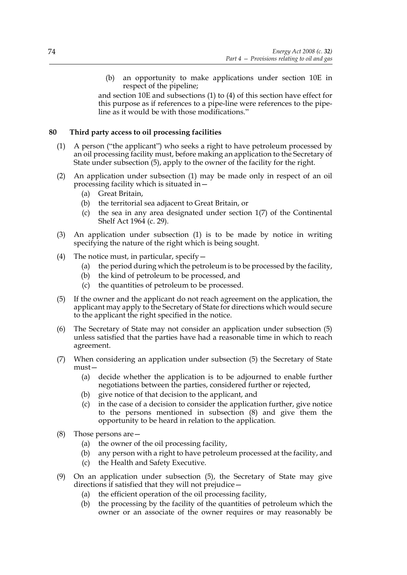(b) an opportunity to make applications under section 10E in respect of the pipeline;

and section 10E and subsections (1) to (4) of this section have effect for this purpose as if references to a pipe-line were references to the pipeline as it would be with those modifications."

## **80 Third party access to oil processing facilities**

- (1) A person ("the applicant") who seeks a right to have petroleum processed by an oil processing facility must, before making an application to the Secretary of State under subsection (5), apply to the owner of the facility for the right.
- (2) An application under subsection (1) may be made only in respect of an oil processing facility which is situated in—
	- (a) Great Britain,
	- (b) the territorial sea adjacent to Great Britain, or
	- (c) the sea in any area designated under section 1(7) of the Continental Shelf Act 1964 (c. 29).
- (3) An application under subsection (1) is to be made by notice in writing specifying the nature of the right which is being sought.
- (4) The notice must, in particular, specify—
	- (a) the period during which the petroleum is to be processed by the facility,
	- (b) the kind of petroleum to be processed, and
	- (c) the quantities of petroleum to be processed.
- (5) If the owner and the applicant do not reach agreement on the application, the applicant may apply to the Secretary of State for directions which would secure to the applicant the right specified in the notice.
- (6) The Secretary of State may not consider an application under subsection (5) unless satisfied that the parties have had a reasonable time in which to reach agreement.
- (7) When considering an application under subsection (5) the Secretary of State must—
	- (a) decide whether the application is to be adjourned to enable further negotiations between the parties, considered further or rejected,
	- (b) give notice of that decision to the applicant, and
	- (c) in the case of a decision to consider the application further, give notice to the persons mentioned in subsection (8) and give them the opportunity to be heard in relation to the application.
- (8) Those persons are—
	- (a) the owner of the oil processing facility,
	- (b) any person with a right to have petroleum processed at the facility, and
	- (c) the Health and Safety Executive.
- (9) On an application under subsection (5), the Secretary of State may give directions if satisfied that they will not prejudice—
	- (a) the efficient operation of the oil processing facility,
	- (b) the processing by the facility of the quantities of petroleum which the owner or an associate of the owner requires or may reasonably be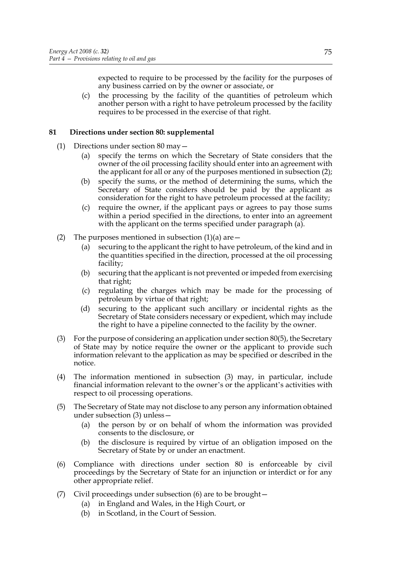expected to require to be processed by the facility for the purposes of any business carried on by the owner or associate, or

(c) the processing by the facility of the quantities of petroleum which another person with a right to have petroleum processed by the facility requires to be processed in the exercise of that right.

## **81 Directions under section 80: supplemental**

- (1) Directions under section 80 may—
	- (a) specify the terms on which the Secretary of State considers that the owner of the oil processing facility should enter into an agreement with the applicant for all or any of the purposes mentioned in subsection (2);
	- (b) specify the sums, or the method of determining the sums, which the Secretary of State considers should be paid by the applicant as consideration for the right to have petroleum processed at the facility;
	- (c) require the owner, if the applicant pays or agrees to pay those sums within a period specified in the directions, to enter into an agreement with the applicant on the terms specified under paragraph (a).
- (2) The purposes mentioned in subsection  $(1)(a)$  are  $-$ 
	- (a) securing to the applicant the right to have petroleum, of the kind and in the quantities specified in the direction, processed at the oil processing facility;
	- (b) securing that the applicant is not prevented or impeded from exercising that right;
	- (c) regulating the charges which may be made for the processing of petroleum by virtue of that right;
	- (d) securing to the applicant such ancillary or incidental rights as the Secretary of State considers necessary or expedient, which may include the right to have a pipeline connected to the facility by the owner.
- (3) For the purpose of considering an application under section 80(5), the Secretary of State may by notice require the owner or the applicant to provide such information relevant to the application as may be specified or described in the notice.
- (4) The information mentioned in subsection (3) may, in particular, include financial information relevant to the owner's or the applicant's activities with respect to oil processing operations.
- (5) The Secretary of State may not disclose to any person any information obtained under subsection (3) unless—
	- (a) the person by or on behalf of whom the information was provided consents to the disclosure, or
	- (b) the disclosure is required by virtue of an obligation imposed on the Secretary of State by or under an enactment.
- (6) Compliance with directions under section 80 is enforceable by civil proceedings by the Secretary of State for an injunction or interdict or for any other appropriate relief.
- (7) Civil proceedings under subsection (6) are to be brought—
	- (a) in England and Wales, in the High Court, or
	- (b) in Scotland, in the Court of Session.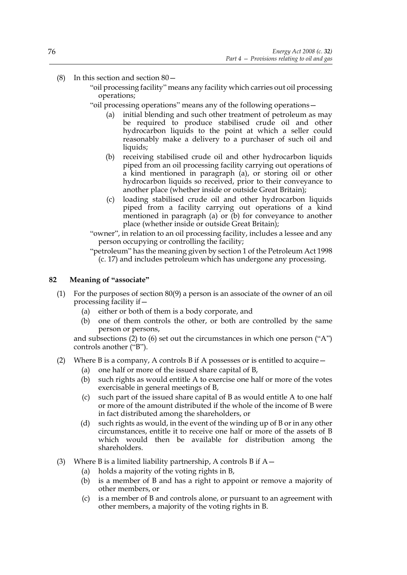## (8) In this section and section 80—

"oil processing facility" means any facility which carries out oil processing operations;

"oil processing operations" means any of the following operations—

- (a) initial blending and such other treatment of petroleum as may be required to produce stabilised crude oil and other hydrocarbon liquids to the point at which a seller could reasonably make a delivery to a purchaser of such oil and liquids;
- (b) receiving stabilised crude oil and other hydrocarbon liquids piped from an oil processing facility carrying out operations of a kind mentioned in paragraph (a), or storing oil or other hydrocarbon liquids so received, prior to their conveyance to another place (whether inside or outside Great Britain);
- (c) loading stabilised crude oil and other hydrocarbon liquids piped from a facility carrying out operations of a kind mentioned in paragraph (a) or (b) for conveyance to another place (whether inside or outside Great Britain);
- "owner", in relation to an oil processing facility, includes a lessee and any person occupying or controlling the facility;
- "petroleum" has the meaning given by section 1 of the Petroleum Act 1998 (c. 17) and includes petroleum which has undergone any processing.

## **82 Meaning of "associate"**

- (1) For the purposes of section 80(9) a person is an associate of the owner of an oil processing facility if—
	- (a) either or both of them is a body corporate, and
	- (b) one of them controls the other, or both are controlled by the same person or persons,

and subsections (2) to (6) set out the circumstances in which one person ("A") controls another ("B").

- (2) Where B is a company, A controls B if A possesses or is entitled to acquire  $-$ 
	- (a) one half or more of the issued share capital of B,
	- (b) such rights as would entitle A to exercise one half or more of the votes exercisable in general meetings of B,
	- (c) such part of the issued share capital of B as would entitle A to one half or more of the amount distributed if the whole of the income of B were in fact distributed among the shareholders, or
	- (d) such rights as would, in the event of the winding up of B or in any other circumstances, entitle it to receive one half or more of the assets of B which would then be available for distribution among the shareholders.
- (3) Where B is a limited liability partnership, A controls B if  $A-$ 
	- (a) holds a majority of the voting rights in B,
	- (b) is a member of B and has a right to appoint or remove a majority of other members, or
	- (c) is a member of B and controls alone, or pursuant to an agreement with other members, a majority of the voting rights in B.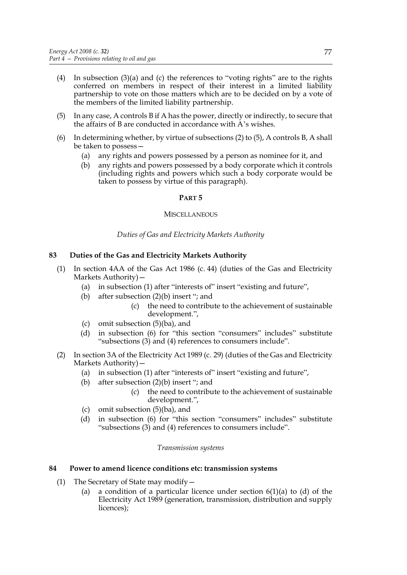- (4) In subsection (3)(a) and (c) the references to "voting rights" are to the rights conferred on members in respect of their interest in a limited liability partnership to vote on those matters which are to be decided on by a vote of the members of the limited liability partnership.
- (5) In any case, A controls B if A has the power, directly or indirectly, to secure that the affairs of B are conducted in accordance with A's wishes.
- (6) In determining whether, by virtue of subsections (2) to (5), A controls B, A shall be taken to possess—
	- (a) any rights and powers possessed by a person as nominee for it, and
	- (b) any rights and powers possessed by a body corporate which it controls (including rights and powers which such a body corporate would be taken to possess by virtue of this paragraph).

## **PART 5**

## **MISCELLANEOUS**

## *Duties of Gas and Electricity Markets Authority*

## **83 Duties of the Gas and Electricity Markets Authority**

- (1) In section 4AA of the Gas Act 1986 (c. 44) (duties of the Gas and Electricity Markets Authority)—
	- (a) in subsection (1) after "interests of" insert "existing and future",
	- (b) after subsection (2)(b) insert "; and
		- (c) the need to contribute to the achievement of sustainable development.",
	- (c) omit subsection (5)(ba), and
	- (d) in subsection (6) for "this section "consumers" includes" substitute "subsections (3) and (4) references to consumers include".
- (2) In section 3A of the Electricity Act 1989 (c. 29) (duties of the Gas and Electricity Markets Authority)—
	- (a) in subsection (1) after "interests of" insert "existing and future",
	- (b) after subsection (2)(b) insert "; and
		- (c) the need to contribute to the achievement of sustainable development.",
	- (c) omit subsection (5)(ba), and
	- (d) in subsection (6) for "this section "consumers" includes" substitute "subsections (3) and (4) references to consumers include".

## *Transmission systems*

## **84 Power to amend licence conditions etc: transmission systems**

- (1) The Secretary of State may modify—
	- (a) a condition of a particular licence under section  $6(1)(a)$  to  $(d)$  of the Electricity Act 1989 (generation, transmission, distribution and supply licences);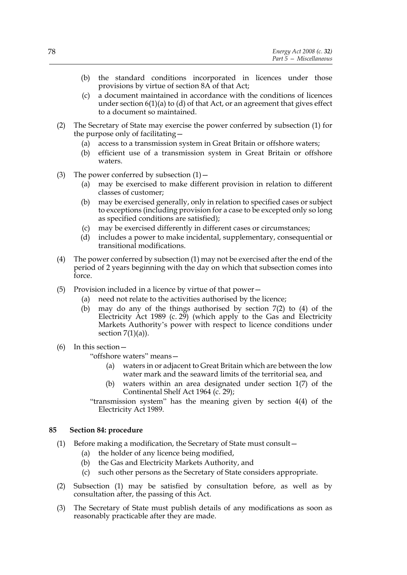- (b) the standard conditions incorporated in licences under those provisions by virtue of section 8A of that Act;
- (c) a document maintained in accordance with the conditions of licences under section 6(1)(a) to (d) of that Act, or an agreement that gives effect to a document so maintained.
- (2) The Secretary of State may exercise the power conferred by subsection (1) for the purpose only of facilitating—
	- (a) access to a transmission system in Great Britain or offshore waters;
	- (b) efficient use of a transmission system in Great Britain or offshore waters.
- (3) The power conferred by subsection  $(1)$ 
	- (a) may be exercised to make different provision in relation to different classes of customer;
	- (b) may be exercised generally, only in relation to specified cases or subject to exceptions (including provision for a case to be excepted only so long as specified conditions are satisfied);
	- (c) may be exercised differently in different cases or circumstances;
	- (d) includes a power to make incidental, supplementary, consequential or transitional modifications.
- (4) The power conferred by subsection (1) may not be exercised after the end of the period of 2 years beginning with the day on which that subsection comes into force.
- (5) Provision included in a licence by virtue of that power—
	- (a) need not relate to the activities authorised by the licence;
	- (b) may do any of the things authorised by section 7(2) to (4) of the Electricity Act 1989 (c. 29) (which apply to the Gas and Electricity Markets Authority's power with respect to licence conditions under section  $7(1)(a)$ ).
- (6) In this section—
	- "offshore waters" means—
		- (a) waters in or adjacent to Great Britain which are between the low water mark and the seaward limits of the territorial sea, and
		- (b) waters within an area designated under section 1(7) of the Continental Shelf Act 1964 (c. 29);
	- "transmission system" has the meaning given by section 4(4) of the Electricity Act 1989.

## **85 Section 84: procedure**

- (1) Before making a modification, the Secretary of State must consult—
	- (a) the holder of any licence being modified,
	- (b) the Gas and Electricity Markets Authority, and
	- (c) such other persons as the Secretary of State considers appropriate.
- (2) Subsection (1) may be satisfied by consultation before, as well as by consultation after, the passing of this Act.
- (3) The Secretary of State must publish details of any modifications as soon as reasonably practicable after they are made.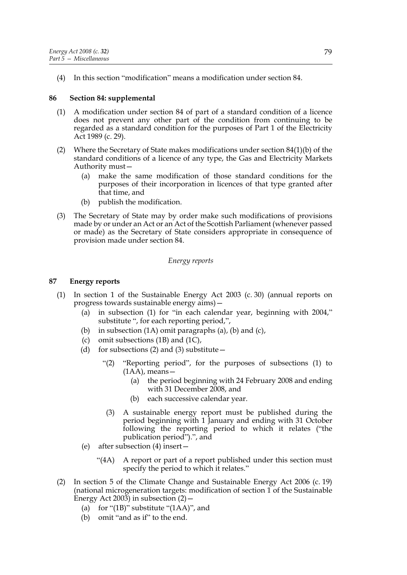(4) In this section "modification" means a modification under section 84.

## **86 Section 84: supplemental**

- (1) A modification under section 84 of part of a standard condition of a licence does not prevent any other part of the condition from continuing to be regarded as a standard condition for the purposes of Part 1 of the Electricity Act 1989 (c. 29).
- (2) Where the Secretary of State makes modifications under section 84(1)(b) of the standard conditions of a licence of any type, the Gas and Electricity Markets Authority must—
	- (a) make the same modification of those standard conditions for the purposes of their incorporation in licences of that type granted after that time, and
	- (b) publish the modification.
- (3) The Secretary of State may by order make such modifications of provisions made by or under an Act or an Act of the Scottish Parliament (whenever passed or made) as the Secretary of State considers appropriate in consequence of provision made under section 84.

## *Energy reports*

## **87 Energy reports**

- (1) In section 1 of the Sustainable Energy Act 2003 (c. 30) (annual reports on progress towards sustainable energy aims)—
	- (a) in subsection (1) for "in each calendar year, beginning with 2004," substitute ", for each reporting period,",
	- (b) in subsection  $(1A)$  omit paragraphs  $(a)$ ,  $(b)$  and  $(c)$ ,
	- (c) omit subsections (1B) and (1C),
	- (d) for subsections (2) and (3) substitute  $-$ 
		- "(2) "Reporting period", for the purposes of subsections (1) to  $(1AA)$ , means -
			- (a) the period beginning with 24 February 2008 and ending with 31 December 2008, and
			- (b) each successive calendar year.
		- (3) A sustainable energy report must be published during the period beginning with 1 January and ending with 31 October following the reporting period to which it relates ("the publication period").", and
	- (e) after subsection (4) insert—
		- "(4A) A report or part of a report published under this section must specify the period to which it relates."
- (2) In section 5 of the Climate Change and Sustainable Energy Act 2006 (c. 19) (national microgeneration targets: modification of section 1 of the Sustainable Energy Act 2003) in subsection  $(2)$  –
	- (a) for " $(1B)$ " substitute " $(1AA)$ ", and
	- (b) omit "and as if" to the end.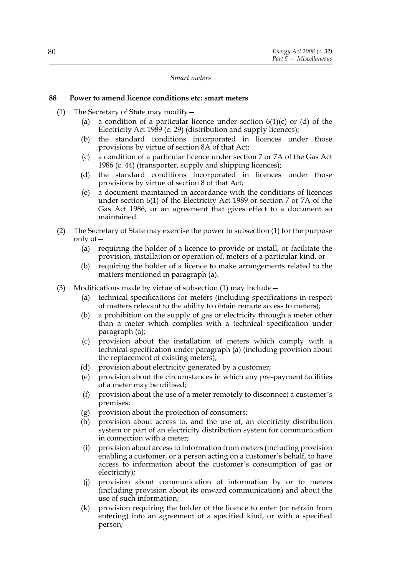#### *Smart meters*

## **88 Power to amend licence conditions etc: smart meters**

- (1) The Secretary of State may modify—
	- (a) a condition of a particular licence under section  $6(1)(c)$  or (d) of the Electricity Act 1989 (c. 29) (distribution and supply licences);
	- (b) the standard conditions incorporated in licences under those provisions by virtue of section 8A of that Act;
	- (c) a condition of a particular licence under section 7 or 7A of the Gas Act 1986 (c. 44) (transporter, supply and shipping licences);
	- (d) the standard conditions incorporated in licences under those provisions by virtue of section 8 of that Act;
	- (e) a document maintained in accordance with the conditions of licences under section 6(1) of the Electricity Act 1989 or section 7 or 7A of the Gas Act 1986, or an agreement that gives effect to a document so maintained.
- (2) The Secretary of State may exercise the power in subsection (1) for the purpose only of—
	- (a) requiring the holder of a licence to provide or install, or facilitate the provision, installation or operation of, meters of a particular kind, or
	- (b) requiring the holder of a licence to make arrangements related to the matters mentioned in paragraph (a).
- (3) Modifications made by virtue of subsection (1) may include—
	- (a) technical specifications for meters (including specifications in respect of matters relevant to the ability to obtain remote access to meters);
	- (b) a prohibition on the supply of gas or electricity through a meter other than a meter which complies with a technical specification under paragraph (a);
	- (c) provision about the installation of meters which comply with a technical specification under paragraph (a) (including provision about the replacement of existing meters);
	- (d) provision about electricity generated by a customer;
	- (e) provision about the circumstances in which any pre-payment facilities of a meter may be utilised;
	- (f) provision about the use of a meter remotely to disconnect a customer's premises;
	- (g) provision about the protection of consumers;
	- (h) provision about access to, and the use of, an electricity distribution system or part of an electricity distribution system for communication in connection with a meter;
	- (i) provision about access to information from meters (including provision enabling a customer, or a person acting on a customer's behalf, to have access to information about the customer's consumption of gas or electricity);
	- (j) provision about communication of information by or to meters (including provision about its onward communication) and about the use of such information;
	- (k) provision requiring the holder of the licence to enter (or refrain from entering) into an agreement of a specified kind, or with a specified person;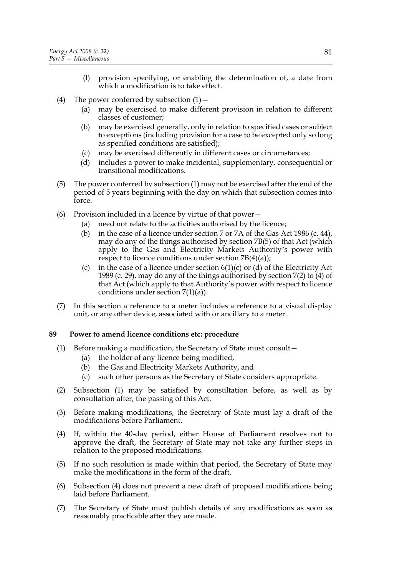- (l) provision specifying, or enabling the determination of, a date from which a modification is to take effect.
- (4) The power conferred by subsection  $(1)$ 
	- (a) may be exercised to make different provision in relation to different classes of customer;
	- (b) may be exercised generally, only in relation to specified cases or subject to exceptions (including provision for a case to be excepted only so long as specified conditions are satisfied);
	- (c) may be exercised differently in different cases or circumstances;
	- (d) includes a power to make incidental, supplementary, consequential or transitional modifications.
- (5) The power conferred by subsection (1) may not be exercised after the end of the period of 5 years beginning with the day on which that subsection comes into force.
- (6) Provision included in a licence by virtue of that power—
	- (a) need not relate to the activities authorised by the licence;
	- (b) in the case of a licence under section 7 or 7A of the Gas Act 1986 (c. 44), may do any of the things authorised by section 7B(5) of that Act (which apply to the Gas and Electricity Markets Authority's power with respect to licence conditions under section 7B(4)(a));
	- (c) in the case of a licence under section  $6(1)(c)$  or (d) of the Electricity Act 1989 (c. 29), may do any of the things authorised by section 7(2) to (4) of that Act (which apply to that Authority's power with respect to licence conditions under section 7(1)(a)).
- (7) In this section a reference to a meter includes a reference to a visual display unit, or any other device, associated with or ancillary to a meter.

## **89 Power to amend licence conditions etc: procedure**

- (1) Before making a modification, the Secretary of State must consult—
	- (a) the holder of any licence being modified,
	- (b) the Gas and Electricity Markets Authority, and
	- (c) such other persons as the Secretary of State considers appropriate.
- (2) Subsection (1) may be satisfied by consultation before, as well as by consultation after, the passing of this Act.
- (3) Before making modifications, the Secretary of State must lay a draft of the modifications before Parliament.
- (4) If, within the 40-day period, either House of Parliament resolves not to approve the draft, the Secretary of State may not take any further steps in relation to the proposed modifications.
- (5) If no such resolution is made within that period, the Secretary of State may make the modifications in the form of the draft.
- (6) Subsection (4) does not prevent a new draft of proposed modifications being laid before Parliament.
- (7) The Secretary of State must publish details of any modifications as soon as reasonably practicable after they are made.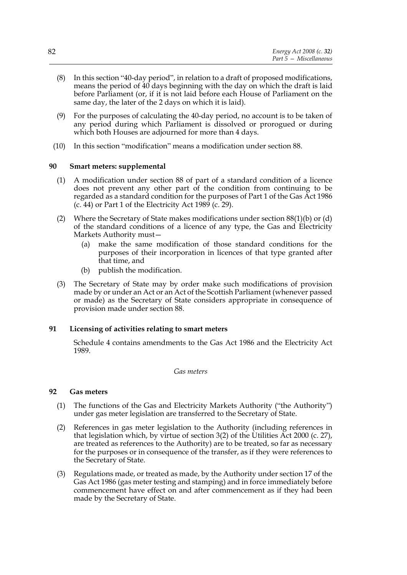- (8) In this section "40-day period", in relation to a draft of proposed modifications, means the period of 40 days beginning with the day on which the draft is laid before Parliament (or, if it is not laid before each House of Parliament on the same day, the later of the 2 days on which it is laid).
- (9) For the purposes of calculating the 40-day period, no account is to be taken of any period during which Parliament is dissolved or prorogued or during which both Houses are adjourned for more than 4 days.
- (10) In this section "modification" means a modification under section 88.

## **90 Smart meters: supplemental**

- (1) A modification under section 88 of part of a standard condition of a licence does not prevent any other part of the condition from continuing to be regarded as a standard condition for the purposes of Part 1 of the Gas Act 1986 (c. 44) or Part 1 of the Electricity Act 1989 (c. 29).
- (2) Where the Secretary of State makes modifications under section  $8(1)(b)$  or  $(d)$ of the standard conditions of a licence of any type, the Gas and Electricity Markets Authority must—
	- (a) make the same modification of those standard conditions for the purposes of their incorporation in licences of that type granted after that time, and
	- (b) publish the modification.
- (3) The Secretary of State may by order make such modifications of provision made by or under an Act or an Act of the Scottish Parliament (whenever passed or made) as the Secretary of State considers appropriate in consequence of provision made under section 88.

## **91 Licensing of activities relating to smart meters**

Schedule 4 contains amendments to the Gas Act 1986 and the Electricity Act 1989.

*Gas meters*

#### **92 Gas meters**

- (1) The functions of the Gas and Electricity Markets Authority ("the Authority") under gas meter legislation are transferred to the Secretary of State.
- (2) References in gas meter legislation to the Authority (including references in that legislation which, by virtue of section 3(2) of the Utilities Act 2000 (c. 27), are treated as references to the Authority) are to be treated, so far as necessary for the purposes or in consequence of the transfer, as if they were references to the Secretary of State.
- (3) Regulations made, or treated as made, by the Authority under section 17 of the Gas Act 1986 (gas meter testing and stamping) and in force immediately before commencement have effect on and after commencement as if they had been made by the Secretary of State.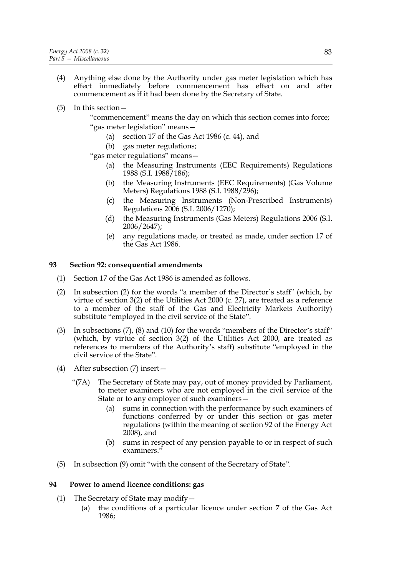- (4) Anything else done by the Authority under gas meter legislation which has effect immediately before commencement has effect on and after commencement as if it had been done by the Secretary of State.
- (5) In this section—

"commencement" means the day on which this section comes into force; "gas meter legislation" means—

- (a) section 17 of the Gas Act 1986 (c. 44), and
- (b) gas meter regulations;

"gas meter regulations" means—

- (a) the Measuring Instruments (EEC Requirements) Regulations 1988 (S.I. 1988/186);
- (b) the Measuring Instruments (EEC Requirements) (Gas Volume Meters) Regulations 1988 (S.I. 1988/296);
- (c) the Measuring Instruments (Non-Prescribed Instruments) Regulations 2006 (S.I. 2006/1270);
- (d) the Measuring Instruments (Gas Meters) Regulations 2006 (S.I. 2006/2647);
- (e) any regulations made, or treated as made, under section 17 of the Gas Act 1986.

## **93 Section 92: consequential amendments**

- (1) Section 17 of the Gas Act 1986 is amended as follows.
- (2) In subsection (2) for the words "a member of the Director's staff" (which, by virtue of section 3(2) of the Utilities Act 2000 (c. 27), are treated as a reference to a member of the staff of the Gas and Electricity Markets Authority) substitute "employed in the civil service of the State".
- (3) In subsections (7), (8) and (10) for the words "members of the Director's staff" (which, by virtue of section 3(2) of the Utilities Act 2000, are treated as references to members of the Authority's staff) substitute "employed in the civil service of the State".
- (4) After subsection (7) insert—
	- "(7A) The Secretary of State may pay, out of money provided by Parliament, to meter examiners who are not employed in the civil service of the State or to any employer of such examiners—
		- (a) sums in connection with the performance by such examiners of functions conferred by or under this section or gas meter regulations (within the meaning of section 92 of the Energy Act 2008), and
		- (b) sums in respect of any pension payable to or in respect of such examiners."
- (5) In subsection (9) omit "with the consent of the Secretary of State".

## **94 Power to amend licence conditions: gas**

- (1) The Secretary of State may modify—
	- (a) the conditions of a particular licence under section 7 of the Gas Act 1986;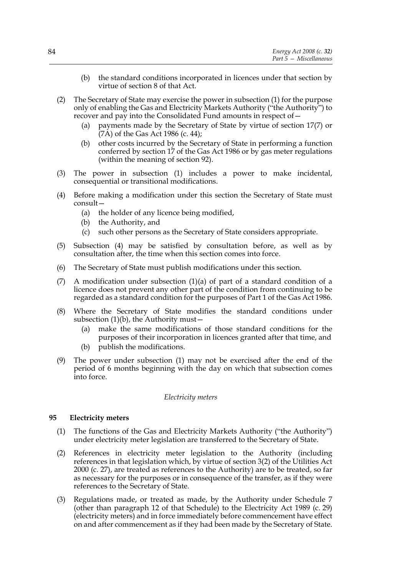- (b) the standard conditions incorporated in licences under that section by virtue of section 8 of that Act.
- (2) The Secretary of State may exercise the power in subsection (1) for the purpose only of enabling the Gas and Electricity Markets Authority ("the Authority") to recover and pay into the Consolidated Fund amounts in respect of—
	- (a) payments made by the Secretary of State by virtue of section 17(7) or (7A) of the Gas Act 1986 (c. 44);
	- (b) other costs incurred by the Secretary of State in performing a function conferred by section 17 of the Gas Act 1986 or by gas meter regulations (within the meaning of section 92).
- (3) The power in subsection (1) includes a power to make incidental, consequential or transitional modifications.
- (4) Before making a modification under this section the Secretary of State must consult—
	- (a) the holder of any licence being modified,
	- (b) the Authority, and
	- (c) such other persons as the Secretary of State considers appropriate.
- (5) Subsection (4) may be satisfied by consultation before, as well as by consultation after, the time when this section comes into force.
- (6) The Secretary of State must publish modifications under this section.
- (7) A modification under subsection (1)(a) of part of a standard condition of a licence does not prevent any other part of the condition from continuing to be regarded as a standard condition for the purposes of Part 1 of the Gas Act 1986.
- (8) Where the Secretary of State modifies the standard conditions under subsection  $(1)(b)$ , the Authority must –
	- (a) make the same modifications of those standard conditions for the purposes of their incorporation in licences granted after that time, and
	- (b) publish the modifications.
- (9) The power under subsection (1) may not be exercised after the end of the period of 6 months beginning with the day on which that subsection comes into force.

#### *Electricity meters*

#### **95 Electricity meters**

- (1) The functions of the Gas and Electricity Markets Authority ("the Authority") under electricity meter legislation are transferred to the Secretary of State.
- (2) References in electricity meter legislation to the Authority (including references in that legislation which, by virtue of section 3(2) of the Utilities Act 2000 (c. 27), are treated as references to the Authority) are to be treated, so far as necessary for the purposes or in consequence of the transfer, as if they were references to the Secretary of State.
- (3) Regulations made, or treated as made, by the Authority under Schedule 7 (other than paragraph 12 of that Schedule) to the Electricity Act 1989 (c. 29) (electricity meters) and in force immediately before commencement have effect on and after commencement as if they had been made by the Secretary of State.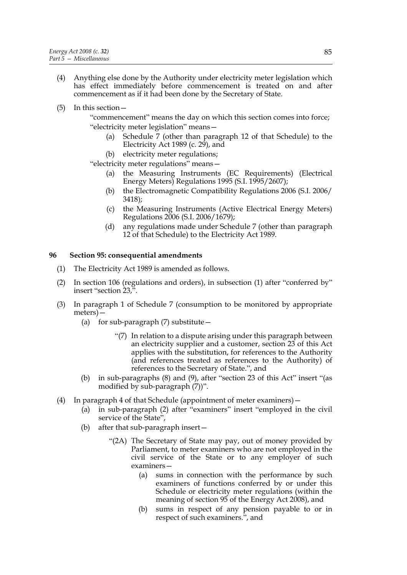- (4) Anything else done by the Authority under electricity meter legislation which has effect immediately before commencement is treated on and after commencement as if it had been done by the Secretary of State.
- (5) In this section—
	- "commencement" means the day on which this section comes into force; "electricity meter legislation" means—
		- (a) Schedule 7 (other than paragraph 12 of that Schedule) to the Electricity Act 1989 (c. 29), and
		- (b) electricity meter regulations;
	- "electricity meter regulations" means—
		- (a) the Measuring Instruments (EC Requirements) (Electrical Energy Meters) Regulations 1995 (S.I. 1995/2607);
		- (b) the Electromagnetic Compatibility Regulations 2006 (S.I. 2006/ 3418);
		- (c) the Measuring Instruments (Active Electrical Energy Meters) Regulations 2006 (S.I. 2006/1679);
		- (d) any regulations made under Schedule 7 (other than paragraph 12 of that Schedule) to the Electricity Act 1989.

## **96 Section 95: consequential amendments**

- (1) The Electricity Act 1989 is amended as follows.
- (2) In section 106 (regulations and orders), in subsection (1) after "conferred by" insert "section 23,".
- (3) In paragraph 1 of Schedule 7 (consumption to be monitored by appropriate meters)—
	- (a) for sub-paragraph  $(7)$  substitute  $-$ 
		- "(7) In relation to a dispute arising under this paragraph between an electricity supplier and a customer, section 23 of this Act applies with the substitution, for references to the Authority (and references treated as references to the Authority) of references to the Secretary of State.", and
	- (b) in sub-paragraphs (8) and (9), after "section 23 of this Act" insert "(as modified by sub-paragraph (7))".
- (4) In paragraph 4 of that Schedule (appointment of meter examiners)—
	- (a) in sub-paragraph (2) after "examiners" insert "employed in the civil service of the State",
	- (b) after that sub-paragraph insert—
		- "(2A) The Secretary of State may pay, out of money provided by Parliament, to meter examiners who are not employed in the civil service of the State or to any employer of such examiners—
			- (a) sums in connection with the performance by such examiners of functions conferred by or under this Schedule or electricity meter regulations (within the meaning of section 95 of the Energy Act 2008), and
			- (b) sums in respect of any pension payable to or in respect of such examiners.", and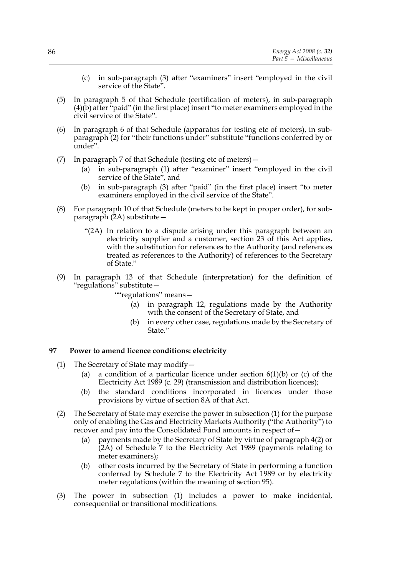- (c) in sub-paragraph (3) after "examiners" insert "employed in the civil service of the State".
- (5) In paragraph 5 of that Schedule (certification of meters), in sub-paragraph  $(4)(\overline{b})$  after "paid" (in the first place) insert "to meter examiners employed in the civil service of the State".
- (6) In paragraph 6 of that Schedule (apparatus for testing etc of meters), in subparagraph (2) for "their functions under" substitute "functions conferred by or under".
- (7) In paragraph 7 of that Schedule (testing etc of meters)—
	- (a) in sub-paragraph (1) after "examiner" insert "employed in the civil service of the State", and
	- (b) in sub-paragraph (3) after "paid" (in the first place) insert "to meter examiners employed in the civil service of the State".
- (8) For paragraph 10 of that Schedule (meters to be kept in proper order), for subparagraph (2A) substitute—
	- "(2A) In relation to a dispute arising under this paragraph between an electricity supplier and a customer, section 23 of this Act applies, with the substitution for references to the Authority (and references treated as references to the Authority) of references to the Secretary of State."
- (9) In paragraph 13 of that Schedule (interpretation) for the definition of "regulations" substitute—
	- ""regulations" means—
		- (a) in paragraph 12, regulations made by the Authority with the consent of the Secretary of State, and
		- (b) in every other case, regulations made by the Secretary of State."

#### **97 Power to amend licence conditions: electricity**

- (1) The Secretary of State may modify—
	- (a) a condition of a particular licence under section  $6(1)(b)$  or (c) of the Electricity Act 1989 (c. 29) (transmission and distribution licences);
	- (b) the standard conditions incorporated in licences under those provisions by virtue of section 8A of that Act.
- (2) The Secretary of State may exercise the power in subsection (1) for the purpose only of enabling the Gas and Electricity Markets Authority ("the Authority") to recover and pay into the Consolidated Fund amounts in respect of—
	- (a) payments made by the Secretary of State by virtue of paragraph 4(2) or (2A) of Schedule 7 to the Electricity Act 1989 (payments relating to meter examiners);
	- (b) other costs incurred by the Secretary of State in performing a function conferred by Schedule 7 to the Electricity Act 1989 or by electricity meter regulations (within the meaning of section 95).
- (3) The power in subsection (1) includes a power to make incidental, consequential or transitional modifications.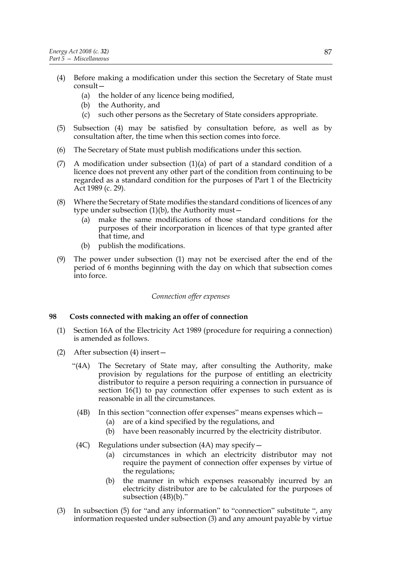- (4) Before making a modification under this section the Secretary of State must consult—
	- (a) the holder of any licence being modified,
	- (b) the Authority, and
	- (c) such other persons as the Secretary of State considers appropriate.
- (5) Subsection (4) may be satisfied by consultation before, as well as by consultation after, the time when this section comes into force.
- (6) The Secretary of State must publish modifications under this section.
- (7) A modification under subsection (1)(a) of part of a standard condition of a licence does not prevent any other part of the condition from continuing to be regarded as a standard condition for the purposes of Part 1 of the Electricity Act 1989 (c. 29).
- (8) Where the Secretary of State modifies the standard conditions of licences of any type under subsection  $(1)(b)$ , the Authority must  $-$ 
	- (a) make the same modifications of those standard conditions for the purposes of their incorporation in licences of that type granted after that time, and
	- (b) publish the modifications.
- (9) The power under subsection (1) may not be exercised after the end of the period of 6 months beginning with the day on which that subsection comes into force.

*Connection offer expenses*

## **98 Costs connected with making an offer of connection**

- (1) Section 16A of the Electricity Act 1989 (procedure for requiring a connection) is amended as follows.
- (2) After subsection (4) insert—
	- "(4A) The Secretary of State may, after consulting the Authority, make provision by regulations for the purpose of entitling an electricity distributor to require a person requiring a connection in pursuance of section 16(1) to pay connection offer expenses to such extent as is reasonable in all the circumstances.
	- (4B) In this section "connection offer expenses" means expenses which—
		- (a) are of a kind specified by the regulations, and
		- (b) have been reasonably incurred by the electricity distributor.
	- (4C) Regulations under subsection (4A) may specify—
		- (a) circumstances in which an electricity distributor may not require the payment of connection offer expenses by virtue of the regulations;
		- (b) the manner in which expenses reasonably incurred by an electricity distributor are to be calculated for the purposes of subsection (4B)(b)."
- (3) In subsection (5) for "and any information" to "connection" substitute ", any information requested under subsection (3) and any amount payable by virtue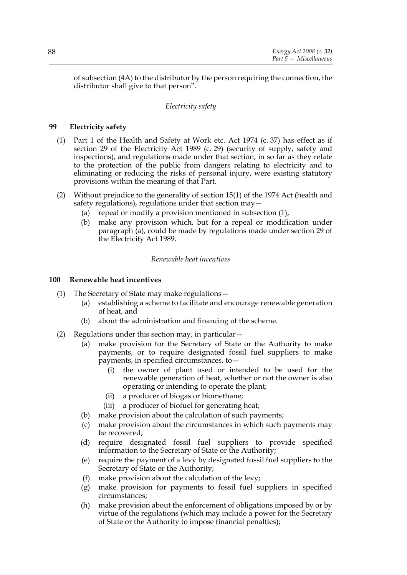of subsection (4A) to the distributor by the person requiring the connection, the distributor shall give to that person".

# *Electricity safety*

## **99 Electricity safety**

- (1) Part 1 of the Health and Safety at Work etc. Act 1974 (c. 37) has effect as if section 29 of the Electricity Act 1989 (c. 29) (security of supply, safety and inspections), and regulations made under that section, in so far as they relate to the protection of the public from dangers relating to electricity and to eliminating or reducing the risks of personal injury, were existing statutory provisions within the meaning of that Part.
- (2) Without prejudice to the generality of section 15(1) of the 1974 Act (health and safety regulations), regulations under that section may—
	- (a) repeal or modify a provision mentioned in subsection (1),
	- (b) make any provision which, but for a repeal or modification under paragraph (a), could be made by regulations made under section 29 of the Electricity Act 1989.

#### *Renewable heat incentives*

#### **100 Renewable heat incentives**

- (1) The Secretary of State may make regulations—
	- (a) establishing a scheme to facilitate and encourage renewable generation of heat, and
	- (b) about the administration and financing of the scheme.
- (2) Regulations under this section may, in particular—
	- (a) make provision for the Secretary of State or the Authority to make payments, or to require designated fossil fuel suppliers to make payments, in specified circumstances, to—
		- (i) the owner of plant used or intended to be used for the renewable generation of heat, whether or not the owner is also operating or intending to operate the plant;
		- (ii) a producer of biogas or biomethane;
		- (iii) a producer of biofuel for generating heat;
	- (b) make provision about the calculation of such payments;
	- (c) make provision about the circumstances in which such payments may be recovered;
	- (d) require designated fossil fuel suppliers to provide specified information to the Secretary of State or the Authority;
	- (e) require the payment of a levy by designated fossil fuel suppliers to the Secretary of State or the Authority;
	- (f) make provision about the calculation of the levy;
	- (g) make provision for payments to fossil fuel suppliers in specified circumstances;
	- (h) make provision about the enforcement of obligations imposed by or by virtue of the regulations (which may include a power for the Secretary of State or the Authority to impose financial penalties);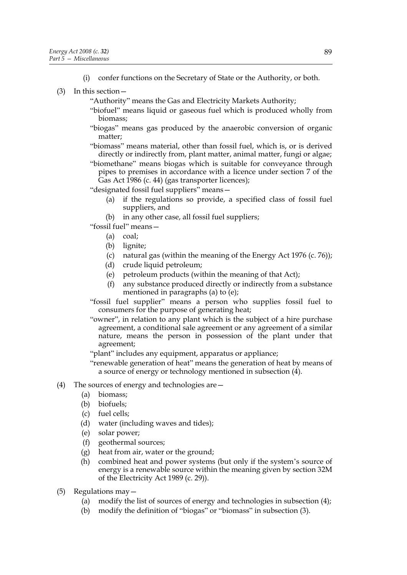- (i) confer functions on the Secretary of State or the Authority, or both.
- (3) In this section—
	- "Authority" means the Gas and Electricity Markets Authority;
	- "biofuel" means liquid or gaseous fuel which is produced wholly from biomass;
	- "biogas" means gas produced by the anaerobic conversion of organic matter;
	- "biomass" means material, other than fossil fuel, which is, or is derived directly or indirectly from, plant matter, animal matter, fungi or algae;

"biomethane" means biogas which is suitable for conveyance through pipes to premises in accordance with a licence under section 7 of the Gas Act 1986 (c. 44) (gas transporter licences);

"designated fossil fuel suppliers" means—

- (a) if the regulations so provide, a specified class of fossil fuel suppliers, and
- (b) in any other case, all fossil fuel suppliers;

"fossil fuel" means—

- (a) coal;
- (b) lignite;
- (c) natural gas (within the meaning of the Energy Act 1976 (c. 76));
- (d) crude liquid petroleum;
- (e) petroleum products (within the meaning of that Act);
- (f) any substance produced directly or indirectly from a substance mentioned in paragraphs (a) to (e);
- "fossil fuel supplier" means a person who supplies fossil fuel to consumers for the purpose of generating heat;
- "owner", in relation to any plant which is the subject of a hire purchase agreement, a conditional sale agreement or any agreement of a similar nature, means the person in possession of the plant under that agreement;
- "plant" includes any equipment, apparatus or appliance;
- "renewable generation of heat" means the generation of heat by means of a source of energy or technology mentioned in subsection (4).
- (4) The sources of energy and technologies are—
	- (a) biomass;
	- (b) biofuels;
	- (c) fuel cells;
	- (d) water (including waves and tides);
	- (e) solar power;
	- (f) geothermal sources;
	- (g) heat from air, water or the ground;
	- (h) combined heat and power systems (but only if the system's source of energy is a renewable source within the meaning given by section 32M of the Electricity Act 1989 (c. 29)).
- (5) Regulations may—
	- (a) modify the list of sources of energy and technologies in subsection (4);
	- (b) modify the definition of "biogas" or "biomass" in subsection (3).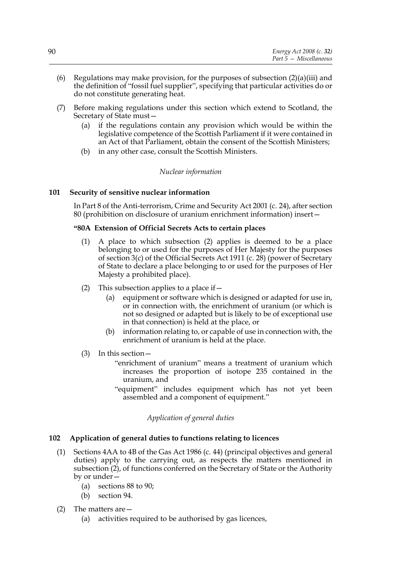- (6) Regulations may make provision, for the purposes of subsection  $(2)(a)(iii)$  and the definition of "fossil fuel supplier", specifying that particular activities do or do not constitute generating heat.
- (7) Before making regulations under this section which extend to Scotland, the Secretary of State must—
	- (a) if the regulations contain any provision which would be within the legislative competence of the Scottish Parliament if it were contained in an Act of that Parliament, obtain the consent of the Scottish Ministers;
	- (b) in any other case, consult the Scottish Ministers.

## *Nuclear information*

## **101 Security of sensitive nuclear information**

In Part 8 of the Anti-terrorism, Crime and Security Act 2001 (c. 24), after section 80 (prohibition on disclosure of uranium enrichment information) insert—

## **"80A Extension of Official Secrets Acts to certain places**

- (1) A place to which subsection (2) applies is deemed to be a place belonging to or used for the purposes of Her Majesty for the purposes of section 3(c) of the Official Secrets Act 1911 (c. 28) (power of Secretary of State to declare a place belonging to or used for the purposes of Her Majesty a prohibited place).
- (2) This subsection applies to a place if  $-$ 
	- (a) equipment or software which is designed or adapted for use in, or in connection with, the enrichment of uranium (or which is not so designed or adapted but is likely to be of exceptional use in that connection) is held at the place, or
	- (b) information relating to, or capable of use in connection with, the enrichment of uranium is held at the place.
- (3) In this section—
	- "enrichment of uranium" means a treatment of uranium which increases the proportion of isotope 235 contained in the uranium, and
	- "equipment" includes equipment which has not yet been assembled and a component of equipment."

*Application of general duties*

#### **102 Application of general duties to functions relating to licences**

- (1) Sections 4AA to 4B of the Gas Act 1986 (c. 44) (principal objectives and general duties) apply to the carrying out, as respects the matters mentioned in subsection (2), of functions conferred on the Secretary of State or the Authority by or under—
	- (a) sections 88 to 90;
	- (b) section 94.
- (2) The matters are—
	- (a) activities required to be authorised by gas licences,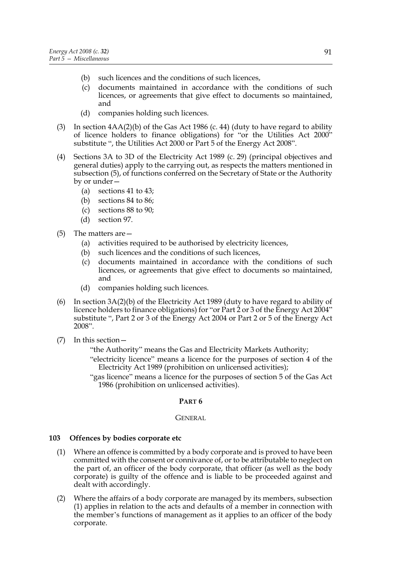- (b) such licences and the conditions of such licences,
- (c) documents maintained in accordance with the conditions of such licences, or agreements that give effect to documents so maintained, and
- (d) companies holding such licences.
- (3) In section  $4AA(2)(b)$  of the Gas Act 1986 (c. 44) (duty to have regard to ability of licence holders to finance obligations) for "or the Utilities Act 2000" substitute ", the Utilities Act 2000 or Part 5 of the Energy Act 2008".
- (4) Sections 3A to 3D of the Electricity Act 1989 (c. 29) (principal objectives and general duties) apply to the carrying out, as respects the matters mentioned in subsection (5), of functions conferred on the Secretary of State or the Authority by or under—
	- (a) sections 41 to 43;
	- (b) sections 84 to 86;
	- (c) sections 88 to 90;
	- (d) section 97.
- (5) The matters are—
	- (a) activities required to be authorised by electricity licences,
	- (b) such licences and the conditions of such licences,
	- (c) documents maintained in accordance with the conditions of such licences, or agreements that give effect to documents so maintained, and
	- (d) companies holding such licences.
- (6) In section 3A(2)(b) of the Electricity Act 1989 (duty to have regard to ability of licence holders to finance obligations) for "or Part 2 or 3 of the Energy Act 2004" substitute ", Part 2 or 3 of the Energy Act 2004 or Part 2 or 5 of the Energy Act 2008".
- (7) In this section—
	- "the Authority" means the Gas and Electricity Markets Authority;
	- "electricity licence" means a licence for the purposes of section 4 of the Electricity Act 1989 (prohibition on unlicensed activities);
	- "gas licence" means a licence for the purposes of section 5 of the Gas Act 1986 (prohibition on unlicensed activities).

## **PART 6**

## **GENERAL**

## **103 Offences by bodies corporate etc**

- (1) Where an offence is committed by a body corporate and is proved to have been committed with the consent or connivance of, or to be attributable to neglect on the part of, an officer of the body corporate, that officer (as well as the body corporate) is guilty of the offence and is liable to be proceeded against and dealt with accordingly.
- (2) Where the affairs of a body corporate are managed by its members, subsection (1) applies in relation to the acts and defaults of a member in connection with the member's functions of management as it applies to an officer of the body corporate.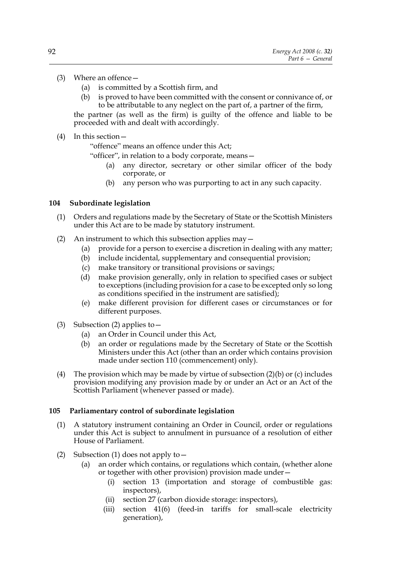- (3) Where an offence—
	- (a) is committed by a Scottish firm, and
	- (b) is proved to have been committed with the consent or connivance of, or to be attributable to any neglect on the part of, a partner of the firm,

the partner (as well as the firm) is guilty of the offence and liable to be proceeded with and dealt with accordingly.

## (4) In this section—

"offence" means an offence under this Act;

"officer", in relation to a body corporate, means—

- (a) any director, secretary or other similar officer of the body corporate, or
- (b) any person who was purporting to act in any such capacity.

## **104 Subordinate legislation**

- (1) Orders and regulations made by the Secretary of State or the Scottish Ministers under this Act are to be made by statutory instrument.
- (2) An instrument to which this subsection applies may—
	- (a) provide for a person to exercise a discretion in dealing with any matter;
	- (b) include incidental, supplementary and consequential provision;
	- (c) make transitory or transitional provisions or savings;
	- (d) make provision generally, only in relation to specified cases or subject to exceptions (including provision for a case to be excepted only so long as conditions specified in the instrument are satisfied);
	- (e) make different provision for different cases or circumstances or for different purposes.
- (3) Subsection (2) applies to  $-$ 
	- (a) an Order in Council under this Act,
	- (b) an order or regulations made by the Secretary of State or the Scottish Ministers under this Act (other than an order which contains provision made under section 110 (commencement) only).
- (4) The provision which may be made by virtue of subsection (2)(b) or (c) includes provision modifying any provision made by or under an Act or an Act of the Scottish Parliament (whenever passed or made).

## **105 Parliamentary control of subordinate legislation**

- (1) A statutory instrument containing an Order in Council, order or regulations under this Act is subject to annulment in pursuance of a resolution of either House of Parliament.
- (2) Subsection (1) does not apply to—
	- (a) an order which contains, or regulations which contain, (whether alone or together with other provision) provision made under—
		- (i) section 13 (importation and storage of combustible gas: inspectors),
		- (ii) section 27 (carbon dioxide storage: inspectors),
		- (iii) section 41(6) (feed-in tariffs for small-scale electricity generation),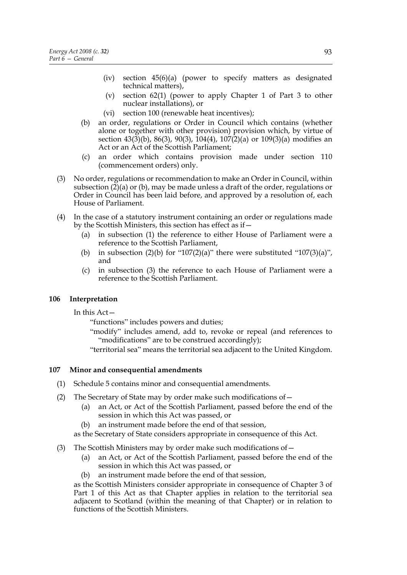- (iv) section 45(6)(a) (power to specify matters as designated technical matters),
- (v) section 62(1) (power to apply Chapter 1 of Part 3 to other nuclear installations), or
- (vi) section 100 (renewable heat incentives);
- (b) an order, regulations or Order in Council which contains (whether alone or together with other provision) provision which, by virtue of section  $43(3)(b)$ ,  $86(3)$ ,  $90(3)$ ,  $104(4)$ ,  $107(2)(a)$  or  $109(3)(a)$  modifies an Act or an Act of the Scottish Parliament;
- (c) an order which contains provision made under section 110 (commencement orders) only.
- (3) No order, regulations or recommendation to make an Order in Council, within subsection  $(2)(a)$  or (b), may be made unless a draft of the order, regulations or Order in Council has been laid before, and approved by a resolution of, each House of Parliament.
- (4) In the case of a statutory instrument containing an order or regulations made by the Scottish Ministers, this section has effect as if—
	- (a) in subsection (1) the reference to either House of Parliament were a reference to the Scottish Parliament,
	- (b) in subsection (2)(b) for "107(2)(a)" there were substituted "107(3)(a)", and
	- (c) in subsection (3) the reference to each House of Parliament were a reference to the Scottish Parliament.

## **106 Interpretation**

In this Act—

"functions" includes powers and duties;

- "modify" includes amend, add to, revoke or repeal (and references to "modifications" are to be construed accordingly);
- "territorial sea" means the territorial sea adjacent to the United Kingdom.

## **107 Minor and consequential amendments**

- (1) Schedule 5 contains minor and consequential amendments.
- (2) The Secretary of State may by order make such modifications of—
	- (a) an Act, or Act of the Scottish Parliament, passed before the end of the session in which this Act was passed, or
	- (b) an instrument made before the end of that session,

as the Secretary of State considers appropriate in consequence of this Act.

- (3) The Scottish Ministers may by order make such modifications of—
	- (a) an Act, or Act of the Scottish Parliament, passed before the end of the session in which this Act was passed, or
	- (b) an instrument made before the end of that session,

as the Scottish Ministers consider appropriate in consequence of Chapter 3 of Part 1 of this Act as that Chapter applies in relation to the territorial sea adjacent to Scotland (within the meaning of that Chapter) or in relation to functions of the Scottish Ministers.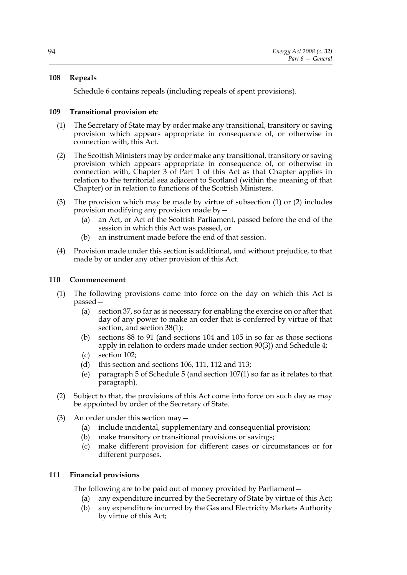## **108 Repeals**

Schedule 6 contains repeals (including repeals of spent provisions).

## **109 Transitional provision etc**

- (1) The Secretary of State may by order make any transitional, transitory or saving provision which appears appropriate in consequence of, or otherwise in connection with, this Act.
- (2) The Scottish Ministers may by order make any transitional, transitory or saving provision which appears appropriate in consequence of, or otherwise in connection with, Chapter 3 of Part 1 of this Act as that Chapter applies in relation to the territorial sea adjacent to Scotland (within the meaning of that Chapter) or in relation to functions of the Scottish Ministers.
- (3) The provision which may be made by virtue of subsection (1) or (2) includes provision modifying any provision made by—
	- (a) an Act, or Act of the Scottish Parliament, passed before the end of the session in which this Act was passed, or
	- (b) an instrument made before the end of that session.
- (4) Provision made under this section is additional, and without prejudice, to that made by or under any other provision of this Act.

## **110 Commencement**

- (1) The following provisions come into force on the day on which this Act is passed—
	- (a) section 37, so far as is necessary for enabling the exercise on or after that day of any power to make an order that is conferred by virtue of that section, and section 38(1);
	- (b) sections 88 to 91 (and sections 104 and 105 in so far as those sections apply in relation to orders made under section 90(3)) and Schedule 4;
	- (c) section 102;
	- (d) this section and sections 106, 111, 112 and 113;
	- (e) paragraph 5 of Schedule 5 (and section 107(1) so far as it relates to that paragraph).
- (2) Subject to that, the provisions of this Act come into force on such day as may be appointed by order of the Secretary of State.
- (3) An order under this section may  $-$ 
	- (a) include incidental, supplementary and consequential provision;
	- (b) make transitory or transitional provisions or savings;
	- (c) make different provision for different cases or circumstances or for different purposes.

## **111 Financial provisions**

The following are to be paid out of money provided by Parliament—

- (a) any expenditure incurred by the Secretary of State by virtue of this Act;
- (b) any expenditure incurred by the Gas and Electricity Markets Authority by virtue of this Act;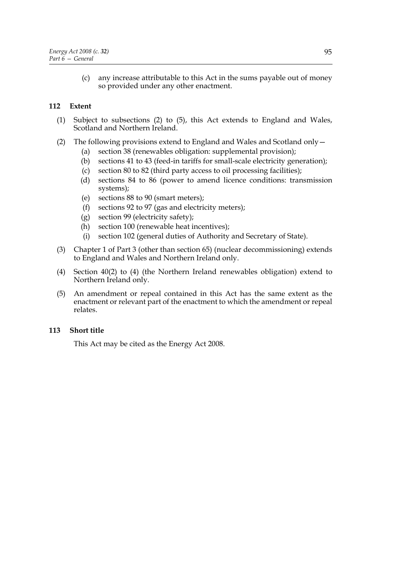(c) any increase attributable to this Act in the sums payable out of money so provided under any other enactment.

## **112 Extent**

- (1) Subject to subsections (2) to (5), this Act extends to England and Wales, Scotland and Northern Ireland.
- (2) The following provisions extend to England and Wales and Scotland only—
	- (a) section 38 (renewables obligation: supplemental provision);
	- (b) sections 41 to 43 (feed-in tariffs for small-scale electricity generation);
	- (c) section 80 to 82 (third party access to oil processing facilities);
	- (d) sections 84 to 86 (power to amend licence conditions: transmission systems);
	- (e) sections 88 to 90 (smart meters);
	- (f) sections 92 to 97 (gas and electricity meters);
	- (g) section 99 (electricity safety);
	- (h) section 100 (renewable heat incentives);
	- (i) section 102 (general duties of Authority and Secretary of State).
- (3) Chapter 1 of Part 3 (other than section 65) (nuclear decommissioning) extends to England and Wales and Northern Ireland only.
- (4) Section 40(2) to (4) (the Northern Ireland renewables obligation) extend to Northern Ireland only.
- (5) An amendment or repeal contained in this Act has the same extent as the enactment or relevant part of the enactment to which the amendment or repeal relates.

# **113 Short title**

This Act may be cited as the Energy Act 2008.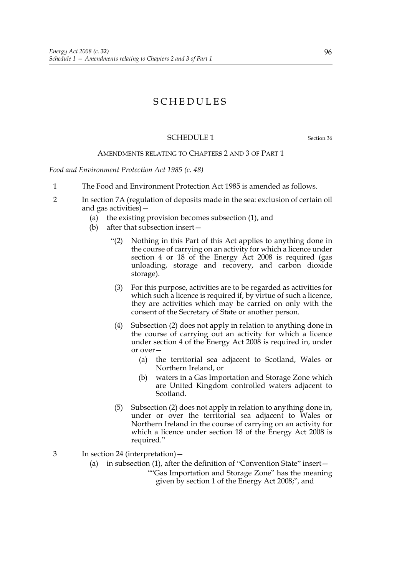# SCHEDULES

## SCHEDULE 1 Section 36

## AMENDMENTS RELATING TO CHAPTERS 2 AND 3 OF PART 1

*Food and Environment Protection Act 1985 (c. 48)*

- 1 The Food and Environment Protection Act 1985 is amended as follows.
- 2 In section 7A (regulation of deposits made in the sea: exclusion of certain oil and gas activities)—
	- (a) the existing provision becomes subsection (1), and
	- (b) after that subsection insert—
		- "(2) Nothing in this Part of this Act applies to anything done in the course of carrying on an activity for which a licence under section 4 or 18 of the Energy Act 2008 is required (gas unloading, storage and recovery, and carbon dioxide storage).
		- (3) For this purpose, activities are to be regarded as activities for which such a licence is required if, by virtue of such a licence, they are activities which may be carried on only with the consent of the Secretary of State or another person.
		- (4) Subsection (2) does not apply in relation to anything done in the course of carrying out an activity for which a licence under section 4 of the Energy Act 2008 is required in, under or over—
			- (a) the territorial sea adjacent to Scotland, Wales or Northern Ireland, or
			- (b) waters in a Gas Importation and Storage Zone which are United Kingdom controlled waters adjacent to Scotland.
		- (5) Subsection (2) does not apply in relation to anything done in, under or over the territorial sea adjacent to Wales or Northern Ireland in the course of carrying on an activity for which a licence under section 18 of the Energy Act 2008 is required."
- 3 In section 24 (interpretation)—
	- (a) in subsection (1), after the definition of "Convention State" insert—
		- ""Gas Importation and Storage Zone" has the meaning given by section 1 of the Energy Act 2008;", and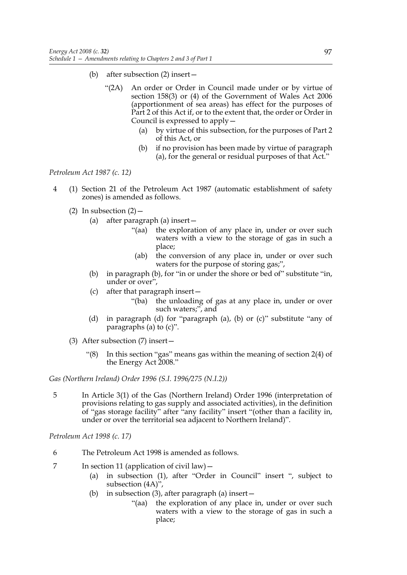- (b) after subsection (2) insert—
	- "(2A) An order or Order in Council made under or by virtue of section 158(3) or (4) of the Government of Wales Act 2006 (apportionment of sea areas) has effect for the purposes of Part 2 of this Act if, or to the extent that, the order or Order in Council is expressed to apply—
		- (a) by virtue of this subsection, for the purposes of Part 2 of this Act, or
		- (b) if no provision has been made by virtue of paragraph (a), for the general or residual purposes of that Act."

## *Petroleum Act 1987 (c. 12)*

- 4 (1) Section 21 of the Petroleum Act 1987 (automatic establishment of safety zones) is amended as follows.
	- (2) In subsection  $(2)$ 
		- (a) after paragraph (a) insert—
			- "(aa) the exploration of any place in, under or over such waters with a view to the storage of gas in such a place;
			- (ab) the conversion of any place in, under or over such waters for the purpose of storing gas;",
		- (b) in paragraph (b), for "in or under the shore or bed of" substitute "in, under or over",
		- (c) after that paragraph insert—
			- "(ba) the unloading of gas at any place in, under or over such waters;", and
		- (d) in paragraph (d) for "paragraph (a), (b) or (c)" substitute "any of paragraphs (a) to (c)".
	- (3) After subsection (7) insert—
		- "(8) In this section "gas" means gas within the meaning of section 2(4) of the Energy Act 2008."

*Gas (Northern Ireland) Order 1996 (S.I. 1996/275 (N.I.2))*

5 In Article 3(1) of the Gas (Northern Ireland) Order 1996 (interpretation of provisions relating to gas supply and associated activities), in the definition of "gas storage facility" after "any facility" insert "(other than a facility in, under or over the territorial sea adjacent to Northern Ireland)".

*Petroleum Act 1998 (c. 17)*

- 6 The Petroleum Act 1998 is amended as follows.
- 7 In section 11 (application of civil law)—
	- (a) in subsection (1), after "Order in Council" insert ", subject to subsection (4A)",
	- (b) in subsection (3), after paragraph (a) insert—
		- "(aa) the exploration of any place in, under or over such waters with a view to the storage of gas in such a place;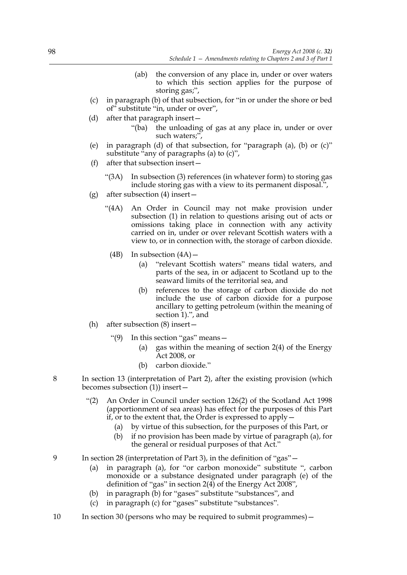- (ab) the conversion of any place in, under or over waters to which this section applies for the purpose of storing gas;",
- (c) in paragraph (b) of that subsection, for "in or under the shore or bed of" substitute "in, under or over",
- (d) after that paragraph insert—
	- "(ba) the unloading of gas at any place in, under or over such waters;",
- (e) in paragraph (d) of that subsection, for "paragraph (a), (b) or (c)" substitute "any of paragraphs (a) to (c)",
- (f) after that subsection insert—
	- "(3A) In subsection (3) references (in whatever form) to storing gas include storing gas with a view to its permanent disposal.",
- (g) after subsection (4) insert—
	- "(4A) An Order in Council may not make provision under subsection (1) in relation to questions arising out of acts or omissions taking place in connection with any activity carried on in, under or over relevant Scottish waters with a view to, or in connection with, the storage of carbon dioxide.
		- (4B) In subsection  $(4A)$ 
			- (a) "relevant Scottish waters" means tidal waters, and parts of the sea, in or adjacent to Scotland up to the seaward limits of the territorial sea, and
			- (b) references to the storage of carbon dioxide do not include the use of carbon dioxide for a purpose ancillary to getting petroleum (within the meaning of section 1).", and
- (h) after subsection (8) insert—
	- "(9) In this section "gas" means—
		- (a) gas within the meaning of section 2(4) of the Energy Act 2008, or
		- (b) carbon dioxide."
- 8 In section 13 (interpretation of Part 2), after the existing provision (which becomes subsection (1)) insert—
	- "(2) An Order in Council under section 126(2) of the Scotland Act 1998 (apportionment of sea areas) has effect for the purposes of this Part if, or to the extent that, the Order is expressed to apply—
		- (a) by virtue of this subsection, for the purposes of this Part, or
		- (b) if no provision has been made by virtue of paragraph (a), for the general or residual purposes of that Act."
- 9 In section 28 (interpretation of Part 3), in the definition of "gas"—
	- (a) in paragraph (a), for "or carbon monoxide" substitute ", carbon monoxide or a substance designated under paragraph (e) of the definition of "gas" in section 2(4) of the Energy Act 2008",
	- (b) in paragraph (b) for "gases" substitute "substances", and
	- (c) in paragraph (c) for "gases" substitute "substances".
- 10 In section 30 (persons who may be required to submit programmes)—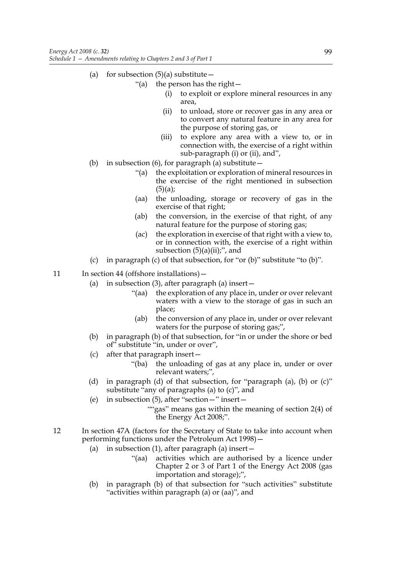- (a) for subsection  $(5)(a)$  substitute
	- "(a) the person has the right—
		- (i) to exploit or explore mineral resources in any area,
		- (ii) to unload, store or recover gas in any area or to convert any natural feature in any area for the purpose of storing gas, or
		- (iii) to explore any area with a view to, or in connection with, the exercise of a right within sub-paragraph (i) or (ii), and",
- (b) in subsection (6), for paragraph (a) substitute  $-$ 
	- "(a) the exploitation or exploration of mineral resources in the exercise of the right mentioned in subsection  $(5)(a);$
	- (aa) the unloading, storage or recovery of gas in the exercise of that right;
	- (ab) the conversion, in the exercise of that right, of any natural feature for the purpose of storing gas;
	- (ac) the exploration in exercise of that right with a view to, or in connection with, the exercise of a right within subsection  $(5)(a)(ii)$ ;", and
- (c) in paragraph (c) of that subsection, for "or (b)" substitute "to (b)".
- 11 In section 44 (offshore installations)
	- (a) in subsection  $(3)$ , after paragraph (a) insert  $-$ 
		- "(aa) the exploration of any place in, under or over relevant waters with a view to the storage of gas in such an place;
		- (ab) the conversion of any place in, under or over relevant waters for the purpose of storing gas;",
	- (b) in paragraph (b) of that subsection, for "in or under the shore or bed of" substitute "in, under or over",
	- (c) after that paragraph insert—
		- "(ba) the unloading of gas at any place in, under or over relevant waters;",
	- (d) in paragraph (d) of that subsection, for "paragraph (a), (b) or (c)" substitute "any of paragraphs (a) to (c)", and
	- (e) in subsection (5), after "section—" insert—
		- ""gas" means gas within the meaning of section 2(4) of the Energy Act 2008;".
- 12 In section 47A (factors for the Secretary of State to take into account when performing functions under the Petroleum Act 1998)—
	- (a) in subsection (1), after paragraph (a) insert—
		- "(aa) activities which are authorised by a licence under Chapter 2 or 3 of Part 1 of the Energy Act 2008 (gas importation and storage);",
	- (b) in paragraph (b) of that subsection for "such activities" substitute "activities within paragraph (a) or (aa)", and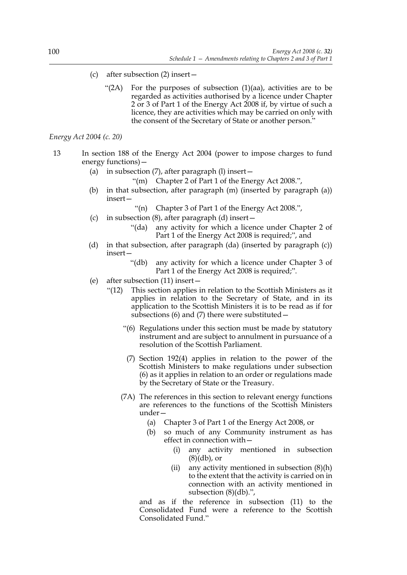- (c) after subsection (2) insert—
	- "(2A) For the purposes of subsection (1)(aa), activities are to be regarded as activities authorised by a licence under Chapter 2 or 3 of Part 1 of the Energy Act 2008 if, by virtue of such a licence, they are activities which may be carried on only with the consent of the Secretary of State or another person."

*Energy Act 2004 (c. 20)*

- 13 In section 188 of the Energy Act 2004 (power to impose charges to fund energy functions)—
	- (a) in subsection (7), after paragraph (l) insert—
		- "(m) Chapter 2 of Part 1 of the Energy Act 2008.",
	- (b) in that subsection, after paragraph (m) (inserted by paragraph (a)) insert—
		- "(n) Chapter 3 of Part 1 of the Energy Act 2008.",
	- (c) in subsection  $(8)$ , after paragraph  $(d)$  insert
		- "(da) any activity for which a licence under Chapter 2 of Part 1 of the Energy Act 2008 is required;", and
	- (d) in that subsection, after paragraph (da) (inserted by paragraph (c)) insert—
		- "(db) any activity for which a licence under Chapter 3 of Part 1 of the Energy Act 2008 is required;".
	- (e) after subsection (11) insert—
		- "(12) This section applies in relation to the Scottish Ministers as it applies in relation to the Secretary of State, and in its application to the Scottish Ministers it is to be read as if for subsections (6) and (7) there were substituted  $-$ 
			- "(6) Regulations under this section must be made by statutory instrument and are subject to annulment in pursuance of a resolution of the Scottish Parliament.
			- (7) Section 192(4) applies in relation to the power of the Scottish Ministers to make regulations under subsection (6) as it applies in relation to an order or regulations made by the Secretary of State or the Treasury.
			- (7A) The references in this section to relevant energy functions are references to the functions of the Scottish Ministers under—
				- (a) Chapter 3 of Part 1 of the Energy Act 2008, or
				- (b) so much of any Community instrument as has effect in connection with—
					- (i) any activity mentioned in subsection  $(8)(db)$ , or
					- (ii) any activity mentioned in subsection  $(8)(h)$ to the extent that the activity is carried on in connection with an activity mentioned in subsection (8)(db).",

and as if the reference in subsection (11) to the Consolidated Fund were a reference to the Scottish Consolidated Fund."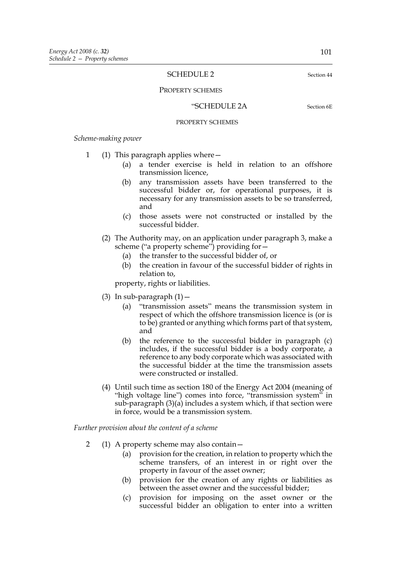#### SCHEDULE 2 Section 44

PROPERTY SCHEMES

#### "SCHEDULE 2A Section 6E

#### PROPERTY SCHEMES

*Scheme-making power*

- 1 (1) This paragraph applies where—
	- (a) a tender exercise is held in relation to an offshore transmission licence,
	- (b) any transmission assets have been transferred to the successful bidder or, for operational purposes, it is necessary for any transmission assets to be so transferred, and
	- (c) those assets were not constructed or installed by the successful bidder.
	- (2) The Authority may, on an application under paragraph 3, make a scheme ("a property scheme") providing for -
		- (a) the transfer to the successful bidder of, or
		- (b) the creation in favour of the successful bidder of rights in relation to,

property, rights or liabilities.

- (3) In sub-paragraph  $(1)$  -
	- (a) "transmission assets" means the transmission system in respect of which the offshore transmission licence is (or is to be) granted or anything which forms part of that system, and
	- (b) the reference to the successful bidder in paragraph (c) includes, if the successful bidder is a body corporate, a reference to any body corporate which was associated with the successful bidder at the time the transmission assets were constructed or installed.
- (4) Until such time as section 180 of the Energy Act 2004 (meaning of "high voltage line") comes into force, "transmission system" in sub-paragraph (3)(a) includes a system which, if that section were in force, would be a transmission system.

*Further provision about the content of a scheme*

- 2 (1) A property scheme may also contain—
	- (a) provision for the creation, in relation to property which the scheme transfers, of an interest in or right over the property in favour of the asset owner;
	- (b) provision for the creation of any rights or liabilities as between the asset owner and the successful bidder;
	- (c) provision for imposing on the asset owner or the successful bidder an obligation to enter into a written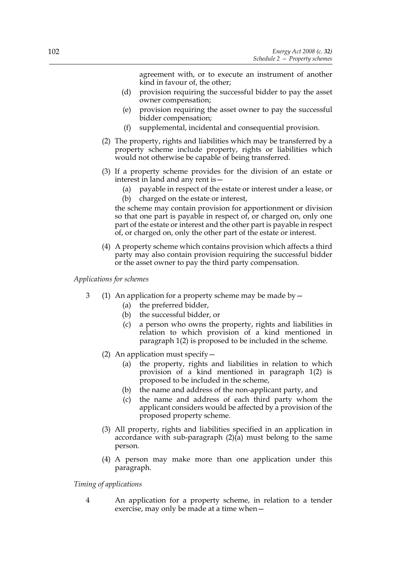agreement with, or to execute an instrument of another kind in favour of, the other;

- (d) provision requiring the successful bidder to pay the asset owner compensation;
- (e) provision requiring the asset owner to pay the successful bidder compensation;
- (f) supplemental, incidental and consequential provision.
- (2) The property, rights and liabilities which may be transferred by a property scheme include property, rights or liabilities which would not otherwise be capable of being transferred.
- (3) If a property scheme provides for the division of an estate or interest in land and any rent is—
	- (a) payable in respect of the estate or interest under a lease, or
	- (b) charged on the estate or interest,

the scheme may contain provision for apportionment or division so that one part is payable in respect of, or charged on, only one part of the estate or interest and the other part is payable in respect of, or charged on, only the other part of the estate or interest.

(4) A property scheme which contains provision which affects a third party may also contain provision requiring the successful bidder or the asset owner to pay the third party compensation.

*Applications for schemes*

- 3 (1) An application for a property scheme may be made by—
	- (a) the preferred bidder,
	- (b) the successful bidder, or
	- (c) a person who owns the property, rights and liabilities in relation to which provision of a kind mentioned in paragraph 1(2) is proposed to be included in the scheme.
	- (2) An application must specify—
		- (a) the property, rights and liabilities in relation to which provision of a kind mentioned in paragraph 1(2) is proposed to be included in the scheme,
		- (b) the name and address of the non-applicant party, and
		- (c) the name and address of each third party whom the applicant considers would be affected by a provision of the proposed property scheme.
	- (3) All property, rights and liabilities specified in an application in accordance with sub-paragraph  $(2)(a)$  must belong to the same person.
	- (4) A person may make more than one application under this paragraph.

*Timing of applications*

4 An application for a property scheme, in relation to a tender exercise, may only be made at a time when—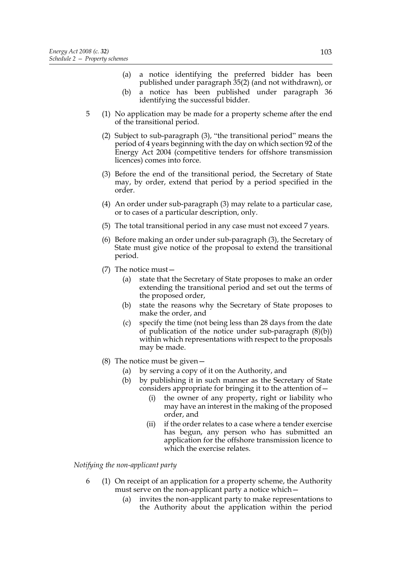- (a) a notice identifying the preferred bidder has been published under paragraph 35(2) (and not withdrawn), or
- (b) a notice has been published under paragraph 36 identifying the successful bidder.
- 5 (1) No application may be made for a property scheme after the end of the transitional period.
	- (2) Subject to sub-paragraph (3), "the transitional period" means the period of 4 years beginning with the day on which section 92 of the Energy Act 2004 (competitive tenders for offshore transmission licences) comes into force.
	- (3) Before the end of the transitional period, the Secretary of State may, by order, extend that period by a period specified in the order.
	- (4) An order under sub-paragraph (3) may relate to a particular case, or to cases of a particular description, only.
	- (5) The total transitional period in any case must not exceed 7 years.
	- (6) Before making an order under sub-paragraph (3), the Secretary of State must give notice of the proposal to extend the transitional period.
	- (7) The notice must
		- state that the Secretary of State proposes to make an order extending the transitional period and set out the terms of the proposed order,
		- (b) state the reasons why the Secretary of State proposes to make the order, and
		- (c) specify the time (not being less than 28 days from the date of publication of the notice under sub-paragraph (8)(b)) within which representations with respect to the proposals may be made.
	- (8) The notice must be given—
		- (a) by serving a copy of it on the Authority, and
		- (b) by publishing it in such manner as the Secretary of State considers appropriate for bringing it to the attention of—
			- (i) the owner of any property, right or liability who may have an interest in the making of the proposed order, and
			- (ii) if the order relates to a case where a tender exercise has begun, any person who has submitted an application for the offshore transmission licence to which the exercise relates.

*Notifying the non-applicant party*

- 6 (1) On receipt of an application for a property scheme, the Authority must serve on the non-applicant party a notice which—
	- (a) invites the non-applicant party to make representations to the Authority about the application within the period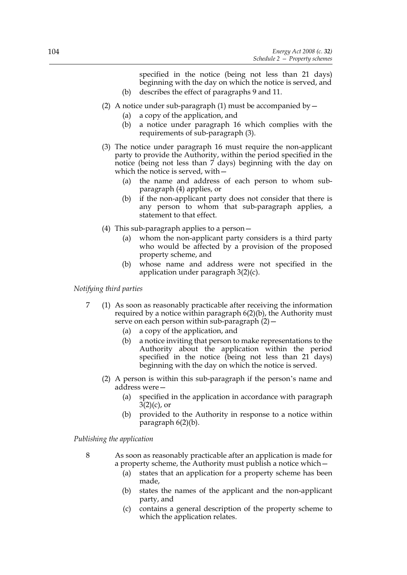specified in the notice (being not less than 21 days) beginning with the day on which the notice is served, and (b) describes the effect of paragraphs 9 and 11.

- (2) A notice under sub-paragraph (1) must be accompanied by  $-$ 
	- (a) a copy of the application, and
	- (b) a notice under paragraph 16 which complies with the requirements of sub-paragraph (3).
- (3) The notice under paragraph 16 must require the non-applicant party to provide the Authority, within the period specified in the notice (being not less than 7 days) beginning with the day on which the notice is served, with—
	- (a) the name and address of each person to whom subparagraph (4) applies, or
	- (b) if the non-applicant party does not consider that there is any person to whom that sub-paragraph applies, a statement to that effect.
- (4) This sub-paragraph applies to a person—
	- (a) whom the non-applicant party considers is a third party who would be affected by a provision of the proposed property scheme, and
	- (b) whose name and address were not specified in the application under paragraph 3(2)(c).

## *Notifying third parties*

- 7 (1) As soon as reasonably practicable after receiving the information required by a notice within paragraph 6(2)(b), the Authority must serve on each person within sub-paragraph  $(2)$  –
	- (a) a copy of the application, and
	- (b) a notice inviting that person to make representations to the Authority about the application within the period specified in the notice (being not less than 21 days) beginning with the day on which the notice is served.
	- (2) A person is within this sub-paragraph if the person's name and address were—
		- (a) specified in the application in accordance with paragraph  $3(2)(c)$ , or
		- (b) provided to the Authority in response to a notice within paragraph 6(2)(b).

*Publishing the application*

- 8 As soon as reasonably practicable after an application is made for a property scheme, the Authority must publish a notice which—
	- (a) states that an application for a property scheme has been made,
	- (b) states the names of the applicant and the non-applicant party, and
	- (c) contains a general description of the property scheme to which the application relates.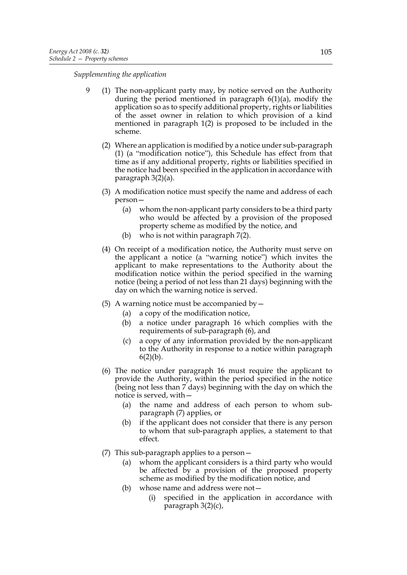*Supplementing the application*

- 9 (1) The non-applicant party may, by notice served on the Authority during the period mentioned in paragraph 6(1)(a), modify the application so as to specify additional property, rights or liabilities of the asset owner in relation to which provision of a kind mentioned in paragraph 1(2) is proposed to be included in the scheme.
	- (2) Where an application is modified by a notice under sub-paragraph (1) (a "modification notice"), this Schedule has effect from that time as if any additional property, rights or liabilities specified in the notice had been specified in the application in accordance with paragraph 3(2)(a).
	- (3) A modification notice must specify the name and address of each person—
		- (a) whom the non-applicant party considers to be a third party who would be affected by a provision of the proposed property scheme as modified by the notice, and
		- (b) who is not within paragraph 7(2).
	- (4) On receipt of a modification notice, the Authority must serve on the applicant a notice (a "warning notice") which invites the applicant to make representations to the Authority about the modification notice within the period specified in the warning notice (being a period of not less than 21 days) beginning with the day on which the warning notice is served.
	- (5) A warning notice must be accompanied by  $-$ 
		- (a) a copy of the modification notice,
		- (b) a notice under paragraph 16 which complies with the requirements of sub-paragraph (6), and
		- (c) a copy of any information provided by the non-applicant to the Authority in response to a notice within paragraph  $6(2)(b)$ .
	- (6) The notice under paragraph 16 must require the applicant to provide the Authority, within the period specified in the notice (being not less than 7 days) beginning with the day on which the notice is served, with—
		- (a) the name and address of each person to whom subparagraph (7) applies, or
		- (b) if the applicant does not consider that there is any person to whom that sub-paragraph applies, a statement to that effect.
	- (7) This sub-paragraph applies to a person—
		- (a) whom the applicant considers is a third party who would be affected by a provision of the proposed property scheme as modified by the modification notice, and
		- (b) whose name and address were not—
			- (i) specified in the application in accordance with paragraph 3(2)(c),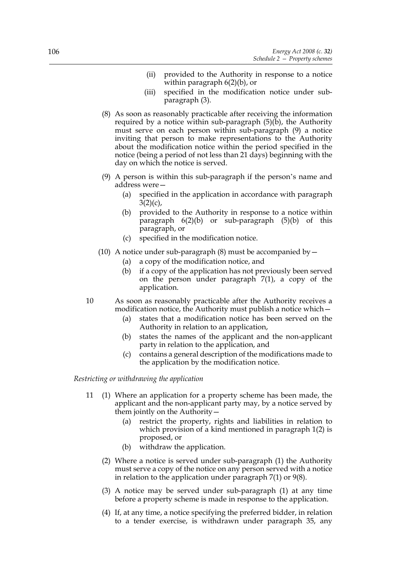- (ii) provided to the Authority in response to a notice within paragraph 6(2)(b), or
- (iii) specified in the modification notice under subparagraph (3).
- (8) As soon as reasonably practicable after receiving the information required by a notice within sub-paragraph (5)(b), the Authority must serve on each person within sub-paragraph (9) a notice inviting that person to make representations to the Authority about the modification notice within the period specified in the notice (being a period of not less than 21 days) beginning with the day on which the notice is served.
- (9) A person is within this sub-paragraph if the person's name and address were—
	- (a) specified in the application in accordance with paragraph  $3(2)(c)$ ,
	- (b) provided to the Authority in response to a notice within paragraph 6(2)(b) or sub-paragraph (5)(b) of this paragraph, or
	- (c) specified in the modification notice.
- (10) A notice under sub-paragraph  $(8)$  must be accompanied by  $-$ 
	- (a) a copy of the modification notice, and
	- (b) if a copy of the application has not previously been served on the person under paragraph 7(1), a copy of the application.
- 10 As soon as reasonably practicable after the Authority receives a modification notice, the Authority must publish a notice which—
	- (a) states that a modification notice has been served on the Authority in relation to an application,
	- (b) states the names of the applicant and the non-applicant party in relation to the application, and
	- (c) contains a general description of the modifications made to the application by the modification notice.

### *Restricting or withdrawing the application*

- 11 (1) Where an application for a property scheme has been made, the applicant and the non-applicant party may, by a notice served by them jointly on the Authority—
	- (a) restrict the property, rights and liabilities in relation to which provision of a kind mentioned in paragraph 1(2) is proposed, or
	- (b) withdraw the application.
	- (2) Where a notice is served under sub-paragraph (1) the Authority must serve a copy of the notice on any person served with a notice in relation to the application under paragraph 7(1) or 9(8).
	- (3) A notice may be served under sub-paragraph (1) at any time before a property scheme is made in response to the application.
	- (4) If, at any time, a notice specifying the preferred bidder, in relation to a tender exercise, is withdrawn under paragraph 35, any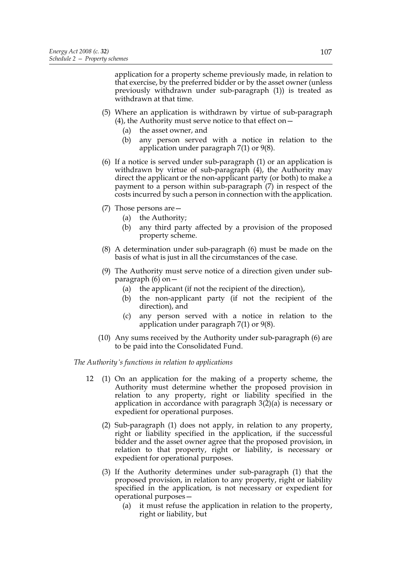application for a property scheme previously made, in relation to that exercise, by the preferred bidder or by the asset owner (unless previously withdrawn under sub-paragraph (1)) is treated as withdrawn at that time.

- (5) Where an application is withdrawn by virtue of sub-paragraph (4), the Authority must serve notice to that effect on  $-$ 
	- (a) the asset owner, and
	- (b) any person served with a notice in relation to the application under paragraph 7(1) or 9(8).
- (6) If a notice is served under sub-paragraph (1) or an application is withdrawn by virtue of sub-paragraph (4), the Authority may direct the applicant or the non-applicant party (or both) to make a payment to a person within sub-paragraph (7) in respect of the costs incurred by such a person in connection with the application.
- (7) Those persons are—
	- (a) the Authority;
	- (b) any third party affected by a provision of the proposed property scheme.
- (8) A determination under sub-paragraph (6) must be made on the basis of what is just in all the circumstances of the case.
- (9) The Authority must serve notice of a direction given under subparagraph (6) on—
	- (a) the applicant (if not the recipient of the direction),
	- (b) the non-applicant party (if not the recipient of the direction), and
	- (c) any person served with a notice in relation to the application under paragraph 7(1) or 9(8).
- (10) Any sums received by the Authority under sub-paragraph (6) are to be paid into the Consolidated Fund.

*The Authority's functions in relation to applications*

- 12 (1) On an application for the making of a property scheme, the Authority must determine whether the proposed provision in relation to any property, right or liability specified in the application in accordance with paragraph 3(2)(a) is necessary or expedient for operational purposes.
	- (2) Sub-paragraph (1) does not apply, in relation to any property, right or liability specified in the application, if the successful bidder and the asset owner agree that the proposed provision, in relation to that property, right or liability, is necessary or expedient for operational purposes.
	- (3) If the Authority determines under sub-paragraph (1) that the proposed provision, in relation to any property, right or liability specified in the application, is not necessary or expedient for operational purposes—
		- (a) it must refuse the application in relation to the property, right or liability, but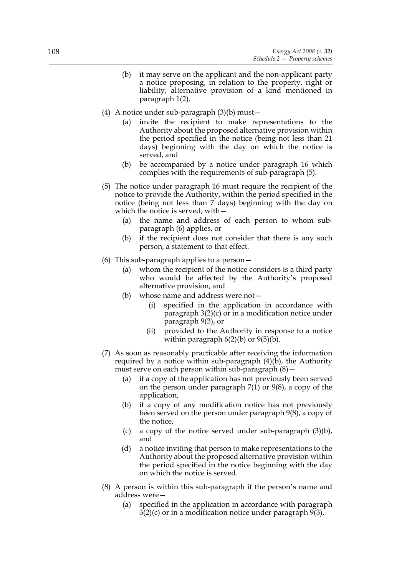- (b) it may serve on the applicant and the non-applicant party a notice proposing, in relation to the property, right or liability, alternative provision of a kind mentioned in paragraph 1(2).
- (4) A notice under sub-paragraph (3)(b) must—
	- (a) invite the recipient to make representations to the Authority about the proposed alternative provision within the period specified in the notice (being not less than 21 days) beginning with the day on which the notice is served, and
	- (b) be accompanied by a notice under paragraph 16 which complies with the requirements of sub-paragraph (5).
- (5) The notice under paragraph 16 must require the recipient of the notice to provide the Authority, within the period specified in the notice (being not less than 7 days) beginning with the day on which the notice is served, with—
	- (a) the name and address of each person to whom subparagraph (6) applies, or
	- (b) if the recipient does not consider that there is any such person, a statement to that effect.
- (6) This sub-paragraph applies to a person—
	- (a) whom the recipient of the notice considers is a third party who would be affected by the Authority's proposed alternative provision, and
	- (b) whose name and address were not—
		- (i) specified in the application in accordance with paragraph 3(2)(c) or in a modification notice under paragraph 9(3), or
		- (ii) provided to the Authority in response to a notice within paragraph  $6(2)(b)$  or  $9(5)(b)$ .
- (7) As soon as reasonably practicable after receiving the information required by a notice within sub-paragraph (4)(b), the Authority must serve on each person within sub-paragraph  $(8)$  -
	- (a) if a copy of the application has not previously been served on the person under paragraph 7(1) or 9(8), a copy of the application,
	- (b) if a copy of any modification notice has not previously been served on the person under paragraph 9(8), a copy of the notice,
	- (c) a copy of the notice served under sub-paragraph (3)(b), and
	- (d) a notice inviting that person to make representations to the Authority about the proposed alternative provision within the period specified in the notice beginning with the day on which the notice is served.
- (8) A person is within this sub-paragraph if the person's name and address were—
	- (a) specified in the application in accordance with paragraph  $3(2)(c)$  or in a modification notice under paragraph  $9(3)$ ,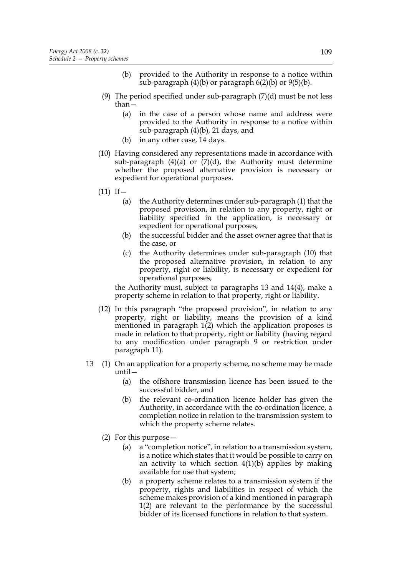- (b) provided to the Authority in response to a notice within sub-paragraph (4)(b) or paragraph 6(2)(b) or 9(5)(b).
- (9) The period specified under sub-paragraph  $(7)(d)$  must be not less than—
	- (a) in the case of a person whose name and address were provided to the Authority in response to a notice within sub-paragraph (4)(b), 21 days, and
	- (b) in any other case, 14 days.
- (10) Having considered any representations made in accordance with sub-paragraph  $(4)(a)$  or  $(7)(d)$ , the Authority must determine whether the proposed alternative provision is necessary or expedient for operational purposes.
- $(11)$  If  $-$ 
	- (a) the Authority determines under sub-paragraph (1) that the proposed provision, in relation to any property, right or liability specified in the application, is necessary or expedient for operational purposes,
	- (b) the successful bidder and the asset owner agree that that is the case, or
	- (c) the Authority determines under sub-paragraph (10) that the proposed alternative provision, in relation to any property, right or liability, is necessary or expedient for operational purposes,

the Authority must, subject to paragraphs 13 and 14(4), make a property scheme in relation to that property, right or liability.

- (12) In this paragraph "the proposed provision", in relation to any property, right or liability, means the provision of a kind mentioned in paragraph 1(2) which the application proposes is made in relation to that property, right or liability (having regard to any modification under paragraph 9 or restriction under paragraph 11).
- 13 (1) On an application for a property scheme, no scheme may be made until—
	- (a) the offshore transmission licence has been issued to the successful bidder, and
	- (b) the relevant co-ordination licence holder has given the Authority, in accordance with the co-ordination licence, a completion notice in relation to the transmission system to which the property scheme relates.
	- (2) For this purpose—
		- (a) a "completion notice", in relation to a transmission system, is a notice which states that it would be possible to carry on an activity to which section  $4(1)(b)$  applies by making available for use that system;
		- (b) a property scheme relates to a transmission system if the property, rights and liabilities in respect of which the scheme makes provision of a kind mentioned in paragraph 1(2) are relevant to the performance by the successful bidder of its licensed functions in relation to that system.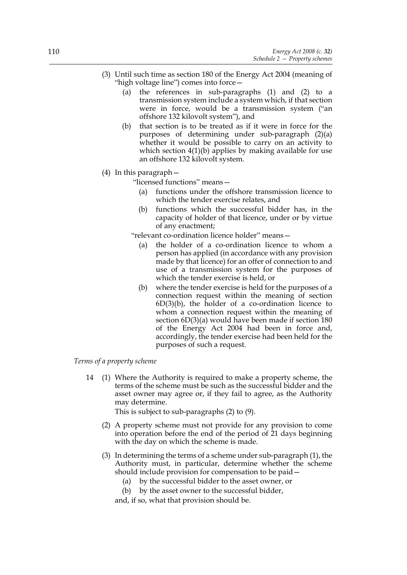- (3) Until such time as section 180 of the Energy Act 2004 (meaning of "high voltage line") comes into force—
	- (a) the references in sub-paragraphs (1) and (2) to a transmission system include a system which, if that section were in force, would be a transmission system ("an offshore 132 kilovolt system"), and
	- (b) that section is to be treated as if it were in force for the purposes of determining under sub-paragraph (2)(a) whether it would be possible to carry on an activity to which section 4(1)(b) applies by making available for use an offshore 132 kilovolt system.
- (4) In this paragraph—

"licensed functions" means—

- (a) functions under the offshore transmission licence to which the tender exercise relates, and
- (b) functions which the successful bidder has, in the capacity of holder of that licence, under or by virtue of any enactment;

"relevant co-ordination licence holder" means—

- (a) the holder of a co-ordination licence to whom a person has applied (in accordance with any provision made by that licence) for an offer of connection to and use of a transmission system for the purposes of which the tender exercise is held, or
- (b) where the tender exercise is held for the purposes of a connection request within the meaning of section 6D(3)(b), the holder of a co-ordination licence to whom a connection request within the meaning of section 6D(3)(a) would have been made if section 180 of the Energy Act 2004 had been in force and, accordingly, the tender exercise had been held for the purposes of such a request.

*Terms of a property scheme*

14 (1) Where the Authority is required to make a property scheme, the terms of the scheme must be such as the successful bidder and the asset owner may agree or, if they fail to agree, as the Authority may determine.

This is subject to sub-paragraphs (2) to (9).

- (2) A property scheme must not provide for any provision to come into operation before the end of the period of 21 days beginning with the day on which the scheme is made.
- (3) In determining the terms of a scheme under sub-paragraph (1), the Authority must, in particular, determine whether the scheme should include provision for compensation to be paid—
	- (a) by the successful bidder to the asset owner, or
	- (b) by the asset owner to the successful bidder,

and, if so, what that provision should be.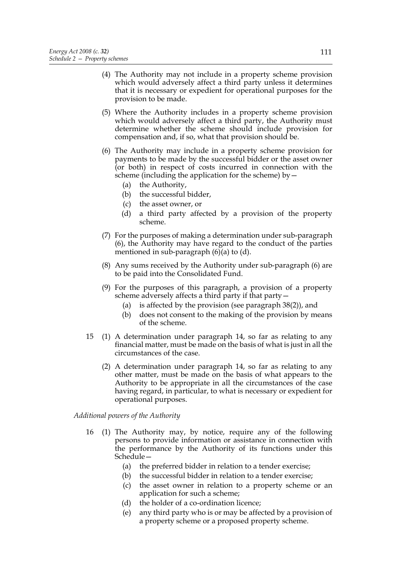- (4) The Authority may not include in a property scheme provision which would adversely affect a third party unless it determines that it is necessary or expedient for operational purposes for the provision to be made.
- (5) Where the Authority includes in a property scheme provision which would adversely affect a third party, the Authority must determine whether the scheme should include provision for compensation and, if so, what that provision should be.
- (6) The Authority may include in a property scheme provision for payments to be made by the successful bidder or the asset owner (or both) in respect of costs incurred in connection with the scheme (including the application for the scheme) by  $-$ 
	- (a) the Authority,
	- (b) the successful bidder,
	- (c) the asset owner, or
	- (d) a third party affected by a provision of the property scheme.
- (7) For the purposes of making a determination under sub-paragraph (6), the Authority may have regard to the conduct of the parties mentioned in sub-paragraph  $(6)(a)$  to  $(d)$ .
- (8) Any sums received by the Authority under sub-paragraph (6) are to be paid into the Consolidated Fund.
- (9) For the purposes of this paragraph, a provision of a property scheme adversely affects a third party if that party—
	- (a) is affected by the provision (see paragraph 38(2)), and
	- (b) does not consent to the making of the provision by means of the scheme.
- 15 (1) A determination under paragraph 14, so far as relating to any financial matter, must be made on the basis of what is just in all the circumstances of the case.
	- (2) A determination under paragraph 14, so far as relating to any other matter, must be made on the basis of what appears to the Authority to be appropriate in all the circumstances of the case having regard, in particular, to what is necessary or expedient for operational purposes.

#### *Additional powers of the Authority*

- 16 (1) The Authority may, by notice, require any of the following persons to provide information or assistance in connection with the performance by the Authority of its functions under this Schedule—
	- (a) the preferred bidder in relation to a tender exercise;
	- (b) the successful bidder in relation to a tender exercise;
	- (c) the asset owner in relation to a property scheme or an application for such a scheme;
	- (d) the holder of a co-ordination licence;
	- (e) any third party who is or may be affected by a provision of a property scheme or a proposed property scheme.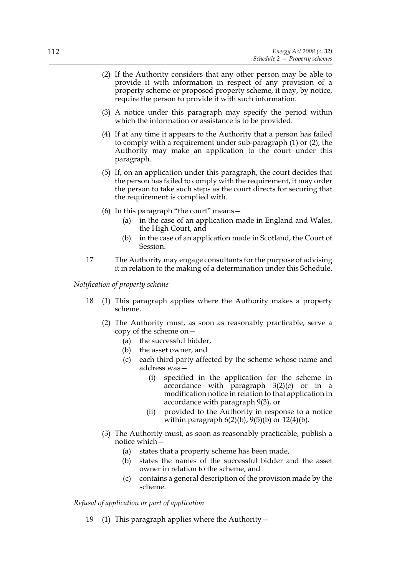- (2) If the Authority considers that any other person may be able to provide it with information in respect of any provision of a property scheme or proposed property scheme, it may, by notice, require the person to provide it with such information.
- (3) A notice under this paragraph may specify the period within which the information or assistance is to be provided.
- (4) If at any time it appears to the Authority that a person has failed to comply with a requirement under sub-paragraph (1) or (2), the Authority may make an application to the court under this paragraph.
- (5) If, on an application under this paragraph, the court decides that the person has failed to comply with the requirement, it may order the person to take such steps as the court directs for securing that the requirement is complied with.
- (6) In this paragraph "the court" means—
	- (a) in the case of an application made in England and Wales, the High Court, and
	- (b) in the case of an application made in Scotland, the Court of Session.
- 17 The Authority may engage consultants for the purpose of advising it in relation to the making of a determination under this Schedule.

## *Notification of property scheme*

- 18 (1) This paragraph applies where the Authority makes a property scheme.
	- (2) The Authority must, as soon as reasonably practicable, serve a copy of the scheme on—
		- (a) the successful bidder,
		- (b) the asset owner, and
		- (c) each third party affected by the scheme whose name and address was—
			- (i) specified in the application for the scheme in accordance with paragraph 3(2)(c) or in a modification notice in relation to that application in accordance with paragraph 9(3), or
			- (ii) provided to the Authority in response to a notice within paragraph  $6(2)(b)$ ,  $9(5)(b)$  or  $12(4)(b)$ .
	- (3) The Authority must, as soon as reasonably practicable, publish a notice which—
		- (a) states that a property scheme has been made,
		- (b) states the names of the successful bidder and the asset owner in relation to the scheme, and
		- (c) contains a general description of the provision made by the scheme.

# *Refusal of application or part of application*

19 (1) This paragraph applies where the Authority—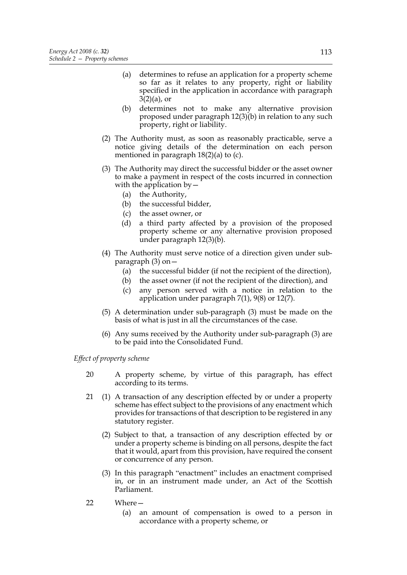- (a) determines to refuse an application for a property scheme so far as it relates to any property, right or liability specified in the application in accordance with paragraph  $3(2)(a)$ , or
- (b) determines not to make any alternative provision proposed under paragraph 12(3)(b) in relation to any such property, right or liability.
- (2) The Authority must, as soon as reasonably practicable, serve a notice giving details of the determination on each person mentioned in paragraph  $18(2)(a)$  to (c).
- (3) The Authority may direct the successful bidder or the asset owner to make a payment in respect of the costs incurred in connection with the application by  $-$ 
	- (a) the Authority,
	- (b) the successful bidder,
	- (c) the asset owner, or
	- (d) a third party affected by a provision of the proposed property scheme or any alternative provision proposed under paragraph 12(3)(b).
- (4) The Authority must serve notice of a direction given under subparagraph (3) on—
	- (a) the successful bidder (if not the recipient of the direction),
	- (b) the asset owner (if not the recipient of the direction), and
	- (c) any person served with a notice in relation to the application under paragraph 7(1), 9(8) or 12(7).
- (5) A determination under sub-paragraph (3) must be made on the basis of what is just in all the circumstances of the case.
- (6) Any sums received by the Authority under sub-paragraph (3) are to be paid into the Consolidated Fund.

*Effect of property scheme*

- 20 A property scheme, by virtue of this paragraph, has effect according to its terms.
- 21 (1) A transaction of any description effected by or under a property scheme has effect subject to the provisions of any enactment which provides for transactions of that description to be registered in any statutory register.
	- (2) Subject to that, a transaction of any description effected by or under a property scheme is binding on all persons, despite the fact that it would, apart from this provision, have required the consent or concurrence of any person.
	- (3) In this paragraph "enactment" includes an enactment comprised in, or in an instrument made under, an Act of the Scottish Parliament.
- 22 Where—
	- (a) an amount of compensation is owed to a person in accordance with a property scheme, or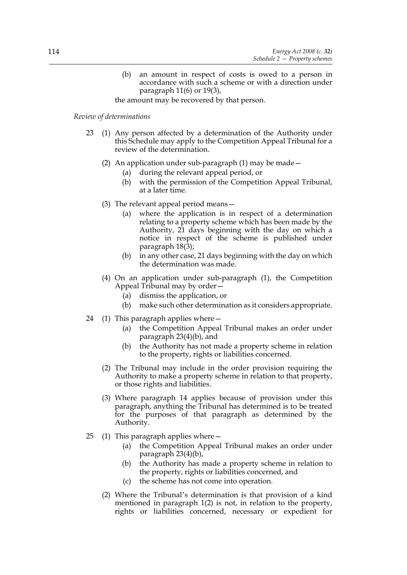(b) an amount in respect of costs is owed to a person in accordance with such a scheme or with a direction under paragraph 11(6) or 19(3),

the amount may be recovered by that person.

### *Review of determinations*

- 23 (1) Any person affected by a determination of the Authority under this Schedule may apply to the Competition Appeal Tribunal for a review of the determination.
	- (2) An application under sub-paragraph (1) may be made—
		- (a) during the relevant appeal period, or
		- (b) with the permission of the Competition Appeal Tribunal, at a later time.
	- (3) The relevant appeal period means—
		- (a) where the application is in respect of a determination relating to a property scheme which has been made by the Authority, 21 days beginning with the day on which a notice in respect of the scheme is published under paragraph 18(3);
		- (b) in any other case, 21 days beginning with the day on which the determination was made.
	- (4) On an application under sub-paragraph (1), the Competition Appeal Tribunal may by order—
		- (a) dismiss the application, or
		- (b) make such other determination as it considers appropriate.
- 24 (1) This paragraph applies where—
	- (a) the Competition Appeal Tribunal makes an order under paragraph 23(4)(b), and
	- (b) the Authority has not made a property scheme in relation to the property, rights or liabilities concerned.
	- (2) The Tribunal may include in the order provision requiring the Authority to make a property scheme in relation to that property, or those rights and liabilities.
	- (3) Where paragraph 14 applies because of provision under this paragraph, anything the Tribunal has determined is to be treated for the purposes of that paragraph as determined by the Authority.
- 25 (1) This paragraph applies where—
	- (a) the Competition Appeal Tribunal makes an order under paragraph 23(4)(b),
	- (b) the Authority has made a property scheme in relation to the property, rights or liabilities concerned, and
	- (c) the scheme has not come into operation.
	- (2) Where the Tribunal's determination is that provision of a kind mentioned in paragraph 1(2) is not, in relation to the property, rights or liabilities concerned, necessary or expedient for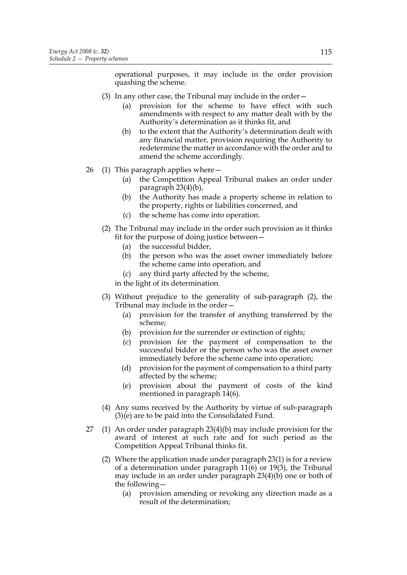operational purposes, it may include in the order provision quashing the scheme.

- (3) In any other case, the Tribunal may include in the order—
	- (a) provision for the scheme to have effect with such amendments with respect to any matter dealt with by the Authority's determination as it thinks fit, and
	- (b) to the extent that the Authority's determination dealt with any financial matter, provision requiring the Authority to redetermine the matter in accordance with the order and to amend the scheme accordingly.
- 26 (1) This paragraph applies where—
	- (a) the Competition Appeal Tribunal makes an order under paragraph 23(4)(b),
	- (b) the Authority has made a property scheme in relation to the property, rights or liabilities concerned, and
	- (c) the scheme has come into operation.
	- (2) The Tribunal may include in the order such provision as it thinks fit for the purpose of doing justice between—
		- (a) the successful bidder,
		- (b) the person who was the asset owner immediately before the scheme came into operation, and
		- (c) any third party affected by the scheme,

in the light of its determination.

- (3) Without prejudice to the generality of sub-paragraph (2), the Tribunal may include in the order—
	- (a) provision for the transfer of anything transferred by the scheme;
	- (b) provision for the surrender or extinction of rights;
	- (c) provision for the payment of compensation to the successful bidder or the person who was the asset owner immediately before the scheme came into operation;
	- (d) provision for the payment of compensation to a third party affected by the scheme;
	- (e) provision about the payment of costs of the kind mentioned in paragraph 14(6).
- (4) Any sums received by the Authority by virtue of sub-paragraph (3)(e) are to be paid into the Consolidated Fund.
- 27 (1) An order under paragraph 23(4)(b) may include provision for the award of interest at such rate and for such period as the Competition Appeal Tribunal thinks fit.
	- (2) Where the application made under paragraph 23(1) is for a review of a determination under paragraph 11(6) or 19(3), the Tribunal may include in an order under paragraph 23(4)(b) one or both of the following—
		- (a) provision amending or revoking any direction made as a result of the determination;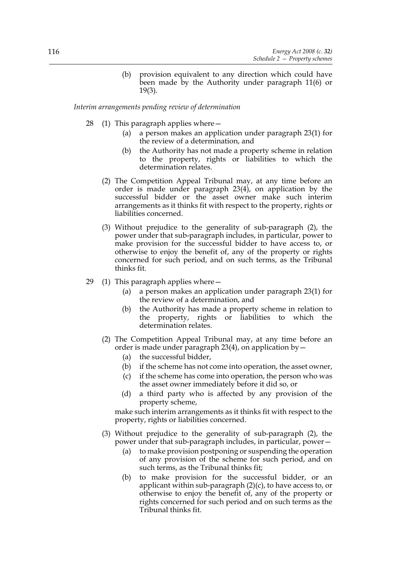(b) provision equivalent to any direction which could have been made by the Authority under paragraph 11(6) or 19(3).

*Interim arrangements pending review of determination*

- 28 (1) This paragraph applies where—
	- (a) a person makes an application under paragraph 23(1) for the review of a determination, and
	- (b) the Authority has not made a property scheme in relation to the property, rights or liabilities to which the determination relates.
	- (2) The Competition Appeal Tribunal may, at any time before an order is made under paragraph 23(4), on application by the successful bidder or the asset owner make such interim arrangements as it thinks fit with respect to the property, rights or liabilities concerned.
	- (3) Without prejudice to the generality of sub-paragraph (2), the power under that sub-paragraph includes, in particular, power to make provision for the successful bidder to have access to, or otherwise to enjoy the benefit of, any of the property or rights concerned for such period, and on such terms, as the Tribunal thinks fit.
- 29 (1) This paragraph applies where—
	- (a) a person makes an application under paragraph 23(1) for the review of a determination, and
	- (b) the Authority has made a property scheme in relation to the property, rights or liabilities to which the determination relates.
	- (2) The Competition Appeal Tribunal may, at any time before an order is made under paragraph  $23(4)$ , on application by  $-$ 
		- (a) the successful bidder,
		- (b) if the scheme has not come into operation, the asset owner,
		- (c) if the scheme has come into operation, the person who was the asset owner immediately before it did so, or
		- (d) a third party who is affected by any provision of the property scheme,

make such interim arrangements as it thinks fit with respect to the property, rights or liabilities concerned.

- (3) Without prejudice to the generality of sub-paragraph (2), the power under that sub-paragraph includes, in particular, power—
	- (a) to make provision postponing or suspending the operation of any provision of the scheme for such period, and on such terms, as the Tribunal thinks fit;
	- (b) to make provision for the successful bidder, or an applicant within sub-paragraph  $(2)(c)$ , to have access to, or otherwise to enjoy the benefit of, any of the property or rights concerned for such period and on such terms as the Tribunal thinks fit.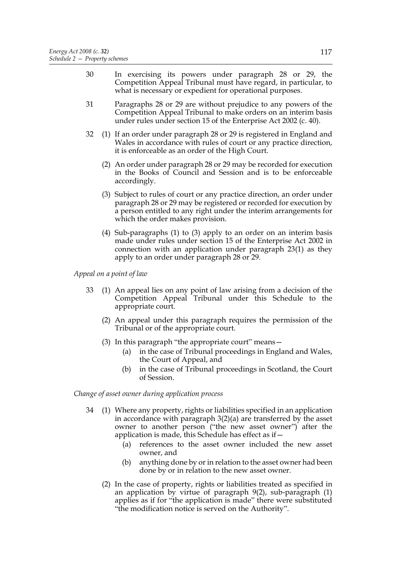- 30 In exercising its powers under paragraph 28 or 29, the Competition Appeal Tribunal must have regard, in particular, to what is necessary or expedient for operational purposes.
- 31 Paragraphs 28 or 29 are without prejudice to any powers of the Competition Appeal Tribunal to make orders on an interim basis under rules under section 15 of the Enterprise Act 2002 (c. 40).
- 32 (1) If an order under paragraph 28 or 29 is registered in England and Wales in accordance with rules of court or any practice direction, it is enforceable as an order of the High Court.
	- (2) An order under paragraph 28 or 29 may be recorded for execution in the Books of Council and Session and is to be enforceable accordingly.
	- (3) Subject to rules of court or any practice direction, an order under paragraph 28 or 29 may be registered or recorded for execution by a person entitled to any right under the interim arrangements for which the order makes provision.
	- (4) Sub-paragraphs (1) to (3) apply to an order on an interim basis made under rules under section 15 of the Enterprise Act 2002 in connection with an application under paragraph 23(1) as they apply to an order under paragraph 28 or 29.

*Appeal on a point of law*

- 33 (1) An appeal lies on any point of law arising from a decision of the Competition Appeal Tribunal under this Schedule to the appropriate court.
	- (2) An appeal under this paragraph requires the permission of the Tribunal or of the appropriate court.
	- (3) In this paragraph "the appropriate court" means—
		- (a) in the case of Tribunal proceedings in England and Wales, the Court of Appeal, and
		- (b) in the case of Tribunal proceedings in Scotland, the Court of Session.

*Change of asset owner during application process*

- 34 (1) Where any property, rights or liabilities specified in an application in accordance with paragraph 3(2)(a) are transferred by the asset owner to another person ("the new asset owner") after the application is made, this Schedule has effect as if—
	- (a) references to the asset owner included the new asset owner, and
	- (b) anything done by or in relation to the asset owner had been done by or in relation to the new asset owner.
	- (2) In the case of property, rights or liabilities treated as specified in an application by virtue of paragraph 9(2), sub-paragraph (1) applies as if for "the application is made" there were substituted "the modification notice is served on the Authority".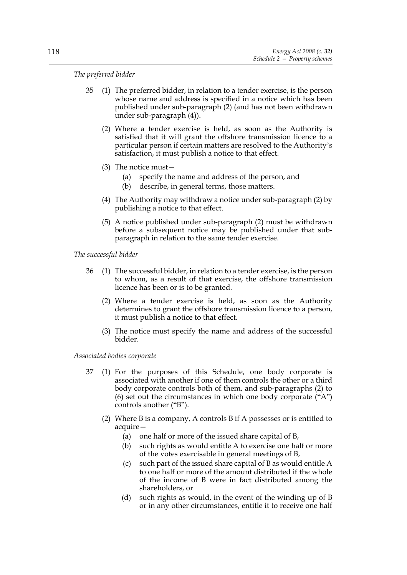*The preferred bidder*

- 35 (1) The preferred bidder, in relation to a tender exercise, is the person whose name and address is specified in a notice which has been published under sub-paragraph (2) (and has not been withdrawn under sub-paragraph (4)).
	- (2) Where a tender exercise is held, as soon as the Authority is satisfied that it will grant the offshore transmission licence to a particular person if certain matters are resolved to the Authority's satisfaction, it must publish a notice to that effect.
	- (3) The notice must—
		- (a) specify the name and address of the person, and
		- (b) describe, in general terms, those matters.
	- (4) The Authority may withdraw a notice under sub-paragraph (2) by publishing a notice to that effect.
	- (5) A notice published under sub-paragraph (2) must be withdrawn before a subsequent notice may be published under that subparagraph in relation to the same tender exercise.

*The successful bidder*

- 36 (1) The successful bidder, in relation to a tender exercise, is the person to whom, as a result of that exercise, the offshore transmission licence has been or is to be granted.
	- (2) Where a tender exercise is held, as soon as the Authority determines to grant the offshore transmission licence to a person, it must publish a notice to that effect.
	- (3) The notice must specify the name and address of the successful bidder.

*Associated bodies corporate*

- 37 (1) For the purposes of this Schedule, one body corporate is associated with another if one of them controls the other or a third body corporate controls both of them, and sub-paragraphs (2) to (6) set out the circumstances in which one body corporate ("A") controls another ("B").
	- (2) Where B is a company, A controls B if A possesses or is entitled to acquire—
		- (a) one half or more of the issued share capital of B,
		- (b) such rights as would entitle A to exercise one half or more of the votes exercisable in general meetings of B,
		- (c) such part of the issued share capital of B as would entitle A to one half or more of the amount distributed if the whole of the income of B were in fact distributed among the shareholders, or
		- (d) such rights as would, in the event of the winding up of B or in any other circumstances, entitle it to receive one half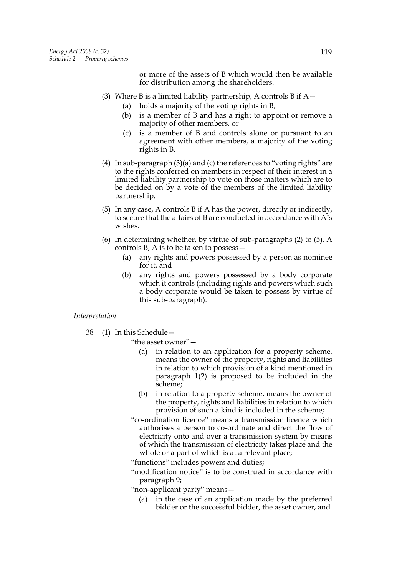or more of the assets of B which would then be available for distribution among the shareholders.

- (3) Where B is a limited liability partnership, A controls B if  $A-$ 
	- (a) holds a majority of the voting rights in B,
	- (b) is a member of B and has a right to appoint or remove a majority of other members, or
	- (c) is a member of B and controls alone or pursuant to an agreement with other members, a majority of the voting rights in B.
- (4) In sub-paragraph (3)(a) and (c) the references to "voting rights" are to the rights conferred on members in respect of their interest in a limited liability partnership to vote on those matters which are to be decided on by a vote of the members of the limited liability partnership.
- (5) In any case, A controls B if A has the power, directly or indirectly, to secure that the affairs of B are conducted in accordance with A's wishes.
- (6) In determining whether, by virtue of sub-paragraphs (2) to (5), A controls B, A is to be taken to possess—
	- (a) any rights and powers possessed by a person as nominee for it, and
	- (b) any rights and powers possessed by a body corporate which it controls (including rights and powers which such a body corporate would be taken to possess by virtue of this sub-paragraph).

#### *Interpretation*

38 (1) In this Schedule—

"the asset owner"—

- (a) in relation to an application for a property scheme, means the owner of the property, rights and liabilities in relation to which provision of a kind mentioned in paragraph 1(2) is proposed to be included in the scheme;
- (b) in relation to a property scheme, means the owner of the property, rights and liabilities in relation to which provision of such a kind is included in the scheme;
- "co-ordination licence" means a transmission licence which authorises a person to co-ordinate and direct the flow of electricity onto and over a transmission system by means of which the transmission of electricity takes place and the whole or a part of which is at a relevant place;
- "functions" includes powers and duties;
- "modification notice" is to be construed in accordance with paragraph 9;
- "non-applicant party" means—
	- (a) in the case of an application made by the preferred bidder or the successful bidder, the asset owner, and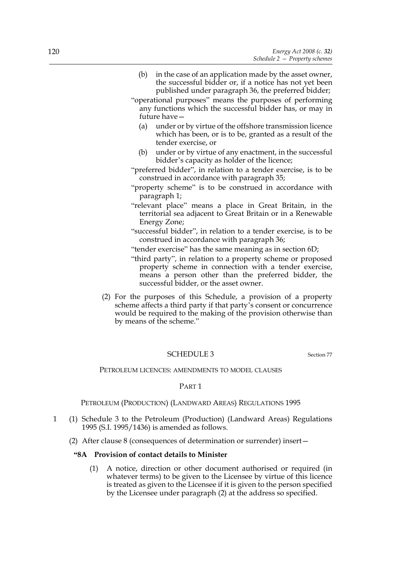- (b) in the case of an application made by the asset owner, the successful bidder or, if a notice has not yet been published under paragraph 36, the preferred bidder;
- "operational purposes" means the purposes of performing any functions which the successful bidder has, or may in future have—
	- (a) under or by virtue of the offshore transmission licence which has been, or is to be, granted as a result of the tender exercise, or
	- (b) under or by virtue of any enactment, in the successful bidder's capacity as holder of the licence;
- "preferred bidder", in relation to a tender exercise, is to be construed in accordance with paragraph 35;
- "property scheme" is to be construed in accordance with paragraph 1;
- "relevant place" means a place in Great Britain, in the territorial sea adjacent to Great Britain or in a Renewable Energy Zone;
- "successful bidder", in relation to a tender exercise, is to be construed in accordance with paragraph 36;
- "tender exercise" has the same meaning as in section 6D;
- "third party", in relation to a property scheme or proposed property scheme in connection with a tender exercise, means a person other than the preferred bidder, the successful bidder, or the asset owner.
- (2) For the purposes of this Schedule, a provision of a property scheme affects a third party if that party's consent or concurrence would be required to the making of the provision otherwise than by means of the scheme."

# SCHEDULE 3 Section 77

#### PETROLEUM LICENCES: AMENDMENTS TO MODEL CLAUSES

#### PART 1

#### PETROLEUM (PRODUCTION) (LANDWARD AREAS) REGULATIONS 1995

- 1 (1) Schedule 3 to the Petroleum (Production) (Landward Areas) Regulations 1995 (S.I. 1995/1436) is amended as follows.
	- (2) After clause 8 (consequences of determination or surrender) insert—

### **"8A Provision of contact details to Minister**

(1) A notice, direction or other document authorised or required (in whatever terms) to be given to the Licensee by virtue of this licence is treated as given to the Licensee if it is given to the person specified by the Licensee under paragraph (2) at the address so specified.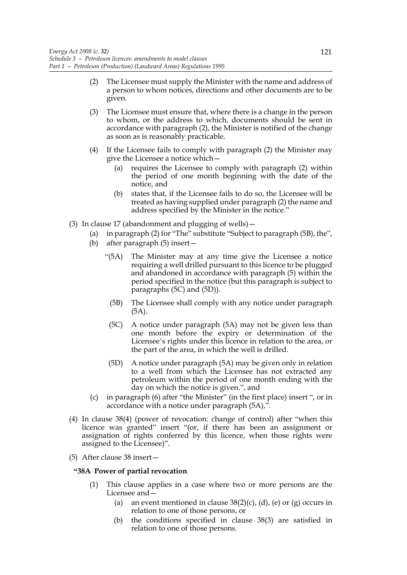- (2) The Licensee must supply the Minister with the name and address of a person to whom notices, directions and other documents are to be given.
- (3) The Licensee must ensure that, where there is a change in the person to whom, or the address to which, documents should be sent in accordance with paragraph (2), the Minister is notified of the change as soon as is reasonably practicable.
- (4) If the Licensee fails to comply with paragraph (2) the Minister may give the Licensee a notice which—
	- (a) requires the Licensee to comply with paragraph (2) within the period of one month beginning with the date of the notice, and
	- (b) states that, if the Licensee fails to do so, the Licensee will be treated as having supplied under paragraph (2) the name and address specified by the Minister in the notice."
- (3) In clause 17 (abandonment and plugging of wells)—
	- (a) in paragraph (2) for "The" substitute "Subject to paragraph (5B), the",
	- (b) after paragraph (5) insert—
		- "(5A) The Minister may at any time give the Licensee a notice requiring a well drilled pursuant to this licence to be plugged and abandoned in accordance with paragraph (5) within the period specified in the notice (but this paragraph is subject to paragraphs (5C) and (5D)).
			- (5B) The Licensee shall comply with any notice under paragraph (5A).
			- (5C) A notice under paragraph (5A) may not be given less than one month before the expiry or determination of the Licensee's rights under this licence in relation to the area, or the part of the area, in which the well is drilled.
		- (5D) A notice under paragraph (5A) may be given only in relation to a well from which the Licensee has not extracted any petroleum within the period of one month ending with the day on which the notice is given.", and
	- (c) in paragraph (6) after "the Minister" (in the first place) insert ", or in accordance with a notice under paragraph (5A),".
- (4) In clause 38(4) (power of revocation: change of control) after "when this licence was granted" insert "(or, if there has been an assignment or assignation of rights conferred by this licence, when those rights were assigned to the Licensee)".
- (5) After clause 38 insert—

#### **"38A Power of partial revocation**

- (1) This clause applies in a case where two or more persons are the Licensee and—
	- (a) an event mentioned in clause  $38(2)(c)$ , (d), (e) or (g) occurs in relation to one of those persons, or
	- (b) the conditions specified in clause 38(3) are satisfied in relation to one of those persons.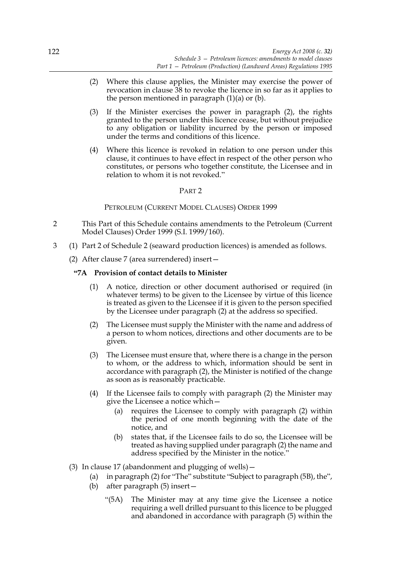- (2) Where this clause applies, the Minister may exercise the power of revocation in clause 38 to revoke the licence in so far as it applies to the person mentioned in paragraph (1)(a) or (b).
- (3) If the Minister exercises the power in paragraph (2), the rights granted to the person under this licence cease, but without prejudice to any obligation or liability incurred by the person or imposed under the terms and conditions of this licence.
- (4) Where this licence is revoked in relation to one person under this clause, it continues to have effect in respect of the other person who constitutes, or persons who together constitute, the Licensee and in relation to whom it is not revoked."

### PART 2

PETROLEUM (CURRENT MODEL CLAUSES) ORDER 1999

- 2 This Part of this Schedule contains amendments to the Petroleum (Current Model Clauses) Order 1999 (S.I. 1999/160).
- 3 (1) Part 2 of Schedule 2 (seaward production licences) is amended as follows.
	- (2) After clause 7 (area surrendered) insert—

### **"7A Provision of contact details to Minister**

- (1) A notice, direction or other document authorised or required (in whatever terms) to be given to the Licensee by virtue of this licence is treated as given to the Licensee if it is given to the person specified by the Licensee under paragraph (2) at the address so specified.
- (2) The Licensee must supply the Minister with the name and address of a person to whom notices, directions and other documents are to be given.
- (3) The Licensee must ensure that, where there is a change in the person to whom, or the address to which, information should be sent in accordance with paragraph (2), the Minister is notified of the change as soon as is reasonably practicable.
- (4) If the Licensee fails to comply with paragraph (2) the Minister may give the Licensee a notice which—
	- (a) requires the Licensee to comply with paragraph (2) within the period of one month beginning with the date of the notice, and
	- (b) states that, if the Licensee fails to do so, the Licensee will be treated as having supplied under paragraph (2) the name and address specified by the Minister in the notice."
- (3) In clause 17 (abandonment and plugging of wells)—
	- (a) in paragraph (2) for "The" substitute "Subject to paragraph (5B), the",
		- (b) after paragraph (5) insert—
			- "(5A) The Minister may at any time give the Licensee a notice requiring a well drilled pursuant to this licence to be plugged and abandoned in accordance with paragraph (5) within the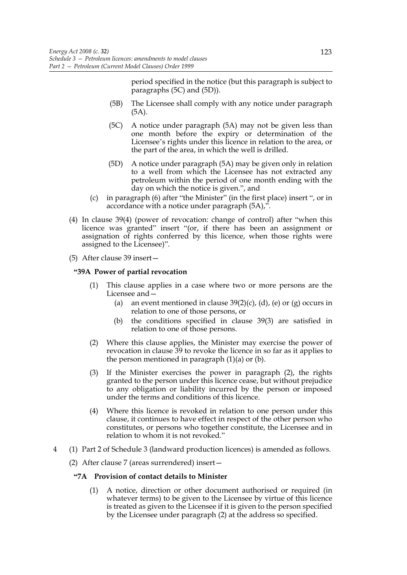period specified in the notice (but this paragraph is subject to paragraphs (5C) and (5D)).

- (5B) The Licensee shall comply with any notice under paragraph (5A).
- (5C) A notice under paragraph (5A) may not be given less than one month before the expiry or determination of the Licensee's rights under this licence in relation to the area, or the part of the area, in which the well is drilled.
- (5D) A notice under paragraph (5A) may be given only in relation to a well from which the Licensee has not extracted any petroleum within the period of one month ending with the day on which the notice is given.", and
- (c) in paragraph (6) after "the Minister" (in the first place) insert ", or in accordance with a notice under paragraph (5A),".
- (4) In clause 39(4) (power of revocation: change of control) after "when this licence was granted" insert "(or, if there has been an assignment or assignation of rights conferred by this licence, when those rights were assigned to the Licensee)".
- (5) After clause 39 insert—

### **"39A Power of partial revocation**

- (1) This clause applies in a case where two or more persons are the Licensee and—
	- (a) an event mentioned in clause  $39(2)(c)$ , (d), (e) or (g) occurs in relation to one of those persons, or
	- (b) the conditions specified in clause 39(3) are satisfied in relation to one of those persons.
- (2) Where this clause applies, the Minister may exercise the power of revocation in clause 39 to revoke the licence in so far as it applies to the person mentioned in paragraph  $(1)(a)$  or  $(b)$ .
- (3) If the Minister exercises the power in paragraph (2), the rights granted to the person under this licence cease, but without prejudice to any obligation or liability incurred by the person or imposed under the terms and conditions of this licence.
- (4) Where this licence is revoked in relation to one person under this clause, it continues to have effect in respect of the other person who constitutes, or persons who together constitute, the Licensee and in relation to whom it is not revoked."
- 4 (1) Part 2 of Schedule 3 (landward production licences) is amended as follows.
	- (2) After clause 7 (areas surrendered) insert—

### **"7A Provision of contact details to Minister**

(1) A notice, direction or other document authorised or required (in whatever terms) to be given to the Licensee by virtue of this licence is treated as given to the Licensee if it is given to the person specified by the Licensee under paragraph (2) at the address so specified.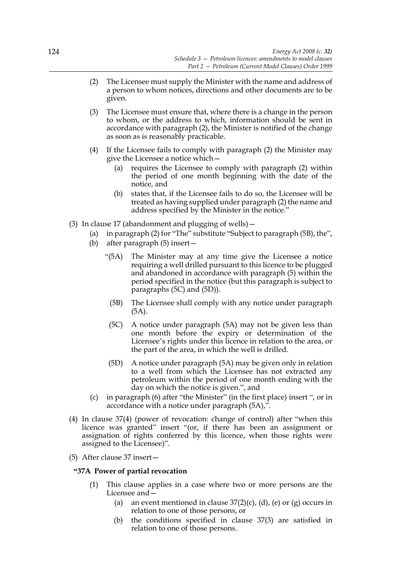- (2) The Licensee must supply the Minister with the name and address of a person to whom notices, directions and other documents are to be given.
- (3) The Licensee must ensure that, where there is a change in the person to whom, or the address to which, information should be sent in accordance with paragraph (2), the Minister is notified of the change as soon as is reasonably practicable.
- (4) If the Licensee fails to comply with paragraph (2) the Minister may give the Licensee a notice which—
	- (a) requires the Licensee to comply with paragraph (2) within the period of one month beginning with the date of the notice, and
	- (b) states that, if the Licensee fails to do so, the Licensee will be treated as having supplied under paragraph (2) the name and address specified by the Minister in the notice."
- (3) In clause 17 (abandonment and plugging of wells)—
	- (a) in paragraph (2) for "The" substitute "Subject to paragraph (5B), the",
	- (b) after paragraph (5) insert—
		- "(5A) The Minister may at any time give the Licensee a notice requiring a well drilled pursuant to this licence to be plugged and abandoned in accordance with paragraph (5) within the period specified in the notice (but this paragraph is subject to paragraphs (5C) and (5D)).
			- (5B) The Licensee shall comply with any notice under paragraph (5A).
			- (5C) A notice under paragraph (5A) may not be given less than one month before the expiry or determination of the Licensee's rights under this licence in relation to the area, or the part of the area, in which the well is drilled.
		- (5D) A notice under paragraph (5A) may be given only in relation to a well from which the Licensee has not extracted any petroleum within the period of one month ending with the day on which the notice is given.", and
	- (c) in paragraph (6) after "the Minister" (in the first place) insert ", or in accordance with a notice under paragraph (5A),".
- (4) In clause 37(4) (power of revocation: change of control) after "when this licence was granted" insert "(or, if there has been an assignment or assignation of rights conferred by this licence, when those rights were assigned to the Licensee)".
- (5) After clause 37 insert—

# **"37A Power of partial revocation**

- (1) This clause applies in a case where two or more persons are the Licensee and—
	- (a) an event mentioned in clause  $37(2)(c)$ , (d), (e) or (g) occurs in relation to one of those persons, or
	- (b) the conditions specified in clause 37(3) are satisfied in relation to one of those persons.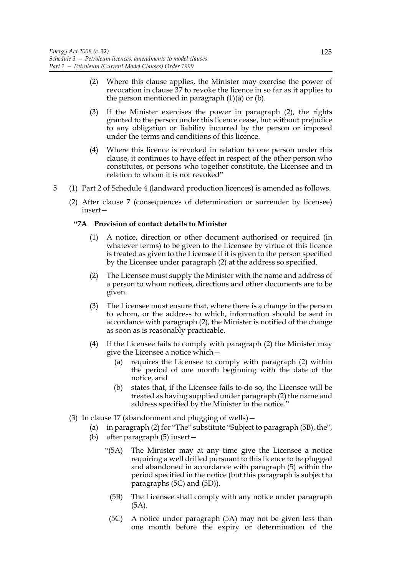- (2) Where this clause applies, the Minister may exercise the power of revocation in clause 37 to revoke the licence in so far as it applies to the person mentioned in paragraph  $(1)(a)$  or  $(b)$ .
- (3) If the Minister exercises the power in paragraph (2), the rights granted to the person under this licence cease, but without prejudice to any obligation or liability incurred by the person or imposed under the terms and conditions of this licence.
- (4) Where this licence is revoked in relation to one person under this clause, it continues to have effect in respect of the other person who constitutes, or persons who together constitute, the Licensee and in relation to whom it is not revoked"
- 5 (1) Part 2 of Schedule 4 (landward production licences) is amended as follows.
	- (2) After clause 7 (consequences of determination or surrender by licensee) insert—

### **"7A Provision of contact details to Minister**

- (1) A notice, direction or other document authorised or required (in whatever terms) to be given to the Licensee by virtue of this licence is treated as given to the Licensee if it is given to the person specified by the Licensee under paragraph (2) at the address so specified.
- (2) The Licensee must supply the Minister with the name and address of a person to whom notices, directions and other documents are to be given.
- (3) The Licensee must ensure that, where there is a change in the person to whom, or the address to which, information should be sent in accordance with paragraph (2), the Minister is notified of the change as soon as is reasonably practicable.
- (4) If the Licensee fails to comply with paragraph (2) the Minister may give the Licensee a notice which—
	- (a) requires the Licensee to comply with paragraph (2) within the period of one month beginning with the date of the notice, and
	- (b) states that, if the Licensee fails to do so, the Licensee will be treated as having supplied under paragraph (2) the name and address specified by the Minister in the notice."
- (3) In clause 17 (abandonment and plugging of wells)—
	- (a) in paragraph (2) for "The" substitute "Subject to paragraph (5B), the",
		- (b) after paragraph (5) insert—
			- "(5A) The Minister may at any time give the Licensee a notice requiring a well drilled pursuant to this licence to be plugged and abandoned in accordance with paragraph (5) within the period specified in the notice (but this paragraph is subject to paragraphs (5C) and (5D)).
				- (5B) The Licensee shall comply with any notice under paragraph (5A).
			- (5C) A notice under paragraph (5A) may not be given less than one month before the expiry or determination of the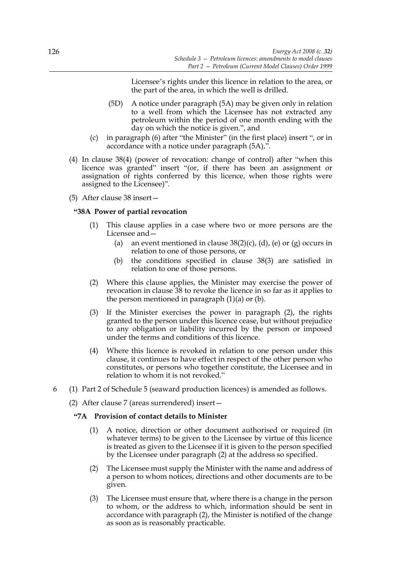Licensee's rights under this licence in relation to the area, or the part of the area, in which the well is drilled.

- (5D) A notice under paragraph (5A) may be given only in relation to a well from which the Licensee has not extracted any petroleum within the period of one month ending with the day on which the notice is given.", and
- (c) in paragraph (6) after "the Minister" (in the first place) insert ", or in accordance with a notice under paragraph (5A),".
- (4) In clause 38(4) (power of revocation: change of control) after "when this licence was granted" insert "(or, if there has been an assignment or assignation of rights conferred by this licence, when those rights were assigned to the Licensee)".
- (5) After clause 38 insert—

# **"38A Power of partial revocation**

- (1) This clause applies in a case where two or more persons are the Licensee and—
	- (a) an event mentioned in clause  $38(2)(c)$ , (d), (e) or (g) occurs in relation to one of those persons, or
	- (b) the conditions specified in clause 38(3) are satisfied in relation to one of those persons.
- (2) Where this clause applies, the Minister may exercise the power of revocation in clause 38 to revoke the licence in so far as it applies to the person mentioned in paragraph  $(1)(a)$  or  $(b)$ .
- (3) If the Minister exercises the power in paragraph (2), the rights granted to the person under this licence cease, but without prejudice to any obligation or liability incurred by the person or imposed under the terms and conditions of this licence.
- (4) Where this licence is revoked in relation to one person under this clause, it continues to have effect in respect of the other person who constitutes, or persons who together constitute, the Licensee and in relation to whom it is not revoked."
- 6 (1) Part 2 of Schedule 5 (seaward production licences) is amended as follows.
	- (2) After clause 7 (areas surrendered) insert—

#### **"7A Provision of contact details to Minister**

- (1) A notice, direction or other document authorised or required (in whatever terms) to be given to the Licensee by virtue of this licence is treated as given to the Licensee if it is given to the person specified by the Licensee under paragraph (2) at the address so specified.
- (2) The Licensee must supply the Minister with the name and address of a person to whom notices, directions and other documents are to be given.
- (3) The Licensee must ensure that, where there is a change in the person to whom, or the address to which, information should be sent in accordance with paragraph (2), the Minister is notified of the change as soon as is reasonably practicable.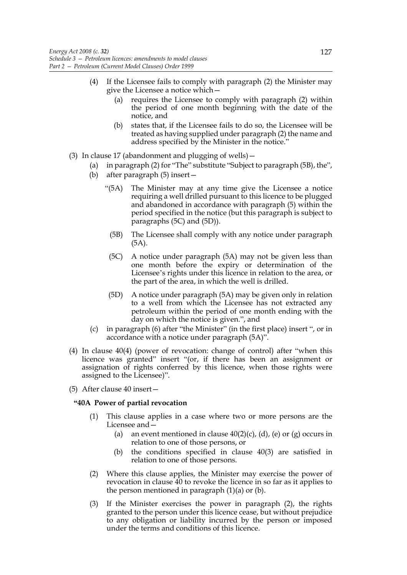- (4) If the Licensee fails to comply with paragraph (2) the Minister may give the Licensee a notice which—
	- (a) requires the Licensee to comply with paragraph (2) within the period of one month beginning with the date of the notice, and
	- (b) states that, if the Licensee fails to do so, the Licensee will be treated as having supplied under paragraph (2) the name and address specified by the Minister in the notice."
- (3) In clause 17 (abandonment and plugging of wells)—
	- (a) in paragraph (2) for "The" substitute "Subject to paragraph (5B), the",
	- (b) after paragraph (5) insert—
		- "(5A) The Minister may at any time give the Licensee a notice requiring a well drilled pursuant to this licence to be plugged and abandoned in accordance with paragraph (5) within the period specified in the notice (but this paragraph is subject to paragraphs (5C) and (5D)).
			- (5B) The Licensee shall comply with any notice under paragraph (5A).
		- (5C) A notice under paragraph (5A) may not be given less than one month before the expiry or determination of the Licensee's rights under this licence in relation to the area, or the part of the area, in which the well is drilled.
		- (5D) A notice under paragraph (5A) may be given only in relation to a well from which the Licensee has not extracted any petroleum within the period of one month ending with the day on which the notice is given.", and
	- (c) in paragraph (6) after "the Minister" (in the first place) insert ", or in accordance with a notice under paragraph (5A)".
- (4) In clause 40(4) (power of revocation: change of control) after "when this licence was granted" insert "(or, if there has been an assignment or assignation of rights conferred by this licence, when those rights were assigned to the Licensee)".
- (5) After clause 40 insert—

### **"40A Power of partial revocation**

- (1) This clause applies in a case where two or more persons are the Licensee and—
	- (a) an event mentioned in clause  $40(2)(c)$ , (d), (e) or (g) occurs in relation to one of those persons, or
	- (b) the conditions specified in clause 40(3) are satisfied in relation to one of those persons.
- (2) Where this clause applies, the Minister may exercise the power of revocation in clause 40 to revoke the licence in so far as it applies to the person mentioned in paragraph  $(1)(a)$  or  $(b)$ .
- (3) If the Minister exercises the power in paragraph (2), the rights granted to the person under this licence cease, but without prejudice to any obligation or liability incurred by the person or imposed under the terms and conditions of this licence.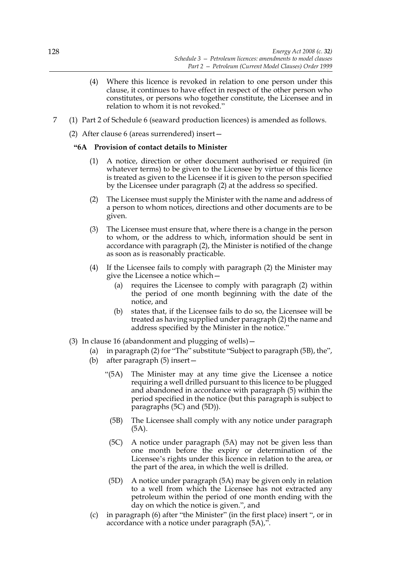- (4) Where this licence is revoked in relation to one person under this clause, it continues to have effect in respect of the other person who constitutes, or persons who together constitute, the Licensee and in relation to whom it is not revoked."
- 7 (1) Part 2 of Schedule 6 (seaward production licences) is amended as follows.
	- (2) After clause 6 (areas surrendered) insert—

# **"6A Provision of contact details to Minister**

- (1) A notice, direction or other document authorised or required (in whatever terms) to be given to the Licensee by virtue of this licence is treated as given to the Licensee if it is given to the person specified by the Licensee under paragraph (2) at the address so specified.
- (2) The Licensee must supply the Minister with the name and address of a person to whom notices, directions and other documents are to be given.
- (3) The Licensee must ensure that, where there is a change in the person to whom, or the address to which, information should be sent in accordance with paragraph (2), the Minister is notified of the change as soon as is reasonably practicable.
- (4) If the Licensee fails to comply with paragraph (2) the Minister may give the Licensee a notice which—
	- (a) requires the Licensee to comply with paragraph (2) within the period of one month beginning with the date of the notice, and
	- (b) states that, if the Licensee fails to do so, the Licensee will be treated as having supplied under paragraph (2) the name and address specified by the Minister in the notice."
- (3) In clause 16 (abandonment and plugging of wells)—
	- (a) in paragraph (2) for "The" substitute "Subject to paragraph (5B), the",
	- (b) after paragraph (5) insert—
		- "(5A) The Minister may at any time give the Licensee a notice requiring a well drilled pursuant to this licence to be plugged and abandoned in accordance with paragraph (5) within the period specified in the notice (but this paragraph is subject to paragraphs (5C) and (5D)).
			- (5B) The Licensee shall comply with any notice under paragraph (5A).
			- (5C) A notice under paragraph (5A) may not be given less than one month before the expiry or determination of the Licensee's rights under this licence in relation to the area, or the part of the area, in which the well is drilled.
		- (5D) A notice under paragraph (5A) may be given only in relation to a well from which the Licensee has not extracted any petroleum within the period of one month ending with the day on which the notice is given.", and
	- (c) in paragraph (6) after "the Minister" (in the first place) insert ", or in accordance with a notice under paragraph (5A),".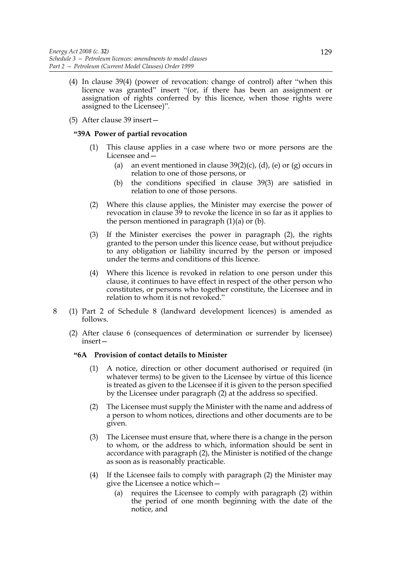- (4) In clause 39(4) (power of revocation: change of control) after "when this licence was granted" insert "(or, if there has been an assignment or assignation of rights conferred by this licence, when those rights were assigned to the Licensee)".
- (5) After clause 39 insert—

## **"39A Power of partial revocation**

- (1) This clause applies in a case where two or more persons are the Licensee and—
	- (a) an event mentioned in clause  $39(2)(c)$ , (d), (e) or (g) occurs in relation to one of those persons, or
	- (b) the conditions specified in clause 39(3) are satisfied in relation to one of those persons.
- (2) Where this clause applies, the Minister may exercise the power of revocation in clause 39 to revoke the licence in so far as it applies to the person mentioned in paragraph  $(1)(a)$  or  $(b)$ .
- (3) If the Minister exercises the power in paragraph (2), the rights granted to the person under this licence cease, but without prejudice to any obligation or liability incurred by the person or imposed under the terms and conditions of this licence.
- (4) Where this licence is revoked in relation to one person under this clause, it continues to have effect in respect of the other person who constitutes, or persons who together constitute, the Licensee and in relation to whom it is not revoked."
- 8 (1) Part 2 of Schedule 8 (landward development licences) is amended as follows.
	- (2) After clause 6 (consequences of determination or surrender by licensee) insert—

# **"6A Provision of contact details to Minister**

- (1) A notice, direction or other document authorised or required (in whatever terms) to be given to the Licensee by virtue of this licence is treated as given to the Licensee if it is given to the person specified by the Licensee under paragraph (2) at the address so specified.
- (2) The Licensee must supply the Minister with the name and address of a person to whom notices, directions and other documents are to be given.
- (3) The Licensee must ensure that, where there is a change in the person to whom, or the address to which, information should be sent in accordance with paragraph (2), the Minister is notified of the change as soon as is reasonably practicable.
- (4) If the Licensee fails to comply with paragraph (2) the Minister may give the Licensee a notice which—
	- (a) requires the Licensee to comply with paragraph (2) within the period of one month beginning with the date of the notice, and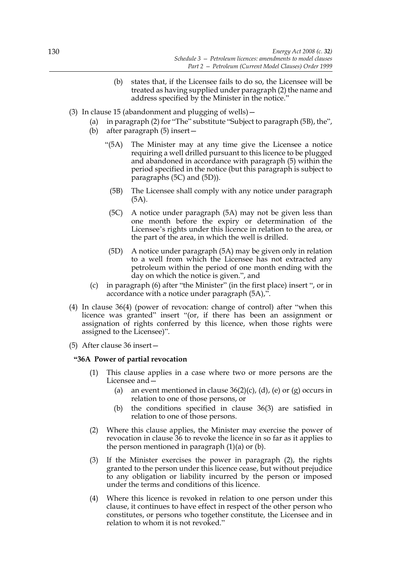- (b) states that, if the Licensee fails to do so, the Licensee will be treated as having supplied under paragraph (2) the name and address specified by the Minister in the notice."
- (3) In clause 15 (abandonment and plugging of wells)—
	- (a) in paragraph (2) for "The" substitute "Subject to paragraph (5B), the",
	- (b) after paragraph (5) insert—
		- "(5A) The Minister may at any time give the Licensee a notice requiring a well drilled pursuant to this licence to be plugged and abandoned in accordance with paragraph (5) within the period specified in the notice (but this paragraph is subject to paragraphs (5C) and (5D)).
			- (5B) The Licensee shall comply with any notice under paragraph (5A).
			- (5C) A notice under paragraph (5A) may not be given less than one month before the expiry or determination of the Licensee's rights under this licence in relation to the area, or the part of the area, in which the well is drilled.
		- (5D) A notice under paragraph (5A) may be given only in relation to a well from which the Licensee has not extracted any petroleum within the period of one month ending with the day on which the notice is given.", and
	- (c) in paragraph (6) after "the Minister" (in the first place) insert ", or in accordance with a notice under paragraph (5A),".
- (4) In clause 36(4) (power of revocation: change of control) after "when this licence was granted" insert "(or, if there has been an assignment or assignation of rights conferred by this licence, when those rights were assigned to the Licensee)".
- (5) After clause 36 insert—

# **"36A Power of partial revocation**

- (1) This clause applies in a case where two or more persons are the Licensee and—
	- (a) an event mentioned in clause  $36(2)(c)$ , (d), (e) or (g) occurs in relation to one of those persons, or
	- (b) the conditions specified in clause 36(3) are satisfied in relation to one of those persons.
- (2) Where this clause applies, the Minister may exercise the power of revocation in clause 36 to revoke the licence in so far as it applies to the person mentioned in paragraph  $(1)(a)$  or  $(b)$ .
- (3) If the Minister exercises the power in paragraph (2), the rights granted to the person under this licence cease, but without prejudice to any obligation or liability incurred by the person or imposed under the terms and conditions of this licence.
- (4) Where this licence is revoked in relation to one person under this clause, it continues to have effect in respect of the other person who constitutes, or persons who together constitute, the Licensee and in relation to whom it is not revoked."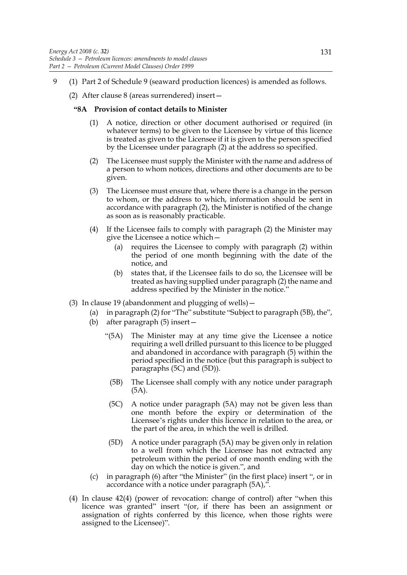- 9 (1) Part 2 of Schedule 9 (seaward production licences) is amended as follows.
	- (2) After clause 8 (areas surrendered) insert—

## **"8A Provision of contact details to Minister**

- (1) A notice, direction or other document authorised or required (in whatever terms) to be given to the Licensee by virtue of this licence is treated as given to the Licensee if it is given to the person specified by the Licensee under paragraph (2) at the address so specified.
- (2) The Licensee must supply the Minister with the name and address of a person to whom notices, directions and other documents are to be given.
- (3) The Licensee must ensure that, where there is a change in the person to whom, or the address to which, information should be sent in accordance with paragraph (2), the Minister is notified of the change as soon as is reasonably practicable.
- (4) If the Licensee fails to comply with paragraph (2) the Minister may give the Licensee a notice which—
	- (a) requires the Licensee to comply with paragraph (2) within the period of one month beginning with the date of the notice, and
	- (b) states that, if the Licensee fails to do so, the Licensee will be treated as having supplied under paragraph (2) the name and address specified by the Minister in the notice."
- (3) In clause 19 (abandonment and plugging of wells)—
	- (a) in paragraph (2) for "The" substitute "Subject to paragraph (5B), the",
	- (b) after paragraph (5) insert—
		- "(5A) The Minister may at any time give the Licensee a notice requiring a well drilled pursuant to this licence to be plugged and abandoned in accordance with paragraph (5) within the period specified in the notice (but this paragraph is subject to paragraphs (5C) and (5D)).
			- (5B) The Licensee shall comply with any notice under paragraph (5A).
			- (5C) A notice under paragraph (5A) may not be given less than one month before the expiry or determination of the Licensee's rights under this licence in relation to the area, or the part of the area, in which the well is drilled.
			- (5D) A notice under paragraph (5A) may be given only in relation to a well from which the Licensee has not extracted any petroleum within the period of one month ending with the day on which the notice is given.", and
	- (c) in paragraph (6) after "the Minister" (in the first place) insert ", or in accordance with a notice under paragraph (5A),".
- (4) In clause 42(4) (power of revocation: change of control) after "when this licence was granted" insert "(or, if there has been an assignment or assignation of rights conferred by this licence, when those rights were assigned to the Licensee)".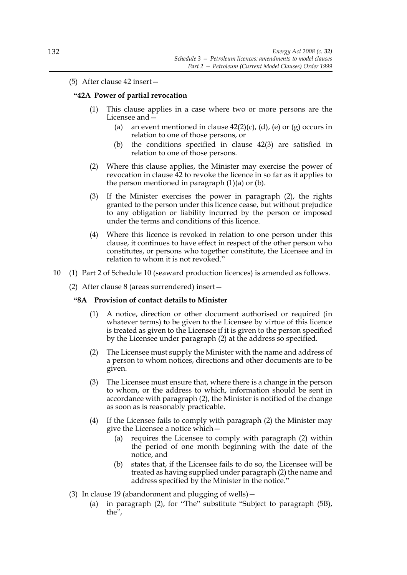(5) After clause 42 insert—

## **"42A Power of partial revocation**

- (1) This clause applies in a case where two or more persons are the Licensee and—
	- (a) an event mentioned in clause  $42(2)(c)$ , (d), (e) or (g) occurs in relation to one of those persons, or
	- (b) the conditions specified in clause 42(3) are satisfied in relation to one of those persons.
- (2) Where this clause applies, the Minister may exercise the power of revocation in clause 42 to revoke the licence in so far as it applies to the person mentioned in paragraph (1)(a) or (b).
- (3) If the Minister exercises the power in paragraph (2), the rights granted to the person under this licence cease, but without prejudice to any obligation or liability incurred by the person or imposed under the terms and conditions of this licence.
- (4) Where this licence is revoked in relation to one person under this clause, it continues to have effect in respect of the other person who constitutes, or persons who together constitute, the Licensee and in relation to whom it is not revoked."
- 10 (1) Part 2 of Schedule 10 (seaward production licences) is amended as follows.
	- (2) After clause 8 (areas surrendered) insert—

#### **"8A Provision of contact details to Minister**

- (1) A notice, direction or other document authorised or required (in whatever terms) to be given to the Licensee by virtue of this licence is treated as given to the Licensee if it is given to the person specified by the Licensee under paragraph (2) at the address so specified.
- (2) The Licensee must supply the Minister with the name and address of a person to whom notices, directions and other documents are to be given.
- (3) The Licensee must ensure that, where there is a change in the person to whom, or the address to which, information should be sent in accordance with paragraph (2), the Minister is notified of the change as soon as is reasonably practicable.
- (4) If the Licensee fails to comply with paragraph (2) the Minister may give the Licensee a notice which—
	- (a) requires the Licensee to comply with paragraph (2) within the period of one month beginning with the date of the notice, and
	- (b) states that, if the Licensee fails to do so, the Licensee will be treated as having supplied under paragraph (2) the name and address specified by the Minister in the notice."
- (3) In clause 19 (abandonment and plugging of wells)—
	- (a) in paragraph (2), for "The" substitute "Subject to paragraph (5B), the",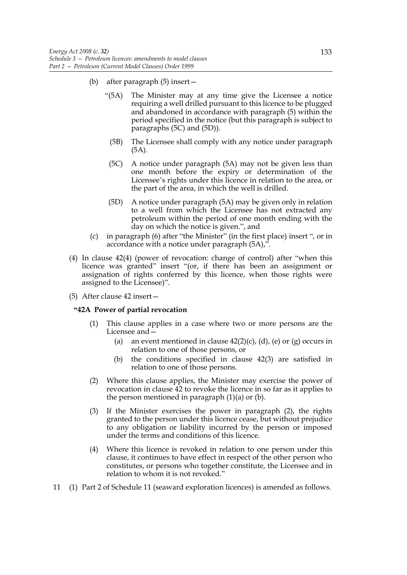- (b) after paragraph (5) insert—
	- "(5A) The Minister may at any time give the Licensee a notice requiring a well drilled pursuant to this licence to be plugged and abandoned in accordance with paragraph (5) within the period specified in the notice (but this paragraph is subject to paragraphs (5C) and (5D)).
		- (5B) The Licensee shall comply with any notice under paragraph (5A).
	- (5C) A notice under paragraph (5A) may not be given less than one month before the expiry or determination of the Licensee's rights under this licence in relation to the area, or the part of the area, in which the well is drilled.
	- (5D) A notice under paragraph (5A) may be given only in relation to a well from which the Licensee has not extracted any petroleum within the period of one month ending with the day on which the notice is given.", and
- (c) in paragraph (6) after "the Minister" (in the first place) insert ", or in accordance with a notice under paragraph (5A),".
- (4) In clause 42(4) (power of revocation: change of control) after "when this licence was granted" insert "(or, if there has been an assignment or assignation of rights conferred by this licence, when those rights were assigned to the Licensee)".
- (5) After clause 42 insert—

#### **"42A Power of partial revocation**

- (1) This clause applies in a case where two or more persons are the Licensee and—
	- (a) an event mentioned in clause  $42(2)(c)$ , (d), (e) or (g) occurs in relation to one of those persons, or
	- (b) the conditions specified in clause 42(3) are satisfied in relation to one of those persons.
- (2) Where this clause applies, the Minister may exercise the power of revocation in clause 42 to revoke the licence in so far as it applies to the person mentioned in paragraph  $(1)(a)$  or  $(b)$ .
- (3) If the Minister exercises the power in paragraph (2), the rights granted to the person under this licence cease, but without prejudice to any obligation or liability incurred by the person or imposed under the terms and conditions of this licence.
- (4) Where this licence is revoked in relation to one person under this clause, it continues to have effect in respect of the other person who constitutes, or persons who together constitute, the Licensee and in relation to whom it is not revoked."
- 11 (1) Part 2 of Schedule 11 (seaward exploration licences) is amended as follows.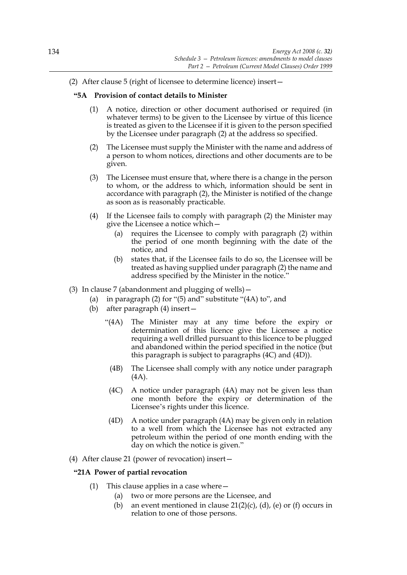# (2) After clause 5 (right of licensee to determine licence) insert—

### **"5A Provision of contact details to Minister**

- (1) A notice, direction or other document authorised or required (in whatever terms) to be given to the Licensee by virtue of this licence is treated as given to the Licensee if it is given to the person specified by the Licensee under paragraph (2) at the address so specified.
- (2) The Licensee must supply the Minister with the name and address of a person to whom notices, directions and other documents are to be given.
- (3) The Licensee must ensure that, where there is a change in the person to whom, or the address to which, information should be sent in accordance with paragraph (2), the Minister is notified of the change as soon as is reasonably practicable.
- (4) If the Licensee fails to comply with paragraph (2) the Minister may give the Licensee a notice which—
	- (a) requires the Licensee to comply with paragraph (2) within the period of one month beginning with the date of the notice, and
	- (b) states that, if the Licensee fails to do so, the Licensee will be treated as having supplied under paragraph (2) the name and address specified by the Minister in the notice."
- (3) In clause 7 (abandonment and plugging of wells)—
	- (a) in paragraph (2) for "(5) and" substitute "(4A) to", and
	- (b) after paragraph (4) insert—
		- "(4A) The Minister may at any time before the expiry or determination of this licence give the Licensee a notice requiring a well drilled pursuant to this licence to be plugged and abandoned within the period specified in the notice (but this paragraph is subject to paragraphs  $(4C)$  and  $(4D)$ ).
			- (4B) The Licensee shall comply with any notice under paragraph (4A).
			- (4C) A notice under paragraph (4A) may not be given less than one month before the expiry or determination of the Licensee's rights under this licence.
			- (4D) A notice under paragraph (4A) may be given only in relation to a well from which the Licensee has not extracted any petroleum within the period of one month ending with the day on which the notice is given."
- (4) After clause 21 (power of revocation) insert—

### **"21A Power of partial revocation**

- (1) This clause applies in a case where  $-$ 
	- (a) two or more persons are the Licensee, and
	- (b) an event mentioned in clause  $21(2)(c)$ , (d), (e) or (f) occurs in relation to one of those persons.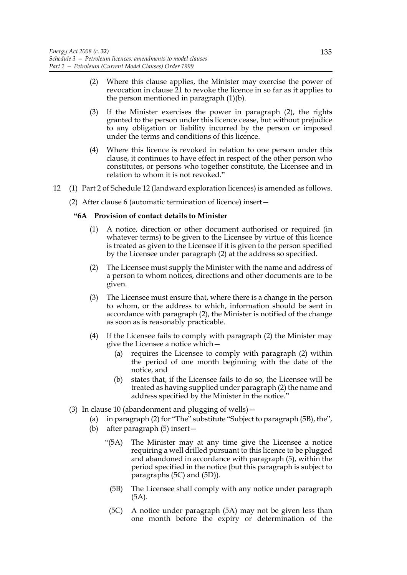- (2) Where this clause applies, the Minister may exercise the power of revocation in clause 21 to revoke the licence in so far as it applies to the person mentioned in paragraph (1)(b).
- (3) If the Minister exercises the power in paragraph (2), the rights granted to the person under this licence cease, but without prejudice to any obligation or liability incurred by the person or imposed under the terms and conditions of this licence.
- (4) Where this licence is revoked in relation to one person under this clause, it continues to have effect in respect of the other person who constitutes, or persons who together constitute, the Licensee and in relation to whom it is not revoked."
- 12 (1) Part 2 of Schedule 12 (landward exploration licences) is amended as follows.

(2) After clause 6 (automatic termination of licence) insert—

#### **"6A Provision of contact details to Minister**

- (1) A notice, direction or other document authorised or required (in whatever terms) to be given to the Licensee by virtue of this licence is treated as given to the Licensee if it is given to the person specified by the Licensee under paragraph (2) at the address so specified.
- (2) The Licensee must supply the Minister with the name and address of a person to whom notices, directions and other documents are to be given.
- (3) The Licensee must ensure that, where there is a change in the person to whom, or the address to which, information should be sent in accordance with paragraph (2), the Minister is notified of the change as soon as is reasonably practicable.
- (4) If the Licensee fails to comply with paragraph (2) the Minister may give the Licensee a notice which—
	- (a) requires the Licensee to comply with paragraph (2) within the period of one month beginning with the date of the notice, and
	- (b) states that, if the Licensee fails to do so, the Licensee will be treated as having supplied under paragraph (2) the name and address specified by the Minister in the notice."
- (3) In clause 10 (abandonment and plugging of wells)—
	- (a) in paragraph (2) for "The" substitute "Subject to paragraph (5B), the",
	- (b) after paragraph (5) insert—
		- "(5A) The Minister may at any time give the Licensee a notice requiring a well drilled pursuant to this licence to be plugged and abandoned in accordance with paragraph (5), within the period specified in the notice (but this paragraph is subject to paragraphs (5C) and (5D)).
			- (5B) The Licensee shall comply with any notice under paragraph (5A).
			- (5C) A notice under paragraph (5A) may not be given less than one month before the expiry or determination of the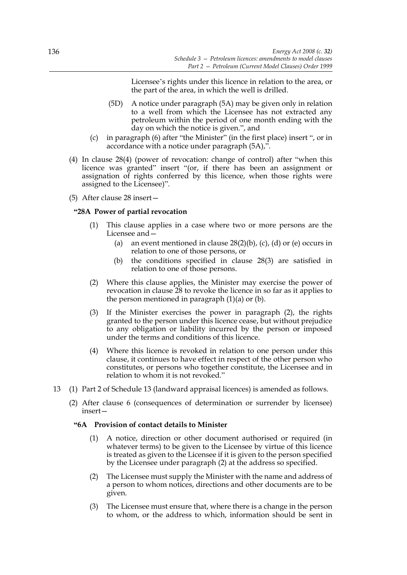Licensee's rights under this licence in relation to the area, or the part of the area, in which the well is drilled.

- (5D) A notice under paragraph (5A) may be given only in relation to a well from which the Licensee has not extracted any petroleum within the period of one month ending with the day on which the notice is given.", and
- (c) in paragraph (6) after "the Minister" (in the first place) insert ", or in accordance with a notice under paragraph (5A),".
- (4) In clause 28(4) (power of revocation: change of control) after "when this licence was granted" insert "(or, if there has been an assignment or assignation of rights conferred by this licence, when those rights were assigned to the Licensee)".
- (5) After clause 28 insert—

# **"28A Power of partial revocation**

- (1) This clause applies in a case where two or more persons are the Licensee and—
	- (a) an event mentioned in clause  $28(2)(b)$ , (c), (d) or (e) occurs in relation to one of those persons, or
	- (b) the conditions specified in clause 28(3) are satisfied in relation to one of those persons.
- (2) Where this clause applies, the Minister may exercise the power of revocation in clause 28 to revoke the licence in so far as it applies to the person mentioned in paragraph  $(1)(a)$  or  $(b)$ .
- (3) If the Minister exercises the power in paragraph (2), the rights granted to the person under this licence cease, but without prejudice to any obligation or liability incurred by the person or imposed under the terms and conditions of this licence.
- (4) Where this licence is revoked in relation to one person under this clause, it continues to have effect in respect of the other person who constitutes, or persons who together constitute, the Licensee and in relation to whom it is not revoked."
- 13 (1) Part 2 of Schedule 13 (landward appraisal licences) is amended as follows.
	- (2) After clause 6 (consequences of determination or surrender by licensee) insert—

#### **"6A Provision of contact details to Minister**

- (1) A notice, direction or other document authorised or required (in whatever terms) to be given to the Licensee by virtue of this licence is treated as given to the Licensee if it is given to the person specified by the Licensee under paragraph (2) at the address so specified.
- (2) The Licensee must supply the Minister with the name and address of a person to whom notices, directions and other documents are to be given.
- (3) The Licensee must ensure that, where there is a change in the person to whom, or the address to which, information should be sent in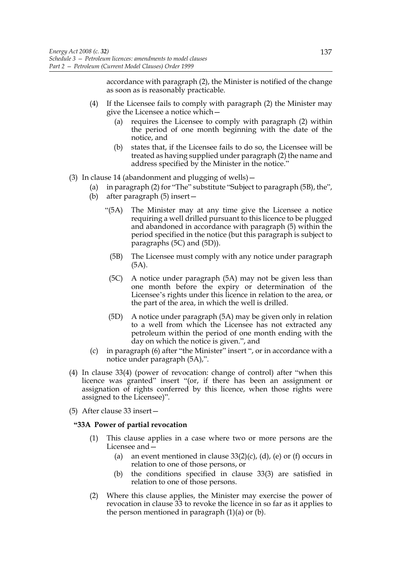accordance with paragraph (2), the Minister is notified of the change as soon as is reasonably practicable.

- (4) If the Licensee fails to comply with paragraph (2) the Minister may give the Licensee a notice which—
	- (a) requires the Licensee to comply with paragraph (2) within the period of one month beginning with the date of the notice, and
	- (b) states that, if the Licensee fails to do so, the Licensee will be treated as having supplied under paragraph (2) the name and address specified by the Minister in the notice."
- (3) In clause 14 (abandonment and plugging of wells)—
	- (a) in paragraph (2) for "The" substitute "Subject to paragraph (5B), the",
		- (b) after paragraph (5) insert—
			- "(5A) The Minister may at any time give the Licensee a notice requiring a well drilled pursuant to this licence to be plugged and abandoned in accordance with paragraph (5) within the period specified in the notice (but this paragraph is subject to paragraphs (5C) and (5D)).
				- (5B) The Licensee must comply with any notice under paragraph (5A).
			- (5C) A notice under paragraph (5A) may not be given less than one month before the expiry or determination of the Licensee's rights under this licence in relation to the area, or the part of the area, in which the well is drilled.
			- (5D) A notice under paragraph (5A) may be given only in relation to a well from which the Licensee has not extracted any petroleum within the period of one month ending with the day on which the notice is given.", and
		- (c) in paragraph (6) after "the Minister" insert ", or in accordance with a notice under paragraph (5A),".
- (4) In clause 33(4) (power of revocation: change of control) after "when this licence was granted" insert "(or, if there has been an assignment or assignation of rights conferred by this licence, when those rights were assigned to the Licensee)".
- (5) After clause 33 insert—

#### **"33A Power of partial revocation**

- (1) This clause applies in a case where two or more persons are the Licensee and—
	- (a) an event mentioned in clause  $33(2)(c)$ , (d), (e) or (f) occurs in relation to one of those persons, or
	- (b) the conditions specified in clause 33(3) are satisfied in relation to one of those persons.
- (2) Where this clause applies, the Minister may exercise the power of revocation in clause 33 to revoke the licence in so far as it applies to the person mentioned in paragraph  $(1)(a)$  or  $(b)$ .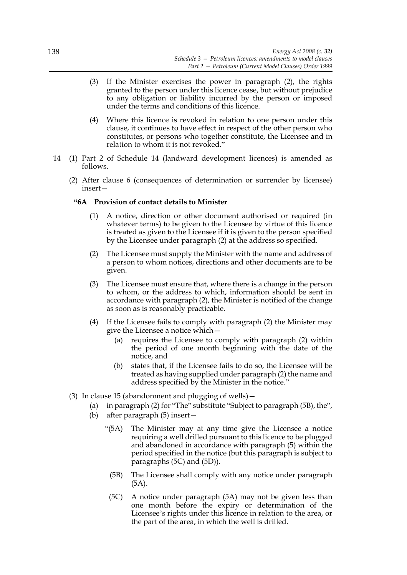- (3) If the Minister exercises the power in paragraph (2), the rights granted to the person under this licence cease, but without prejudice to any obligation or liability incurred by the person or imposed under the terms and conditions of this licence.
- (4) Where this licence is revoked in relation to one person under this clause, it continues to have effect in respect of the other person who constitutes, or persons who together constitute, the Licensee and in relation to whom it is not revoked."
- 14 (1) Part 2 of Schedule 14 (landward development licences) is amended as follows.
	- (2) After clause 6 (consequences of determination or surrender by licensee) insert—

#### **"6A Provision of contact details to Minister**

- (1) A notice, direction or other document authorised or required (in whatever terms) to be given to the Licensee by virtue of this licence is treated as given to the Licensee if it is given to the person specified by the Licensee under paragraph (2) at the address so specified.
- (2) The Licensee must supply the Minister with the name and address of a person to whom notices, directions and other documents are to be given.
- (3) The Licensee must ensure that, where there is a change in the person to whom, or the address to which, information should be sent in accordance with paragraph (2), the Minister is notified of the change as soon as is reasonably practicable.
- (4) If the Licensee fails to comply with paragraph (2) the Minister may give the Licensee a notice which—
	- (a) requires the Licensee to comply with paragraph (2) within the period of one month beginning with the date of the notice, and
	- (b) states that, if the Licensee fails to do so, the Licensee will be treated as having supplied under paragraph (2) the name and address specified by the Minister in the notice."
- (3) In clause 15 (abandonment and plugging of wells)—
	- (a) in paragraph (2) for "The" substitute "Subject to paragraph (5B), the",
	- (b) after paragraph (5) insert—
		- "(5A) The Minister may at any time give the Licensee a notice requiring a well drilled pursuant to this licence to be plugged and abandoned in accordance with paragraph (5) within the period specified in the notice (but this paragraph is subject to paragraphs (5C) and (5D)).
			- (5B) The Licensee shall comply with any notice under paragraph (5A).
			- (5C) A notice under paragraph (5A) may not be given less than one month before the expiry or determination of the Licensee's rights under this licence in relation to the area, or the part of the area, in which the well is drilled.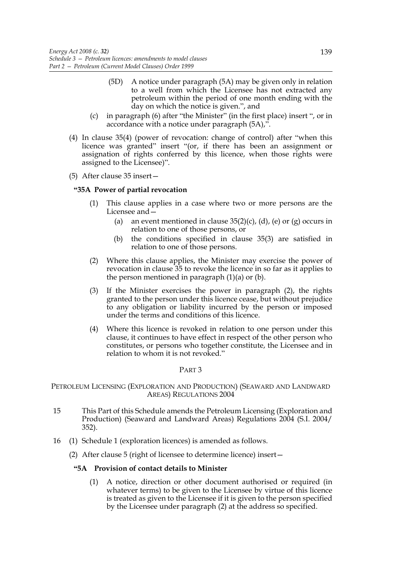- (5D) A notice under paragraph (5A) may be given only in relation to a well from which the Licensee has not extracted any petroleum within the period of one month ending with the day on which the notice is given.", and
- (c) in paragraph (6) after "the Minister" (in the first place) insert ", or in accordance with a notice under paragraph (5A),".
- (4) In clause 35(4) (power of revocation: change of control) after "when this licence was granted" insert "(or, if there has been an assignment or assignation of rights conferred by this licence, when those rights were assigned to the Licensee)".
- (5) After clause 35 insert—

## **"35A Power of partial revocation**

- (1) This clause applies in a case where two or more persons are the Licensee and—
	- (a) an event mentioned in clause  $35(2)(c)$ , (d), (e) or (g) occurs in relation to one of those persons, or
	- (b) the conditions specified in clause 35(3) are satisfied in relation to one of those persons.
- (2) Where this clause applies, the Minister may exercise the power of revocation in clause 35 to revoke the licence in so far as it applies to the person mentioned in paragraph  $(1)(a)$  or  $(b)$ .
- (3) If the Minister exercises the power in paragraph (2), the rights granted to the person under this licence cease, but without prejudice to any obligation or liability incurred by the person or imposed under the terms and conditions of this licence.
- (4) Where this licence is revoked in relation to one person under this clause, it continues to have effect in respect of the other person who constitutes, or persons who together constitute, the Licensee and in relation to whom it is not revoked."

#### PART 3

## PETROLEUM LICENSING (EXPLORATION AND PRODUCTION) (SEAWARD AND LANDWARD AREAS) REGULATIONS 2004

- 15 This Part of this Schedule amends the Petroleum Licensing (Exploration and Production) (Seaward and Landward Areas) Regulations 2004 (S.I. 2004/ 352).
- 16 (1) Schedule 1 (exploration licences) is amended as follows.
	- (2) After clause 5 (right of licensee to determine licence) insert—

# **"5A Provision of contact details to Minister**

(1) A notice, direction or other document authorised or required (in whatever terms) to be given to the Licensee by virtue of this licence is treated as given to the Licensee if it is given to the person specified by the Licensee under paragraph (2) at the address so specified.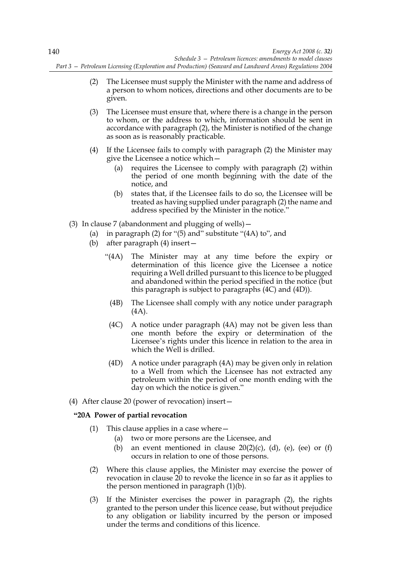- (2) The Licensee must supply the Minister with the name and address of a person to whom notices, directions and other documents are to be given.
- (3) The Licensee must ensure that, where there is a change in the person to whom, or the address to which, information should be sent in accordance with paragraph (2), the Minister is notified of the change as soon as is reasonably practicable.
- (4) If the Licensee fails to comply with paragraph (2) the Minister may give the Licensee a notice which—
	- (a) requires the Licensee to comply with paragraph (2) within the period of one month beginning with the date of the notice, and
	- (b) states that, if the Licensee fails to do so, the Licensee will be treated as having supplied under paragraph (2) the name and address specified by the Minister in the notice."
- (3) In clause 7 (abandonment and plugging of wells)—
	- (a) in paragraph (2) for "(5) and" substitute "(4A) to", and
	- (b) after paragraph (4) insert—
		- "(4A) The Minister may at any time before the expiry or determination of this licence give the Licensee a notice requiring a Well drilled pursuant to this licence to be plugged and abandoned within the period specified in the notice (but this paragraph is subject to paragraphs (4C) and (4D)).
			- (4B) The Licensee shall comply with any notice under paragraph (4A).
			- (4C) A notice under paragraph (4A) may not be given less than one month before the expiry or determination of the Licensee's rights under this licence in relation to the area in which the Well is drilled.
		- (4D) A notice under paragraph (4A) may be given only in relation to a Well from which the Licensee has not extracted any petroleum within the period of one month ending with the day on which the notice is given."
- (4) After clause 20 (power of revocation) insert—

# **"20A Power of partial revocation**

- (1) This clause applies in a case where  $-$ 
	- (a) two or more persons are the Licensee, and
	- (b) an event mentioned in clause  $20(2)(c)$ , (d), (e), (ee) or (f) occurs in relation to one of those persons.
- (2) Where this clause applies, the Minister may exercise the power of revocation in clause 20 to revoke the licence in so far as it applies to the person mentioned in paragraph (1)(b).
- (3) If the Minister exercises the power in paragraph (2), the rights granted to the person under this licence cease, but without prejudice to any obligation or liability incurred by the person or imposed under the terms and conditions of this licence.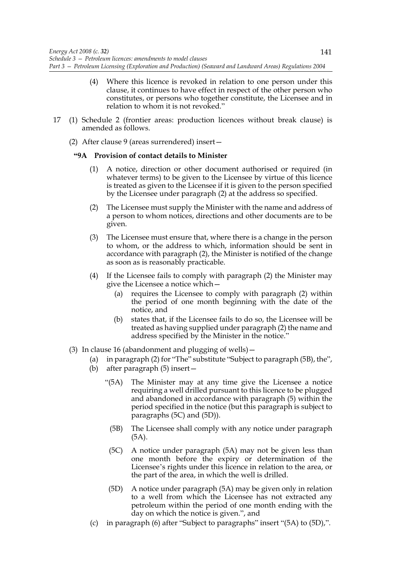- (4) Where this licence is revoked in relation to one person under this clause, it continues to have effect in respect of the other person who constitutes, or persons who together constitute, the Licensee and in relation to whom it is not revoked."
- 17 (1) Schedule 2 (frontier areas: production licences without break clause) is amended as follows.
	- (2) After clause 9 (areas surrendered) insert—

## **"9A Provision of contact details to Minister**

- (1) A notice, direction or other document authorised or required (in whatever terms) to be given to the Licensee by virtue of this licence is treated as given to the Licensee if it is given to the person specified by the Licensee under paragraph (2) at the address so specified.
- (2) The Licensee must supply the Minister with the name and address of a person to whom notices, directions and other documents are to be given.
- (3) The Licensee must ensure that, where there is a change in the person to whom, or the address to which, information should be sent in accordance with paragraph (2), the Minister is notified of the change as soon as is reasonably practicable.
- (4) If the Licensee fails to comply with paragraph (2) the Minister may give the Licensee a notice which—
	- (a) requires the Licensee to comply with paragraph (2) within the period of one month beginning with the date of the notice, and
	- (b) states that, if the Licensee fails to do so, the Licensee will be treated as having supplied under paragraph (2) the name and address specified by the Minister in the notice."
- (3) In clause 16 (abandonment and plugging of wells)—
	- (a) in paragraph (2) for "The" substitute "Subject to paragraph (5B), the",
	- (b) after paragraph (5) insert—
		- "(5A) The Minister may at any time give the Licensee a notice requiring a well drilled pursuant to this licence to be plugged and abandoned in accordance with paragraph (5) within the period specified in the notice (but this paragraph is subject to paragraphs (5C) and (5D)).
			- (5B) The Licensee shall comply with any notice under paragraph (5A).
			- (5C) A notice under paragraph (5A) may not be given less than one month before the expiry or determination of the Licensee's rights under this licence in relation to the area, or the part of the area, in which the well is drilled.
			- (5D) A notice under paragraph (5A) may be given only in relation to a well from which the Licensee has not extracted any petroleum within the period of one month ending with the day on which the notice is given.", and
	- (c) in paragraph (6) after "Subject to paragraphs" insert "(5A) to (5D),".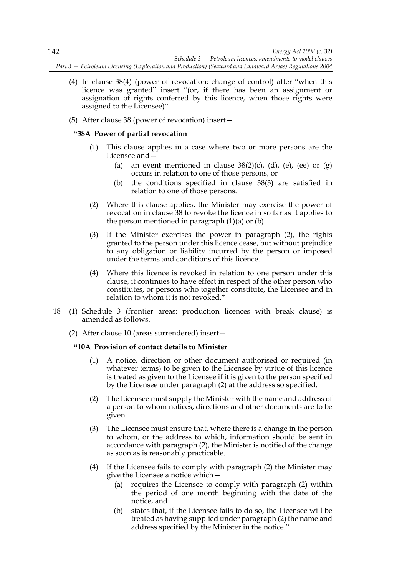- (4) In clause 38(4) (power of revocation: change of control) after "when this licence was granted" insert "(or, if there has been an assignment or assignation of rights conferred by this licence, when those rights were assigned to the Licensee)".
- (5) After clause 38 (power of revocation) insert—

# **"38A Power of partial revocation**

- (1) This clause applies in a case where two or more persons are the Licensee and—
	- (a) an event mentioned in clause  $38(2)(c)$ , (d), (e), (ee) or (g) occurs in relation to one of those persons, or
	- (b) the conditions specified in clause 38(3) are satisfied in relation to one of those persons.
- (2) Where this clause applies, the Minister may exercise the power of revocation in clause 38 to revoke the licence in so far as it applies to the person mentioned in paragraph  $(1)(a)$  or  $(b)$ .
- (3) If the Minister exercises the power in paragraph (2), the rights granted to the person under this licence cease, but without prejudice to any obligation or liability incurred by the person or imposed under the terms and conditions of this licence.
- (4) Where this licence is revoked in relation to one person under this clause, it continues to have effect in respect of the other person who constitutes, or persons who together constitute, the Licensee and in relation to whom it is not revoked."
- 18 (1) Schedule 3 (frontier areas: production licences with break clause) is amended as follows.
	- (2) After clause 10 (areas surrendered) insert—

#### **"10A Provision of contact details to Minister**

- (1) A notice, direction or other document authorised or required (in whatever terms) to be given to the Licensee by virtue of this licence is treated as given to the Licensee if it is given to the person specified by the Licensee under paragraph (2) at the address so specified.
- (2) The Licensee must supply the Minister with the name and address of a person to whom notices, directions and other documents are to be given.
- (3) The Licensee must ensure that, where there is a change in the person to whom, or the address to which, information should be sent in accordance with paragraph (2), the Minister is notified of the change as soon as is reasonably practicable.
- (4) If the Licensee fails to comply with paragraph (2) the Minister may give the Licensee a notice which—
	- (a) requires the Licensee to comply with paragraph (2) within the period of one month beginning with the date of the notice, and
	- (b) states that, if the Licensee fails to do so, the Licensee will be treated as having supplied under paragraph (2) the name and address specified by the Minister in the notice."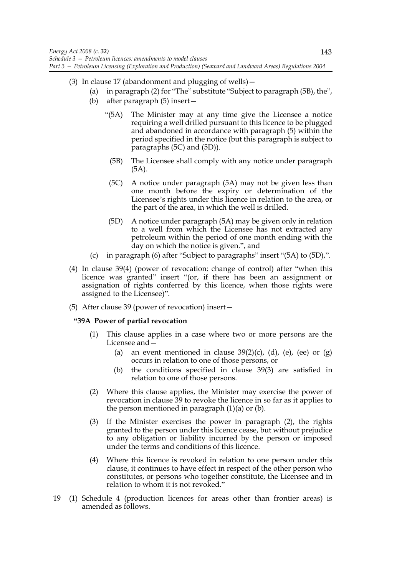- (3) In clause 17 (abandonment and plugging of wells)—
	- (a) in paragraph (2) for "The" substitute "Subject to paragraph (5B), the",
	- (b) after paragraph (5) insert—
		- "(5A) The Minister may at any time give the Licensee a notice requiring a well drilled pursuant to this licence to be plugged and abandoned in accordance with paragraph (5) within the period specified in the notice (but this paragraph is subject to paragraphs (5C) and (5D)).
		- (5B) The Licensee shall comply with any notice under paragraph (5A).
		- (5C) A notice under paragraph (5A) may not be given less than one month before the expiry or determination of the Licensee's rights under this licence in relation to the area, or the part of the area, in which the well is drilled.
		- (5D) A notice under paragraph (5A) may be given only in relation to a well from which the Licensee has not extracted any petroleum within the period of one month ending with the day on which the notice is given.", and
	- (c) in paragraph (6) after "Subject to paragraphs" insert "(5A) to (5D),".
- (4) In clause 39(4) (power of revocation: change of control) after "when this licence was granted" insert "(or, if there has been an assignment or assignation of rights conferred by this licence, when those rights were assigned to the Licensee)".
- (5) After clause 39 (power of revocation) insert—

# **"39A Power of partial revocation**

- (1) This clause applies in a case where two or more persons are the Licensee and—
	- (a) an event mentioned in clause  $39(2)(c)$ , (d), (e), (ee) or (g) occurs in relation to one of those persons, or
	- (b) the conditions specified in clause 39(3) are satisfied in relation to one of those persons.
- (2) Where this clause applies, the Minister may exercise the power of revocation in clause 39 to revoke the licence in so far as it applies to the person mentioned in paragraph (1)(a) or (b).
- (3) If the Minister exercises the power in paragraph (2), the rights granted to the person under this licence cease, but without prejudice to any obligation or liability incurred by the person or imposed under the terms and conditions of this licence.
- (4) Where this licence is revoked in relation to one person under this clause, it continues to have effect in respect of the other person who constitutes, or persons who together constitute, the Licensee and in relation to whom it is not revoked."
- 19 (1) Schedule 4 (production licences for areas other than frontier areas) is amended as follows.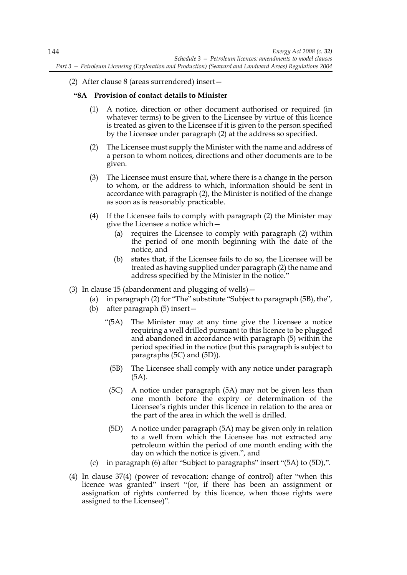(2) After clause 8 (areas surrendered) insert—

# **"8A Provision of contact details to Minister**

- (1) A notice, direction or other document authorised or required (in whatever terms) to be given to the Licensee by virtue of this licence is treated as given to the Licensee if it is given to the person specified by the Licensee under paragraph (2) at the address so specified.
- (2) The Licensee must supply the Minister with the name and address of a person to whom notices, directions and other documents are to be given.
- (3) The Licensee must ensure that, where there is a change in the person to whom, or the address to which, information should be sent in accordance with paragraph (2), the Minister is notified of the change as soon as is reasonably practicable.
- (4) If the Licensee fails to comply with paragraph (2) the Minister may give the Licensee a notice which—
	- (a) requires the Licensee to comply with paragraph (2) within the period of one month beginning with the date of the notice, and
	- (b) states that, if the Licensee fails to do so, the Licensee will be treated as having supplied under paragraph (2) the name and address specified by the Minister in the notice."
- (3) In clause 15 (abandonment and plugging of wells)—
	- (a) in paragraph (2) for "The" substitute "Subject to paragraph (5B), the",
	- (b) after paragraph (5) insert—
		- "(5A) The Minister may at any time give the Licensee a notice requiring a well drilled pursuant to this licence to be plugged and abandoned in accordance with paragraph (5) within the period specified in the notice (but this paragraph is subject to paragraphs (5C) and (5D)).
			- (5B) The Licensee shall comply with any notice under paragraph (5A).
			- (5C) A notice under paragraph (5A) may not be given less than one month before the expiry or determination of the Licensee's rights under this licence in relation to the area or the part of the area in which the well is drilled.
			- (5D) A notice under paragraph (5A) may be given only in relation to a well from which the Licensee has not extracted any petroleum within the period of one month ending with the day on which the notice is given.", and
	- (c) in paragraph (6) after "Subject to paragraphs" insert "(5A) to (5D),".
- (4) In clause 37(4) (power of revocation: change of control) after "when this licence was granted" insert "(or, if there has been an assignment or assignation of rights conferred by this licence, when those rights were assigned to the Licensee)".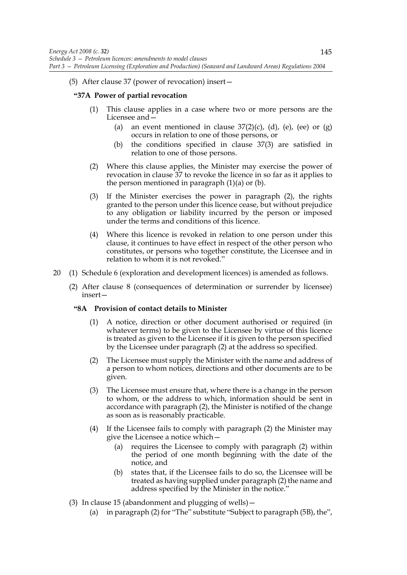(5) After clause 37 (power of revocation) insert—

# **"37A Power of partial revocation**

- (1) This clause applies in a case where two or more persons are the Licensee and—
	- (a) an event mentioned in clause  $37(2)(c)$ , (d), (e), (ee) or (g) occurs in relation to one of those persons, or
	- (b) the conditions specified in clause 37(3) are satisfied in relation to one of those persons.
- (2) Where this clause applies, the Minister may exercise the power of revocation in clause 37 to revoke the licence in so far as it applies to the person mentioned in paragraph (1)(a) or (b).
- (3) If the Minister exercises the power in paragraph (2), the rights granted to the person under this licence cease, but without prejudice to any obligation or liability incurred by the person or imposed under the terms and conditions of this licence.
- (4) Where this licence is revoked in relation to one person under this clause, it continues to have effect in respect of the other person who constitutes, or persons who together constitute, the Licensee and in relation to whom it is not revoked."
- 20 (1) Schedule 6 (exploration and development licences) is amended as follows.
	- (2) After clause 8 (consequences of determination or surrender by licensee) insert—

#### **"8A Provision of contact details to Minister**

- (1) A notice, direction or other document authorised or required (in whatever terms) to be given to the Licensee by virtue of this licence is treated as given to the Licensee if it is given to the person specified by the Licensee under paragraph (2) at the address so specified.
- (2) The Licensee must supply the Minister with the name and address of a person to whom notices, directions and other documents are to be given.
- (3) The Licensee must ensure that, where there is a change in the person to whom, or the address to which, information should be sent in accordance with paragraph (2), the Minister is notified of the change as soon as is reasonably practicable.
- (4) If the Licensee fails to comply with paragraph (2) the Minister may give the Licensee a notice which—
	- (a) requires the Licensee to comply with paragraph (2) within the period of one month beginning with the date of the notice, and
	- (b) states that, if the Licensee fails to do so, the Licensee will be treated as having supplied under paragraph (2) the name and address specified by the Minister in the notice."
- (3) In clause 15 (abandonment and plugging of wells)—
	- (a) in paragraph (2) for "The" substitute "Subject to paragraph (5B), the",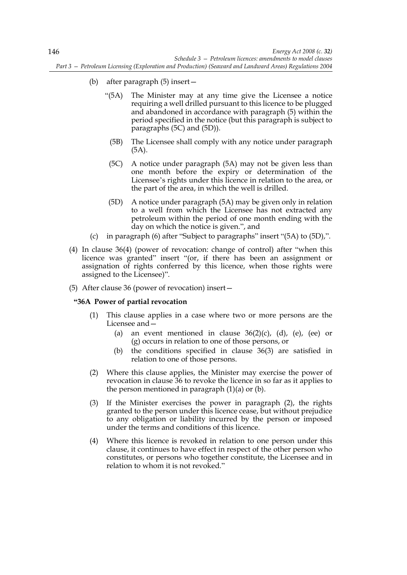- (b) after paragraph (5) insert—
	- "(5A) The Minister may at any time give the Licensee a notice requiring a well drilled pursuant to this licence to be plugged and abandoned in accordance with paragraph (5) within the period specified in the notice (but this paragraph is subject to paragraphs (5C) and (5D)).
		- (5B) The Licensee shall comply with any notice under paragraph (5A).
		- (5C) A notice under paragraph (5A) may not be given less than one month before the expiry or determination of the Licensee's rights under this licence in relation to the area, or the part of the area, in which the well is drilled.
		- (5D) A notice under paragraph (5A) may be given only in relation to a well from which the Licensee has not extracted any petroleum within the period of one month ending with the day on which the notice is given.", and
- (c) in paragraph (6) after "Subject to paragraphs" insert "(5A) to (5D),".
- (4) In clause 36(4) (power of revocation: change of control) after "when this licence was granted" insert "(or, if there has been an assignment or assignation of rights conferred by this licence, when those rights were assigned to the Licensee)".
- (5) After clause 36 (power of revocation) insert—

# **"36A Power of partial revocation**

- (1) This clause applies in a case where two or more persons are the Licensee and—
	- (a) an event mentioned in clause  $36(2)(c)$ , (d), (e), (ee) or (g) occurs in relation to one of those persons, or
	- (b) the conditions specified in clause 36(3) are satisfied in relation to one of those persons.
- (2) Where this clause applies, the Minister may exercise the power of revocation in clause 36 to revoke the licence in so far as it applies to the person mentioned in paragraph  $(1)(a)$  or  $(b)$ .
- (3) If the Minister exercises the power in paragraph (2), the rights granted to the person under this licence cease, but without prejudice to any obligation or liability incurred by the person or imposed under the terms and conditions of this licence.
- (4) Where this licence is revoked in relation to one person under this clause, it continues to have effect in respect of the other person who constitutes, or persons who together constitute, the Licensee and in relation to whom it is not revoked."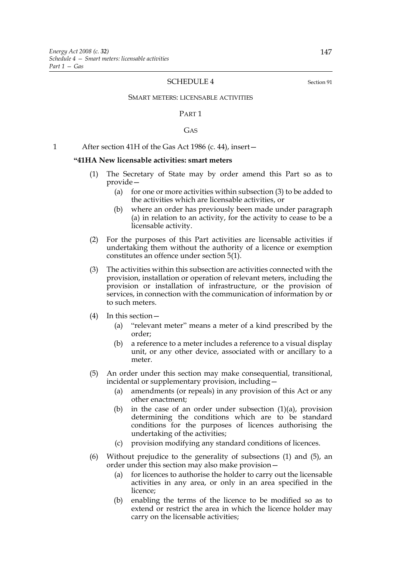#### SCHEDULE 4 Section 91

#### SMART METERS: LICENSABLE ACTIVITIES

#### PART 1

GAS

1 After section 41H of the Gas Act 1986 (c. 44), insert—

# **"41HA New licensable activities: smart meters**

- (1) The Secretary of State may by order amend this Part so as to provide—
	- (a) for one or more activities within subsection (3) to be added to the activities which are licensable activities, or
	- (b) where an order has previously been made under paragraph (a) in relation to an activity, for the activity to cease to be a licensable activity.
- (2) For the purposes of this Part activities are licensable activities if undertaking them without the authority of a licence or exemption constitutes an offence under section 5(1).
- (3) The activities within this subsection are activities connected with the provision, installation or operation of relevant meters, including the provision or installation of infrastructure, or the provision of services, in connection with the communication of information by or to such meters.
- (4) In this section—
	- (a) "relevant meter" means a meter of a kind prescribed by the order;
	- (b) a reference to a meter includes a reference to a visual display unit, or any other device, associated with or ancillary to a meter.
- (5) An order under this section may make consequential, transitional, incidental or supplementary provision, including—
	- (a) amendments (or repeals) in any provision of this Act or any other enactment;
	- (b) in the case of an order under subsection (1)(a), provision determining the conditions which are to be standard conditions for the purposes of licences authorising the undertaking of the activities;
	- (c) provision modifying any standard conditions of licences.
- (6) Without prejudice to the generality of subsections (1) and (5), an order under this section may also make provision—
	- (a) for licences to authorise the holder to carry out the licensable activities in any area, or only in an area specified in the licence;
	- (b) enabling the terms of the licence to be modified so as to extend or restrict the area in which the licence holder may carry on the licensable activities;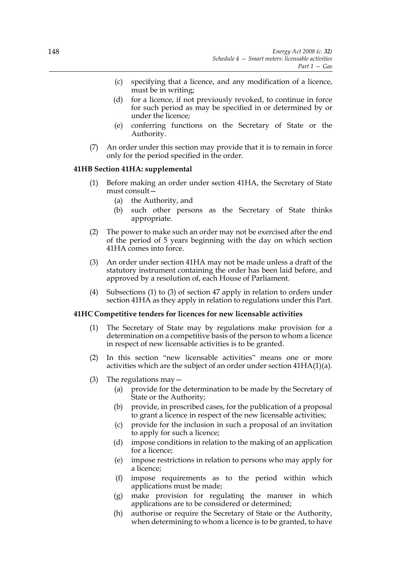- (c) specifying that a licence, and any modification of a licence, must be in writing;
- (d) for a licence, if not previously revoked, to continue in force for such period as may be specified in or determined by or under the licence;
- (e) conferring functions on the Secretary of State or the Authority.
- (7) An order under this section may provide that it is to remain in force only for the period specified in the order.

# **41HB Section 41HA: supplemental**

- (1) Before making an order under section 41HA, the Secretary of State must consult—
	- (a) the Authority, and
	- (b) such other persons as the Secretary of State thinks appropriate.
- (2) The power to make such an order may not be exercised after the end of the period of 5 years beginning with the day on which section 41HA comes into force.
- (3) An order under section 41HA may not be made unless a draft of the statutory instrument containing the order has been laid before, and approved by a resolution of, each House of Parliament.
- (4) Subsections (1) to (3) of section 47 apply in relation to orders under section 41HA as they apply in relation to regulations under this Part.

## **41HC Competitive tenders for licences for new licensable activities**

- (1) The Secretary of State may by regulations make provision for a determination on a competitive basis of the person to whom a licence in respect of new licensable activities is to be granted.
- (2) In this section "new licensable activities" means one or more activities which are the subject of an order under section 41HA(1)(a).
- (3) The regulations may  $-$ 
	- (a) provide for the determination to be made by the Secretary of State or the Authority;
	- (b) provide, in prescribed cases, for the publication of a proposal to grant a licence in respect of the new licensable activities;
	- (c) provide for the inclusion in such a proposal of an invitation to apply for such a licence;
	- (d) impose conditions in relation to the making of an application for a licence;
	- (e) impose restrictions in relation to persons who may apply for a licence;
	- (f) impose requirements as to the period within which applications must be made;
	- (g) make provision for regulating the manner in which applications are to be considered or determined;
	- (h) authorise or require the Secretary of State or the Authority, when determining to whom a licence is to be granted, to have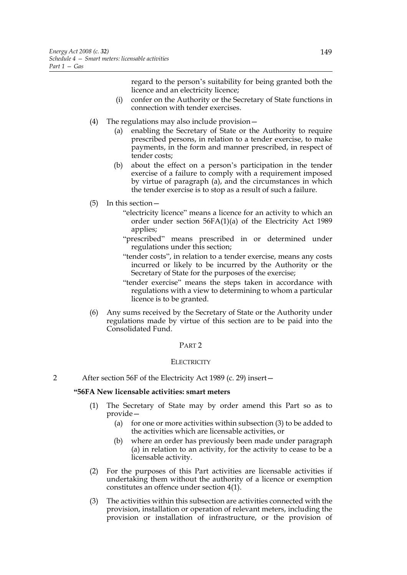regard to the person's suitability for being granted both the licence and an electricity licence;

- (i) confer on the Authority or the Secretary of State functions in connection with tender exercises.
- (4) The regulations may also include provision—
	- (a) enabling the Secretary of State or the Authority to require prescribed persons, in relation to a tender exercise, to make payments, in the form and manner prescribed, in respect of tender costs;
	- (b) about the effect on a person's participation in the tender exercise of a failure to comply with a requirement imposed by virtue of paragraph (a), and the circumstances in which the tender exercise is to stop as a result of such a failure.
- (5) In this section—
	- "electricity licence" means a licence for an activity to which an order under section 56FA(1)(a) of the Electricity Act 1989 applies;
	- "prescribed" means prescribed in or determined under regulations under this section;
	- "tender costs", in relation to a tender exercise, means any costs incurred or likely to be incurred by the Authority or the Secretary of State for the purposes of the exercise;
	- "tender exercise" means the steps taken in accordance with regulations with a view to determining to whom a particular licence is to be granted.
- (6) Any sums received by the Secretary of State or the Authority under regulations made by virtue of this section are to be paid into the Consolidated Fund.

#### PART 2

#### **ELECTRICITY**

2 After section 56F of the Electricity Act 1989 (c. 29) insert—

#### **"56FA New licensable activities: smart meters**

- (1) The Secretary of State may by order amend this Part so as to provide—
	- (a) for one or more activities within subsection (3) to be added to the activities which are licensable activities, or
	- (b) where an order has previously been made under paragraph (a) in relation to an activity, for the activity to cease to be a licensable activity.
- (2) For the purposes of this Part activities are licensable activities if undertaking them without the authority of a licence or exemption constitutes an offence under section 4(1).
- (3) The activities within this subsection are activities connected with the provision, installation or operation of relevant meters, including the provision or installation of infrastructure, or the provision of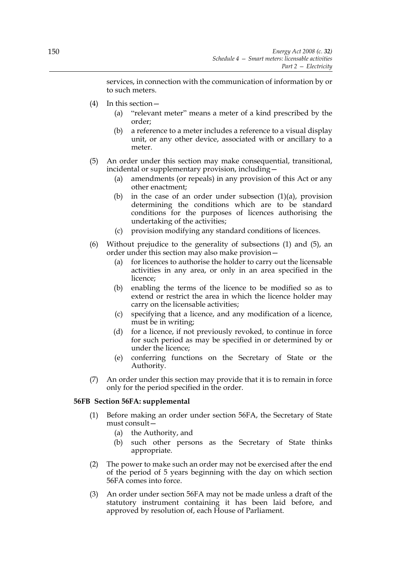services, in connection with the communication of information by or to such meters.

- (4) In this section—
	- (a) "relevant meter" means a meter of a kind prescribed by the order;
	- (b) a reference to a meter includes a reference to a visual display unit, or any other device, associated with or ancillary to a meter.
- (5) An order under this section may make consequential, transitional, incidental or supplementary provision, including—
	- (a) amendments (or repeals) in any provision of this Act or any other enactment;
	- (b) in the case of an order under subsection  $(1)(a)$ , provision determining the conditions which are to be standard conditions for the purposes of licences authorising the undertaking of the activities;
	- (c) provision modifying any standard conditions of licences.
- (6) Without prejudice to the generality of subsections (1) and (5), an order under this section may also make provision—
	- (a) for licences to authorise the holder to carry out the licensable activities in any area, or only in an area specified in the licence;
	- (b) enabling the terms of the licence to be modified so as to extend or restrict the area in which the licence holder may carry on the licensable activities;
	- (c) specifying that a licence, and any modification of a licence, must be in writing;
	- (d) for a licence, if not previously revoked, to continue in force for such period as may be specified in or determined by or under the licence;
	- (e) conferring functions on the Secretary of State or the Authority.
- (7) An order under this section may provide that it is to remain in force only for the period specified in the order.

# **56FB Section 56FA: supplemental**

- (1) Before making an order under section 56FA, the Secretary of State must consult—
	- (a) the Authority, and
	- (b) such other persons as the Secretary of State thinks appropriate.
- (2) The power to make such an order may not be exercised after the end of the period of 5 years beginning with the day on which section 56FA comes into force.
- (3) An order under section 56FA may not be made unless a draft of the statutory instrument containing it has been laid before, and approved by resolution of, each House of Parliament.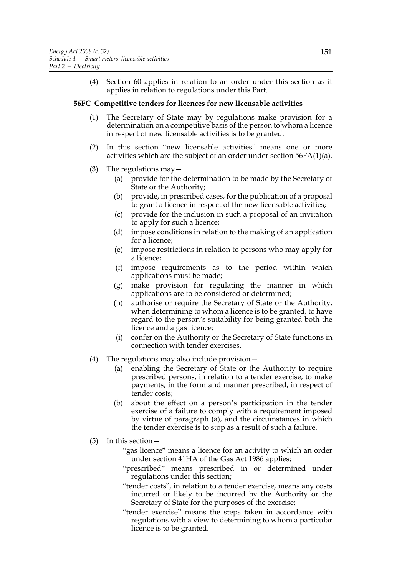(4) Section 60 applies in relation to an order under this section as it applies in relation to regulations under this Part.

#### **56FC Competitive tenders for licences for new licensable activities**

- (1) The Secretary of State may by regulations make provision for a determination on a competitive basis of the person to whom a licence in respect of new licensable activities is to be granted.
- (2) In this section "new licensable activities" means one or more activities which are the subject of an order under section 56FA(1)(a).
- (3) The regulations may  $-$ 
	- (a) provide for the determination to be made by the Secretary of State or the Authority;
	- (b) provide, in prescribed cases, for the publication of a proposal to grant a licence in respect of the new licensable activities;
	- (c) provide for the inclusion in such a proposal of an invitation to apply for such a licence;
	- (d) impose conditions in relation to the making of an application for a licence;
	- (e) impose restrictions in relation to persons who may apply for a licence;
	- (f) impose requirements as to the period within which applications must be made;
	- (g) make provision for regulating the manner in which applications are to be considered or determined;
	- (h) authorise or require the Secretary of State or the Authority, when determining to whom a licence is to be granted, to have regard to the person's suitability for being granted both the licence and a gas licence;
	- (i) confer on the Authority or the Secretary of State functions in connection with tender exercises.
- (4) The regulations may also include provision—
	- (a) enabling the Secretary of State or the Authority to require prescribed persons, in relation to a tender exercise, to make payments, in the form and manner prescribed, in respect of tender costs;
	- (b) about the effect on a person's participation in the tender exercise of a failure to comply with a requirement imposed by virtue of paragraph (a), and the circumstances in which the tender exercise is to stop as a result of such a failure.
- (5) In this section—
	- "gas licence" means a licence for an activity to which an order under section 41HA of the Gas Act 1986 applies;
	- "prescribed" means prescribed in or determined under regulations under this section;
	- "tender costs", in relation to a tender exercise, means any costs incurred or likely to be incurred by the Authority or the Secretary of State for the purposes of the exercise;
	- "tender exercise" means the steps taken in accordance with regulations with a view to determining to whom a particular licence is to be granted.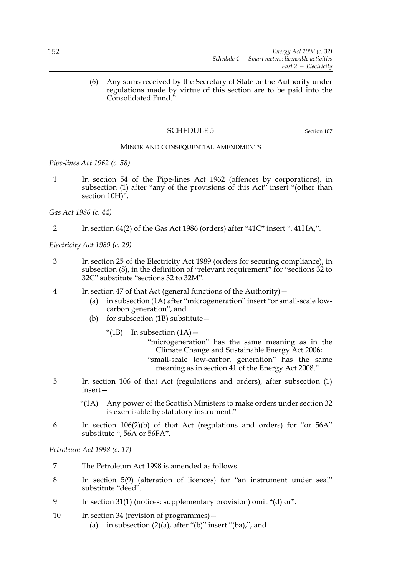(6) Any sums received by the Secretary of State or the Authority under regulations made by virtue of this section are to be paid into the Consolidated Fund."

# SCHEDULE 5 Section 107

# MINOR AND CONSEQUENTIAL AMENDMENTS

*Pipe-lines Act 1962 (c. 58)*

1 In section 54 of the Pipe-lines Act 1962 (offences by corporations), in subsection (1) after "any of the provisions of this Act" insert "(other than section 10H)".

*Gas Act 1986 (c. 44)*

2 In section 64(2) of the Gas Act 1986 (orders) after "41C" insert ", 41HA,".

*Electricity Act 1989 (c. 29)*

- 3 In section 25 of the Electricity Act 1989 (orders for securing compliance), in subsection (8), in the definition of "relevant requirement" for "sections 32 to 32C" substitute "sections 32 to 32M".
- 4 In section 47 of that Act (general functions of the Authority)—
	- (a) in subsection (1A) after "microgeneration" insert "or small-scale lowcarbon generation", and
	- (b) for subsection  $(1B)$  substitute  $-$ 
		- "(1B) In subsection  $(1A)$  –

"microgeneration" has the same meaning as in the Climate Change and Sustainable Energy Act 2006;

"small-scale low-carbon generation" has the same meaning as in section 41 of the Energy Act 2008."

5 In section 106 of that Act (regulations and orders), after subsection (1) insert—

"(1A) Any power of the Scottish Ministers to make orders under section 32 is exercisable by statutory instrument."

6 In section 106(2)(b) of that Act (regulations and orders) for "or 56A" substitute ", 56A or 56FA".

# *Petroleum Act 1998 (c. 17)*

- 7 The Petroleum Act 1998 is amended as follows.
- 8 In section 5(9) (alteration of licences) for "an instrument under seal" substitute "deed".
- 9 In section 31(1) (notices: supplementary provision) omit "(d) or".
- 10 In section 34 (revision of programmes)
	- (a) in subsection  $(2)(a)$ , after " $(b)$ " insert " $(ba)$ ,", and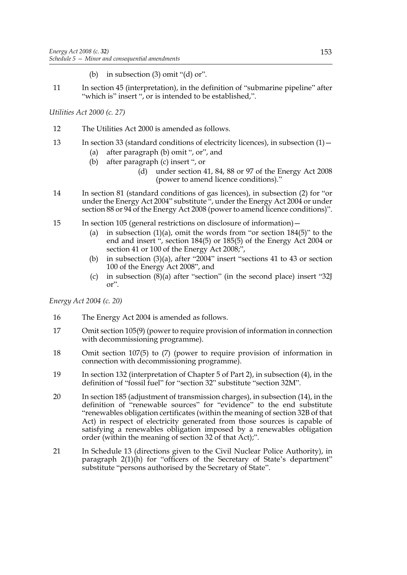- (b) in subsection (3) omit "(d) or".
- 11 In section 45 (interpretation), in the definition of "submarine pipeline" after "which is" insert ", or is intended to be established,".

*Utilities Act 2000 (c. 27)*

- 12 The Utilities Act 2000 is amended as follows.
- 13 In section 33 (standard conditions of electricity licences), in subsection (1) (a) after paragraph (b) omit ", or", and
	- (b) after paragraph (c) insert ", or
		- (d) under section 41, 84, 88 or 97 of the Energy Act 2008 (power to amend licence conditions)."
- 14 In section 81 (standard conditions of gas licences), in subsection (2) for "or under the Energy Act 2004" substitute ", under the Energy Act 2004 or under section 88 or 94 of the Energy Act 2008 (power to amend licence conditions)".
- 15 In section 105 (general restrictions on disclosure of information)—
	- (a) in subsection  $(1)(a)$ , omit the words from "or section  $184(5)$ " to the end and insert ", section 184(5) or 185(5) of the Energy Act 2004 or section 41 or 100 of the Energy Act 2008;",
	- (b) in subsection (3)(a), after "2004" insert "sections 41 to 43 or section 100 of the Energy Act 2008", and
	- (c) in subsection (8)(a) after "section" (in the second place) insert "32J or".

*Energy Act 2004 (c. 20)*

- 16 The Energy Act 2004 is amended as follows.
- 17 Omit section 105(9) (power to require provision of information in connection with decommissioning programme).
- 18 Omit section 107(5) to (7) (power to require provision of information in connection with decommissioning programme).
- 19 In section 132 (interpretation of Chapter 5 of Part 2), in subsection (4), in the definition of "fossil fuel" for "section 32" substitute "section 32M".
- 20 In section 185 (adjustment of transmission charges), in subsection (14), in the definition of "renewable sources" for "evidence" to the end substitute "renewables obligation certificates (within the meaning of section 32B of that Act) in respect of electricity generated from those sources is capable of satisfying a renewables obligation imposed by a renewables obligation order (within the meaning of section 32 of that Act);".
- 21 In Schedule 13 (directions given to the Civil Nuclear Police Authority), in paragraph 2(1)(h) for "officers of the Secretary of State's department" substitute "persons authorised by the Secretary of State".